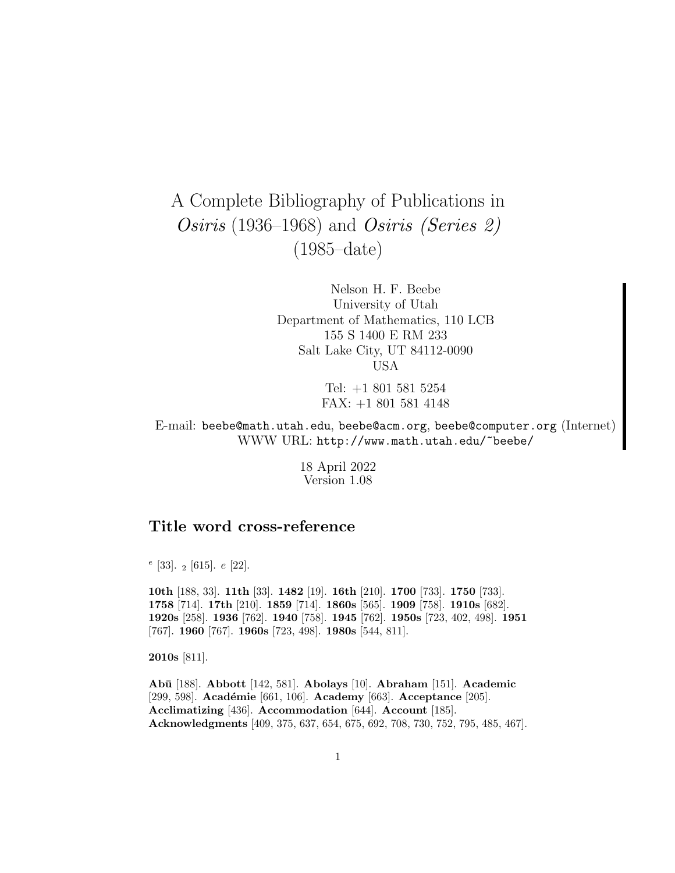# A Complete Bibliography of Publications in Osiris (1936–1968) and Osiris (Series 2) (1985–date)

Nelson H. F. Beebe University of Utah Department of Mathematics, 110 LCB 155 S 1400 E RM 233 Salt Lake City, UT 84112-0090 USA

> Tel: +1 801 581 5254 FAX: +1 801 581 4148

E-mail: beebe@math.utah.edu, beebe@acm.org, beebe@computer.org (Internet) WWW URL: http://www.math.utah.edu/~beebe/

> 18 April 2022 Version 1.08

# **Title word cross-reference**

 $e$  [33]. <sub>2</sub> [615].  $e$  [22].

**10th** [188, 33]. **11th** [33]. **1482** [19]. **16th** [210]. **1700** [733]. **1750** [733]. **1758** [714]. **17th** [210]. **1859** [714]. **1860s** [565]. **1909** [758]. **1910s** [682]. **1920s** [258]. **1936** [762]. **1940** [758]. **1945** [762]. **1950s** [723, 402, 498]. **1951** [767]. **1960** [767]. **1960s** [723, 498]. **1980s** [544, 811].

**2010s** [811].

**Ab¯u** [188]. **Abbott** [142, 581]. **Abolays** [10]. **Abraham** [151]. **Academic** [299, 598]. **Académie** [661, 106]. **Academy** [663]. **Acceptance** [205]. **Acclimatizing** [436]. **Accommodation** [644]. **Account** [185]. **Acknowledgments** [409, 375, 637, 654, 675, 692, 708, 730, 752, 795, 485, 467].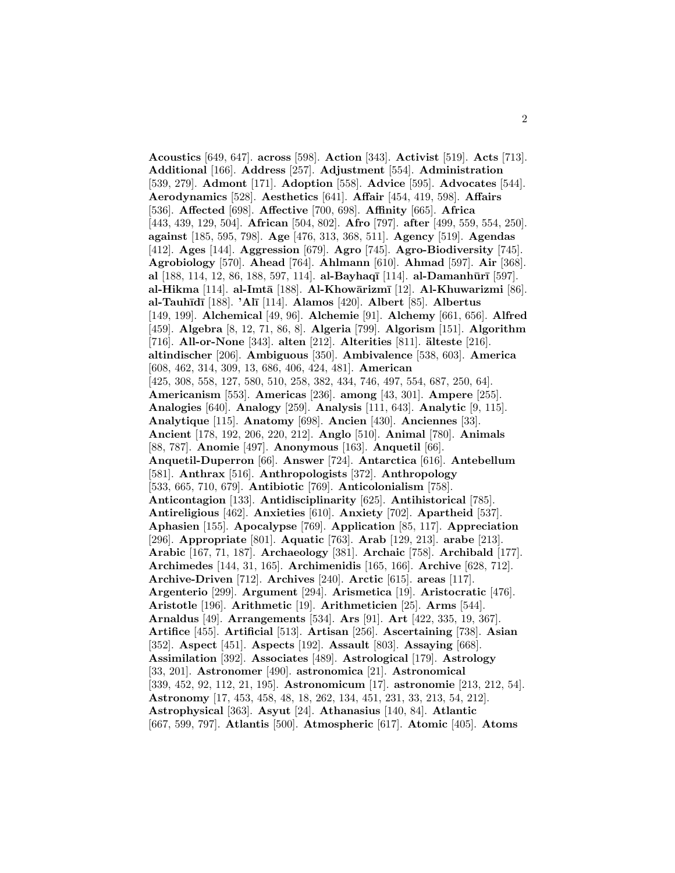**Acoustics** [649, 647]. **across** [598]. **Action** [343]. **Activist** [519]. **Acts** [713]. **Additional** [166]. **Address** [257]. **Adjustment** [554]. **Administration** [539, 279]. **Admont** [171]. **Adoption** [558]. **Advice** [595]. **Advocates** [544]. **Aerodynamics** [528]. **Aesthetics** [641]. **Affair** [454, 419, 598]. **Affairs** [536]. **Affected** [698]. **Affective** [700, 698]. **Affinity** [665]. **Africa** [443, 439, 129, 504]. **African** [504, 802]. **Afro** [797]. **after** [499, 559, 554, 250]. **against** [185, 595, 798]. **Age** [476, 313, 368, 511]. **Agency** [519]. **Agendas** [412]. **Ages** [144]. **Aggression** [679]. **Agro** [745]. **Agro-Biodiversity** [745]. **Agrobiology** [570]. **Ahead** [764]. **Ahlmann** [610]. **Ahmad** [597]. **Air** [368]. **al** [188, 114, 12, 86, 188, 597, 114]. **al-Bayhaq¯ı** [114]. **al-Damanh¯ur¯ı** [597]. **al-Hikma** [114]. **al-Imtā** [188]. **Al-Khowārizmī** [12]. **Al-Khuwarizmi** [86]. **al-Tauh¯ıd¯ı** [188]. **'Al¯ı** [114]. **Alamos** [420]. **Albert** [85]. **Albertus** [149, 199]. **Alchemical** [49, 96]. **Alchemie** [91]. **Alchemy** [661, 656]. **Alfred** [459]. **Algebra** [8, 12, 71, 86, 8]. **Algeria** [799]. **Algorism** [151]. **Algorithm** [716]. **All-or-None** [343]. **alten** [212]. **Alterities** [811]. **¨alteste** [216]. **altindischer** [206]. **Ambiguous** [350]. **Ambivalence** [538, 603]. **America** [608, 462, 314, 309, 13, 686, 406, 424, 481]. **American** [425, 308, 558, 127, 580, 510, 258, 382, 434, 746, 497, 554, 687, 250, 64]. **Americanism** [553]. **Americas** [236]. **among** [43, 301]. **Ampere** [255]. **Analogies** [640]. **Analogy** [259]. **Analysis** [111, 643]. **Analytic** [9, 115]. **Analytique** [115]. **Anatomy** [698]. **Ancien** [430]. **Anciennes** [33]. **Ancient** [178, 192, 206, 220, 212]. **Anglo** [510]. **Animal** [780]. **Animals** [88, 787]. **Anomie** [497]. **Anonymous** [163]. **Anquetil** [66]. **Anquetil-Duperron** [66]. **Answer** [724]. **Antarctica** [616]. **Antebellum** [581]. **Anthrax** [516]. **Anthropologists** [372]. **Anthropology** [533, 665, 710, 679]. **Antibiotic** [769]. **Anticolonialism** [758]. **Anticontagion** [133]. **Antidisciplinarity** [625]. **Antihistorical** [785]. **Antireligious** [462]. **Anxieties** [610]. **Anxiety** [702]. **Apartheid** [537]. **Aphasien** [155]. **Apocalypse** [769]. **Application** [85, 117]. **Appreciation** [296]. **Appropriate** [801]. **Aquatic** [763]. **Arab** [129, 213]. **arabe** [213]. **Arabic** [167, 71, 187]. **Archaeology** [381]. **Archaic** [758]. **Archibald** [177]. **Archimedes** [144, 31, 165]. **Archimenidis** [165, 166]. **Archive** [628, 712]. **Archive-Driven** [712]. **Archives** [240]. **Arctic** [615]. **areas** [117]. **Argenterio** [299]. **Argument** [294]. **Arismetica** [19]. **Aristocratic** [476]. **Aristotle** [196]. **Arithmetic** [19]. **Arithmeticien** [25]. **Arms** [544]. **Arnaldus** [49]. **Arrangements** [534]. **Ars** [91]. **Art** [422, 335, 19, 367]. **Artifice** [455]. **Artificial** [513]. **Artisan** [256]. **Ascertaining** [738]. **Asian** [352]. **Aspect** [451]. **Aspects** [192]. **Assault** [803]. **Assaying** [668]. **Assimilation** [392]. **Associates** [489]. **Astrological** [179]. **Astrology** [33, 201]. **Astronomer** [490]. **astronomica** [21]. **Astronomical** [339, 452, 92, 112, 21, 195]. **Astronomicum** [17]. **astronomie** [213, 212, 54]. **Astronomy** [17, 453, 458, 48, 18, 262, 134, 451, 231, 33, 213, 54, 212]. **Astrophysical** [363]. **Asyut** [24]. **Athanasius** [140, 84]. **Atlantic** [667, 599, 797]. **Atlantis** [500]. **Atmospheric** [617]. **Atomic** [405]. **Atoms**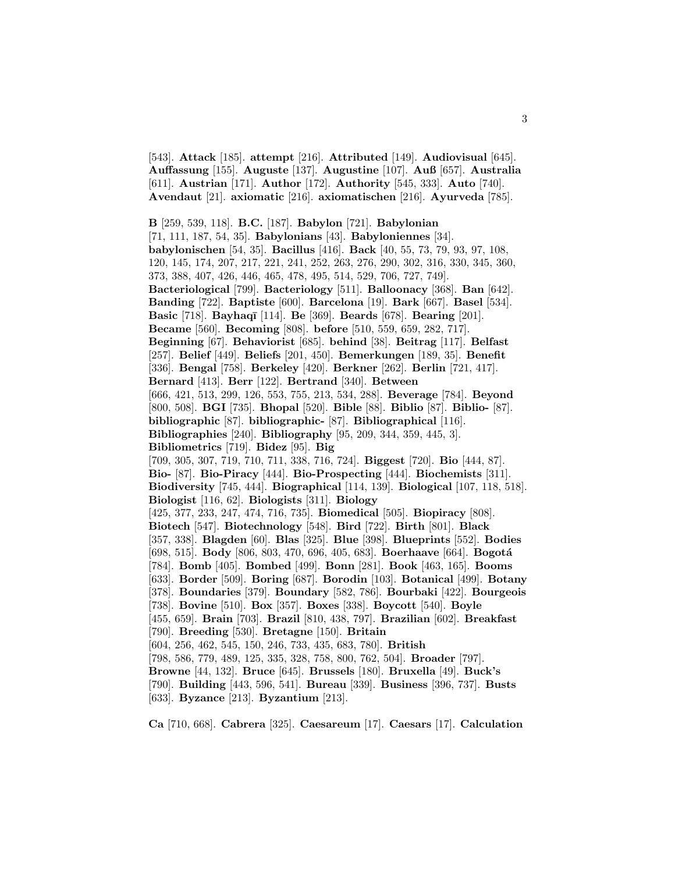[543]. **Attack** [185]. **attempt** [216]. **Attributed** [149]. **Audiovisual** [645]. **Auffassung** [155]. **Auguste** [137]. **Augustine** [107]. **Auß** [657]. **Australia** [611]. **Austrian** [171]. **Author** [172]. **Authority** [545, 333]. **Auto** [740]. **Avendaut** [21]. **axiomatic** [216]. **axiomatischen** [216]. **Ayurveda** [785].

**B** [259, 539, 118]. **B.C.** [187]. **Babylon** [721]. **Babylonian** [71, 111, 187, 54, 35]. **Babylonians** [43]. **Babyloniennes** [34]. **babylonischen** [54, 35]. **Bacillus** [416]. **Back** [40, 55, 73, 79, 93, 97, 108, 120, 145, 174, 207, 217, 221, 241, 252, 263, 276, 290, 302, 316, 330, 345, 360, 373, 388, 407, 426, 446, 465, 478, 495, 514, 529, 706, 727, 749]. **Bacteriological** [799]. **Bacteriology** [511]. **Balloonacy** [368]. **Ban** [642]. **Banding** [722]. **Baptiste** [600]. **Barcelona** [19]. **Bark** [667]. **Basel** [534]. **Basic** [718]. **Bayhaq¯ı** [114]. **Be** [369]. **Beards** [678]. **Bearing** [201]. **Became** [560]. **Becoming** [808]. **before** [510, 559, 659, 282, 717]. **Beginning** [67]. **Behaviorist** [685]. **behind** [38]. **Beitrag** [117]. **Belfast** [257]. **Belief** [449]. **Beliefs** [201, 450]. **Bemerkungen** [189, 35]. **Benefit** [336]. **Bengal** [758]. **Berkeley** [420]. **Berkner** [262]. **Berlin** [721, 417]. **Bernard** [413]. **Berr** [122]. **Bertrand** [340]. **Between** [666, 421, 513, 299, 126, 553, 755, 213, 534, 288]. **Beverage** [784]. **Beyond** [800, 508]. **BGI** [735]. **Bhopal** [520]. **Bible** [88]. **Biblio** [87]. **Biblio-** [87]. **bibliographic** [87]. **bibliographic-** [87]. **Bibliographical** [116]. **Bibliographies** [240]. **Bibliography** [95, 209, 344, 359, 445, 3]. **Bibliometrics** [719]. **Bidez** [95]. **Big** [709, 305, 307, 719, 710, 711, 338, 716, 724]. **Biggest** [720]. **Bio** [444, 87]. **Bio-** [87]. **Bio-Piracy** [444]. **Bio-Prospecting** [444]. **Biochemists** [311]. **Biodiversity** [745, 444]. **Biographical** [114, 139]. **Biological** [107, 118, 518]. **Biologist** [116, 62]. **Biologists** [311]. **Biology** [425, 377, 233, 247, 474, 716, 735]. **Biomedical** [505]. **Biopiracy** [808]. **Biotech** [547]. **Biotechnology** [548]. **Bird** [722]. **Birth** [801]. **Black** [357, 338]. **Blagden** [60]. **Blas** [325]. **Blue** [398]. **Blueprints** [552]. **Bodies** [698, 515]. **Body** [806, 803, 470, 696, 405, 683]. **Boerhaave** [664]. **Bogot´a** [784]. **Bomb** [405]. **Bombed** [499]. **Bonn** [281]. **Book** [463, 165]. **Booms** [633]. **Border** [509]. **Boring** [687]. **Borodin** [103]. **Botanical** [499]. **Botany** [378]. **Boundaries** [379]. **Boundary** [582, 786]. **Bourbaki** [422]. **Bourgeois** [738]. **Bovine** [510]. **Box** [357]. **Boxes** [338]. **Boycott** [540]. **Boyle** [455, 659]. **Brain** [703]. **Brazil** [810, 438, 797]. **Brazilian** [602]. **Breakfast** [790]. **Breeding** [530]. **Bretagne** [150]. **Britain** [604, 256, 462, 545, 150, 246, 733, 435, 683, 780]. **British** [798, 586, 779, 489, 125, 335, 328, 758, 800, 762, 504]. **Broader** [797]. **Browne** [44, 132]. **Bruce** [645]. **Brussels** [180]. **Bruxella** [49]. **Buck's** [790]. **Building** [443, 596, 541]. **Bureau** [339]. **Business** [396, 737]. **Busts** [633]. **Byzance** [213]. **Byzantium** [213].

**Ca** [710, 668]. **Cabrera** [325]. **Caesareum** [17]. **Caesars** [17]. **Calculation**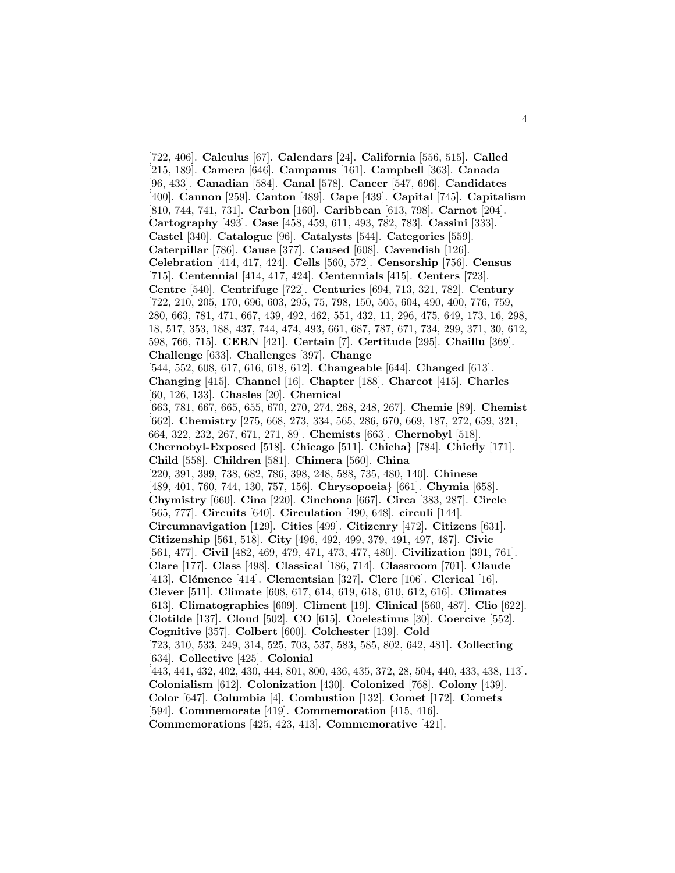[722, 406]. **Calculus** [67]. **Calendars** [24]. **California** [556, 515]. **Called** [215, 189]. **Camera** [646]. **Campanus** [161]. **Campbell** [363]. **Canada** [96, 433]. **Canadian** [584]. **Canal** [578]. **Cancer** [547, 696]. **Candidates** [400]. **Cannon** [259]. **Canton** [489]. **Cape** [439]. **Capital** [745]. **Capitalism** [810, 744, 741, 731]. **Carbon** [160]. **Caribbean** [613, 798]. **Carnot** [204]. **Cartography** [493]. **Case** [458, 459, 611, 493, 782, 783]. **Cassini** [333]. **Castel** [340]. **Catalogue** [96]. **Catalysts** [544]. **Categories** [559]. **Caterpillar** [786]. **Cause** [377]. **Caused** [608]. **Cavendish** [126]. **Celebration** [414, 417, 424]. **Cells** [560, 572]. **Censorship** [756]. **Census** [715]. **Centennial** [414, 417, 424]. **Centennials** [415]. **Centers** [723]. **Centre** [540]. **Centrifuge** [722]. **Centuries** [694, 713, 321, 782]. **Century** [722, 210, 205, 170, 696, 603, 295, 75, 798, 150, 505, 604, 490, 400, 776, 759, 280, 663, 781, 471, 667, 439, 492, 462, 551, 432, 11, 296, 475, 649, 173, 16, 298, 18, 517, 353, 188, 437, 744, 474, 493, 661, 687, 787, 671, 734, 299, 371, 30, 612, 598, 766, 715]. **CERN** [421]. **Certain** [7]. **Certitude** [295]. **Chaillu** [369]. **Challenge** [633]. **Challenges** [397]. **Change** [544, 552, 608, 617, 616, 618, 612]. **Changeable** [644]. **Changed** [613]. **Changing** [415]. **Channel** [16]. **Chapter** [188]. **Charcot** [415]. **Charles** [60, 126, 133]. **Chasles** [20]. **Chemical** [663, 781, 667, 665, 655, 670, 270, 274, 268, 248, 267]. **Chemie** [89]. **Chemist** [662]. **Chemistry** [275, 668, 273, 334, 565, 286, 670, 669, 187, 272, 659, 321, 664, 322, 232, 267, 671, 271, 89]. **Chemists** [663]. **Chernobyl** [518]. **Chernobyl-Exposed** [518]. **Chicago** [511]. **Chicha**} [784]. **Chiefly** [171]. **Child** [558]. **Children** [581]. **Chimera** [560]. **China** [220, 391, 399, 738, 682, 786, 398, 248, 588, 735, 480, 140]. **Chinese** [489, 401, 760, 744, 130, 757, 156]. **Chrysopoeia**} [661]. **Chymia** [658]. **Chymistry** [660]. **Cina** [220]. **Cinchona** [667]. **Circa** [383, 287]. **Circle** [565, 777]. **Circuits** [640]. **Circulation** [490, 648]. **circuli** [144]. **Circumnavigation** [129]. **Cities** [499]. **Citizenry** [472]. **Citizens** [631]. **Citizenship** [561, 518]. **City** [496, 492, 499, 379, 491, 497, 487]. **Civic** [561, 477]. **Civil** [482, 469, 479, 471, 473, 477, 480]. **Civilization** [391, 761]. **Clare** [177]. **Class** [498]. **Classical** [186, 714]. **Classroom** [701]. **Claude** [413]. **Clémence** [414]. **Clementsian** [327]. **Clerc** [106]. **Clerical** [16]. **Clever** [511]. **Climate** [608, 617, 614, 619, 618, 610, 612, 616]. **Climates** [613]. **Climatographies** [609]. **Climent** [19]. **Clinical** [560, 487]. **Clio** [622]. **Clotilde** [137]. **Cloud** [502]. **CO** [615]. **Coelestinus** [30]. **Coercive** [552]. **Cognitive** [357]. **Colbert** [600]. **Colchester** [139]. **Cold** [723, 310, 533, 249, 314, 525, 703, 537, 583, 585, 802, 642, 481]. **Collecting** [634]. **Collective** [425]. **Colonial** [443, 441, 432, 402, 430, 444, 801, 800, 436, 435, 372, 28, 504, 440, 433, 438, 113]. **Colonialism** [612]. **Colonization** [430]. **Colonized** [768]. **Colony** [439]. **Color** [647]. **Columbia** [4]. **Combustion** [132]. **Comet** [172]. **Comets** [594]. **Commemorate** [419]. **Commemoration** [415, 416].

**Commemorations** [425, 423, 413]. **Commemorative** [421].

4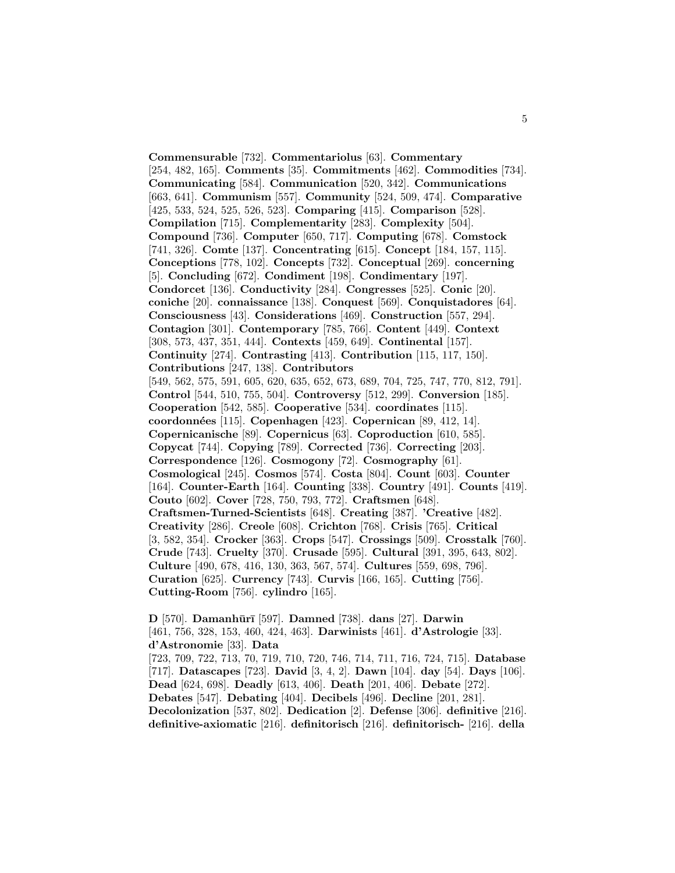**Commensurable** [732]. **Commentariolus** [63]. **Commentary** [254, 482, 165]. **Comments** [35]. **Commitments** [462]. **Commodities** [734]. **Communicating** [584]. **Communication** [520, 342]. **Communications** [663, 641]. **Communism** [557]. **Community** [524, 509, 474]. **Comparative** [425, 533, 524, 525, 526, 523]. **Comparing** [415]. **Comparison** [528]. **Compilation** [715]. **Complementarity** [283]. **Complexity** [504]. **Compound** [736]. **Computer** [650, 717]. **Computing** [678]. **Comstock** [741, 326]. **Comte** [137]. **Concentrating** [615]. **Concept** [184, 157, 115]. **Conceptions** [778, 102]. **Concepts** [732]. **Conceptual** [269]. **concerning** [5]. **Concluding** [672]. **Condiment** [198]. **Condimentary** [197]. **Condorcet** [136]. **Conductivity** [284]. **Congresses** [525]. **Conic** [20]. **coniche** [20]. **connaissance** [138]. **Conquest** [569]. **Conquistadores** [64]. **Consciousness** [43]. **Considerations** [469]. **Construction** [557, 294]. **Contagion** [301]. **Contemporary** [785, 766]. **Content** [449]. **Context** [308, 573, 437, 351, 444]. **Contexts** [459, 649]. **Continental** [157]. **Continuity** [274]. **Contrasting** [413]. **Contribution** [115, 117, 150]. **Contributions** [247, 138]. **Contributors** [549, 562, 575, 591, 605, 620, 635, 652, 673, 689, 704, 725, 747, 770, 812, 791]. **Control** [544, 510, 755, 504]. **Controversy** [512, 299]. **Conversion** [185]. **Cooperation** [542, 585]. **Cooperative** [534]. **coordinates** [115]. **coordonn´ees** [115]. **Copenhagen** [423]. **Copernican** [89, 412, 14]. **Copernicanische** [89]. **Copernicus** [63]. **Coproduction** [610, 585]. **Copycat** [744]. **Copying** [789]. **Corrected** [736]. **Correcting** [203]. **Correspondence** [126]. **Cosmogony** [72]. **Cosmography** [61]. **Cosmological** [245]. **Cosmos** [574]. **Costa** [804]. **Count** [603]. **Counter** [164]. **Counter-Earth** [164]. **Counting** [338]. **Country** [491]. **Counts** [419]. **Couto** [602]. **Cover** [728, 750, 793, 772]. **Craftsmen** [648]. **Craftsmen-Turned-Scientists** [648]. **Creating** [387]. **'Creative** [482]. **Creativity** [286]. **Creole** [608]. **Crichton** [768]. **Crisis** [765]. **Critical** [3, 582, 354]. **Crocker** [363]. **Crops** [547]. **Crossings** [509]. **Crosstalk** [760]. **Crude** [743]. **Cruelty** [370]. **Crusade** [595]. **Cultural** [391, 395, 643, 802]. **Culture** [490, 678, 416, 130, 363, 567, 574]. **Cultures** [559, 698, 796]. **Curation** [625]. **Currency** [743]. **Curvis** [166, 165]. **Cutting** [756]. **Cutting-Room** [756]. **cylindro** [165].

**D** [570]. **Damanhūrī** [597]. **Damned** [738]. **dans** [27]. **Darwin** [461, 756, 328, 153, 460, 424, 463]. **Darwinists** [461]. **d'Astrologie** [33]. **d'Astronomie** [33]. **Data** [723, 709, 722, 713, 70, 719, 710, 720, 746, 714, 711, 716, 724, 715]. **Database** [717]. **Datascapes** [723]. **David** [3, 4, 2]. **Dawn** [104]. **day** [54]. **Days** [106]. **Dead** [624, 698]. **Deadly** [613, 406]. **Death** [201, 406]. **Debate** [272]. **Debates** [547]. **Debating** [404]. **Decibels** [496]. **Decline** [201, 281]. **Decolonization** [537, 802]. **Dedication** [2]. **Defense** [306]. **definitive** [216]. **definitive-axiomatic** [216]. **definitorisch** [216]. **definitorisch-** [216]. **della**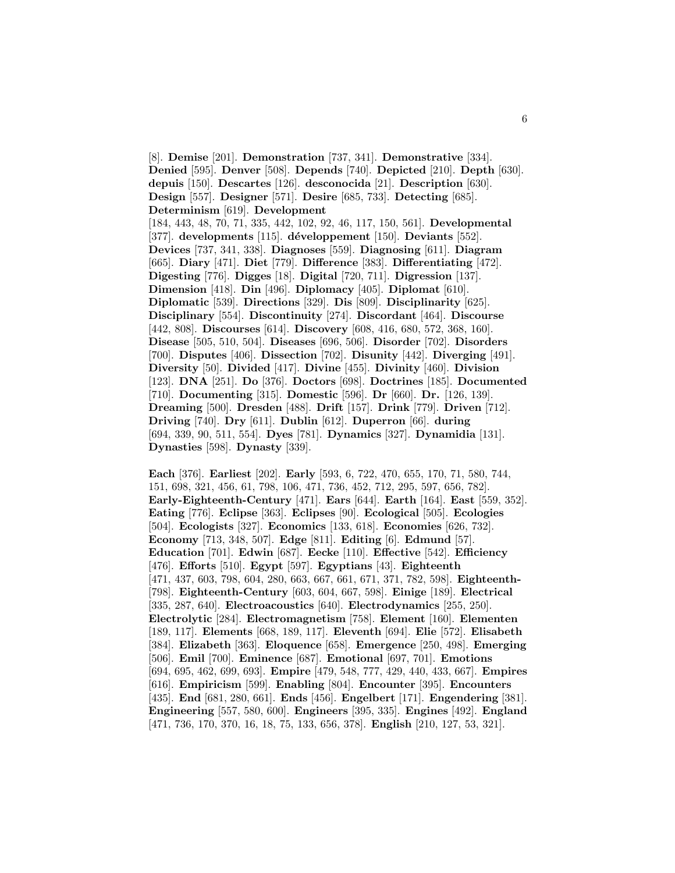[8]. **Demise** [201]. **Demonstration** [737, 341]. **Demonstrative** [334]. **Denied** [595]. **Denver** [508]. **Depends** [740]. **Depicted** [210]. **Depth** [630]. **depuis** [150]. **Descartes** [126]. **desconocida** [21]. **Description** [630]. **Design** [557]. **Designer** [571]. **Desire** [685, 733]. **Detecting** [685]. **Determinism** [619]. **Development** [184, 443, 48, 70, 71, 335, 442, 102, 92, 46, 117, 150, 561]. **Developmental** [377]. developments [115]. développement [150]. Deviants [552]. **Devices** [737, 341, 338]. **Diagnoses** [559]. **Diagnosing** [611]. **Diagram** [665]. **Diary** [471]. **Diet** [779]. **Difference** [383]. **Differentiating** [472]. **Digesting** [776]. **Digges** [18]. **Digital** [720, 711]. **Digression** [137]. **Dimension** [418]. **Din** [496]. **Diplomacy** [405]. **Diplomat** [610]. **Diplomatic** [539]. **Directions** [329]. **Dis** [809]. **Disciplinarity** [625]. **Disciplinary** [554]. **Discontinuity** [274]. **Discordant** [464]. **Discourse** [442, 808]. **Discourses** [614]. **Discovery** [608, 416, 680, 572, 368, 160]. **Disease** [505, 510, 504]. **Diseases** [696, 506]. **Disorder** [702]. **Disorders** [700]. **Disputes** [406]. **Dissection** [702]. **Disunity** [442]. **Diverging** [491]. **Diversity** [50]. **Divided** [417]. **Divine** [455]. **Divinity** [460]. **Division** [123]. **DNA** [251]. **Do** [376]. **Doctors** [698]. **Doctrines** [185]. **Documented** [710]. **Documenting** [315]. **Domestic** [596]. **Dr** [660]. **Dr.** [126, 139]. **Dreaming** [500]. **Dresden** [488]. **Drift** [157]. **Drink** [779]. **Driven** [712]. **Driving** [740]. **Dry** [611]. **Dublin** [612]. **Duperron** [66]. **during** [694, 339, 90, 511, 554]. **Dyes** [781]. **Dynamics** [327]. **Dynamidia** [131]. **Dynasties** [598]. **Dynasty** [339].

**Each** [376]. **Earliest** [202]. **Early** [593, 6, 722, 470, 655, 170, 71, 580, 744, 151, 698, 321, 456, 61, 798, 106, 471, 736, 452, 712, 295, 597, 656, 782]. **Early-Eighteenth-Century** [471]. **Ears** [644]. **Earth** [164]. **East** [559, 352]. **Eating** [776]. **Eclipse** [363]. **Eclipses** [90]. **Ecological** [505]. **Ecologies** [504]. **Ecologists** [327]. **Economics** [133, 618]. **Economies** [626, 732]. **Economy** [713, 348, 507]. **Edge** [811]. **Editing** [6]. **Edmund** [57]. **Education** [701]. **Edwin** [687]. **Eecke** [110]. **Effective** [542]. **Efficiency** [476]. **Efforts** [510]. **Egypt** [597]. **Egyptians** [43]. **Eighteenth** [471, 437, 603, 798, 604, 280, 663, 667, 661, 671, 371, 782, 598]. **Eighteenth-** [798]. **Eighteenth-Century** [603, 604, 667, 598]. **Einige** [189]. **Electrical** [335, 287, 640]. **Electroacoustics** [640]. **Electrodynamics** [255, 250]. **Electrolytic** [284]. **Electromagnetism** [758]. **Element** [160]. **Elementen** [189, 117]. **Elements** [668, 189, 117]. **Eleventh** [694]. **Elie** [572]. **Elisabeth** [384]. **Elizabeth** [363]. **Eloquence** [658]. **Emergence** [250, 498]. **Emerging** [506]. **Emil** [700]. **Eminence** [687]. **Emotional** [697, 701]. **Emotions** [694, 695, 462, 699, 693]. **Empire** [479, 548, 777, 429, 440, 433, 667]. **Empires** [616]. **Empiricism** [599]. **Enabling** [804]. **Encounter** [395]. **Encounters** [435]. **End** [681, 280, 661]. **Ends** [456]. **Engelbert** [171]. **Engendering** [381]. **Engineering** [557, 580, 600]. **Engineers** [395, 335]. **Engines** [492]. **England** [471, 736, 170, 370, 16, 18, 75, 133, 656, 378]. **English** [210, 127, 53, 321].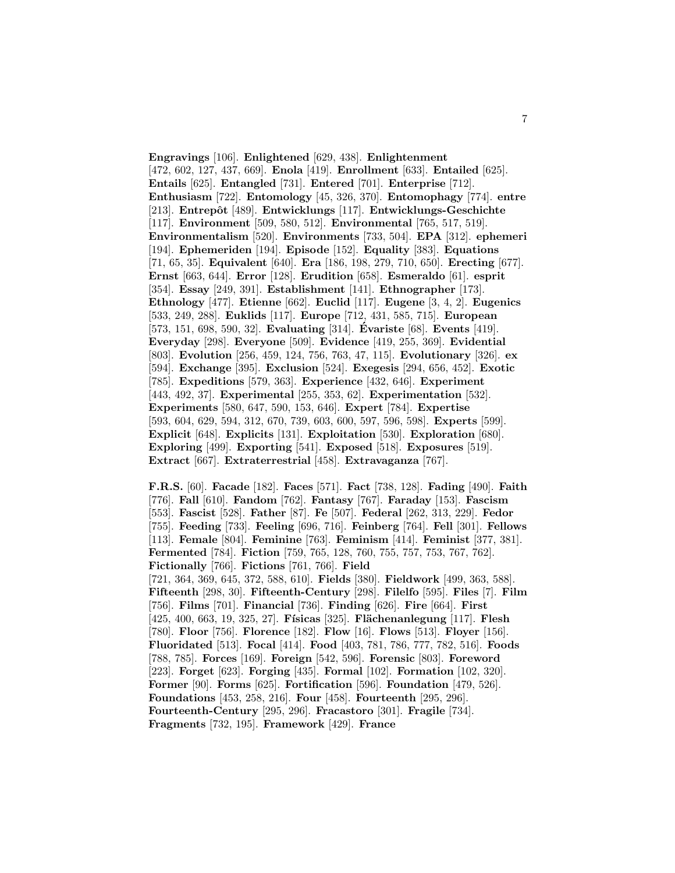**Engravings** [106]. **Enlightened** [629, 438]. **Enlightenment** [472, 602, 127, 437, 669]. **Enola** [419]. **Enrollment** [633]. **Entailed** [625]. **Entails** [625]. **Entangled** [731]. **Entered** [701]. **Enterprise** [712]. **Enthusiasm** [722]. **Entomology** [45, 326, 370]. **Entomophagy** [774]. **entre** [213]. **Entrepˆot** [489]. **Entwicklungs** [117]. **Entwicklungs-Geschichte** [117]. **Environment** [509, 580, 512]. **Environmental** [765, 517, 519]. **Environmentalism** [520]. **Environments** [733, 504]. **EPA** [312]. **ephemeri** [194]. **Ephemeriden** [194]. **Episode** [152]. **Equality** [383]. **Equations** [71, 65, 35]. **Equivalent** [640]. **Era** [186, 198, 279, 710, 650]. **Erecting** [677]. **Ernst** [663, 644]. **Error** [128]. **Erudition** [658]. **Esmeraldo** [61]. **esprit** [354]. **Essay** [249, 391]. **Establishment** [141]. **Ethnographer** [173]. **Ethnology** [477]. **Etienne** [662]. **Euclid** [117]. **Eugene** [3, 4, 2]. **Eugenics** [533, 249, 288]. **Euklids** [117]. **Europe** [712, 431, 585, 715]. **European** [573, 151, 698, 590, 32]. **Evaluating** [314]. **Evariste ´** [68]. **Events** [419]. **Everyday** [298]. **Everyone** [509]. **Evidence** [419, 255, 369]. **Evidential** [803]. **Evolution** [256, 459, 124, 756, 763, 47, 115]. **Evolutionary** [326]. **ex** [594]. **Exchange** [395]. **Exclusion** [524]. **Exegesis** [294, 656, 452]. **Exotic** [785]. **Expeditions** [579, 363]. **Experience** [432, 646]. **Experiment** [443, 492, 37]. **Experimental** [255, 353, 62]. **Experimentation** [532]. **Experiments** [580, 647, 590, 153, 646]. **Expert** [784]. **Expertise** [593, 604, 629, 594, 312, 670, 739, 603, 600, 597, 596, 598]. **Experts** [599]. **Explicit** [648]. **Explicits** [131]. **Exploitation** [530]. **Exploration** [680]. **Exploring** [499]. **Exporting** [541]. **Exposed** [518]. **Exposures** [519]. **Extract** [667]. **Extraterrestrial** [458]. **Extravaganza** [767].

**F.R.S.** [60]. **Facade** [182]. **Faces** [571]. **Fact** [738, 128]. **Fading** [490]. **Faith** [776]. **Fall** [610]. **Fandom** [762]. **Fantasy** [767]. **Faraday** [153]. **Fascism** [553]. **Fascist** [528]. **Father** [87]. **Fe** [507]. **Federal** [262, 313, 229]. **Fedor** [755]. **Feeding** [733]. **Feeling** [696, 716]. **Feinberg** [764]. **Fell** [301]. **Fellows** [113]. **Female** [804]. **Feminine** [763]. **Feminism** [414]. **Feminist** [377, 381]. **Fermented** [784]. **Fiction** [759, 765, 128, 760, 755, 757, 753, 767, 762]. **Fictionally** [766]. **Fictions** [761, 766]. **Field** [721, 364, 369, 645, 372, 588, 610]. **Fields** [380]. **Fieldwork** [499, 363, 588]. **Fifteenth** [298, 30]. **Fifteenth-Century** [298]. **Filelfo** [595]. **Files** [7]. **Film** [756]. **Films** [701]. **Financial** [736]. **Finding** [626]. **Fire** [664]. **First** [425, 400, 663, 19, 325, 27]. **F´ısicas** [325]. **Fl¨achenanlegung** [117]. **Flesh** [780]. **Floor** [756]. **Florence** [182]. **Flow** [16]. **Flows** [513]. **Floyer** [156]. **Fluoridated** [513]. **Focal** [414]. **Food** [403, 781, 786, 777, 782, 516]. **Foods** [788, 785]. **Forces** [169]. **Foreign** [542, 596]. **Forensic** [803]. **Foreword** [223]. **Forget** [623]. **Forging** [435]. **Formal** [102]. **Formation** [102, 320]. **Former** [90]. **Forms** [625]. **Fortification** [596]. **Foundation** [479, 526]. **Foundations** [453, 258, 216]. **Four** [458]. **Fourteenth** [295, 296]. **Fourteenth-Century** [295, 296]. **Fracastoro** [301]. **Fragile** [734]. **Fragments** [732, 195]. **Framework** [429]. **France**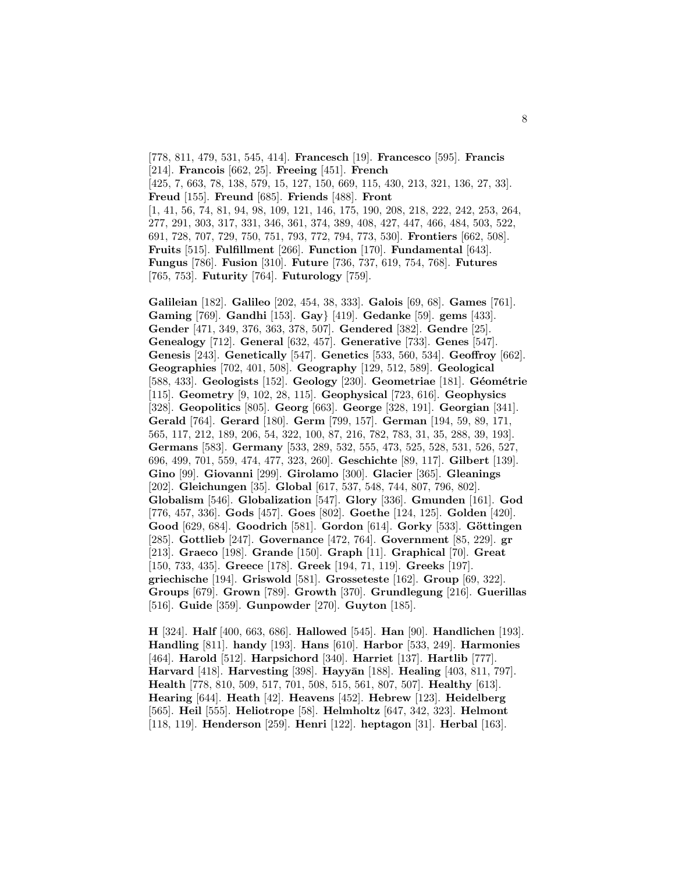[778, 811, 479, 531, 545, 414]. **Francesch** [19]. **Francesco** [595]. **Francis** [214]. **Francois** [662, 25]. **Freeing** [451]. **French** [425, 7, 663, 78, 138, 579, 15, 127, 150, 669, 115, 430, 213, 321, 136, 27, 33]. **Freud** [155]. **Freund** [685]. **Friends** [488]. **Front** [1, 41, 56, 74, 81, 94, 98, 109, 121, 146, 175, 190, 208, 218, 222, 242, 253, 264, 277, 291, 303, 317, 331, 346, 361, 374, 389, 408, 427, 447, 466, 484, 503, 522, 691, 728, 707, 729, 750, 751, 793, 772, 794, 773, 530]. **Frontiers** [662, 508]. **Fruits** [515]. **Fulfillment** [266]. **Function** [170]. **Fundamental** [643]. **Fungus** [786]. **Fusion** [310]. **Future** [736, 737, 619, 754, 768]. **Futures** [765, 753]. **Futurity** [764]. **Futurology** [759].

**Galileian** [182]. **Galileo** [202, 454, 38, 333]. **Galois** [69, 68]. **Games** [761]. **Gaming** [769]. **Gandhi** [153]. **Gay**} [419]. **Gedanke** [59]. **gems** [433]. **Gender** [471, 349, 376, 363, 378, 507]. **Gendered** [382]. **Gendre** [25]. **Genealogy** [712]. **General** [632, 457]. **Generative** [733]. **Genes** [547]. **Genesis** [243]. **Genetically** [547]. **Genetics** [533, 560, 534]. **Geoffroy** [662]. **Geographies** [702, 401, 508]. **Geography** [129, 512, 589]. **Geological** [588, 433]. **Geologists** [152]. **Geology** [230]. **Geometriae** [181]. **G´eom´etrie** [115]. **Geometry** [9, 102, 28, 115]. **Geophysical** [723, 616]. **Geophysics** [328]. **Geopolitics** [805]. **Georg** [663]. **George** [328, 191]. **Georgian** [341]. **Gerald** [764]. **Gerard** [180]. **Germ** [799, 157]. **German** [194, 59, 89, 171, 565, 117, 212, 189, 206, 54, 322, 100, 87, 216, 782, 783, 31, 35, 288, 39, 193]. **Germans** [583]. **Germany** [533, 289, 532, 555, 473, 525, 528, 531, 526, 527, 696, 499, 701, 559, 474, 477, 323, 260]. **Geschichte** [89, 117]. **Gilbert** [139]. **Gino** [99]. **Giovanni** [299]. **Girolamo** [300]. **Glacier** [365]. **Gleanings** [202]. **Gleichungen** [35]. **Global** [617, 537, 548, 744, 807, 796, 802]. **Globalism** [546]. **Globalization** [547]. **Glory** [336]. **Gmunden** [161]. **God** [776, 457, 336]. **Gods** [457]. **Goes** [802]. **Goethe** [124, 125]. **Golden** [420]. **Good** [629, 684]. **Goodrich** [581]. **Gordon** [614]. **Gorky** [533]. **G¨ottingen** [285]. **Gottlieb** [247]. **Governance** [472, 764]. **Government** [85, 229]. **gr** [213]. **Graeco** [198]. **Grande** [150]. **Graph** [11]. **Graphical** [70]. **Great** [150, 733, 435]. **Greece** [178]. **Greek** [194, 71, 119]. **Greeks** [197]. **griechische** [194]. **Griswold** [581]. **Grosseteste** [162]. **Group** [69, 322]. **Groups** [679]. **Grown** [789]. **Growth** [370]. **Grundlegung** [216]. **Guerillas** [516]. **Guide** [359]. **Gunpowder** [270]. **Guyton** [185].

**H** [324]. **Half** [400, 663, 686]. **Hallowed** [545]. **Han** [90]. **Handlichen** [193]. **Handling** [811]. **handy** [193]. **Hans** [610]. **Harbor** [533, 249]. **Harmonies** [464]. **Harold** [512]. **Harpsichord** [340]. **Harriet** [137]. **Hartlib** [777]. **Harvard** [418]. **Harvesting** [398]. **Hayyān** [188]. **Healing** [403, 811, 797]. **Health** [778, 810, 509, 517, 701, 508, 515, 561, 807, 507]. **Healthy** [613]. **Hearing** [644]. **Heath** [42]. **Heavens** [452]. **Hebrew** [123]. **Heidelberg** [565]. **Heil** [555]. **Heliotrope** [58]. **Helmholtz** [647, 342, 323]. **Helmont** [118, 119]. **Henderson** [259]. **Henri** [122]. **heptagon** [31]. **Herbal** [163].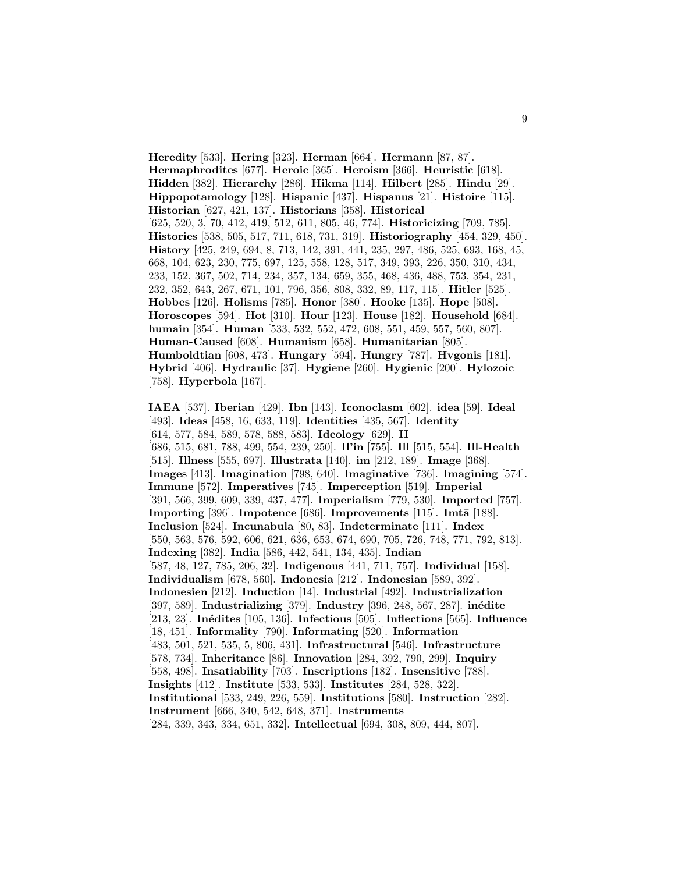**Heredity** [533]. **Hering** [323]. **Herman** [664]. **Hermann** [87, 87]. **Hermaphrodites** [677]. **Heroic** [365]. **Heroism** [366]. **Heuristic** [618]. **Hidden** [382]. **Hierarchy** [286]. **Hikma** [114]. **Hilbert** [285]. **Hindu** [29]. **Hippopotamology** [128]. **Hispanic** [437]. **Hispanus** [21]. **Histoire** [115]. **Historian** [627, 421, 137]. **Historians** [358]. **Historical** [625, 520, 3, 70, 412, 419, 512, 611, 805, 46, 774]. **Historicizing** [709, 785]. **Histories** [538, 505, 517, 711, 618, 731, 319]. **Historiography** [454, 329, 450]. **History** [425, 249, 694, 8, 713, 142, 391, 441, 235, 297, 486, 525, 693, 168, 45, 668, 104, 623, 230, 775, 697, 125, 558, 128, 517, 349, 393, 226, 350, 310, 434, 233, 152, 367, 502, 714, 234, 357, 134, 659, 355, 468, 436, 488, 753, 354, 231, 232, 352, 643, 267, 671, 101, 796, 356, 808, 332, 89, 117, 115]. **Hitler** [525]. **Hobbes** [126]. **Holisms** [785]. **Honor** [380]. **Hooke** [135]. **Hope** [508]. **Horoscopes** [594]. **Hot** [310]. **Hour** [123]. **House** [182]. **Household** [684]. **humain** [354]. **Human** [533, 532, 552, 472, 608, 551, 459, 557, 560, 807]. **Human-Caused** [608]. **Humanism** [658]. **Humanitarian** [805]. **Humboldtian** [608, 473]. **Hungary** [594]. **Hungry** [787]. **Hvgonis** [181]. **Hybrid** [406]. **Hydraulic** [37]. **Hygiene** [260]. **Hygienic** [200]. **Hylozoic** [758]. **Hyperbola** [167].

**IAEA** [537]. **Iberian** [429]. **Ibn** [143]. **Iconoclasm** [602]. **idea** [59]. **Ideal** [493]. **Ideas** [458, 16, 633, 119]. **Identities** [435, 567]. **Identity** [614, 577, 584, 589, 578, 588, 583]. **Ideology** [629]. **II** [686, 515, 681, 788, 499, 554, 239, 250]. **Il'in** [755]. **Ill** [515, 554]. **Ill-Health** [515]. **Illness** [555, 697]. **Illustrata** [140]. **im** [212, 189]. **Image** [368]. **Images** [413]. **Imagination** [798, 640]. **Imaginative** [736]. **Imagining** [574]. **Immune** [572]. **Imperatives** [745]. **Imperception** [519]. **Imperial** [391, 566, 399, 609, 339, 437, 477]. **Imperialism** [779, 530]. **Imported** [757]. **Importing** [396]. **Impotence** [686]. **Improvements** [115]. **Imta** [188]. **Inclusion** [524]. **Incunabula** [80, 83]. **Indeterminate** [111]. **Index** [550, 563, 576, 592, 606, 621, 636, 653, 674, 690, 705, 726, 748, 771, 792, 813]. **Indexing** [382]. **India** [586, 442, 541, 134, 435]. **Indian** [587, 48, 127, 785, 206, 32]. **Indigenous** [441, 711, 757]. **Individual** [158]. **Individualism** [678, 560]. **Indonesia** [212]. **Indonesian** [589, 392]. **Indonesien** [212]. **Induction** [14]. **Industrial** [492]. **Industrialization** [397, 589]. **Industrializing** [379]. **Industry** [396, 248, 567, 287]. **inédite** [213, 23]. **In´edites** [105, 136]. **Infectious** [505]. **Inflections** [565]. **Influence** [18, 451]. **Informality** [790]. **Informating** [520]. **Information** [483, 501, 521, 535, 5, 806, 431]. **Infrastructural** [546]. **Infrastructure** [578, 734]. **Inheritance** [86]. **Innovation** [284, 392, 790, 299]. **Inquiry** [558, 498]. **Insatiability** [703]. **Inscriptions** [182]. **Insensitive** [788]. **Insights** [412]. **Institute** [533, 533]. **Institutes** [284, 528, 322]. **Institutional** [533, 249, 226, 559]. **Institutions** [580]. **Instruction** [282]. **Instrument** [666, 340, 542, 648, 371]. **Instruments**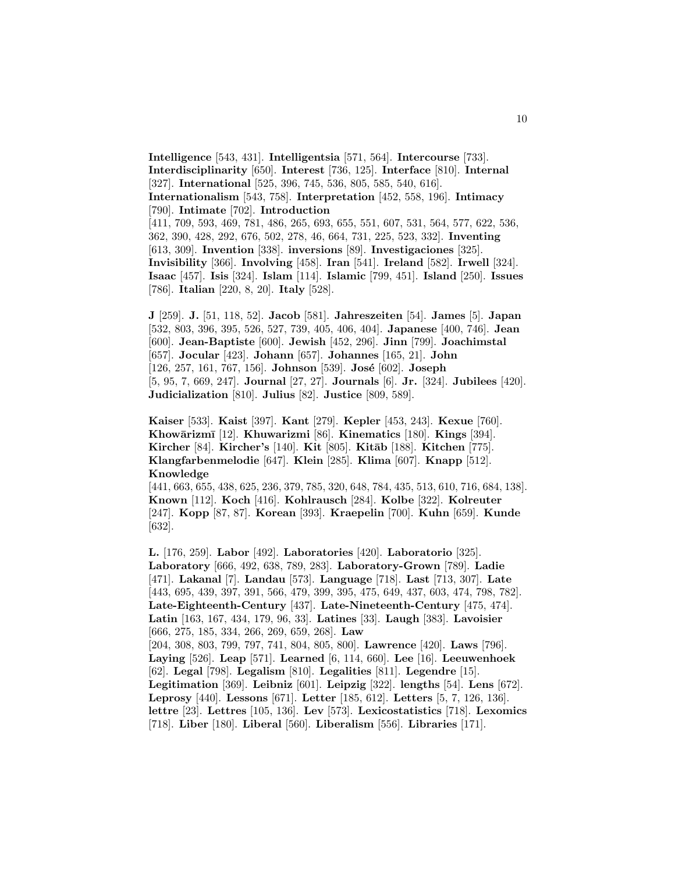**Intelligence** [543, 431]. **Intelligentsia** [571, 564]. **Intercourse** [733]. **Interdisciplinarity** [650]. **Interest** [736, 125]. **Interface** [810]. **Internal** [327]. **International** [525, 396, 745, 536, 805, 585, 540, 616]. **Internationalism** [543, 758]. **Interpretation** [452, 558, 196]. **Intimacy** [790]. **Intimate** [702]. **Introduction** [411, 709, 593, 469, 781, 486, 265, 693, 655, 551, 607, 531, 564, 577, 622, 536, 362, 390, 428, 292, 676, 502, 278, 46, 664, 731, 225, 523, 332]. **Inventing** [613, 309]. **Invention** [338]. **inversions** [89]. **Investigaciones** [325]. **Invisibility** [366]. **Involving** [458]. **Iran** [541]. **Ireland** [582]. **Irwell** [324]. **Isaac** [457]. **Isis** [324]. **Islam** [114]. **Islamic** [799, 451]. **Island** [250]. **Issues** [786]. **Italian** [220, 8, 20]. **Italy** [528].

**J** [259]. **J.** [51, 118, 52]. **Jacob** [581]. **Jahreszeiten** [54]. **James** [5]. **Japan** [532, 803, 396, 395, 526, 527, 739, 405, 406, 404]. **Japanese** [400, 746]. **Jean** [600]. **Jean-Baptiste** [600]. **Jewish** [452, 296]. **Jinn** [799]. **Joachimstal** [657]. **Jocular** [423]. **Johann** [657]. **Johannes** [165, 21]. **John** [126, 257, 161, 767, 156]. **Johnson** [539]. **Jos´e** [602]. **Joseph** [5, 95, 7, 669, 247]. **Journal** [27, 27]. **Journals** [6]. **Jr.** [324]. **Jubilees** [420]. **Judicialization** [810]. **Julius** [82]. **Justice** [809, 589].

**Kaiser** [533]. **Kaist** [397]. **Kant** [279]. **Kepler** [453, 243]. **Kexue** [760]. **Khow¯arizm¯ı** [12]. **Khuwarizmi** [86]. **Kinematics** [180]. **Kings** [394]. **Kircher** [84]. **Kircher's** [140]. **Kit** [805]. **Kit¯ab** [188]. **Kitchen** [775]. **Klangfarbenmelodie** [647]. **Klein** [285]. **Klima** [607]. **Knapp** [512]. **Knowledge**

[441, 663, 655, 438, 625, 236, 379, 785, 320, 648, 784, 435, 513, 610, 716, 684, 138]. **Known** [112]. **Koch** [416]. **Kohlrausch** [284]. **Kolbe** [322]. **Kolreuter** [247]. **Kopp** [87, 87]. **Korean** [393]. **Kraepelin** [700]. **Kuhn** [659]. **Kunde** [632].

**L.** [176, 259]. **Labor** [492]. **Laboratories** [420]. **Laboratorio** [325]. **Laboratory** [666, 492, 638, 789, 283]. **Laboratory-Grown** [789]. **Ladie** [471]. **Lakanal** [7]. **Landau** [573]. **Language** [718]. **Last** [713, 307]. **Late** [443, 695, 439, 397, 391, 566, 479, 399, 395, 475, 649, 437, 603, 474, 798, 782]. **Late-Eighteenth-Century** [437]. **Late-Nineteenth-Century** [475, 474]. **Latin** [163, 167, 434, 179, 96, 33]. **Latines** [33]. **Laugh** [383]. **Lavoisier** [666, 275, 185, 334, 266, 269, 659, 268]. **Law** [204, 308, 803, 799, 797, 741, 804, 805, 800]. **Lawrence** [420]. **Laws** [796]. **Laying** [526]. **Leap** [571]. **Learned** [6, 114, 660]. **Lee** [16]. **Leeuwenhoek** [62]. **Legal** [798]. **Legalism** [810]. **Legalities** [811]. **Legendre** [15]. **Legitimation** [369]. **Leibniz** [601]. **Leipzig** [322]. **lengths** [54]. **Lens** [672]. **Leprosy** [440]. **Lessons** [671]. **Letter** [185, 612]. **Letters** [5, 7, 126, 136]. **lettre** [23]. **Lettres** [105, 136]. **Lev** [573]. **Lexicostatistics** [718]. **Lexomics** [718]. **Liber** [180]. **Liberal** [560]. **Liberalism** [556]. **Libraries** [171].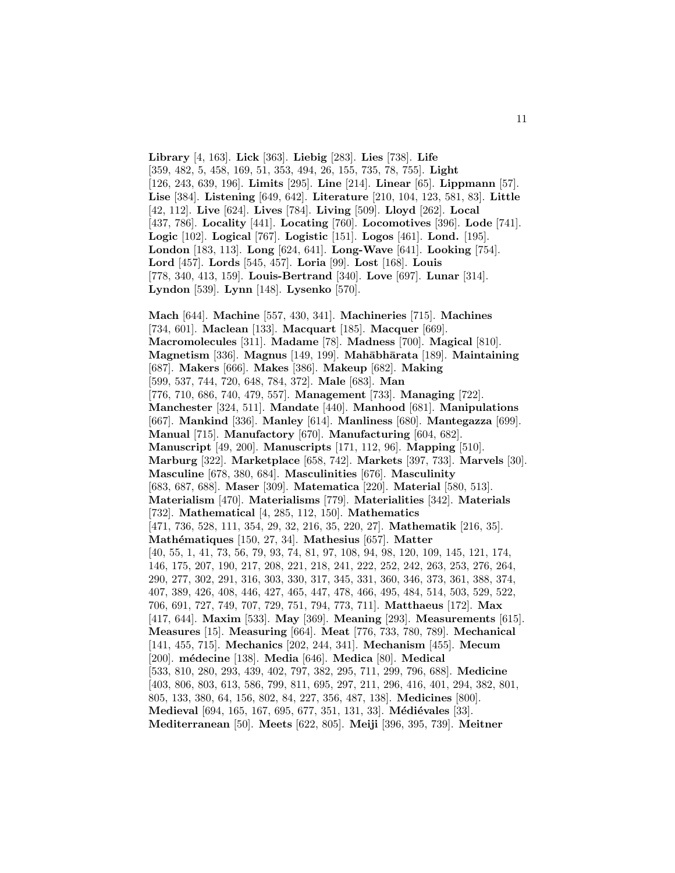**Library** [4, 163]. **Lick** [363]. **Liebig** [283]. **Lies** [738]. **Life** [359, 482, 5, 458, 169, 51, 353, 494, 26, 155, 735, 78, 755]. **Light** [126, 243, 639, 196]. **Limits** [295]. **Line** [214]. **Linear** [65]. **Lippmann** [57]. **Lise** [384]. **Listening** [649, 642]. **Literature** [210, 104, 123, 581, 83]. **Little** [42, 112]. **Live** [624]. **Lives** [784]. **Living** [509]. **Lloyd** [262]. **Local** [437, 786]. **Locality** [441]. **Locating** [760]. **Locomotives** [396]. **Lode** [741]. **Logic** [102]. **Logical** [767]. **Logistic** [151]. **Logos** [461]. **Lond.** [195]. **London** [183, 113]. **Long** [624, 641]. **Long-Wave** [641]. **Looking** [754]. **Lord** [457]. **Lords** [545, 457]. **Loria** [99]. **Lost** [168]. **Louis** [778, 340, 413, 159]. **Louis-Bertrand** [340]. **Love** [697]. **Lunar** [314]. **Lyndon** [539]. **Lynn** [148]. **Lysenko** [570].

**Mach** [644]. **Machine** [557, 430, 341]. **Machineries** [715]. **Machines** [734, 601]. **Maclean** [133]. **Macquart** [185]. **Macquer** [669]. **Macromolecules** [311]. **Madame** [78]. **Madness** [700]. **Magical** [810]. **Magnetism** [336]. **Magnus** [149, 199]. **Mah¯abh¯arata** [189]. **Maintaining** [687]. **Makers** [666]. **Makes** [386]. **Makeup** [682]. **Making** [599, 537, 744, 720, 648, 784, 372]. **Male** [683]. **Man** [776, 710, 686, 740, 479, 557]. **Management** [733]. **Managing** [722]. **Manchester** [324, 511]. **Mandate** [440]. **Manhood** [681]. **Manipulations** [667]. **Mankind** [336]. **Manley** [614]. **Manliness** [680]. **Mantegazza** [699]. **Manual** [715]. **Manufactory** [670]. **Manufacturing** [604, 682]. **Manuscript** [49, 200]. **Manuscripts** [171, 112, 96]. **Mapping** [510]. **Marburg** [322]. **Marketplace** [658, 742]. **Markets** [397, 733]. **Marvels** [30]. **Masculine** [678, 380, 684]. **Masculinities** [676]. **Masculinity** [683, 687, 688]. **Maser** [309]. **Matematica** [220]. **Material** [580, 513]. **Materialism** [470]. **Materialisms** [779]. **Materialities** [342]. **Materials** [732]. **Mathematical** [4, 285, 112, 150]. **Mathematics** [471, 736, 528, 111, 354, 29, 32, 216, 35, 220, 27]. **Mathematik** [216, 35]. **Math´ematiques** [150, 27, 34]. **Mathesius** [657]. **Matter** [40, 55, 1, 41, 73, 56, 79, 93, 74, 81, 97, 108, 94, 98, 120, 109, 145, 121, 174, 146, 175, 207, 190, 217, 208, 221, 218, 241, 222, 252, 242, 263, 253, 276, 264, 290, 277, 302, 291, 316, 303, 330, 317, 345, 331, 360, 346, 373, 361, 388, 374, 407, 389, 426, 408, 446, 427, 465, 447, 478, 466, 495, 484, 514, 503, 529, 522, 706, 691, 727, 749, 707, 729, 751, 794, 773, 711]. **Matthaeus** [172]. **Max** [417, 644]. **Maxim** [533]. **May** [369]. **Meaning** [293]. **Measurements** [615]. **Measures** [15]. **Measuring** [664]. **Meat** [776, 733, 780, 789]. **Mechanical** [141, 455, 715]. **Mechanics** [202, 244, 341]. **Mechanism** [455]. **Mecum** [200]. **m´edecine** [138]. **Media** [646]. **Medica** [80]. **Medical** [533, 810, 280, 293, 439, 402, 797, 382, 295, 711, 299, 796, 688]. **Medicine** [403, 806, 803, 613, 586, 799, 811, 695, 297, 211, 296, 416, 401, 294, 382, 801, 805, 133, 380, 64, 156, 802, 84, 227, 356, 487, 138]. **Medicines** [800]. **Medieval** [694, 165, 167, 695, 677, 351, 131, 33]. **Médiévales** [33]. **Mediterranean** [50]. **Meets** [622, 805]. **Meiji** [396, 395, 739]. **Meitner**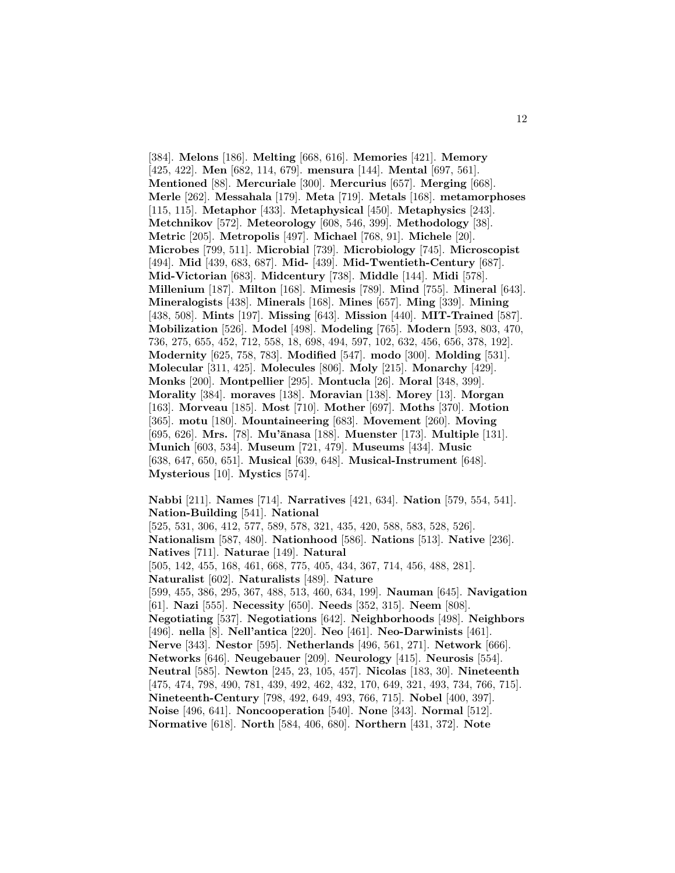[384]. **Melons** [186]. **Melting** [668, 616]. **Memories** [421]. **Memory** [425, 422]. **Men** [682, 114, 679]. **mensura** [144]. **Mental** [697, 561]. **Mentioned** [88]. **Mercuriale** [300]. **Mercurius** [657]. **Merging** [668]. **Merle** [262]. **Messahala** [179]. **Meta** [719]. **Metals** [168]. **metamorphoses** [115, 115]. **Metaphor** [433]. **Metaphysical** [450]. **Metaphysics** [243]. **Metchnikov** [572]. **Meteorology** [608, 546, 399]. **Methodology** [38]. **Metric** [205]. **Metropolis** [497]. **Michael** [768, 91]. **Michele** [20]. **Microbes** [799, 511]. **Microbial** [739]. **Microbiology** [745]. **Microscopist** [494]. **Mid** [439, 683, 687]. **Mid-** [439]. **Mid-Twentieth-Century** [687]. **Mid-Victorian** [683]. **Midcentury** [738]. **Middle** [144]. **Midi** [578]. **Millenium** [187]. **Milton** [168]. **Mimesis** [789]. **Mind** [755]. **Mineral** [643]. **Mineralogists** [438]. **Minerals** [168]. **Mines** [657]. **Ming** [339]. **Mining** [438, 508]. **Mints** [197]. **Missing** [643]. **Mission** [440]. **MIT-Trained** [587]. **Mobilization** [526]. **Model** [498]. **Modeling** [765]. **Modern** [593, 803, 470, 736, 275, 655, 452, 712, 558, 18, 698, 494, 597, 102, 632, 456, 656, 378, 192]. **Modernity** [625, 758, 783]. **Modified** [547]. **modo** [300]. **Molding** [531]. **Molecular** [311, 425]. **Molecules** [806]. **Moly** [215]. **Monarchy** [429]. **Monks** [200]. **Montpellier** [295]. **Montucla** [26]. **Moral** [348, 399]. **Morality** [384]. **moraves** [138]. **Moravian** [138]. **Morey** [13]. **Morgan** [163]. **Morveau** [185]. **Most** [710]. **Mother** [697]. **Moths** [370]. **Motion** [365]. **motu** [180]. **Mountaineering** [683]. **Movement** [260]. **Moving** [695, 626]. **Mrs.** [78]. **Mu'¯anasa** [188]. **Muenster** [173]. **Multiple** [131]. **Munich** [603, 534]. **Museum** [721, 479]. **Museums** [434]. **Music** [638, 647, 650, 651]. **Musical** [639, 648]. **Musical-Instrument** [648]. **Mysterious** [10]. **Mystics** [574].

**Nabbi** [211]. **Names** [714]. **Narratives** [421, 634]. **Nation** [579, 554, 541]. **Nation-Building** [541]. **National** [525, 531, 306, 412, 577, 589, 578, 321, 435, 420, 588, 583, 528, 526]. **Nationalism** [587, 480]. **Nationhood** [586]. **Nations** [513]. **Native** [236]. **Natives** [711]. **Naturae** [149]. **Natural** [505, 142, 455, 168, 461, 668, 775, 405, 434, 367, 714, 456, 488, 281]. **Naturalist** [602]. **Naturalists** [489]. **Nature** [599, 455, 386, 295, 367, 488, 513, 460, 634, 199]. **Nauman** [645]. **Navigation** [61]. **Nazi** [555]. **Necessity** [650]. **Needs** [352, 315]. **Neem** [808]. **Negotiating** [537]. **Negotiations** [642]. **Neighborhoods** [498]. **Neighbors** [496]. **nella** [8]. **Nell'antica** [220]. **Neo** [461]. **Neo-Darwinists** [461]. **Nerve** [343]. **Nestor** [595]. **Netherlands** [496, 561, 271]. **Network** [666]. **Networks** [646]. **Neugebauer** [209]. **Neurology** [415]. **Neurosis** [554]. **Neutral** [585]. **Newton** [245, 23, 105, 457]. **Nicolas** [183, 30]. **Nineteenth** [475, 474, 798, 490, 781, 439, 492, 462, 432, 170, 649, 321, 493, 734, 766, 715]. **Nineteenth-Century** [798, 492, 649, 493, 766, 715]. **Nobel** [400, 397]. **Noise** [496, 641]. **Noncooperation** [540]. **None** [343]. **Normal** [512]. **Normative** [618]. **North** [584, 406, 680]. **Northern** [431, 372]. **Note**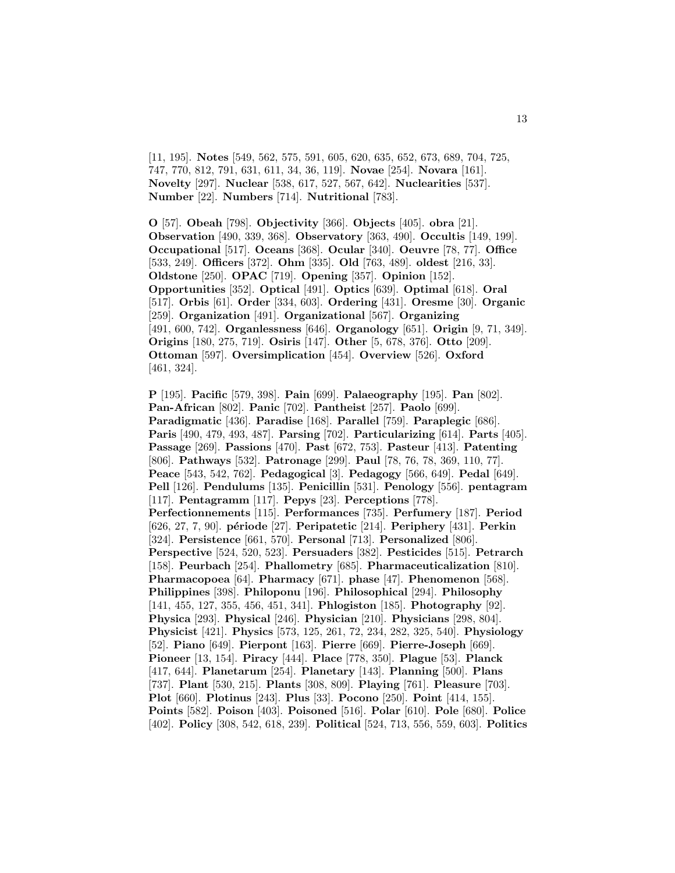[11, 195]. **Notes** [549, 562, 575, 591, 605, 620, 635, 652, 673, 689, 704, 725, 747, 770, 812, 791, 631, 611, 34, 36, 119]. **Novae** [254]. **Novara** [161]. **Novelty** [297]. **Nuclear** [538, 617, 527, 567, 642]. **Nuclearities** [537]. **Number** [22]. **Numbers** [714]. **Nutritional** [783].

**O** [57]. **Obeah** [798]. **Objectivity** [366]. **Objects** [405]. **obra** [21]. **Observation** [490, 339, 368]. **Observatory** [363, 490]. **Occultis** [149, 199]. **Occupational** [517]. **Oceans** [368]. **Ocular** [340]. **Oeuvre** [78, 77]. **Office** [533, 249]. **Officers** [372]. **Ohm** [335]. **Old** [763, 489]. **oldest** [216, 33]. **Oldstone** [250]. **OPAC** [719]. **Opening** [357]. **Opinion** [152]. **Opportunities** [352]. **Optical** [491]. **Optics** [639]. **Optimal** [618]. **Oral** [517]. **Orbis** [61]. **Order** [334, 603]. **Ordering** [431]. **Oresme** [30]. **Organic** [259]. **Organization** [491]. **Organizational** [567]. **Organizing** [491, 600, 742]. **Organlessness** [646]. **Organology** [651]. **Origin** [9, 71, 349]. **Origins** [180, 275, 719]. **Osiris** [147]. **Other** [5, 678, 376]. **Otto** [209]. **Ottoman** [597]. **Oversimplication** [454]. **Overview** [526]. **Oxford** [461, 324].

**P** [195]. **Pacific** [579, 398]. **Pain** [699]. **Palaeography** [195]. **Pan** [802]. **Pan-African** [802]. **Panic** [702]. **Pantheist** [257]. **Paolo** [699]. **Paradigmatic** [436]. **Paradise** [168]. **Parallel** [759]. **Paraplegic** [686]. **Paris** [490, 479, 493, 487]. **Parsing** [702]. **Particularizing** [614]. **Parts** [405]. **Passage** [269]. **Passions** [470]. **Past** [672, 753]. **Pasteur** [413]. **Patenting** [806]. **Pathways** [532]. **Patronage** [299]. **Paul** [78, 76, 78, 369, 110, 77]. **Peace** [543, 542, 762]. **Pedagogical** [3]. **Pedagogy** [566, 649]. **Pedal** [649]. **Pell** [126]. **Pendulums** [135]. **Penicillin** [531]. **Penology** [556]. **pentagram** [117]. **Pentagramm** [117]. **Pepys** [23]. **Perceptions** [778]. **Perfectionnements** [115]. **Performances** [735]. **Perfumery** [187]. **Period** [626, 27, 7, 90]. **p´eriode** [27]. **Peripatetic** [214]. **Periphery** [431]. **Perkin** [324]. **Persistence** [661, 570]. **Personal** [713]. **Personalized** [806]. **Perspective** [524, 520, 523]. **Persuaders** [382]. **Pesticides** [515]. **Petrarch** [158]. **Peurbach** [254]. **Phallometry** [685]. **Pharmaceuticalization** [810]. **Pharmacopoea** [64]. **Pharmacy** [671]. **phase** [47]. **Phenomenon** [568]. **Philippines** [398]. **Philoponu** [196]. **Philosophical** [294]. **Philosophy** [141, 455, 127, 355, 456, 451, 341]. **Phlogiston** [185]. **Photography** [92]. **Physica** [293]. **Physical** [246]. **Physician** [210]. **Physicians** [298, 804]. **Physicist** [421]. **Physics** [573, 125, 261, 72, 234, 282, 325, 540]. **Physiology** [52]. **Piano** [649]. **Pierpont** [163]. **Pierre** [669]. **Pierre-Joseph** [669]. **Pioneer** [13, 154]. **Piracy** [444]. **Place** [778, 350]. **Plague** [53]. **Planck** [417, 644]. **Planetarum** [254]. **Planetary** [143]. **Planning** [500]. **Plans** [737]. **Plant** [530, 215]. **Plants** [308, 809]. **Playing** [761]. **Pleasure** [703]. **Plot** [660]. **Plotinus** [243]. **Plus** [33]. **Pocono** [250]. **Point** [414, 155]. **Points** [582]. **Poison** [403]. **Poisoned** [516]. **Polar** [610]. **Pole** [680]. **Police** [402]. **Policy** [308, 542, 618, 239]. **Political** [524, 713, 556, 559, 603]. **Politics**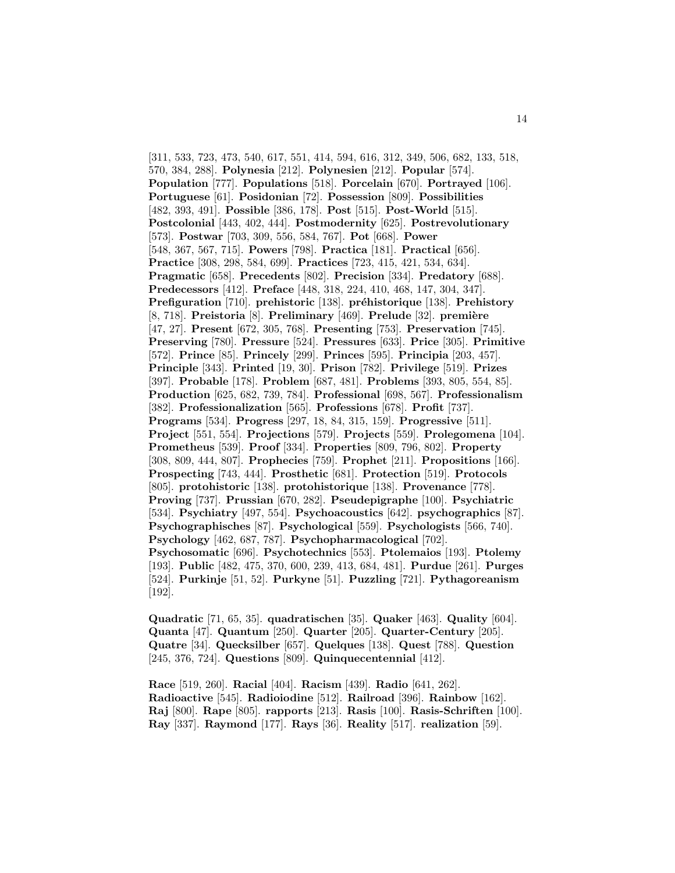[311, 533, 723, 473, 540, 617, 551, 414, 594, 616, 312, 349, 506, 682, 133, 518, 570, 384, 288]. **Polynesia** [212]. **Polynesien** [212]. **Popular** [574]. **Population** [777]. **Populations** [518]. **Porcelain** [670]. **Portrayed** [106]. **Portuguese** [61]. **Posidonian** [72]. **Possession** [809]. **Possibilities** [482, 393, 491]. **Possible** [386, 178]. **Post** [515]. **Post-World** [515]. **Postcolonial** [443, 402, 444]. **Postmodernity** [625]. **Postrevolutionary** [573]. **Postwar** [703, 309, 556, 584, 767]. **Pot** [668]. **Power** [548, 367, 567, 715]. **Powers** [798]. **Practica** [181]. **Practical** [656]. **Practice** [308, 298, 584, 699]. **Practices** [723, 415, 421, 534, 634]. **Pragmatic** [658]. **Precedents** [802]. **Precision** [334]. **Predatory** [688]. **Predecessors** [412]. **Preface** [448, 318, 224, 410, 468, 147, 304, 347]. **Prefiguration** [710]. **prehistoric** [138]. **préhistorique** [138]. **Prehistory** [8, 718]. **Preistoria** [8]. **Preliminary** [469]. **Prelude** [32]. **premi`ere** [47, 27]. **Present** [672, 305, 768]. **Presenting** [753]. **Preservation** [745]. **Preserving** [780]. **Pressure** [524]. **Pressures** [633]. **Price** [305]. **Primitive** [572]. **Prince** [85]. **Princely** [299]. **Princes** [595]. **Principia** [203, 457]. **Principle** [343]. **Printed** [19, 30]. **Prison** [782]. **Privilege** [519]. **Prizes** [397]. **Probable** [178]. **Problem** [687, 481]. **Problems** [393, 805, 554, 85]. **Production** [625, 682, 739, 784]. **Professional** [698, 567]. **Professionalism** [382]. **Professionalization** [565]. **Professions** [678]. **Profit** [737]. **Programs** [534]. **Progress** [297, 18, 84, 315, 159]. **Progressive** [511]. **Project** [551, 554]. **Projections** [579]. **Projects** [559]. **Prolegomena** [104]. **Prometheus** [539]. **Proof** [334]. **Properties** [809, 796, 802]. **Property** [308, 809, 444, 807]. **Prophecies** [759]. **Prophet** [211]. **Propositions** [166]. **Prospecting** [743, 444]. **Prosthetic** [681]. **Protection** [519]. **Protocols** [805]. **protohistoric** [138]. **protohistorique** [138]. **Provenance** [778]. **Proving** [737]. **Prussian** [670, 282]. **Pseudepigraphe** [100]. **Psychiatric** [534]. **Psychiatry** [497, 554]. **Psychoacoustics** [642]. **psychographics** [87]. **Psychographisches** [87]. **Psychological** [559]. **Psychologists** [566, 740]. **Psychology** [462, 687, 787]. **Psychopharmacological** [702]. **Psychosomatic** [696]. **Psychotechnics** [553]. **Ptolemaios** [193]. **Ptolemy** [193]. **Public** [482, 475, 370, 600, 239, 413, 684, 481]. **Purdue** [261]. **Purges** [524]. **Purkinje** [51, 52]. **Purkyne** [51]. **Puzzling** [721]. **Pythagoreanism** [192].

**Quadratic** [71, 65, 35]. **quadratischen** [35]. **Quaker** [463]. **Quality** [604]. **Quanta** [47]. **Quantum** [250]. **Quarter** [205]. **Quarter-Century** [205]. **Quatre** [34]. **Quecksilber** [657]. **Quelques** [138]. **Quest** [788]. **Question** [245, 376, 724]. **Questions** [809]. **Quinquecentennial** [412].

**Race** [519, 260]. **Racial** [404]. **Racism** [439]. **Radio** [641, 262]. **Radioactive** [545]. **Radioiodine** [512]. **Railroad** [396]. **Rainbow** [162]. **Raj** [800]. **Rape** [805]. **rapports** [213]. **Rasis** [100]. **Rasis-Schriften** [100]. **Ray** [337]. **Raymond** [177]. **Rays** [36]. **Reality** [517]. **realization** [59].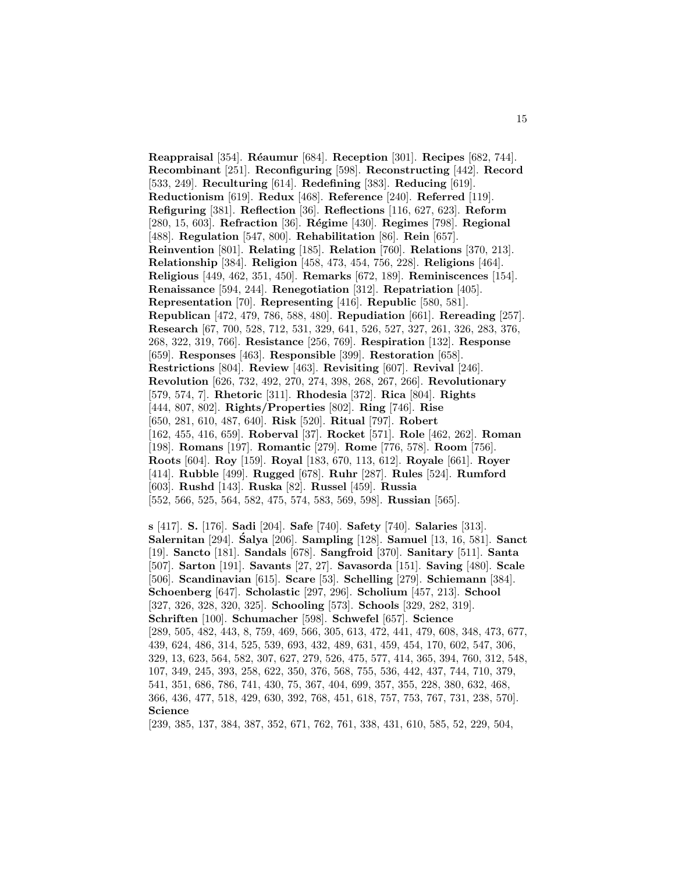**Reappraisal** [354]. **R´eaumur** [684]. **Reception** [301]. **Recipes** [682, 744]. **Recombinant** [251]. **Reconfiguring** [598]. **Reconstructing** [442]. **Record** [533, 249]. **Reculturing** [614]. **Redefining** [383]. **Reducing** [619]. **Reductionism** [619]. **Redux** [468]. **Reference** [240]. **Referred** [119]. **Refiguring** [381]. **Reflection** [36]. **Reflections** [116, 627, 623]. **Reform** [280, 15, 603]. **Refraction** [36]. **R´egime** [430]. **Regimes** [798]. **Regional** [488]. **Regulation** [547, 800]. **Rehabilitation** [86]. **Rein** [657]. **Reinvention** [801]. **Relating** [185]. **Relation** [760]. **Relations** [370, 213]. **Relationship** [384]. **Religion** [458, 473, 454, 756, 228]. **Religions** [464]. **Religious** [449, 462, 351, 450]. **Remarks** [672, 189]. **Reminiscences** [154]. **Renaissance** [594, 244]. **Renegotiation** [312]. **Repatriation** [405]. **Representation** [70]. **Representing** [416]. **Republic** [580, 581]. **Republican** [472, 479, 786, 588, 480]. **Repudiation** [661]. **Rereading** [257]. **Research** [67, 700, 528, 712, 531, 329, 641, 526, 527, 327, 261, 326, 283, 376, 268, 322, 319, 766]. **Resistance** [256, 769]. **Respiration** [132]. **Response** [659]. **Responses** [463]. **Responsible** [399]. **Restoration** [658]. **Restrictions** [804]. **Review** [463]. **Revisiting** [607]. **Revival** [246]. **Revolution** [626, 732, 492, 270, 274, 398, 268, 267, 266]. **Revolutionary** [579, 574, 7]. **Rhetoric** [311]. **Rhodesia** [372]. **Rica** [804]. **Rights** [444, 807, 802]. **Rights/Properties** [802]. **Ring** [746]. **Rise** [650, 281, 610, 487, 640]. **Risk** [520]. **Ritual** [797]. **Robert** [162, 455, 416, 659]. **Roberval** [37]. **Rocket** [571]. **Role** [462, 262]. **Roman** [198]. **Romans** [197]. **Romantic** [279]. **Rome** [776, 578]. **Room** [756]. **Roots** [604]. **Roy** [159]. **Royal** [183, 670, 113, 612]. **Royale** [661]. **Royer** [414]. **Rubble** [499]. **Rugged** [678]. **Ruhr** [287]. **Rules** [524]. **Rumford** [603]. **Rushd** [143]. **Ruska** [82]. **Russel** [459]. **Russia** [552, 566, 525, 564, 582, 475, 574, 583, 569, 598]. **Russian** [565].

**s** [417]. **S.** [176]. **Sadi** [204]. **Safe** [740]. **Safety** [740]. **Salaries** [313]. **Salernitan** [294]. **Salya ´** [206]. **Sampling** [128]. **Samuel** [13, 16, 581]. **Sanct** [19]. **Sancto** [181]. **Sandals** [678]. **Sangfroid** [370]. **Sanitary** [511]. **Santa** [507]. **Sarton** [191]. **Savants** [27, 27]. **Savasorda** [151]. **Saving** [480]. **Scale** [506]. **Scandinavian** [615]. **Scare** [53]. **Schelling** [279]. **Schiemann** [384]. **Schoenberg** [647]. **Scholastic** [297, 296]. **Scholium** [457, 213]. **School** [327, 326, 328, 320, 325]. **Schooling** [573]. **Schools** [329, 282, 319]. **Schriften** [100]. **Schumacher** [598]. **Schwefel** [657]. **Science** [289, 505, 482, 443, 8, 759, 469, 566, 305, 613, 472, 441, 479, 608, 348, 473, 677, 439, 624, 486, 314, 525, 539, 693, 432, 489, 631, 459, 454, 170, 602, 547, 306, 329, 13, 623, 564, 582, 307, 627, 279, 526, 475, 577, 414, 365, 394, 760, 312, 548, 107, 349, 245, 393, 258, 622, 350, 376, 568, 755, 536, 442, 437, 744, 710, 379, 541, 351, 686, 786, 741, 430, 75, 367, 404, 699, 357, 355, 228, 380, 632, 468, 366, 436, 477, 518, 429, 630, 392, 768, 451, 618, 757, 753, 767, 731, 238, 570]. **Science**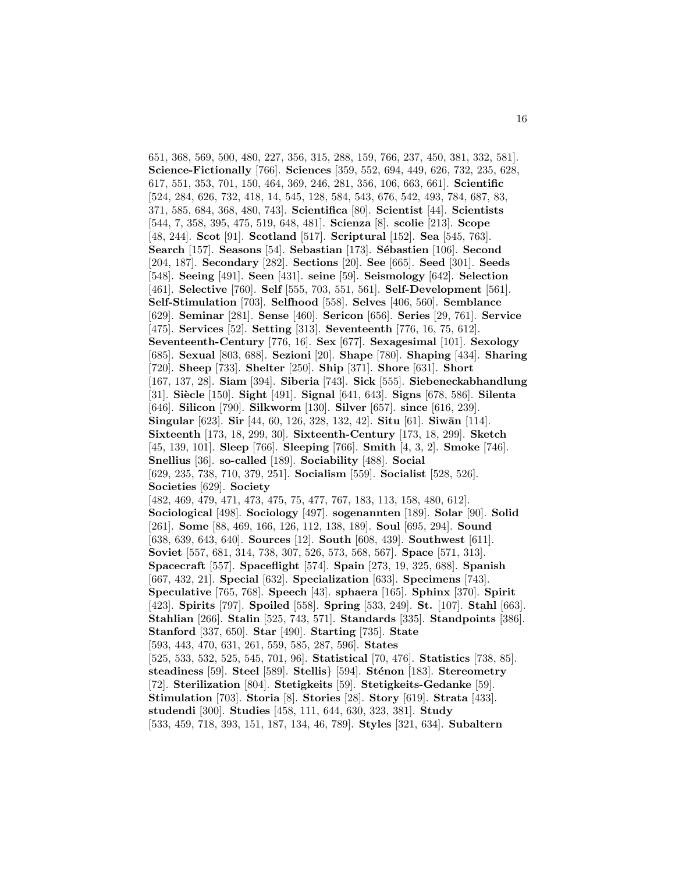651, 368, 569, 500, 480, 227, 356, 315, 288, 159, 766, 237, 450, 381, 332, 581]. **Science-Fictionally** [766]. **Sciences** [359, 552, 694, 449, 626, 732, 235, 628, 617, 551, 353, 701, 150, 464, 369, 246, 281, 356, 106, 663, 661]. **Scientific** [524, 284, 626, 732, 418, 14, 545, 128, 584, 543, 676, 542, 493, 784, 687, 83, 371, 585, 684, 368, 480, 743]. **Scientifica** [80]. **Scientist** [44]. **Scientists** [544, 7, 358, 395, 475, 519, 648, 481]. **Scienza** [8]. **scolie** [213]. **Scope** [48, 244]. **Scot** [91]. **Scotland** [517]. **Scriptural** [152]. **Sea** [545, 763]. **Search** [157]. **Seasons** [54]. **Sebastian** [173]. **Sébastien** [106]. **Second** [204, 187]. **Secondary** [282]. **Sections** [20]. **See** [665]. **Seed** [301]. **Seeds** [548]. **Seeing** [491]. **Seen** [431]. **seine** [59]. **Seismology** [642]. **Selection** [461]. **Selective** [760]. **Self** [555, 703, 551, 561]. **Self-Development** [561]. **Self-Stimulation** [703]. **Selfhood** [558]. **Selves** [406, 560]. **Semblance** [629]. **Seminar** [281]. **Sense** [460]. **Sericon** [656]. **Series** [29, 761]. **Service** [475]. **Services** [52]. **Setting** [313]. **Seventeenth** [776, 16, 75, 612]. **Seventeenth-Century** [776, 16]. **Sex** [677]. **Sexagesimal** [101]. **Sexology** [685]. **Sexual** [803, 688]. **Sezioni** [20]. **Shape** [780]. **Shaping** [434]. **Sharing** [720]. **Sheep** [733]. **Shelter** [250]. **Ship** [371]. **Shore** [631]. **Short** [167, 137, 28]. **Siam** [394]. **Siberia** [743]. **Sick** [555]. **Siebeneckabhandlung** [31]. **Si`ecle** [150]. **Sight** [491]. **Signal** [641, 643]. **Signs** [678, 586]. **Silenta** [646]. **Silicon** [790]. **Silkworm** [130]. **Silver** [657]. **since** [616, 239]. **Singular** [623]. **Sir** [44, 60, 126, 328, 132, 42]. **Situ** [61]. **Siwān** [114]. **Sixteenth** [173, 18, 299, 30]. **Sixteenth-Century** [173, 18, 299]. **Sketch** [45, 139, 101]. **Sleep** [766]. **Sleeping** [766]. **Smith** [4, 3, 2]. **Smoke** [746]. **Snellius** [36]. **so-called** [189]. **Sociability** [488]. **Social** [629, 235, 738, 710, 379, 251]. **Socialism** [559]. **Socialist** [528, 526]. **Societies** [629]. **Society** [482, 469, 479, 471, 473, 475, 75, 477, 767, 183, 113, 158, 480, 612]. **Sociological** [498]. **Sociology** [497]. **sogenannten** [189]. **Solar** [90]. **Solid** [261]. **Some** [88, 469, 166, 126, 112, 138, 189]. **Soul** [695, 294]. **Sound** [638, 639, 643, 640]. **Sources** [12]. **South** [608, 439]. **Southwest** [611]. **Soviet** [557, 681, 314, 738, 307, 526, 573, 568, 567]. **Space** [571, 313]. **Spacecraft** [557]. **Spaceflight** [574]. **Spain** [273, 19, 325, 688]. **Spanish** [667, 432, 21]. **Special** [632]. **Specialization** [633]. **Specimens** [743]. **Speculative** [765, 768]. **Speech** [43]. **sphaera** [165]. **Sphinx** [370]. **Spirit** [423]. **Spirits** [797]. **Spoiled** [558]. **Spring** [533, 249]. **St.** [107]. **Stahl** [663]. **Stahlian** [266]. **Stalin** [525, 743, 571]. **Standards** [335]. **Standpoints** [386]. **Stanford** [337, 650]. **Star** [490]. **Starting** [735]. **State** [593, 443, 470, 631, 261, 559, 585, 287, 596]. **States** [525, 533, 532, 525, 545, 701, 96]. **Statistical** [70, 476]. **Statistics** [738, 85]. **steadiness** [59]. **Steel** [589]. **Stellis**} [594]. **St´enon** [183]. **Stereometry** [72]. **Sterilization** [804]. **Stetigkeits** [59]. **Stetigkeits-Gedanke** [59]. **Stimulation** [703]. **Storia** [8]. **Stories** [28]. **Story** [619]. **Strata** [433]. **studendi** [300]. **Studies** [458, 111, 644, 630, 323, 381]. **Study** [533, 459, 718, 393, 151, 187, 134, 46, 789]. **Styles** [321, 634]. **Subaltern**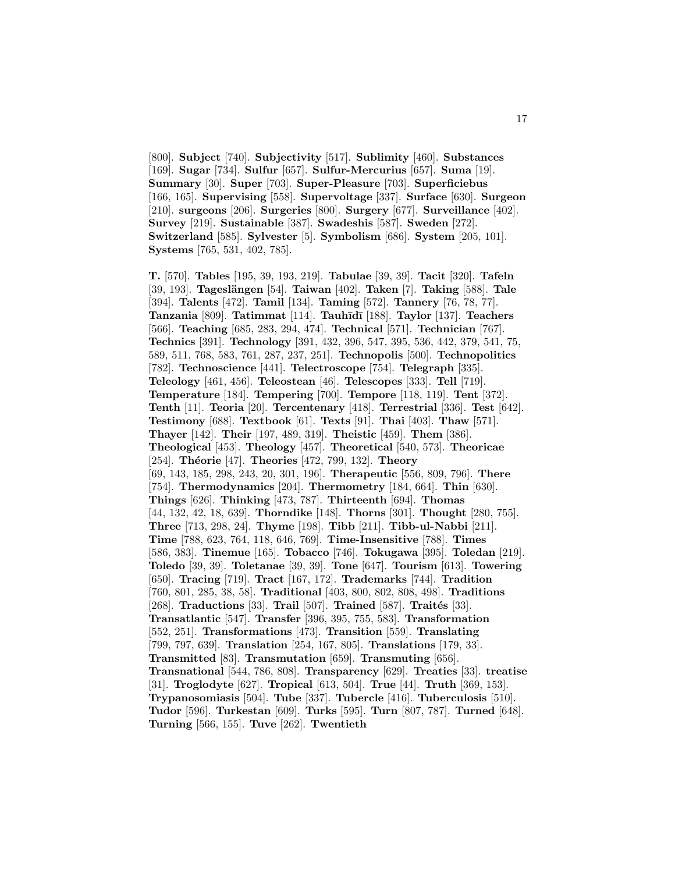[800]. **Subject** [740]. **Subjectivity** [517]. **Sublimity** [460]. **Substances** [169]. **Sugar** [734]. **Sulfur** [657]. **Sulfur-Mercurius** [657]. **Suma** [19]. **Summary** [30]. **Super** [703]. **Super-Pleasure** [703]. **Superficiebus** [166, 165]. **Supervising** [558]. **Supervoltage** [337]. **Surface** [630]. **Surgeon** [210]. **surgeons** [206]. **Surgeries** [800]. **Surgery** [677]. **Surveillance** [402]. **Survey** [219]. **Sustainable** [387]. **Swadeshis** [587]. **Sweden** [272]. **Switzerland** [585]. **Sylvester** [5]. **Symbolism** [686]. **System** [205, 101]. **Systems** [765, 531, 402, 785].

**T.** [570]. **Tables** [195, 39, 193, 219]. **Tabulae** [39, 39]. **Tacit** [320]. **Tafeln** [39, 193]. **Tagesl¨angen** [54]. **Taiwan** [402]. **Taken** [7]. **Taking** [588]. **Tale** [394]. **Talents** [472]. **Tamil** [134]. **Taming** [572]. **Tannery** [76, 78, 77]. **Tanzania** [809]. **Tatimmat** [114]. **Tauh¯ıd¯ı** [188]. **Taylor** [137]. **Teachers** [566]. **Teaching** [685, 283, 294, 474]. **Technical** [571]. **Technician** [767]. **Technics** [391]. **Technology** [391, 432, 396, 547, 395, 536, 442, 379, 541, 75, 589, 511, 768, 583, 761, 287, 237, 251]. **Technopolis** [500]. **Technopolitics** [782]. **Technoscience** [441]. **Telectroscope** [754]. **Telegraph** [335]. **Teleology** [461, 456]. **Teleostean** [46]. **Telescopes** [333]. **Tell** [719]. **Temperature** [184]. **Tempering** [700]. **Tempore** [118, 119]. **Tent** [372]. **Tenth** [11]. **Teoria** [20]. **Tercentenary** [418]. **Terrestrial** [336]. **Test** [642]. **Testimony** [688]. **Textbook** [61]. **Texts** [91]. **Thai** [403]. **Thaw** [571]. **Thayer** [142]. **Their** [197, 489, 319]. **Theistic** [459]. **Them** [386]. **Theological** [453]. **Theology** [457]. **Theoretical** [540, 573]. **Theoricae** [254]. **Théorie** [47]. **Theories** [472, 799, 132]. **Theory** [69, 143, 185, 298, 243, 20, 301, 196]. **Therapeutic** [556, 809, 796]. **There** [754]. **Thermodynamics** [204]. **Thermometry** [184, 664]. **Thin** [630]. **Things** [626]. **Thinking** [473, 787]. **Thirteenth** [694]. **Thomas** [44, 132, 42, 18, 639]. **Thorndike** [148]. **Thorns** [301]. **Thought** [280, 755]. **Three** [713, 298, 24]. **Thyme** [198]. **Tibb** [211]. **Tibb-ul-Nabbi** [211]. **Time** [788, 623, 764, 118, 646, 769]. **Time-Insensitive** [788]. **Times** [586, 383]. **Tinemue** [165]. **Tobacco** [746]. **Tokugawa** [395]. **Toledan** [219]. **Toledo** [39, 39]. **Toletanae** [39, 39]. **Tone** [647]. **Tourism** [613]. **Towering** [650]. **Tracing** [719]. **Tract** [167, 172]. **Trademarks** [744]. **Tradition** [760, 801, 285, 38, 58]. **Traditional** [403, 800, 802, 808, 498]. **Traditions** [268]. **Traductions** [33]. **Trail** [507]. **Trained** [587]. **Traités** [33]. **Transatlantic** [547]. **Transfer** [396, 395, 755, 583]. **Transformation** [552, 251]. **Transformations** [473]. **Transition** [559]. **Translating** [799, 797, 639]. **Translation** [254, 167, 805]. **Translations** [179, 33]. **Transmitted** [83]. **Transmutation** [659]. **Transmuting** [656]. **Transnational** [544, 786, 808]. **Transparency** [629]. **Treaties** [33]. **treatise** [31]. **Troglodyte** [627]. **Tropical** [613, 504]. **True** [44]. **Truth** [369, 153]. **Trypanosomiasis** [504]. **Tube** [337]. **Tubercle** [416]. **Tuberculosis** [510]. **Tudor** [596]. **Turkestan** [609]. **Turks** [595]. **Turn** [807, 787]. **Turned** [648]. **Turning** [566, 155]. **Tuve** [262]. **Twentieth**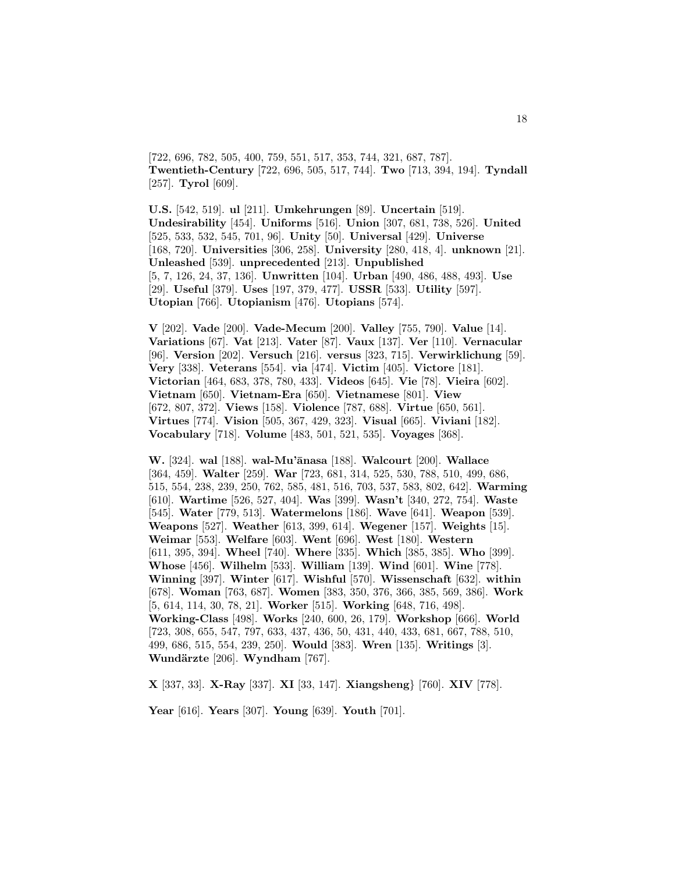[722, 696, 782, 505, 400, 759, 551, 517, 353, 744, 321, 687, 787]. **Twentieth-Century** [722, 696, 505, 517, 744]. **Two** [713, 394, 194]. **Tyndall** [257]. **Tyrol** [609].

**U.S.** [542, 519]. **ul** [211]. **Umkehrungen** [89]. **Uncertain** [519]. **Undesirability** [454]. **Uniforms** [516]. **Union** [307, 681, 738, 526]. **United** [525, 533, 532, 545, 701, 96]. **Unity** [50]. **Universal** [429]. **Universe** [168, 720]. **Universities** [306, 258]. **University** [280, 418, 4]. **unknown** [21]. **Unleashed** [539]. **unprecedented** [213]. **Unpublished** [5, 7, 126, 24, 37, 136]. **Unwritten** [104]. **Urban** [490, 486, 488, 493]. **Use** [29]. **Useful** [379]. **Uses** [197, 379, 477]. **USSR** [533]. **Utility** [597]. **Utopian** [766]. **Utopianism** [476]. **Utopians** [574].

**V** [202]. **Vade** [200]. **Vade-Mecum** [200]. **Valley** [755, 790]. **Value** [14]. **Variations** [67]. **Vat** [213]. **Vater** [87]. **Vaux** [137]. **Ver** [110]. **Vernacular** [96]. **Version** [202]. **Versuch** [216]. **versus** [323, 715]. **Verwirklichung** [59]. **Very** [338]. **Veterans** [554]. **via** [474]. **Victim** [405]. **Victore** [181]. **Victorian** [464, 683, 378, 780, 433]. **Videos** [645]. **Vie** [78]. **Vieira** [602]. **Vietnam** [650]. **Vietnam-Era** [650]. **Vietnamese** [801]. **View** [672, 807, 372]. **Views** [158]. **Violence** [787, 688]. **Virtue** [650, 561]. **Virtues** [774]. **Vision** [505, 367, 429, 323]. **Visual** [665]. **Viviani** [182]. **Vocabulary** [718]. **Volume** [483, 501, 521, 535]. **Voyages** [368].

**W.** [324]. **wal** [188]. **wal-Mu'¯anasa** [188]. **Walcourt** [200]. **Wallace** [364, 459]. **Walter** [259]. **War** [723, 681, 314, 525, 530, 788, 510, 499, 686, 515, 554, 238, 239, 250, 762, 585, 481, 516, 703, 537, 583, 802, 642]. **Warming** [610]. **Wartime** [526, 527, 404]. **Was** [399]. **Wasn't** [340, 272, 754]. **Waste** [545]. **Water** [779, 513]. **Watermelons** [186]. **Wave** [641]. **Weapon** [539]. **Weapons** [527]. **Weather** [613, 399, 614]. **Wegener** [157]. **Weights** [15]. **Weimar** [553]. **Welfare** [603]. **Went** [696]. **West** [180]. **Western** [611, 395, 394]. **Wheel** [740]. **Where** [335]. **Which** [385, 385]. **Who** [399]. **Whose** [456]. **Wilhelm** [533]. **William** [139]. **Wind** [601]. **Wine** [778]. **Winning** [397]. **Winter** [617]. **Wishful** [570]. **Wissenschaft** [632]. **within** [678]. **Woman** [763, 687]. **Women** [383, 350, 376, 366, 385, 569, 386]. **Work** [5, 614, 114, 30, 78, 21]. **Worker** [515]. **Working** [648, 716, 498]. **Working-Class** [498]. **Works** [240, 600, 26, 179]. **Workshop** [666]. **World** [723, 308, 655, 547, 797, 633, 437, 436, 50, 431, 440, 433, 681, 667, 788, 510, 499, 686, 515, 554, 239, 250]. **Would** [383]. **Wren** [135]. **Writings** [3]. **Wundärzte** [206]. **Wyndham** [767].

**X** [337, 33]. **X-Ray** [337]. **XI** [33, 147]. **Xiangsheng**} [760]. **XIV** [778].

**Year** [616]. **Years** [307]. **Young** [639]. **Youth** [701].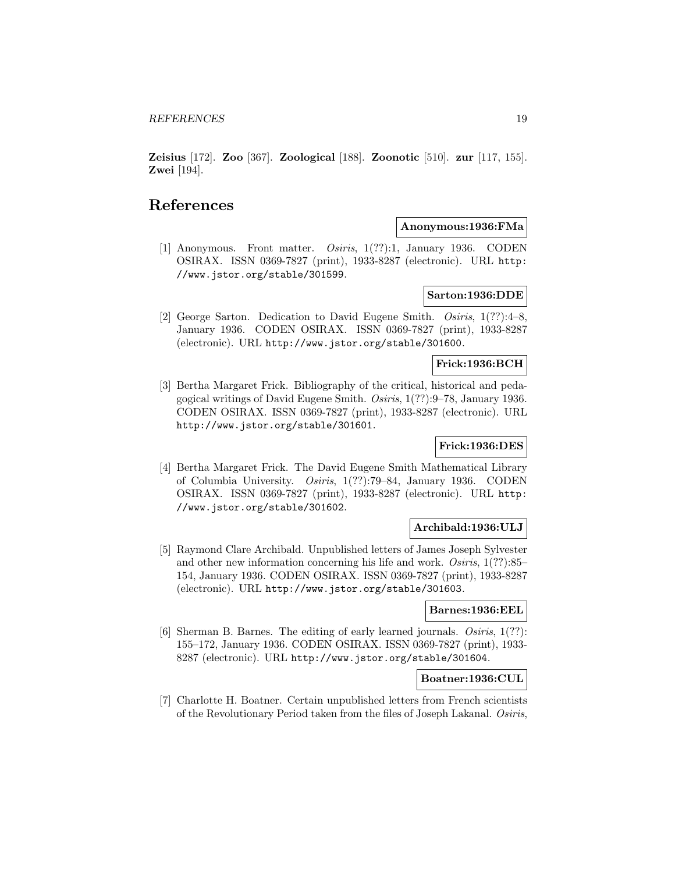**Zeisius** [172]. **Zoo** [367]. **Zoological** [188]. **Zoonotic** [510]. **zur** [117, 155]. **Zwei** [194].

# **References**

### **Anonymous:1936:FMa**

[1] Anonymous. Front matter. Osiris, 1(??):1, January 1936. CODEN OSIRAX. ISSN 0369-7827 (print), 1933-8287 (electronic). URL http: //www.jstor.org/stable/301599.

# **Sarton:1936:DDE**

[2] George Sarton. Dedication to David Eugene Smith. Osiris, 1(??):4–8, January 1936. CODEN OSIRAX. ISSN 0369-7827 (print), 1933-8287 (electronic). URL http://www.jstor.org/stable/301600.

# **Frick:1936:BCH**

[3] Bertha Margaret Frick. Bibliography of the critical, historical and pedagogical writings of David Eugene Smith. Osiris, 1(??):9–78, January 1936. CODEN OSIRAX. ISSN 0369-7827 (print), 1933-8287 (electronic). URL http://www.jstor.org/stable/301601.

## **Frick:1936:DES**

[4] Bertha Margaret Frick. The David Eugene Smith Mathematical Library of Columbia University. Osiris, 1(??):79–84, January 1936. CODEN OSIRAX. ISSN 0369-7827 (print), 1933-8287 (electronic). URL http: //www.jstor.org/stable/301602.

# **Archibald:1936:ULJ**

[5] Raymond Clare Archibald. Unpublished letters of James Joseph Sylvester and other new information concerning his life and work. Osiris, 1(??):85– 154, January 1936. CODEN OSIRAX. ISSN 0369-7827 (print), 1933-8287 (electronic). URL http://www.jstor.org/stable/301603.

## **Barnes:1936:EEL**

[6] Sherman B. Barnes. The editing of early learned journals. Osiris, 1(??): 155–172, January 1936. CODEN OSIRAX. ISSN 0369-7827 (print), 1933- 8287 (electronic). URL http://www.jstor.org/stable/301604.

## **Boatner:1936:CUL**

[7] Charlotte H. Boatner. Certain unpublished letters from French scientists of the Revolutionary Period taken from the files of Joseph Lakanal. Osiris,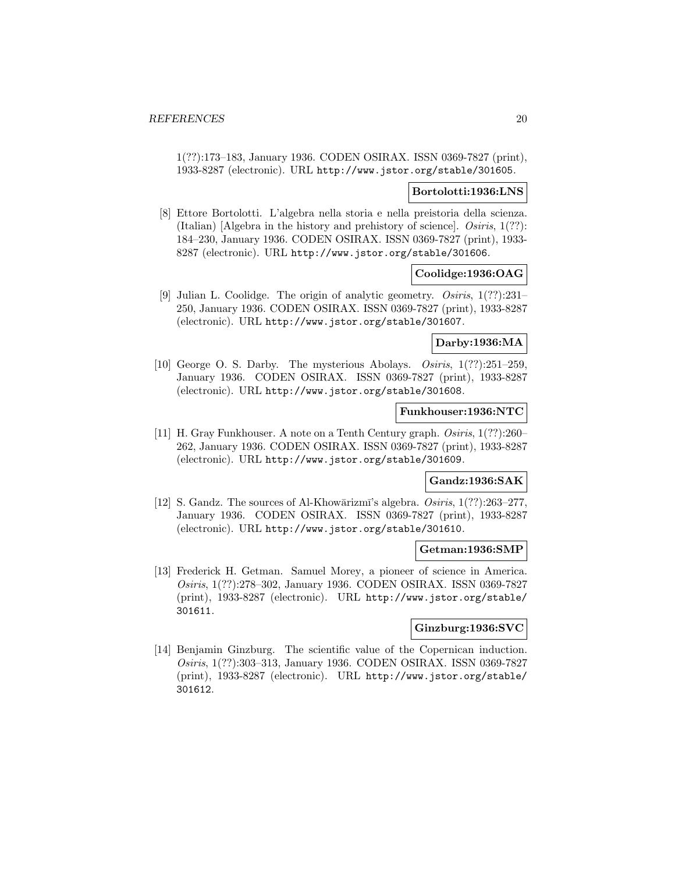1(??):173–183, January 1936. CODEN OSIRAX. ISSN 0369-7827 (print), 1933-8287 (electronic). URL http://www.jstor.org/stable/301605.

#### **Bortolotti:1936:LNS**

[8] Ettore Bortolotti. L'algebra nella storia e nella preistoria della scienza. (Italian)  $[A]$ gebra in the history and prehistory of science]. *Osiris*,  $1(??)$ : 184–230, January 1936. CODEN OSIRAX. ISSN 0369-7827 (print), 1933- 8287 (electronic). URL http://www.jstor.org/stable/301606.

# **Coolidge:1936:OAG**

[9] Julian L. Coolidge. The origin of analytic geometry. Osiris, 1(??):231– 250, January 1936. CODEN OSIRAX. ISSN 0369-7827 (print), 1933-8287 (electronic). URL http://www.jstor.org/stable/301607.

## **Darby:1936:MA**

[10] George O. S. Darby. The mysterious Abolays. Osiris, 1(??):251–259, January 1936. CODEN OSIRAX. ISSN 0369-7827 (print), 1933-8287 (electronic). URL http://www.jstor.org/stable/301608.

### **Funkhouser:1936:NTC**

[11] H. Gray Funkhouser. A note on a Tenth Century graph. Osiris, 1(??):260– 262, January 1936. CODEN OSIRAX. ISSN 0369-7827 (print), 1933-8287 (electronic). URL http://www.jstor.org/stable/301609.

## **Gandz:1936:SAK**

[12] S. Gandz. The sources of Al-Khowārizmī's algebra.  $Osiris, 1(??):263-277$ , January 1936. CODEN OSIRAX. ISSN 0369-7827 (print), 1933-8287 (electronic). URL http://www.jstor.org/stable/301610.

### **Getman:1936:SMP**

[13] Frederick H. Getman. Samuel Morey, a pioneer of science in America. Osiris, 1(??):278–302, January 1936. CODEN OSIRAX. ISSN 0369-7827 (print), 1933-8287 (electronic). URL http://www.jstor.org/stable/ 301611.

### **Ginzburg:1936:SVC**

[14] Benjamin Ginzburg. The scientific value of the Copernican induction. Osiris, 1(??):303–313, January 1936. CODEN OSIRAX. ISSN 0369-7827 (print), 1933-8287 (electronic). URL http://www.jstor.org/stable/ 301612.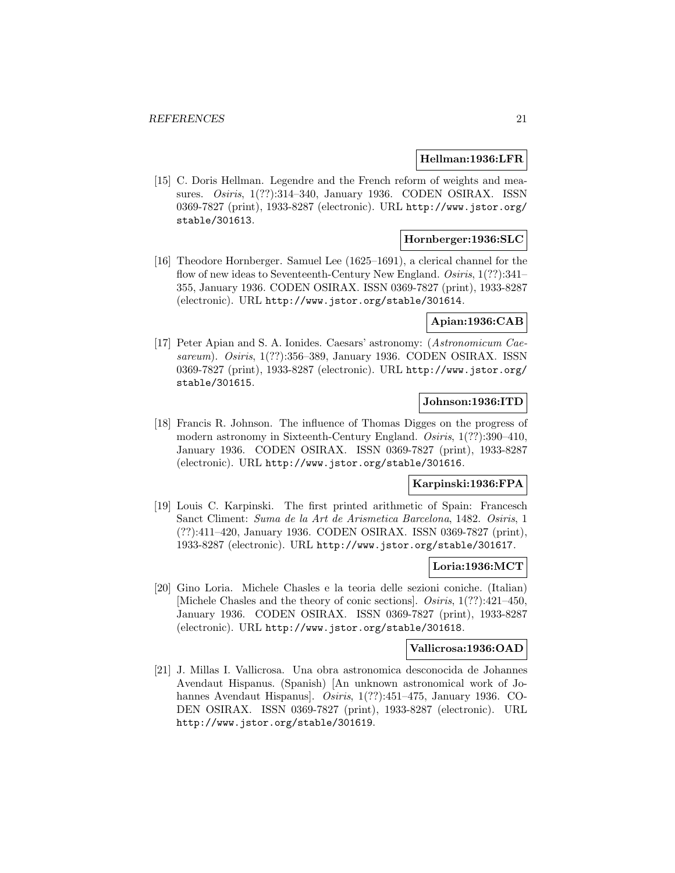#### **Hellman:1936:LFR**

[15] C. Doris Hellman. Legendre and the French reform of weights and measures. Osiris, 1(??):314–340, January 1936. CODEN OSIRAX. ISSN 0369-7827 (print), 1933-8287 (electronic). URL http://www.jstor.org/ stable/301613.

## **Hornberger:1936:SLC**

[16] Theodore Hornberger. Samuel Lee (1625–1691), a clerical channel for the flow of new ideas to Seventeenth-Century New England. Osiris, 1(??):341-355, January 1936. CODEN OSIRAX. ISSN 0369-7827 (print), 1933-8287 (electronic). URL http://www.jstor.org/stable/301614.

## **Apian:1936:CAB**

[17] Peter Apian and S. A. Ionides. Caesars' astronomy: (Astronomicum Caesareum). Osiris, 1(??):356–389, January 1936. CODEN OSIRAX. ISSN 0369-7827 (print), 1933-8287 (electronic). URL http://www.jstor.org/ stable/301615.

## **Johnson:1936:ITD**

[18] Francis R. Johnson. The influence of Thomas Digges on the progress of modern astronomy in Sixteenth-Century England. Osiris, 1(??):390-410, January 1936. CODEN OSIRAX. ISSN 0369-7827 (print), 1933-8287 (electronic). URL http://www.jstor.org/stable/301616.

## **Karpinski:1936:FPA**

[19] Louis C. Karpinski. The first printed arithmetic of Spain: Francesch Sanct Climent: Suma de la Art de Arismetica Barcelona, 1482. Osiris, 1 (??):411–420, January 1936. CODEN OSIRAX. ISSN 0369-7827 (print), 1933-8287 (electronic). URL http://www.jstor.org/stable/301617.

### **Loria:1936:MCT**

[20] Gino Loria. Michele Chasles e la teoria delle sezioni coniche. (Italian) [Michele Chasles and the theory of conic sections]. Osiris, 1(??):421–450, January 1936. CODEN OSIRAX. ISSN 0369-7827 (print), 1933-8287 (electronic). URL http://www.jstor.org/stable/301618.

#### **Vallicrosa:1936:OAD**

[21] J. Millas I. Vallicrosa. Una obra astronomica desconocida de Johannes Avendaut Hispanus. (Spanish) [An unknown astronomical work of Johannes Avendaut Hispanus]. Osiris, 1(??):451-475, January 1936. CO-DEN OSIRAX. ISSN 0369-7827 (print), 1933-8287 (electronic). URL http://www.jstor.org/stable/301619.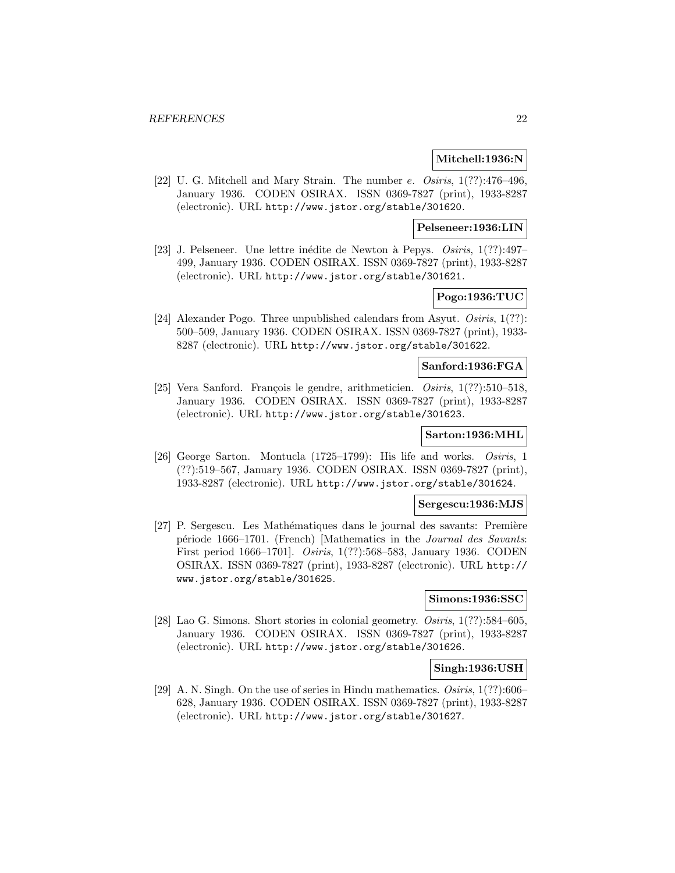#### **Mitchell:1936:N**

[22] U. G. Mitchell and Mary Strain. The number  $e$ . Osiris,  $1(??):476-496$ , January 1936. CODEN OSIRAX. ISSN 0369-7827 (print), 1933-8287 (electronic). URL http://www.jstor.org/stable/301620.

**Pelseneer:1936:LIN**

[23] J. Pelseneer. Une lettre inédite de Newton à Pepys.  $Osiris, 1(??):497-$ 499, January 1936. CODEN OSIRAX. ISSN 0369-7827 (print), 1933-8287 (electronic). URL http://www.jstor.org/stable/301621.

# **Pogo:1936:TUC**

[24] Alexander Pogo. Three unpublished calendars from Asyut. Osiris, 1(??): 500–509, January 1936. CODEN OSIRAX. ISSN 0369-7827 (print), 1933- 8287 (electronic). URL http://www.jstor.org/stable/301622.

#### **Sanford:1936:FGA**

[25] Vera Sanford. François le gendre, arithmeticien.  $Osiris, 1(??):510-518$ , January 1936. CODEN OSIRAX. ISSN 0369-7827 (print), 1933-8287 (electronic). URL http://www.jstor.org/stable/301623.

# **Sarton:1936:MHL**

[26] George Sarton. Montucla (1725–1799): His life and works. Osiris, 1 (??):519–567, January 1936. CODEN OSIRAX. ISSN 0369-7827 (print), 1933-8287 (electronic). URL http://www.jstor.org/stable/301624.

## **Sergescu:1936:MJS**

[27] P. Sergescu. Les Mathématiques dans le journal des savants: Première période 1666–1701. (French) [Mathematics in the Journal des Savants: First period 1666–1701]. Osiris, 1(??):568–583, January 1936. CODEN OSIRAX. ISSN 0369-7827 (print), 1933-8287 (electronic). URL http:// www.jstor.org/stable/301625.

#### **Simons:1936:SSC**

[28] Lao G. Simons. Short stories in colonial geometry. Osiris, 1(??):584–605, January 1936. CODEN OSIRAX. ISSN 0369-7827 (print), 1933-8287 (electronic). URL http://www.jstor.org/stable/301626.

## **Singh:1936:USH**

[29] A. N. Singh. On the use of series in Hindu mathematics. Osiris, 1(??):606– 628, January 1936. CODEN OSIRAX. ISSN 0369-7827 (print), 1933-8287 (electronic). URL http://www.jstor.org/stable/301627.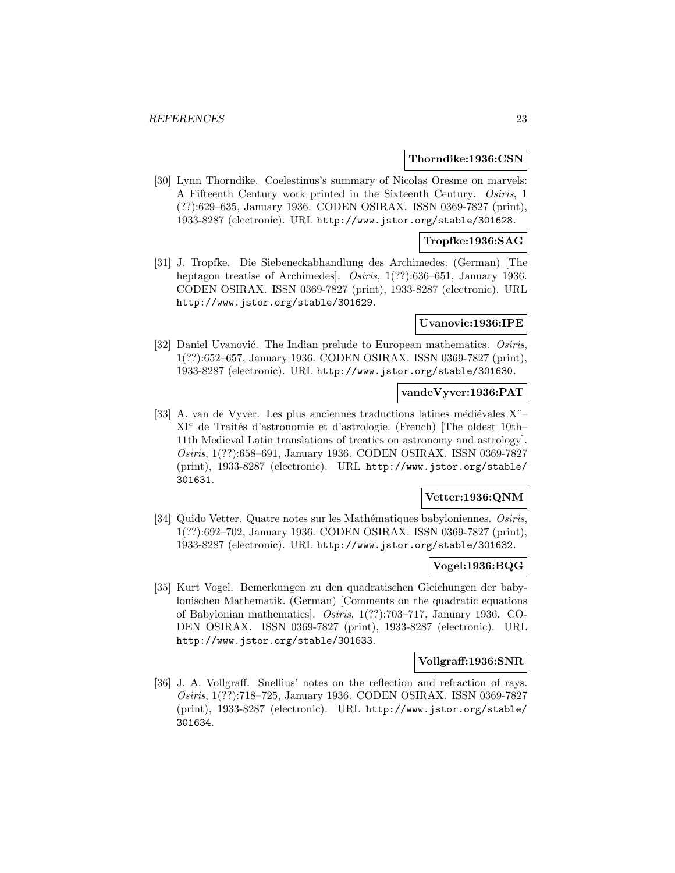#### **Thorndike:1936:CSN**

[30] Lynn Thorndike. Coelestinus's summary of Nicolas Oresme on marvels: A Fifteenth Century work printed in the Sixteenth Century. Osiris, 1 (??):629–635, January 1936. CODEN OSIRAX. ISSN 0369-7827 (print), 1933-8287 (electronic). URL http://www.jstor.org/stable/301628.

## **Tropfke:1936:SAG**

[31] J. Tropfke. Die Siebeneckabhandlung des Archimedes. (German) [The heptagon treatise of Archimedes. *Osiris*, 1(??):636–651, January 1936. CODEN OSIRAX. ISSN 0369-7827 (print), 1933-8287 (electronic). URL http://www.jstor.org/stable/301629.

#### **Uvanovic:1936:IPE**

[32] Daniel Uvanović. The Indian prelude to European mathematics. Osiris, 1(??):652–657, January 1936. CODEN OSIRAX. ISSN 0369-7827 (print), 1933-8287 (electronic). URL http://www.jstor.org/stable/301630.

#### **vandeVyver:1936:PAT**

[33] A. van de Vyver. Les plus anciennes traductions latines médiévales  $X^e$ – XI<sup>e</sup> de Trait´es d'astronomie et d'astrologie. (French) [The oldest 10th– 11th Medieval Latin translations of treaties on astronomy and astrology]. Osiris, 1(??):658–691, January 1936. CODEN OSIRAX. ISSN 0369-7827 (print), 1933-8287 (electronic). URL http://www.jstor.org/stable/ 301631.

## **Vetter:1936:QNM**

[34] Quido Vetter. Quatre notes sur les Mathématiques babyloniennes. Osiris, 1(??):692–702, January 1936. CODEN OSIRAX. ISSN 0369-7827 (print), 1933-8287 (electronic). URL http://www.jstor.org/stable/301632.

## **Vogel:1936:BQG**

[35] Kurt Vogel. Bemerkungen zu den quadratischen Gleichungen der babylonischen Mathematik. (German) [Comments on the quadratic equations of Babylonian mathematics]. Osiris, 1(??):703–717, January 1936. CO-DEN OSIRAX. ISSN 0369-7827 (print), 1933-8287 (electronic). URL http://www.jstor.org/stable/301633.

## **Vollgraff:1936:SNR**

[36] J. A. Vollgraff. Snellius' notes on the reflection and refraction of rays. Osiris, 1(??):718–725, January 1936. CODEN OSIRAX. ISSN 0369-7827 (print), 1933-8287 (electronic). URL http://www.jstor.org/stable/ 301634.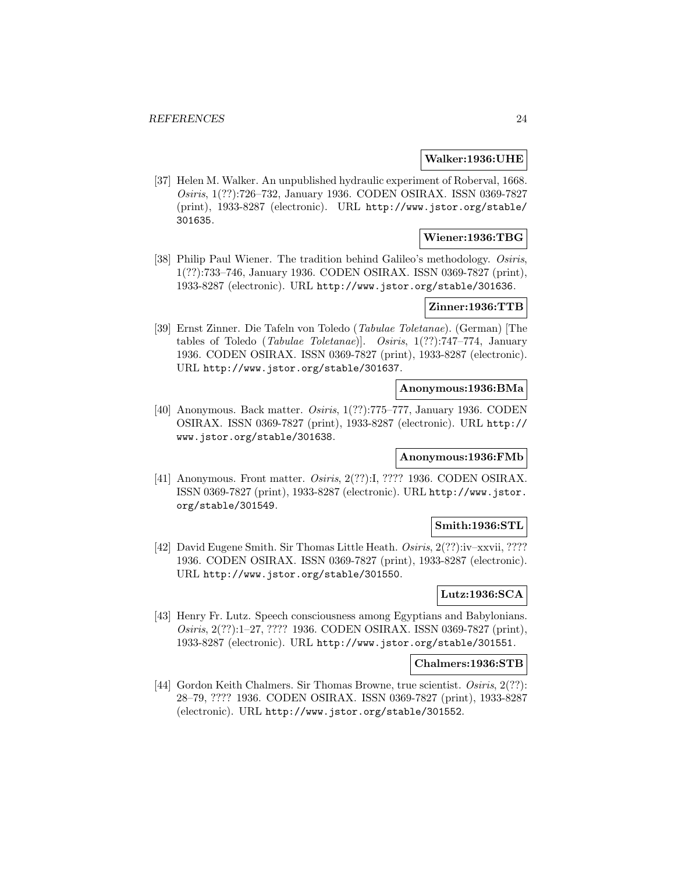#### **Walker:1936:UHE**

[37] Helen M. Walker. An unpublished hydraulic experiment of Roberval, 1668. Osiris, 1(??):726–732, January 1936. CODEN OSIRAX. ISSN 0369-7827 (print), 1933-8287 (electronic). URL http://www.jstor.org/stable/ 301635.

# **Wiener:1936:TBG**

[38] Philip Paul Wiener. The tradition behind Galileo's methodology. Osiris, 1(??):733–746, January 1936. CODEN OSIRAX. ISSN 0369-7827 (print), 1933-8287 (electronic). URL http://www.jstor.org/stable/301636.

# **Zinner:1936:TTB**

[39] Ernst Zinner. Die Tafeln von Toledo (Tabulae Toletanae). (German) [The tables of Toledo (Tabulae Toletanae)]. Osiris, 1(??):747–774, January 1936. CODEN OSIRAX. ISSN 0369-7827 (print), 1933-8287 (electronic). URL http://www.jstor.org/stable/301637.

## **Anonymous:1936:BMa**

[40] Anonymous. Back matter. Osiris, 1(??):775–777, January 1936. CODEN OSIRAX. ISSN 0369-7827 (print), 1933-8287 (electronic). URL http:// www.jstor.org/stable/301638.

# **Anonymous:1936:FMb**

[41] Anonymous. Front matter. *Osiris*, 2(??):I, ???? 1936. CODEN OSIRAX. ISSN 0369-7827 (print), 1933-8287 (electronic). URL http://www.jstor. org/stable/301549.

## **Smith:1936:STL**

[42] David Eugene Smith. Sir Thomas Little Heath. Osiris, 2(??):iv–xxvii, ???? 1936. CODEN OSIRAX. ISSN 0369-7827 (print), 1933-8287 (electronic). URL http://www.jstor.org/stable/301550.

# **Lutz:1936:SCA**

[43] Henry Fr. Lutz. Speech consciousness among Egyptians and Babylonians. Osiris, 2(??):1–27, ???? 1936. CODEN OSIRAX. ISSN 0369-7827 (print), 1933-8287 (electronic). URL http://www.jstor.org/stable/301551.

#### **Chalmers:1936:STB**

[44] Gordon Keith Chalmers. Sir Thomas Browne, true scientist. Osiris, 2(??): 28–79, ???? 1936. CODEN OSIRAX. ISSN 0369-7827 (print), 1933-8287 (electronic). URL http://www.jstor.org/stable/301552.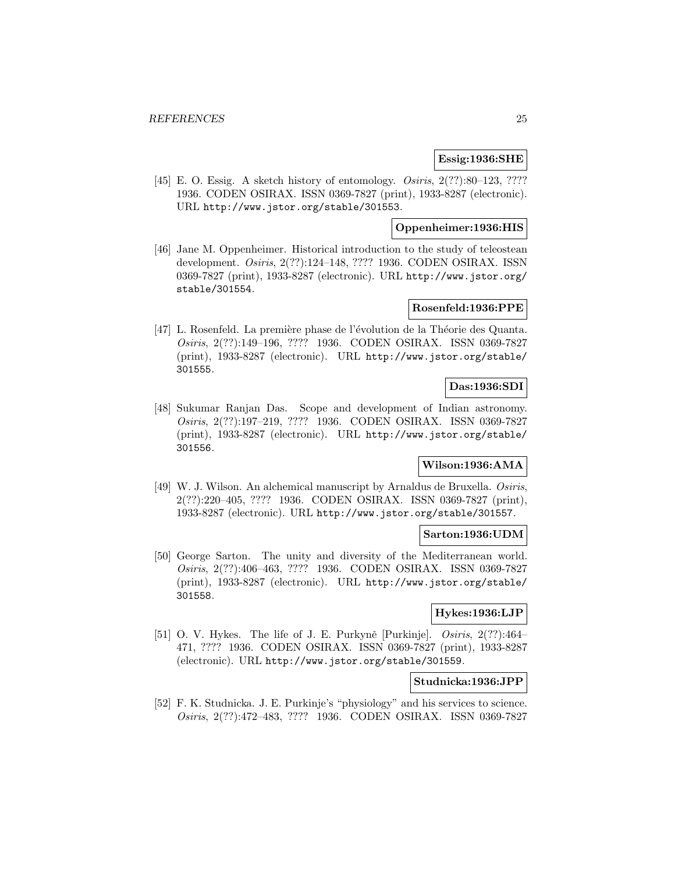#### **Essig:1936:SHE**

[45] E. O. Essig. A sketch history of entomology. *Osiris*, 2(??):80–123, ???? 1936. CODEN OSIRAX. ISSN 0369-7827 (print), 1933-8287 (electronic). URL http://www.jstor.org/stable/301553.

### **Oppenheimer:1936:HIS**

[46] Jane M. Oppenheimer. Historical introduction to the study of teleostean development. Osiris, 2(??):124–148, ???? 1936. CODEN OSIRAX. ISSN 0369-7827 (print), 1933-8287 (electronic). URL http://www.jstor.org/ stable/301554.

# **Rosenfeld:1936:PPE**

[47] L. Rosenfeld. La première phase de l'évolution de la Théorie des Quanta. Osiris, 2(??):149–196, ???? 1936. CODEN OSIRAX. ISSN 0369-7827 (print), 1933-8287 (electronic). URL http://www.jstor.org/stable/ 301555.

## **Das:1936:SDI**

[48] Sukumar Ranjan Das. Scope and development of Indian astronomy. Osiris, 2(??):197–219, ???? 1936. CODEN OSIRAX. ISSN 0369-7827 (print), 1933-8287 (electronic). URL http://www.jstor.org/stable/ 301556.

## **Wilson:1936:AMA**

[49] W. J. Wilson. An alchemical manuscript by Arnaldus de Bruxella. Osiris, 2(??):220–405, ???? 1936. CODEN OSIRAX. ISSN 0369-7827 (print), 1933-8287 (electronic). URL http://www.jstor.org/stable/301557.

#### **Sarton:1936:UDM**

[50] George Sarton. The unity and diversity of the Mediterranean world. Osiris, 2(??):406–463, ???? 1936. CODEN OSIRAX. ISSN 0369-7827 (print), 1933-8287 (electronic). URL http://www.jstor.org/stable/ 301558.

#### **Hykes:1936:LJP**

[51] O. V. Hykes. The life of J. E. Purkyně [Purkinje].  $Osiris, 2(??):464-$ 471, ???? 1936. CODEN OSIRAX. ISSN 0369-7827 (print), 1933-8287 (electronic). URL http://www.jstor.org/stable/301559.

#### **Studnicka:1936:JPP**

[52] F. K. Studnicka. J. E. Purkinje's "physiology" and his services to science. Osiris, 2(??):472–483, ???? 1936. CODEN OSIRAX. ISSN 0369-7827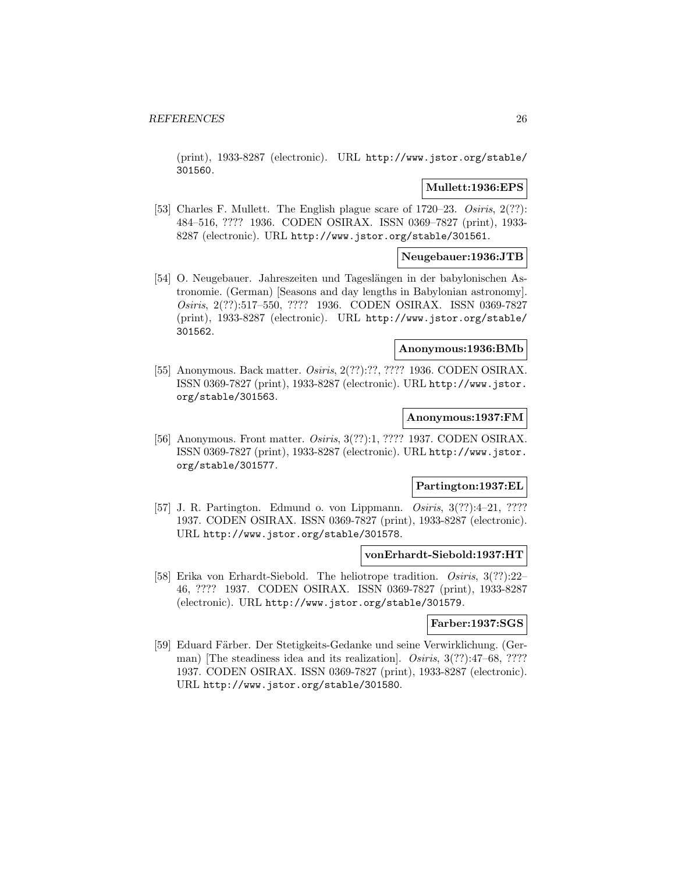(print), 1933-8287 (electronic). URL http://www.jstor.org/stable/ 301560.

## **Mullett:1936:EPS**

[53] Charles F. Mullett. The English plague scare of 1720–23. Osiris, 2(??): 484–516, ???? 1936. CODEN OSIRAX. ISSN 0369–7827 (print), 1933- 8287 (electronic). URL http://www.jstor.org/stable/301561.

### **Neugebauer:1936:JTB**

[54] O. Neugebauer. Jahreszeiten und Tageslängen in der babylonischen Astronomie. (German) [Seasons and day lengths in Babylonian astronomy]. Osiris, 2(??):517–550, ???? 1936. CODEN OSIRAX. ISSN 0369-7827 (print), 1933-8287 (electronic). URL http://www.jstor.org/stable/ 301562.

## **Anonymous:1936:BMb**

[55] Anonymous. Back matter. *Osiris*, 2(??):??, ???? 1936. CODEN OSIRAX. ISSN 0369-7827 (print), 1933-8287 (electronic). URL http://www.jstor. org/stable/301563.

## **Anonymous:1937:FM**

[56] Anonymous. Front matter. Osiris, 3(??):1, ???? 1937. CODEN OSIRAX. ISSN 0369-7827 (print), 1933-8287 (electronic). URL http://www.jstor. org/stable/301577.

#### **Partington:1937:EL**

[57] J. R. Partington. Edmund o. von Lippmann. *Osiris*, 3(??):4-21, ???? 1937. CODEN OSIRAX. ISSN 0369-7827 (print), 1933-8287 (electronic). URL http://www.jstor.org/stable/301578.

#### **vonErhardt-Siebold:1937:HT**

[58] Erika von Erhardt-Siebold. The heliotrope tradition. Osiris, 3(??):22– 46, ???? 1937. CODEN OSIRAX. ISSN 0369-7827 (print), 1933-8287 (electronic). URL http://www.jstor.org/stable/301579.

## **Farber:1937:SGS**

[59] Eduard Färber. Der Stetigkeits-Gedanke und seine Verwirklichung. (German) [The steadiness idea and its realization]. *Osiris*, 3(??):47–68, ???? 1937. CODEN OSIRAX. ISSN 0369-7827 (print), 1933-8287 (electronic). URL http://www.jstor.org/stable/301580.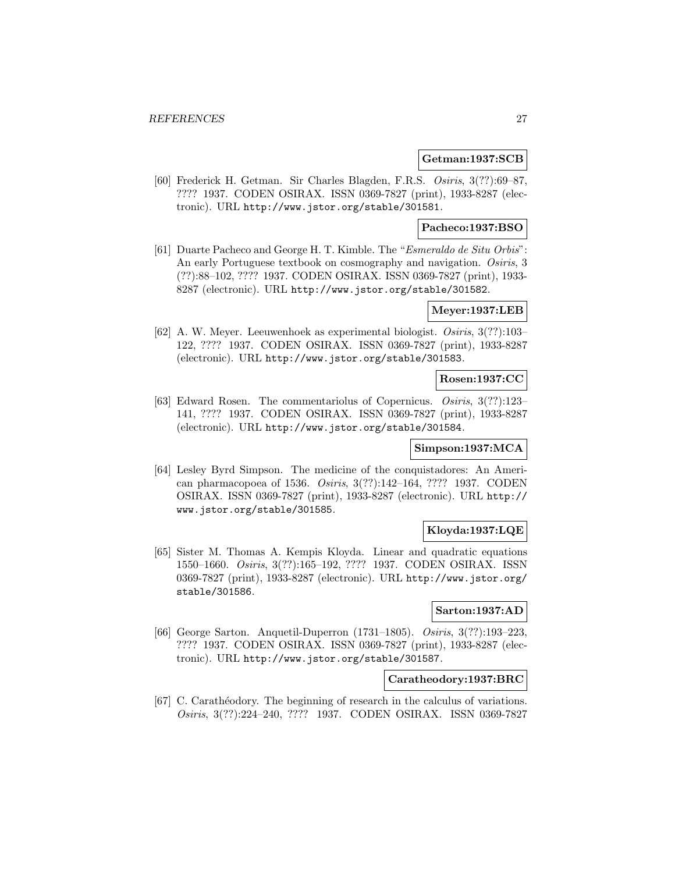#### **Getman:1937:SCB**

[60] Frederick H. Getman. Sir Charles Blagden, F.R.S. Osiris, 3(??):69–87, ???? 1937. CODEN OSIRAX. ISSN 0369-7827 (print), 1933-8287 (electronic). URL http://www.jstor.org/stable/301581.

## **Pacheco:1937:BSO**

[61] Duarte Pacheco and George H. T. Kimble. The "Esmeraldo de Situ Orbis": An early Portuguese textbook on cosmography and navigation. Osiris, 3 (??):88–102, ???? 1937. CODEN OSIRAX. ISSN 0369-7827 (print), 1933- 8287 (electronic). URL http://www.jstor.org/stable/301582.

## **Meyer:1937:LEB**

[62] A. W. Meyer. Leeuwenhoek as experimental biologist. Osiris, 3(??):103– 122, ???? 1937. CODEN OSIRAX. ISSN 0369-7827 (print), 1933-8287 (electronic). URL http://www.jstor.org/stable/301583.

### **Rosen:1937:CC**

[63] Edward Rosen. The commentariolus of Copernicus. Osiris, 3(??):123– 141, ???? 1937. CODEN OSIRAX. ISSN 0369-7827 (print), 1933-8287 (electronic). URL http://www.jstor.org/stable/301584.

## **Simpson:1937:MCA**

[64] Lesley Byrd Simpson. The medicine of the conquistadores: An American pharmacopoea of 1536. Osiris, 3(??):142–164, ???? 1937. CODEN OSIRAX. ISSN 0369-7827 (print), 1933-8287 (electronic). URL http:// www.jstor.org/stable/301585.

### **Kloyda:1937:LQE**

[65] Sister M. Thomas A. Kempis Kloyda. Linear and quadratic equations 1550–1660. Osiris, 3(??):165–192, ???? 1937. CODEN OSIRAX. ISSN 0369-7827 (print), 1933-8287 (electronic). URL http://www.jstor.org/ stable/301586.

#### **Sarton:1937:AD**

[66] George Sarton. Anquetil-Duperron (1731–1805). Osiris, 3(??):193–223, ???? 1937. CODEN OSIRAX. ISSN 0369-7827 (print), 1933-8287 (electronic). URL http://www.jstor.org/stable/301587.

#### **Caratheodory:1937:BRC**

[67] C. Carathéodory. The beginning of research in the calculus of variations. Osiris, 3(??):224–240, ???? 1937. CODEN OSIRAX. ISSN 0369-7827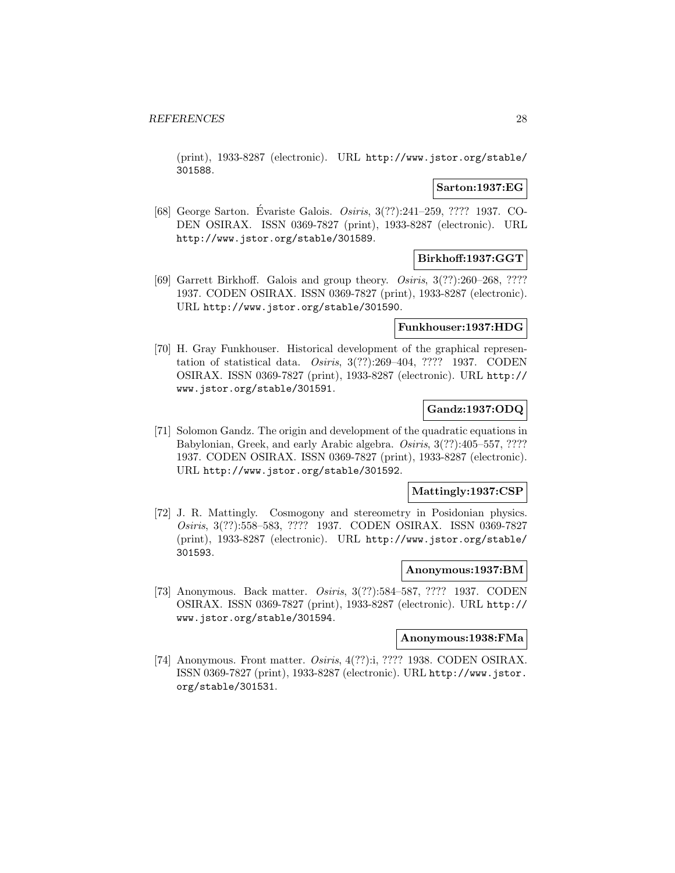(print), 1933-8287 (electronic). URL http://www.jstor.org/stable/ 301588.

## **Sarton:1937:EG**

[68] George Sarton. Évariste Galois. *Osiris*, 3(??):241–259, ???? 1937. CO-DEN OSIRAX. ISSN 0369-7827 (print), 1933-8287 (electronic). URL http://www.jstor.org/stable/301589.

# **Birkhoff:1937:GGT**

[69] Garrett Birkhoff. Galois and group theory. Osiris, 3(??):260–268, ???? 1937. CODEN OSIRAX. ISSN 0369-7827 (print), 1933-8287 (electronic). URL http://www.jstor.org/stable/301590.

## **Funkhouser:1937:HDG**

[70] H. Gray Funkhouser. Historical development of the graphical representation of statistical data. Osiris, 3(??):269–404, ???? 1937. CODEN OSIRAX. ISSN 0369-7827 (print), 1933-8287 (electronic). URL http:// www.jstor.org/stable/301591.

## **Gandz:1937:ODQ**

[71] Solomon Gandz. The origin and development of the quadratic equations in Babylonian, Greek, and early Arabic algebra. Osiris, 3(??):405–557, ???? 1937. CODEN OSIRAX. ISSN 0369-7827 (print), 1933-8287 (electronic). URL http://www.jstor.org/stable/301592.

#### **Mattingly:1937:CSP**

[72] J. R. Mattingly. Cosmogony and stereometry in Posidonian physics. Osiris, 3(??):558–583, ???? 1937. CODEN OSIRAX. ISSN 0369-7827 (print), 1933-8287 (electronic). URL http://www.jstor.org/stable/ 301593.

## **Anonymous:1937:BM**

[73] Anonymous. Back matter. Osiris, 3(??):584–587, ???? 1937. CODEN OSIRAX. ISSN 0369-7827 (print), 1933-8287 (electronic). URL http:// www.jstor.org/stable/301594.

# **Anonymous:1938:FMa**

[74] Anonymous. Front matter. *Osiris*, 4(??):i, ???? 1938. CODEN OSIRAX. ISSN 0369-7827 (print), 1933-8287 (electronic). URL http://www.jstor. org/stable/301531.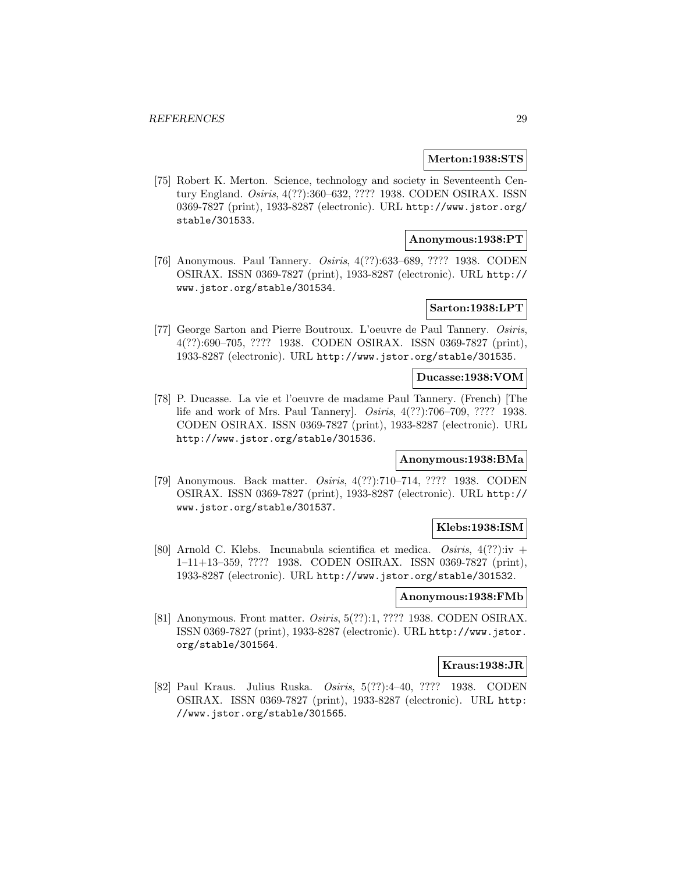#### **Merton:1938:STS**

[75] Robert K. Merton. Science, technology and society in Seventeenth Century England. Osiris, 4(??):360–632, ???? 1938. CODEN OSIRAX. ISSN 0369-7827 (print), 1933-8287 (electronic). URL http://www.jstor.org/ stable/301533.

# **Anonymous:1938:PT**

[76] Anonymous. Paul Tannery. Osiris, 4(??):633–689, ???? 1938. CODEN OSIRAX. ISSN 0369-7827 (print), 1933-8287 (electronic). URL http:// www.jstor.org/stable/301534.

# **Sarton:1938:LPT**

[77] George Sarton and Pierre Boutroux. L'oeuvre de Paul Tannery. Osiris, 4(??):690–705, ???? 1938. CODEN OSIRAX. ISSN 0369-7827 (print), 1933-8287 (electronic). URL http://www.jstor.org/stable/301535.

#### **Ducasse:1938:VOM**

[78] P. Ducasse. La vie et l'oeuvre de madame Paul Tannery. (French) [The life and work of Mrs. Paul Tannery]. Osiris, 4(??):706–709, ???? 1938. CODEN OSIRAX. ISSN 0369-7827 (print), 1933-8287 (electronic). URL http://www.jstor.org/stable/301536.

# **Anonymous:1938:BMa**

[79] Anonymous. Back matter. Osiris, 4(??):710–714, ???? 1938. CODEN OSIRAX. ISSN 0369-7827 (print), 1933-8287 (electronic). URL http:// www.jstor.org/stable/301537.

## **Klebs:1938:ISM**

[80] Arnold C. Klebs. Incunabula scientifica et medica. Osiris,  $4(??):$ iv + 1–11+13–359, ???? 1938. CODEN OSIRAX. ISSN 0369-7827 (print), 1933-8287 (electronic). URL http://www.jstor.org/stable/301532.

## **Anonymous:1938:FMb**

[81] Anonymous. Front matter. *Osiris*, 5(??):1, ???? 1938. CODEN OSIRAX. ISSN 0369-7827 (print), 1933-8287 (electronic). URL http://www.jstor. org/stable/301564.

### **Kraus:1938:JR**

[82] Paul Kraus. Julius Ruska. Osiris, 5(??):4–40, ???? 1938. CODEN OSIRAX. ISSN 0369-7827 (print), 1933-8287 (electronic). URL http: //www.jstor.org/stable/301565.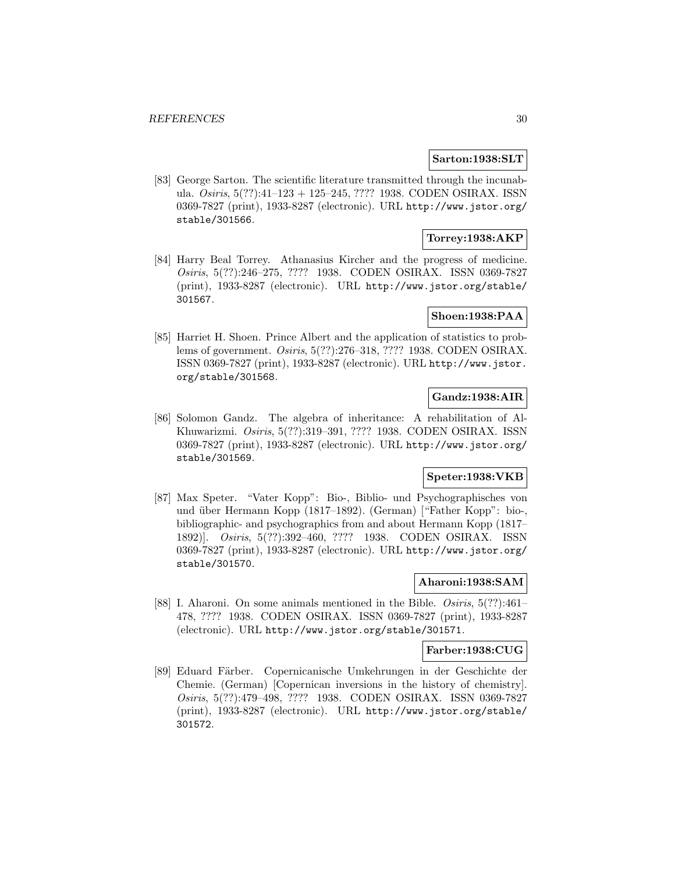#### **Sarton:1938:SLT**

[83] George Sarton. The scientific literature transmitted through the incunabula. Osiris, 5(??):41–123 + 125–245, ???? 1938. CODEN OSIRAX. ISSN 0369-7827 (print), 1933-8287 (electronic). URL http://www.jstor.org/ stable/301566.

## **Torrey:1938:AKP**

[84] Harry Beal Torrey. Athanasius Kircher and the progress of medicine. Osiris, 5(??):246–275, ???? 1938. CODEN OSIRAX. ISSN 0369-7827 (print), 1933-8287 (electronic). URL http://www.jstor.org/stable/ 301567.

#### **Shoen:1938:PAA**

[85] Harriet H. Shoen. Prince Albert and the application of statistics to problems of government. Osiris, 5(??):276–318, ???? 1938. CODEN OSIRAX. ISSN 0369-7827 (print), 1933-8287 (electronic). URL http://www.jstor. org/stable/301568.

### **Gandz:1938:AIR**

[86] Solomon Gandz. The algebra of inheritance: A rehabilitation of Al-Khuwarizmi. Osiris, 5(??):319–391, ???? 1938. CODEN OSIRAX. ISSN 0369-7827 (print), 1933-8287 (electronic). URL http://www.jstor.org/ stable/301569.

### **Speter:1938:VKB**

[87] Max Speter. "Vater Kopp": Bio-, Biblio- und Psychographisches von und über Hermann Kopp (1817–1892). (German) ["Father Kopp": bio-, bibliographic- and psychographics from and about Hermann Kopp (1817– 1892)]. Osiris, 5(??):392–460, ???? 1938. CODEN OSIRAX. ISSN 0369-7827 (print), 1933-8287 (electronic). URL http://www.jstor.org/ stable/301570.

# **Aharoni:1938:SAM**

[88] I. Aharoni. On some animals mentioned in the Bible. Osiris, 5(??):461– 478, ???? 1938. CODEN OSIRAX. ISSN 0369-7827 (print), 1933-8287 (electronic). URL http://www.jstor.org/stable/301571.

#### **Farber:1938:CUG**

[89] Eduard Färber. Copernicanische Umkehrungen in der Geschichte der Chemie. (German) [Copernican inversions in the history of chemistry]. Osiris, 5(??):479–498, ???? 1938. CODEN OSIRAX. ISSN 0369-7827 (print), 1933-8287 (electronic). URL http://www.jstor.org/stable/ 301572.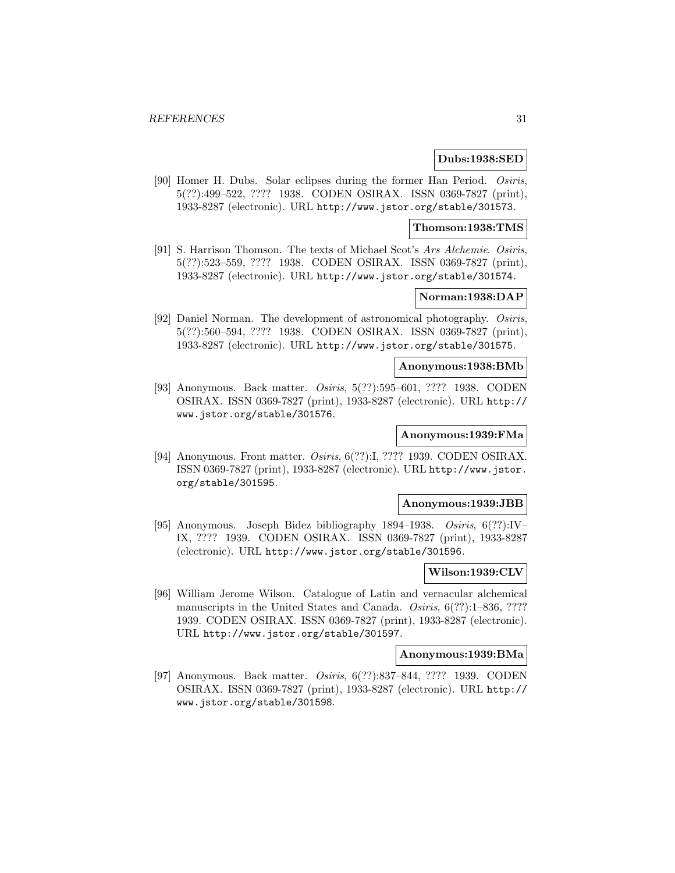#### **Dubs:1938:SED**

[90] Homer H. Dubs. Solar eclipses during the former Han Period. Osiris, 5(??):499–522, ???? 1938. CODEN OSIRAX. ISSN 0369-7827 (print), 1933-8287 (electronic). URL http://www.jstor.org/stable/301573.

#### **Thomson:1938:TMS**

[91] S. Harrison Thomson. The texts of Michael Scot's Ars Alchemie. Osiris, 5(??):523–559, ???? 1938. CODEN OSIRAX. ISSN 0369-7827 (print), 1933-8287 (electronic). URL http://www.jstor.org/stable/301574.

## **Norman:1938:DAP**

[92] Daniel Norman. The development of astronomical photography. Osiris, 5(??):560–594, ???? 1938. CODEN OSIRAX. ISSN 0369-7827 (print), 1933-8287 (electronic). URL http://www.jstor.org/stable/301575.

#### **Anonymous:1938:BMb**

[93] Anonymous. Back matter. Osiris, 5(??):595–601, ???? 1938. CODEN OSIRAX. ISSN 0369-7827 (print), 1933-8287 (electronic). URL http:// www.jstor.org/stable/301576.

# **Anonymous:1939:FMa**

[94] Anonymous. Front matter. Osiris, 6(??):I, ???? 1939. CODEN OSIRAX. ISSN 0369-7827 (print), 1933-8287 (electronic). URL http://www.jstor. org/stable/301595.

#### **Anonymous:1939:JBB**

[95] Anonymous. Joseph Bidez bibliography 1894–1938. Osiris, 6(??):IV– IX, ???? 1939. CODEN OSIRAX. ISSN 0369-7827 (print), 1933-8287 (electronic). URL http://www.jstor.org/stable/301596.

### **Wilson:1939:CLV**

[96] William Jerome Wilson. Catalogue of Latin and vernacular alchemical manuscripts in the United States and Canada. *Osiris*, 6(??):1–836, ???? 1939. CODEN OSIRAX. ISSN 0369-7827 (print), 1933-8287 (electronic). URL http://www.jstor.org/stable/301597.

## **Anonymous:1939:BMa**

[97] Anonymous. Back matter. Osiris, 6(??):837–844, ???? 1939. CODEN OSIRAX. ISSN 0369-7827 (print), 1933-8287 (electronic). URL http:// www.jstor.org/stable/301598.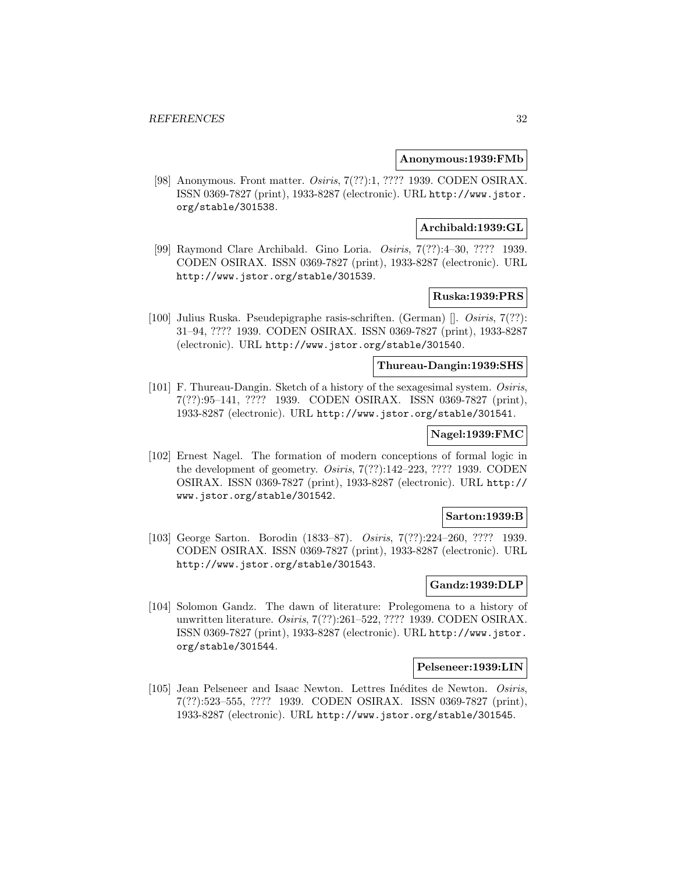#### **Anonymous:1939:FMb**

[98] Anonymous. Front matter. Osiris, 7(??):1, ???? 1939. CODEN OSIRAX. ISSN 0369-7827 (print), 1933-8287 (electronic). URL http://www.jstor. org/stable/301538.

# **Archibald:1939:GL**

[99] Raymond Clare Archibald. Gino Loria. Osiris, 7(??):4–30, ???? 1939. CODEN OSIRAX. ISSN 0369-7827 (print), 1933-8287 (electronic). URL http://www.jstor.org/stable/301539.

# **Ruska:1939:PRS**

[100] Julius Ruska. Pseudepigraphe rasis-schriften. (German) []. Osiris, 7(??): 31–94, ???? 1939. CODEN OSIRAX. ISSN 0369-7827 (print), 1933-8287 (electronic). URL http://www.jstor.org/stable/301540.

#### **Thureau-Dangin:1939:SHS**

[101] F. Thureau-Dangin. Sketch of a history of the sexagesimal system. Osiris, 7(??):95–141, ???? 1939. CODEN OSIRAX. ISSN 0369-7827 (print), 1933-8287 (electronic). URL http://www.jstor.org/stable/301541.

# **Nagel:1939:FMC**

[102] Ernest Nagel. The formation of modern conceptions of formal logic in the development of geometry. Osiris, 7(??):142–223, ???? 1939. CODEN OSIRAX. ISSN 0369-7827 (print), 1933-8287 (electronic). URL http:// www.jstor.org/stable/301542.

### **Sarton:1939:B**

[103] George Sarton. Borodin (1833–87). Osiris, 7(??):224–260, ???? 1939. CODEN OSIRAX. ISSN 0369-7827 (print), 1933-8287 (electronic). URL http://www.jstor.org/stable/301543.

# **Gandz:1939:DLP**

[104] Solomon Gandz. The dawn of literature: Prolegomena to a history of unwritten literature. Osiris, 7(??):261–522, ???? 1939. CODEN OSIRAX. ISSN 0369-7827 (print), 1933-8287 (electronic). URL http://www.jstor. org/stable/301544.

#### **Pelseneer:1939:LIN**

[105] Jean Pelseneer and Isaac Newton. Lettres Inédites de Newton. Osiris, 7(??):523–555, ???? 1939. CODEN OSIRAX. ISSN 0369-7827 (print), 1933-8287 (electronic). URL http://www.jstor.org/stable/301545.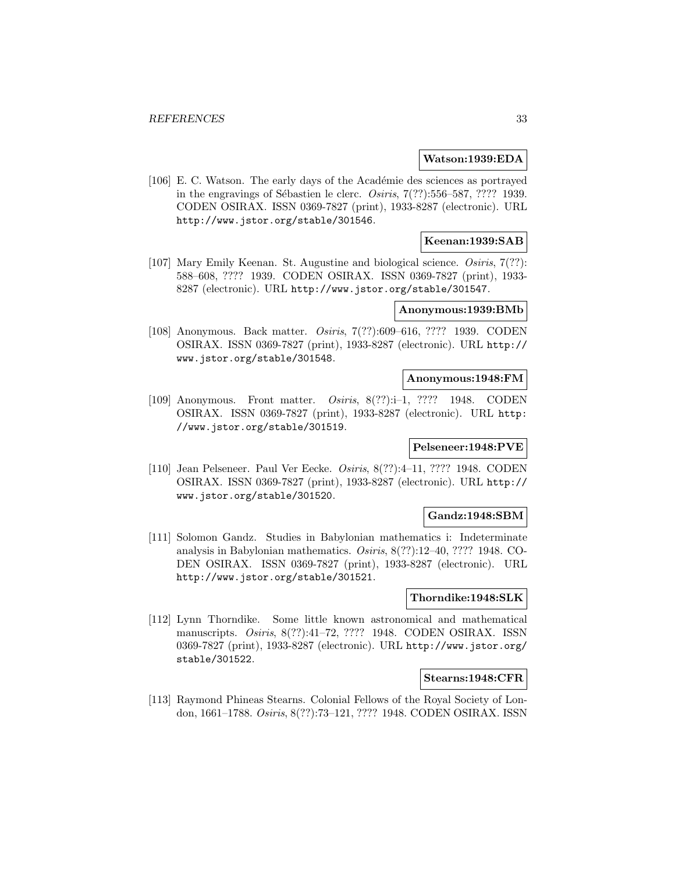#### **Watson:1939:EDA**

[106] E. C. Watson. The early days of the Académie des sciences as portrayed in the engravings of Sébastien le clerc.  $Osiris, 7(??):556–587, ????$  1939. CODEN OSIRAX. ISSN 0369-7827 (print), 1933-8287 (electronic). URL http://www.jstor.org/stable/301546.

## **Keenan:1939:SAB**

[107] Mary Emily Keenan. St. Augustine and biological science. Osiris, 7(??): 588–608, ???? 1939. CODEN OSIRAX. ISSN 0369-7827 (print), 1933- 8287 (electronic). URL http://www.jstor.org/stable/301547.

#### **Anonymous:1939:BMb**

[108] Anonymous. Back matter. Osiris, 7(??):609–616, ???? 1939. CODEN OSIRAX. ISSN 0369-7827 (print), 1933-8287 (electronic). URL http:// www.jstor.org/stable/301548.

#### **Anonymous:1948:FM**

[109] Anonymous. Front matter. Osiris, 8(??):i–1, ???? 1948. CODEN OSIRAX. ISSN 0369-7827 (print), 1933-8287 (electronic). URL http: //www.jstor.org/stable/301519.

#### **Pelseneer:1948:PVE**

[110] Jean Pelseneer. Paul Ver Eecke. Osiris, 8(??):4–11, ???? 1948. CODEN OSIRAX. ISSN 0369-7827 (print), 1933-8287 (electronic). URL http:// www.jstor.org/stable/301520.

## **Gandz:1948:SBM**

[111] Solomon Gandz. Studies in Babylonian mathematics i: Indeterminate analysis in Babylonian mathematics. Osiris, 8(??):12–40, ???? 1948. CO-DEN OSIRAX. ISSN 0369-7827 (print), 1933-8287 (electronic). URL http://www.jstor.org/stable/301521.

## **Thorndike:1948:SLK**

[112] Lynn Thorndike. Some little known astronomical and mathematical manuscripts. Osiris, 8(??):41–72, ???? 1948. CODEN OSIRAX. ISSN 0369-7827 (print), 1933-8287 (electronic). URL http://www.jstor.org/ stable/301522.

#### **Stearns:1948:CFR**

[113] Raymond Phineas Stearns. Colonial Fellows of the Royal Society of London, 1661–1788. Osiris, 8(??):73–121, ???? 1948. CODEN OSIRAX. ISSN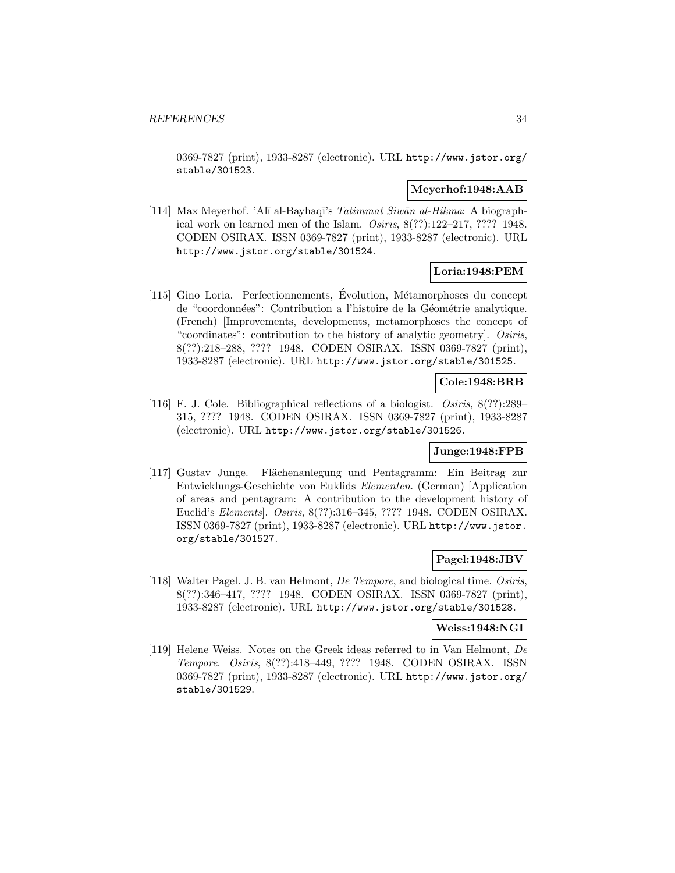0369-7827 (print), 1933-8287 (electronic). URL http://www.jstor.org/ stable/301523.

#### **Meyerhof:1948:AAB**

[114] Max Meyerhof. 'Alī al-Bayhaqī's Tatimmat Siwān al-Hikma: A biographical work on learned men of the Islam. Osiris, 8(??):122–217, ???? 1948. CODEN OSIRAX. ISSN 0369-7827 (print), 1933-8287 (electronic). URL http://www.jstor.org/stable/301524.

# **Loria:1948:PEM**

 $[115]$  Gino Loria. Perfectionnements, Evolution, Métamorphoses du concept de "coordonnées": Contribution a l'histoire de la Géométrie analytique. (French) [Improvements, developments, metamorphoses the concept of "coordinates": contribution to the history of analytic geometry]. Osiris, 8(??):218–288, ???? 1948. CODEN OSIRAX. ISSN 0369-7827 (print), 1933-8287 (electronic). URL http://www.jstor.org/stable/301525.

## **Cole:1948:BRB**

[116] F. J. Cole. Bibliographical reflections of a biologist. Osiris, 8(??):289– 315, ???? 1948. CODEN OSIRAX. ISSN 0369-7827 (print), 1933-8287 (electronic). URL http://www.jstor.org/stable/301526.

## **Junge:1948:FPB**

[117] Gustav Junge. Flächenanlegung und Pentagramm: Ein Beitrag zur Entwicklungs-Geschichte von Euklids Elementen. (German) [Application of areas and pentagram: A contribution to the development history of Euclid's Elements]. Osiris, 8(??):316–345, ???? 1948. CODEN OSIRAX. ISSN 0369-7827 (print), 1933-8287 (electronic). URL http://www.jstor. org/stable/301527.

### **Pagel:1948:JBV**

[118] Walter Pagel. J. B. van Helmont, De Tempore, and biological time. Osiris, 8(??):346–417, ???? 1948. CODEN OSIRAX. ISSN 0369-7827 (print), 1933-8287 (electronic). URL http://www.jstor.org/stable/301528.

### **Weiss:1948:NGI**

[119] Helene Weiss. Notes on the Greek ideas referred to in Van Helmont, De Tempore. Osiris, 8(??):418–449, ???? 1948. CODEN OSIRAX. ISSN 0369-7827 (print), 1933-8287 (electronic). URL http://www.jstor.org/ stable/301529.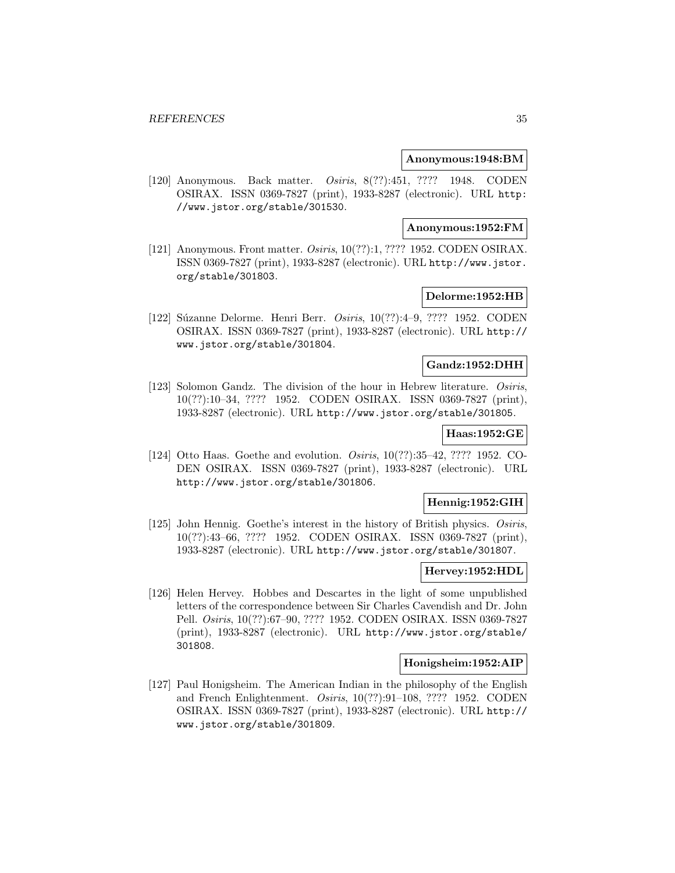#### **Anonymous:1948:BM**

[120] Anonymous. Back matter. Osiris, 8(??):451, ???? 1948. CODEN OSIRAX. ISSN 0369-7827 (print), 1933-8287 (electronic). URL http: //www.jstor.org/stable/301530.

#### **Anonymous:1952:FM**

[121] Anonymous. Front matter. *Osiris*, 10(??):1, ???? 1952. CODEN OSIRAX. ISSN 0369-7827 (print), 1933-8287 (electronic). URL http://www.jstor. org/stable/301803.

## **Delorme:1952:HB**

[122] Súzanne Delorme. Henri Berr. Osiris, 10(??):4-9, ???? 1952. CODEN OSIRAX. ISSN 0369-7827 (print), 1933-8287 (electronic). URL http:// www.jstor.org/stable/301804.

# **Gandz:1952:DHH**

[123] Solomon Gandz. The division of the hour in Hebrew literature. Osiris, 10(??):10–34, ???? 1952. CODEN OSIRAX. ISSN 0369-7827 (print), 1933-8287 (electronic). URL http://www.jstor.org/stable/301805.

# **Haas:1952:GE**

[124] Otto Haas. Goethe and evolution. *Osiris*, 10(??):35–42, ???? 1952. CO-DEN OSIRAX. ISSN 0369-7827 (print), 1933-8287 (electronic). URL http://www.jstor.org/stable/301806.

## **Hennig:1952:GIH**

[125] John Hennig. Goethe's interest in the history of British physics. Osiris, 10(??):43–66, ???? 1952. CODEN OSIRAX. ISSN 0369-7827 (print), 1933-8287 (electronic). URL http://www.jstor.org/stable/301807.

### **Hervey:1952:HDL**

[126] Helen Hervey. Hobbes and Descartes in the light of some unpublished letters of the correspondence between Sir Charles Cavendish and Dr. John Pell. Osiris, 10(??):67–90, ???? 1952. CODEN OSIRAX. ISSN 0369-7827 (print), 1933-8287 (electronic). URL http://www.jstor.org/stable/ 301808.

#### **Honigsheim:1952:AIP**

[127] Paul Honigsheim. The American Indian in the philosophy of the English and French Enlightenment. Osiris, 10(??):91–108, ???? 1952. CODEN OSIRAX. ISSN 0369-7827 (print), 1933-8287 (electronic). URL http:// www.jstor.org/stable/301809.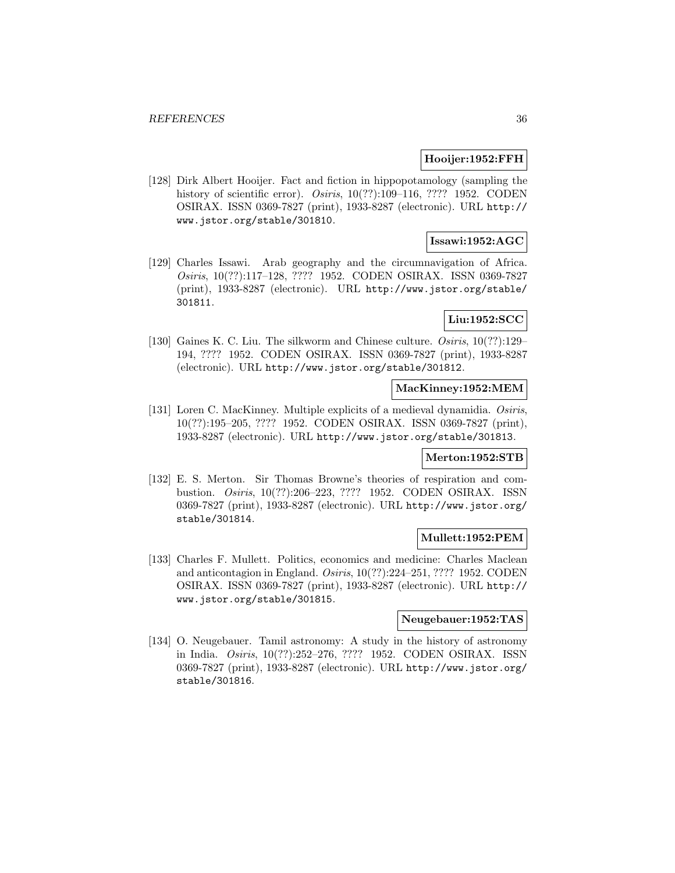#### **Hooijer:1952:FFH**

[128] Dirk Albert Hooijer. Fact and fiction in hippopotamology (sampling the history of scientific error). *Osiris*, 10(??):109–116, ???? 1952. CODEN OSIRAX. ISSN 0369-7827 (print), 1933-8287 (electronic). URL http:// www.jstor.org/stable/301810.

## **Issawi:1952:AGC**

[129] Charles Issawi. Arab geography and the circumnavigation of Africa. Osiris, 10(??):117–128, ???? 1952. CODEN OSIRAX. ISSN 0369-7827 (print), 1933-8287 (electronic). URL http://www.jstor.org/stable/ 301811.

# **Liu:1952:SCC**

[130] Gaines K. C. Liu. The silkworm and Chinese culture. *Osiris*, 10(??):129– 194, ???? 1952. CODEN OSIRAX. ISSN 0369-7827 (print), 1933-8287 (electronic). URL http://www.jstor.org/stable/301812.

#### **MacKinney:1952:MEM**

[131] Loren C. MacKinney. Multiple explicits of a medieval dynamidia. Osiris, 10(??):195–205, ???? 1952. CODEN OSIRAX. ISSN 0369-7827 (print), 1933-8287 (electronic). URL http://www.jstor.org/stable/301813.

# **Merton:1952:STB**

[132] E. S. Merton. Sir Thomas Browne's theories of respiration and combustion. Osiris, 10(??):206–223, ???? 1952. CODEN OSIRAX. ISSN 0369-7827 (print), 1933-8287 (electronic). URL http://www.jstor.org/ stable/301814.

### **Mullett:1952:PEM**

[133] Charles F. Mullett. Politics, economics and medicine: Charles Maclean and anticontagion in England. *Osiris*,  $10(??):224-251, ????$  1952. CODEN OSIRAX. ISSN 0369-7827 (print), 1933-8287 (electronic). URL http:// www.jstor.org/stable/301815.

## **Neugebauer:1952:TAS**

[134] O. Neugebauer. Tamil astronomy: A study in the history of astronomy in India. Osiris, 10(??):252–276, ???? 1952. CODEN OSIRAX. ISSN 0369-7827 (print), 1933-8287 (electronic). URL http://www.jstor.org/ stable/301816.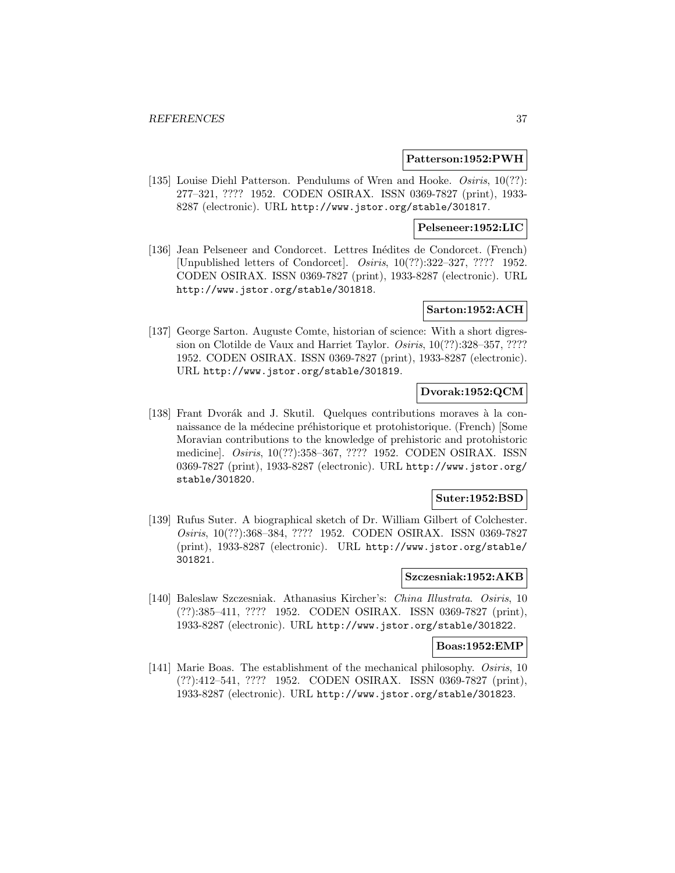### **Patterson:1952:PWH**

[135] Louise Diehl Patterson. Pendulums of Wren and Hooke. Osiris, 10(??): 277–321, ???? 1952. CODEN OSIRAX. ISSN 0369-7827 (print), 1933- 8287 (electronic). URL http://www.jstor.org/stable/301817.

## **Pelseneer:1952:LIC**

[136] Jean Pelseneer and Condorcet. Lettres Inédites de Condorcet. (French) [Unpublished letters of Condorcet]. Osiris, 10(??):322–327, ???? 1952. CODEN OSIRAX. ISSN 0369-7827 (print), 1933-8287 (electronic). URL http://www.jstor.org/stable/301818.

## **Sarton:1952:ACH**

[137] George Sarton. Auguste Comte, historian of science: With a short digression on Clotilde de Vaux and Harriet Taylor. Osiris, 10(??):328–357, ???? 1952. CODEN OSIRAX. ISSN 0369-7827 (print), 1933-8287 (electronic). URL http://www.jstor.org/stable/301819.

## **Dvorak:1952:QCM**

[138] Frant Dvorák and J. Skutil. Quelques contributions moraves à la connaissance de la médecine préhistorique et protohistorique. (French) [Some Moravian contributions to the knowledge of prehistoric and protohistoric medicine]. Osiris, 10(??):358–367, ???? 1952. CODEN OSIRAX. ISSN 0369-7827 (print), 1933-8287 (electronic). URL http://www.jstor.org/ stable/301820.

# **Suter:1952:BSD**

[139] Rufus Suter. A biographical sketch of Dr. William Gilbert of Colchester. Osiris, 10(??):368–384, ???? 1952. CODEN OSIRAX. ISSN 0369-7827 (print), 1933-8287 (electronic). URL http://www.jstor.org/stable/ 301821.

#### **Szczesniak:1952:AKB**

[140] Baleslaw Szczesniak. Athanasius Kircher's: China Illustrata. Osiris, 10 (??):385–411, ???? 1952. CODEN OSIRAX. ISSN 0369-7827 (print), 1933-8287 (electronic). URL http://www.jstor.org/stable/301822.

## **Boas:1952:EMP**

[141] Marie Boas. The establishment of the mechanical philosophy. Osiris, 10 (??):412–541, ???? 1952. CODEN OSIRAX. ISSN 0369-7827 (print), 1933-8287 (electronic). URL http://www.jstor.org/stable/301823.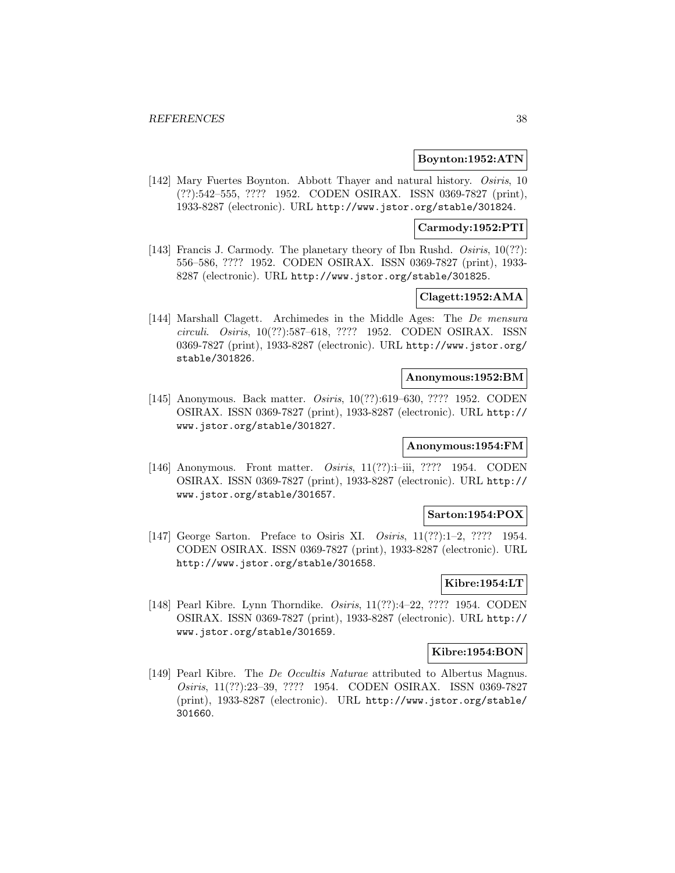## **Boynton:1952:ATN**

[142] Mary Fuertes Boynton. Abbott Thayer and natural history. Osiris, 10 (??):542–555, ???? 1952. CODEN OSIRAX. ISSN 0369-7827 (print), 1933-8287 (electronic). URL http://www.jstor.org/stable/301824.

## **Carmody:1952:PTI**

[143] Francis J. Carmody. The planetary theory of Ibn Rushd. Osiris, 10(??): 556–586, ???? 1952. CODEN OSIRAX. ISSN 0369-7827 (print), 1933- 8287 (electronic). URL http://www.jstor.org/stable/301825.

## **Clagett:1952:AMA**

[144] Marshall Clagett. Archimedes in the Middle Ages: The De mensura circuli. Osiris, 10(??):587–618, ???? 1952. CODEN OSIRAX. ISSN 0369-7827 (print), 1933-8287 (electronic). URL http://www.jstor.org/ stable/301826.

#### **Anonymous:1952:BM**

[145] Anonymous. Back matter. *Osiris*, 10(??):619-630, ???? 1952. CODEN OSIRAX. ISSN 0369-7827 (print), 1933-8287 (electronic). URL http:// www.jstor.org/stable/301827.

## **Anonymous:1954:FM**

[146] Anonymous. Front matter. Osiris, 11(??):i–iii, ???? 1954. CODEN OSIRAX. ISSN 0369-7827 (print), 1933-8287 (electronic). URL http:// www.jstor.org/stable/301657.

# **Sarton:1954:POX**

[147] George Sarton. Preface to Osiris XI. Osiris, 11(??):1-2, ???? 1954. CODEN OSIRAX. ISSN 0369-7827 (print), 1933-8287 (electronic). URL http://www.jstor.org/stable/301658.

# **Kibre:1954:LT**

[148] Pearl Kibre. Lynn Thorndike. *Osiris*, 11(??):4–22, ???? 1954. CODEN OSIRAX. ISSN 0369-7827 (print), 1933-8287 (electronic). URL http:// www.jstor.org/stable/301659.

### **Kibre:1954:BON**

[149] Pearl Kibre. The *De Occultis Naturae* attributed to Albertus Magnus. Osiris, 11(??):23–39, ???? 1954. CODEN OSIRAX. ISSN 0369-7827 (print), 1933-8287 (electronic). URL http://www.jstor.org/stable/ 301660.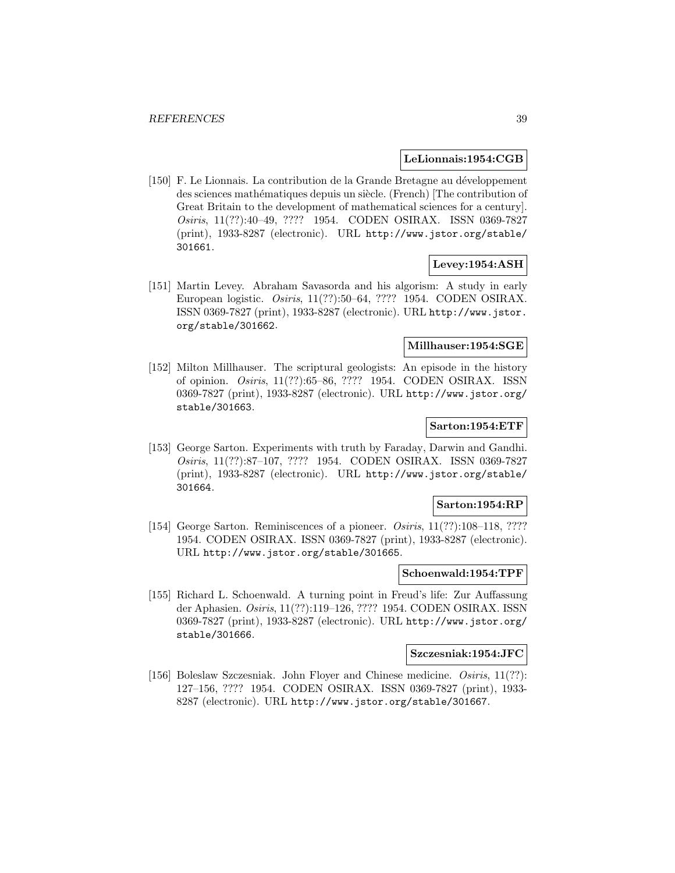### **LeLionnais:1954:CGB**

[150] F. Le Lionnais. La contribution de la Grande Bretagne au développement des sciences mathématiques depuis un siècle. (French) The contribution of Great Britain to the development of mathematical sciences for a century]. Osiris, 11(??):40–49, ???? 1954. CODEN OSIRAX. ISSN 0369-7827 (print), 1933-8287 (electronic). URL http://www.jstor.org/stable/ 301661.

# **Levey:1954:ASH**

[151] Martin Levey. Abraham Savasorda and his algorism: A study in early European logistic. Osiris, 11(??):50–64, ???? 1954. CODEN OSIRAX. ISSN 0369-7827 (print), 1933-8287 (electronic). URL http://www.jstor. org/stable/301662.

## **Millhauser:1954:SGE**

[152] Milton Millhauser. The scriptural geologists: An episode in the history of opinion. Osiris, 11(??):65–86, ???? 1954. CODEN OSIRAX. ISSN 0369-7827 (print), 1933-8287 (electronic). URL http://www.jstor.org/ stable/301663.

### **Sarton:1954:ETF**

[153] George Sarton. Experiments with truth by Faraday, Darwin and Gandhi. Osiris, 11(??):87–107, ???? 1954. CODEN OSIRAX. ISSN 0369-7827 (print), 1933-8287 (electronic). URL http://www.jstor.org/stable/ 301664.

### **Sarton:1954:RP**

[154] George Sarton. Reminiscences of a pioneer. *Osiris*, 11(??):108-118, ???? 1954. CODEN OSIRAX. ISSN 0369-7827 (print), 1933-8287 (electronic). URL http://www.jstor.org/stable/301665.

#### **Schoenwald:1954:TPF**

[155] Richard L. Schoenwald. A turning point in Freud's life: Zur Auffassung der Aphasien. Osiris, 11(??):119–126, ???? 1954. CODEN OSIRAX. ISSN 0369-7827 (print), 1933-8287 (electronic). URL http://www.jstor.org/ stable/301666.

## **Szczesniak:1954:JFC**

[156] Boleslaw Szczesniak. John Floyer and Chinese medicine. *Osiris*, 11(??): 127–156, ???? 1954. CODEN OSIRAX. ISSN 0369-7827 (print), 1933- 8287 (electronic). URL http://www.jstor.org/stable/301667.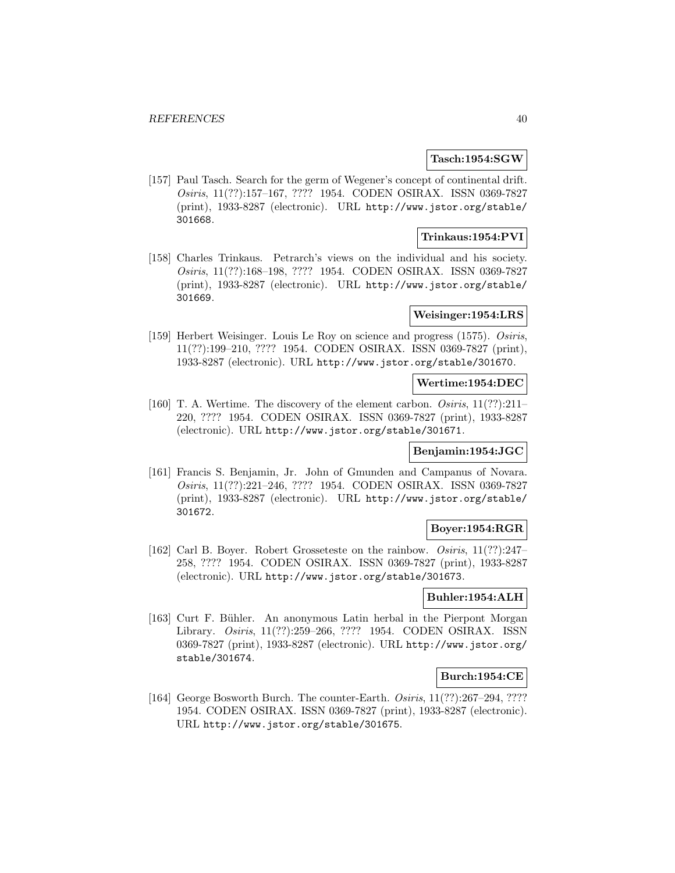### **Tasch:1954:SGW**

[157] Paul Tasch. Search for the germ of Wegener's concept of continental drift. Osiris, 11(??):157–167, ???? 1954. CODEN OSIRAX. ISSN 0369-7827 (print), 1933-8287 (electronic). URL http://www.jstor.org/stable/ 301668.

## **Trinkaus:1954:PVI**

[158] Charles Trinkaus. Petrarch's views on the individual and his society. Osiris, 11(??):168–198, ???? 1954. CODEN OSIRAX. ISSN 0369-7827 (print), 1933-8287 (electronic). URL http://www.jstor.org/stable/ 301669.

# **Weisinger:1954:LRS**

[159] Herbert Weisinger. Louis Le Roy on science and progress (1575). Osiris, 11(??):199–210, ???? 1954. CODEN OSIRAX. ISSN 0369-7827 (print), 1933-8287 (electronic). URL http://www.jstor.org/stable/301670.

#### **Wertime:1954:DEC**

[160] T. A. Wertime. The discovery of the element carbon. *Osiris*, 11(??):211– 220, ???? 1954. CODEN OSIRAX. ISSN 0369-7827 (print), 1933-8287 (electronic). URL http://www.jstor.org/stable/301671.

## **Benjamin:1954:JGC**

[161] Francis S. Benjamin, Jr. John of Gmunden and Campanus of Novara. Osiris, 11(??):221–246, ???? 1954. CODEN OSIRAX. ISSN 0369-7827 (print), 1933-8287 (electronic). URL http://www.jstor.org/stable/ 301672.

## **Boyer:1954:RGR**

[162] Carl B. Boyer. Robert Grosseteste on the rainbow. Osiris, 11(??):247– 258, ???? 1954. CODEN OSIRAX. ISSN 0369-7827 (print), 1933-8287 (electronic). URL http://www.jstor.org/stable/301673.

# **Buhler:1954:ALH**

[163] Curt F. Bühler. An anonymous Latin herbal in the Pierpont Morgan Library. Osiris, 11(??):259–266, ???? 1954. CODEN OSIRAX. ISSN 0369-7827 (print), 1933-8287 (electronic). URL http://www.jstor.org/ stable/301674.

### **Burch:1954:CE**

[164] George Bosworth Burch. The counter-Earth. Osiris, 11(??):267–294, ???? 1954. CODEN OSIRAX. ISSN 0369-7827 (print), 1933-8287 (electronic). URL http://www.jstor.org/stable/301675.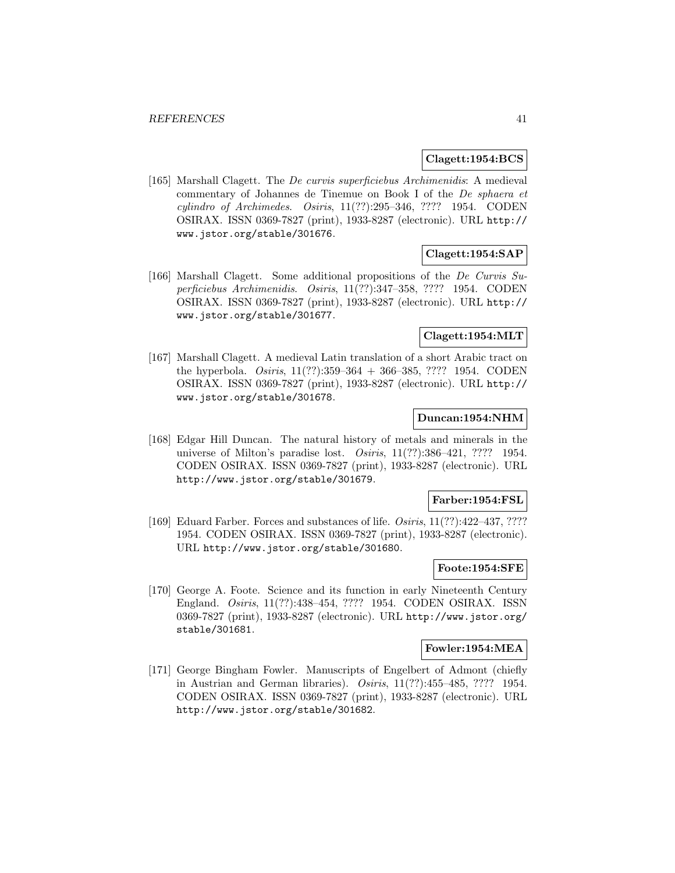### **Clagett:1954:BCS**

[165] Marshall Clagett. The De curvis superficiebus Archimenidis: A medieval commentary of Johannes de Tinemue on Book I of the De sphaera et cylindro of Archimedes. Osiris, 11(??):295–346, ???? 1954. CODEN OSIRAX. ISSN 0369-7827 (print), 1933-8287 (electronic). URL http:// www.jstor.org/stable/301676.

# **Clagett:1954:SAP**

[166] Marshall Clagett. Some additional propositions of the De Curvis Superficiebus Archimenidis. Osiris, 11(??):347–358, ???? 1954. CODEN OSIRAX. ISSN 0369-7827 (print), 1933-8287 (electronic). URL http:// www.jstor.org/stable/301677.

## **Clagett:1954:MLT**

[167] Marshall Clagett. A medieval Latin translation of a short Arabic tract on the hyperbola. Osiris, 11(??):359–364 + 366–385, ???? 1954. CODEN OSIRAX. ISSN 0369-7827 (print), 1933-8287 (electronic). URL http:// www.jstor.org/stable/301678.

## **Duncan:1954:NHM**

[168] Edgar Hill Duncan. The natural history of metals and minerals in the universe of Milton's paradise lost. Osiris, 11(??):386-421, ???? 1954. CODEN OSIRAX. ISSN 0369-7827 (print), 1933-8287 (electronic). URL http://www.jstor.org/stable/301679.

## **Farber:1954:FSL**

[169] Eduard Farber. Forces and substances of life. Osiris, 11(??):422-437, ???? 1954. CODEN OSIRAX. ISSN 0369-7827 (print), 1933-8287 (electronic). URL http://www.jstor.org/stable/301680.

# **Foote:1954:SFE**

[170] George A. Foote. Science and its function in early Nineteenth Century England. Osiris, 11(??):438–454, ???? 1954. CODEN OSIRAX. ISSN 0369-7827 (print), 1933-8287 (electronic). URL http://www.jstor.org/ stable/301681.

### **Fowler:1954:MEA**

[171] George Bingham Fowler. Manuscripts of Engelbert of Admont (chiefly in Austrian and German libraries). Osiris, 11(??):455–485, ???? 1954. CODEN OSIRAX. ISSN 0369-7827 (print), 1933-8287 (electronic). URL http://www.jstor.org/stable/301682.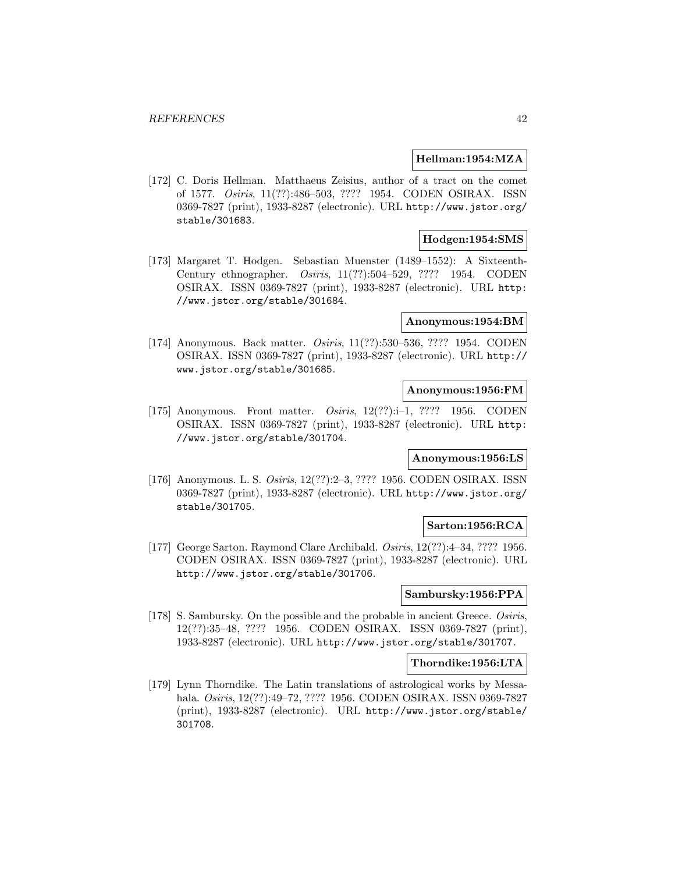### **Hellman:1954:MZA**

[172] C. Doris Hellman. Matthaeus Zeisius, author of a tract on the comet of 1577. Osiris, 11(??):486–503, ???? 1954. CODEN OSIRAX. ISSN 0369-7827 (print), 1933-8287 (electronic). URL http://www.jstor.org/ stable/301683.

## **Hodgen:1954:SMS**

[173] Margaret T. Hodgen. Sebastian Muenster (1489–1552): A Sixteenth-Century ethnographer. Osiris, 11(??):504–529, ???? 1954. CODEN OSIRAX. ISSN 0369-7827 (print), 1933-8287 (electronic). URL http: //www.jstor.org/stable/301684.

#### **Anonymous:1954:BM**

[174] Anonymous. Back matter. Osiris, 11(??):530–536, ???? 1954. CODEN OSIRAX. ISSN 0369-7827 (print), 1933-8287 (electronic). URL http:// www.jstor.org/stable/301685.

## **Anonymous:1956:FM**

[175] Anonymous. Front matter. *Osiris*, 12(??):i-1, ???? 1956. CODEN OSIRAX. ISSN 0369-7827 (print), 1933-8287 (electronic). URL http: //www.jstor.org/stable/301704.

### **Anonymous:1956:LS**

[176] Anonymous. L. S. Osiris, 12(??):2–3, ???? 1956. CODEN OSIRAX. ISSN 0369-7827 (print), 1933-8287 (electronic). URL http://www.jstor.org/ stable/301705.

## **Sarton:1956:RCA**

[177] George Sarton. Raymond Clare Archibald. Osiris, 12(??):4–34, ???? 1956. CODEN OSIRAX. ISSN 0369-7827 (print), 1933-8287 (electronic). URL http://www.jstor.org/stable/301706.

# **Sambursky:1956:PPA**

[178] S. Sambursky. On the possible and the probable in ancient Greece. Osiris, 12(??):35–48, ???? 1956. CODEN OSIRAX. ISSN 0369-7827 (print), 1933-8287 (electronic). URL http://www.jstor.org/stable/301707.

#### **Thorndike:1956:LTA**

[179] Lynn Thorndike. The Latin translations of astrological works by Messahala. Osiris, 12(??):49–72, ???? 1956. CODEN OSIRAX. ISSN 0369-7827 (print), 1933-8287 (electronic). URL http://www.jstor.org/stable/ 301708.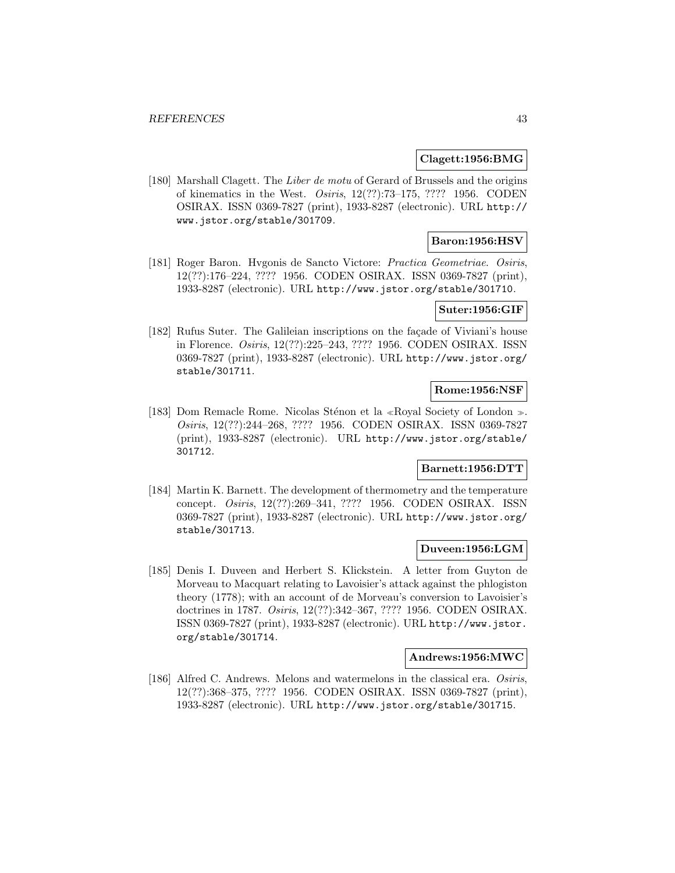## **Clagett:1956:BMG**

[180] Marshall Clagett. The Liber de motu of Gerard of Brussels and the origins of kinematics in the West. Osiris, 12(??):73–175, ???? 1956. CODEN OSIRAX. ISSN 0369-7827 (print), 1933-8287 (electronic). URL http:// www.jstor.org/stable/301709.

# **Baron:1956:HSV**

[181] Roger Baron. Hvgonis de Sancto Victore: Practica Geometriae. Osiris, 12(??):176–224, ???? 1956. CODEN OSIRAX. ISSN 0369-7827 (print), 1933-8287 (electronic). URL http://www.jstor.org/stable/301710.

# **Suter:1956:GIF**

[182] Rufus Suter. The Galileian inscriptions on the facade of Viviani's house in Florence. Osiris, 12(??):225–243, ???? 1956. CODEN OSIRAX. ISSN 0369-7827 (print), 1933-8287 (electronic). URL http://www.jstor.org/ stable/301711.

# **Rome:1956:NSF**

[183] Dom Remacle Rome. Nicolas Sténon et la «Royal Society of London ». Osiris, 12(??):244–268, ???? 1956. CODEN OSIRAX. ISSN 0369-7827 (print), 1933-8287 (electronic). URL http://www.jstor.org/stable/ 301712.

## **Barnett:1956:DTT**

[184] Martin K. Barnett. The development of thermometry and the temperature concept. Osiris, 12(??):269–341, ???? 1956. CODEN OSIRAX. ISSN 0369-7827 (print), 1933-8287 (electronic). URL http://www.jstor.org/ stable/301713.

## **Duveen:1956:LGM**

[185] Denis I. Duveen and Herbert S. Klickstein. A letter from Guyton de Morveau to Macquart relating to Lavoisier's attack against the phlogiston theory (1778); with an account of de Morveau's conversion to Lavoisier's doctrines in 1787. Osiris, 12(??):342–367, ???? 1956. CODEN OSIRAX. ISSN 0369-7827 (print), 1933-8287 (electronic). URL http://www.jstor. org/stable/301714.

## **Andrews:1956:MWC**

[186] Alfred C. Andrews. Melons and watermelons in the classical era. Osiris, 12(??):368–375, ???? 1956. CODEN OSIRAX. ISSN 0369-7827 (print), 1933-8287 (electronic). URL http://www.jstor.org/stable/301715.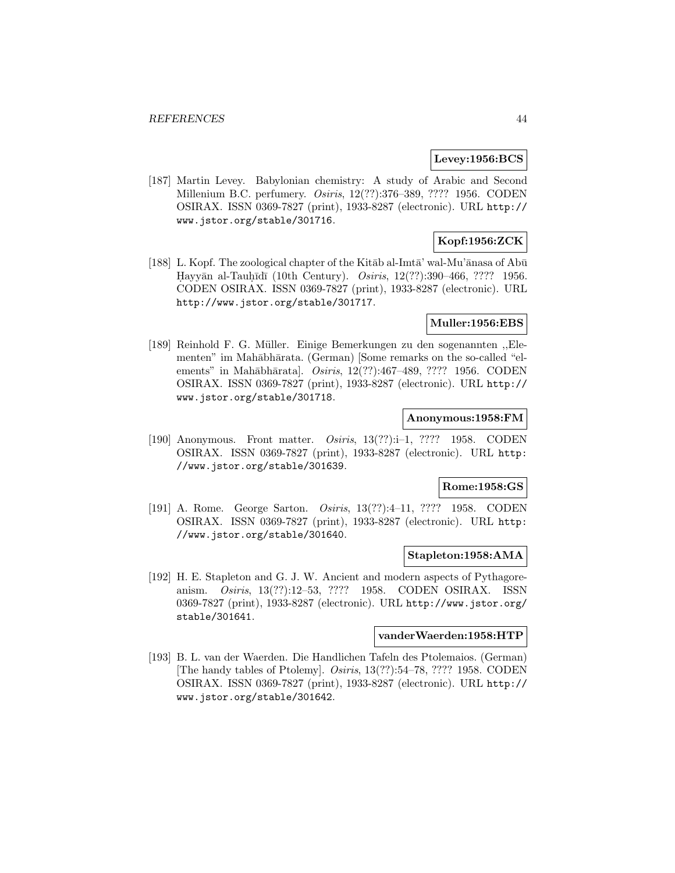## **Levey:1956:BCS**

[187] Martin Levey. Babylonian chemistry: A study of Arabic and Second Millenium B.C. perfumery. *Osiris*, 12(??):376–389, ???? 1956. CODEN OSIRAX. ISSN 0369-7827 (print), 1933-8287 (electronic). URL http:// www.jstor.org/stable/301716.

# **Kopf:1956:ZCK**

[188] L. Kopf. The zoological chapter of the Kitab al-Imta' wal-Mu'anasa of Abū Hayyān al-Tauhīdī (10th Century). *Osiris*, 12(??):390–466, ???? 1956. CODEN OSIRAX. ISSN 0369-7827 (print), 1933-8287 (electronic). URL http://www.jstor.org/stable/301717.

## **Muller:1956:EBS**

[189] Reinhold F. G. Müller. Einige Bemerkungen zu den sogenannten "Elementen" im Mahābhārata. (German) [Some remarks on the so-called "elements" in Mahābhārata]. Osiris, 12(??):467-489, ???? 1956. CODEN OSIRAX. ISSN 0369-7827 (print), 1933-8287 (electronic). URL http:// www.jstor.org/stable/301718.

## **Anonymous:1958:FM**

[190] Anonymous. Front matter. Osiris, 13(??):i–1, ???? 1958. CODEN OSIRAX. ISSN 0369-7827 (print), 1933-8287 (electronic). URL http: //www.jstor.org/stable/301639.

### **Rome:1958:GS**

[191] A. Rome. George Sarton. Osiris, 13(??):4–11, ???? 1958. CODEN OSIRAX. ISSN 0369-7827 (print), 1933-8287 (electronic). URL http: //www.jstor.org/stable/301640.

#### **Stapleton:1958:AMA**

[192] H. E. Stapleton and G. J. W. Ancient and modern aspects of Pythagoreanism. Osiris, 13(??):12–53, ???? 1958. CODEN OSIRAX. ISSN 0369-7827 (print), 1933-8287 (electronic). URL http://www.jstor.org/ stable/301641.

## **vanderWaerden:1958:HTP**

[193] B. L. van der Waerden. Die Handlichen Tafeln des Ptolemaios. (German) [The handy tables of Ptolemy]. Osiris, 13(??):54–78, ???? 1958. CODEN OSIRAX. ISSN 0369-7827 (print), 1933-8287 (electronic). URL http:// www.jstor.org/stable/301642.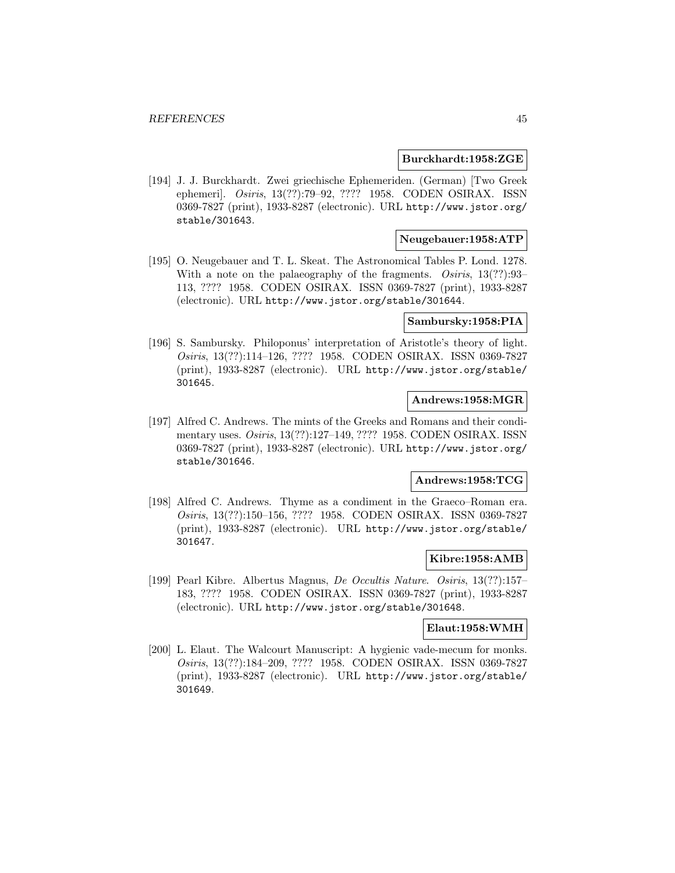### **Burckhardt:1958:ZGE**

[194] J. J. Burckhardt. Zwei griechische Ephemeriden. (German) [Two Greek ephemeri]. Osiris, 13(??):79–92, ???? 1958. CODEN OSIRAX. ISSN 0369-7827 (print), 1933-8287 (electronic). URL http://www.jstor.org/ stable/301643.

# **Neugebauer:1958:ATP**

[195] O. Neugebauer and T. L. Skeat. The Astronomical Tables P. Lond. 1278. With a note on the palaeography of the fragments.  $Osiris, 13(??):93-$ 113, ???? 1958. CODEN OSIRAX. ISSN 0369-7827 (print), 1933-8287 (electronic). URL http://www.jstor.org/stable/301644.

### **Sambursky:1958:PIA**

[196] S. Sambursky. Philoponus' interpretation of Aristotle's theory of light. Osiris, 13(??):114–126, ???? 1958. CODEN OSIRAX. ISSN 0369-7827 (print), 1933-8287 (electronic). URL http://www.jstor.org/stable/ 301645.

# **Andrews:1958:MGR**

[197] Alfred C. Andrews. The mints of the Greeks and Romans and their condimentary uses. Osiris, 13(??):127–149, ???? 1958. CODEN OSIRAX. ISSN 0369-7827 (print), 1933-8287 (electronic). URL http://www.jstor.org/ stable/301646.

## **Andrews:1958:TCG**

[198] Alfred C. Andrews. Thyme as a condiment in the Graeco–Roman era. Osiris, 13(??):150–156, ???? 1958. CODEN OSIRAX. ISSN 0369-7827 (print), 1933-8287 (electronic). URL http://www.jstor.org/stable/ 301647.

## **Kibre:1958:AMB**

[199] Pearl Kibre. Albertus Magnus, De Occultis Nature. Osiris, 13(??):157– 183, ???? 1958. CODEN OSIRAX. ISSN 0369-7827 (print), 1933-8287 (electronic). URL http://www.jstor.org/stable/301648.

#### **Elaut:1958:WMH**

[200] L. Elaut. The Walcourt Manuscript: A hygienic vade-mecum for monks. Osiris, 13(??):184–209, ???? 1958. CODEN OSIRAX. ISSN 0369-7827 (print), 1933-8287 (electronic). URL http://www.jstor.org/stable/ 301649.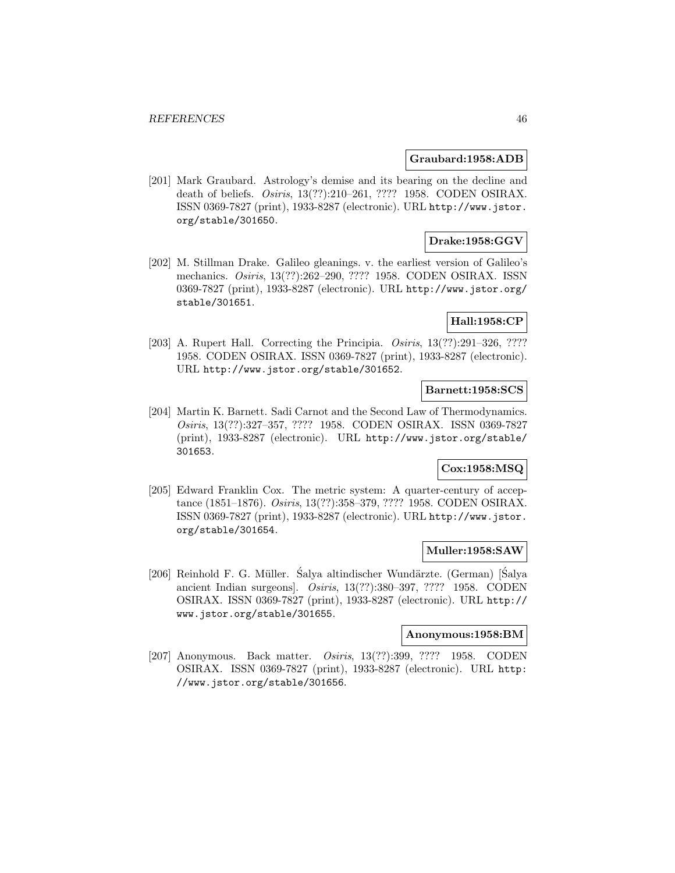### **Graubard:1958:ADB**

[201] Mark Graubard. Astrology's demise and its bearing on the decline and death of beliefs. Osiris, 13(??):210–261, ???? 1958. CODEN OSIRAX. ISSN 0369-7827 (print), 1933-8287 (electronic). URL http://www.jstor. org/stable/301650.

# **Drake:1958:GGV**

[202] M. Stillman Drake. Galileo gleanings. v. the earliest version of Galileo's mechanics. Osiris, 13(??):262–290, ???? 1958. CODEN OSIRAX. ISSN 0369-7827 (print), 1933-8287 (electronic). URL http://www.jstor.org/ stable/301651.

# **Hall:1958:CP**

[203] A. Rupert Hall. Correcting the Principia. Osiris, 13(??):291–326, ???? 1958. CODEN OSIRAX. ISSN 0369-7827 (print), 1933-8287 (electronic). URL http://www.jstor.org/stable/301652.

## **Barnett:1958:SCS**

[204] Martin K. Barnett. Sadi Carnot and the Second Law of Thermodynamics. Osiris, 13(??):327–357, ???? 1958. CODEN OSIRAX. ISSN 0369-7827 (print), 1933-8287 (electronic). URL http://www.jstor.org/stable/ 301653.

## **Cox:1958:MSQ**

[205] Edward Franklin Cox. The metric system: A quarter-century of acceptance (1851–1876). Osiris, 13(??):358–379, ???? 1958. CODEN OSIRAX. ISSN 0369-7827 (print), 1933-8287 (electronic). URL http://www.jstor. org/stable/301654.

## **Muller:1958:SAW**

[206] Reinhold F. G. Müller. Salya altindischer Wundärzte. (German) [Salya ancient Indian surgeons]. Osiris, 13(??):380–397, ???? 1958. CODEN OSIRAX. ISSN 0369-7827 (print), 1933-8287 (electronic). URL http:// www.jstor.org/stable/301655.

## **Anonymous:1958:BM**

[207] Anonymous. Back matter. Osiris, 13(??):399, ???? 1958. CODEN OSIRAX. ISSN 0369-7827 (print), 1933-8287 (electronic). URL http: //www.jstor.org/stable/301656.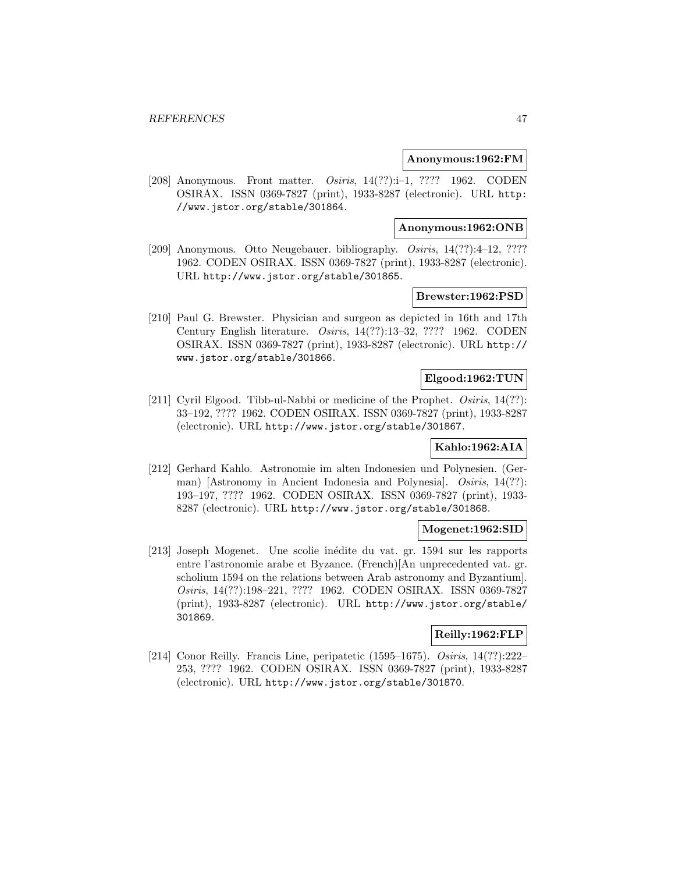### **Anonymous:1962:FM**

[208] Anonymous. Front matter. Osiris, 14(??):i–1, ???? 1962. CODEN OSIRAX. ISSN 0369-7827 (print), 1933-8287 (electronic). URL http: //www.jstor.org/stable/301864.

#### **Anonymous:1962:ONB**

[209] Anonymous. Otto Neugebauer. bibliography. Osiris, 14(??):4-12, ???? 1962. CODEN OSIRAX. ISSN 0369-7827 (print), 1933-8287 (electronic). URL http://www.jstor.org/stable/301865.

## **Brewster:1962:PSD**

[210] Paul G. Brewster. Physician and surgeon as depicted in 16th and 17th Century English literature. Osiris, 14(??):13–32, ???? 1962. CODEN OSIRAX. ISSN 0369-7827 (print), 1933-8287 (electronic). URL http:// www.jstor.org/stable/301866.

#### **Elgood:1962:TUN**

[211] Cyril Elgood. Tibb-ul-Nabbi or medicine of the Prophet. Osiris, 14(??): 33–192, ???? 1962. CODEN OSIRAX. ISSN 0369-7827 (print), 1933-8287 (electronic). URL http://www.jstor.org/stable/301867.

# **Kahlo:1962:AIA**

[212] Gerhard Kahlo. Astronomie im alten Indonesien und Polynesien. (German) [Astronomy in Ancient Indonesia and Polynesia]. *Osiris*, 14(??): 193–197, ???? 1962. CODEN OSIRAX. ISSN 0369-7827 (print), 1933- 8287 (electronic). URL http://www.jstor.org/stable/301868.

#### **Mogenet:1962:SID**

[213] Joseph Mogenet. Une scolie inédite du vat. gr. 1594 sur les rapports entre l'astronomie arabe et Byzance. (French)[An unprecedented vat. gr. scholium 1594 on the relations between Arab astronomy and Byzantium]. Osiris, 14(??):198–221, ???? 1962. CODEN OSIRAX. ISSN 0369-7827 (print), 1933-8287 (electronic). URL http://www.jstor.org/stable/ 301869.

## **Reilly:1962:FLP**

[214] Conor Reilly. Francis Line, peripatetic (1595–1675). Osiris, 14(??):222– 253, ???? 1962. CODEN OSIRAX. ISSN 0369-7827 (print), 1933-8287 (electronic). URL http://www.jstor.org/stable/301870.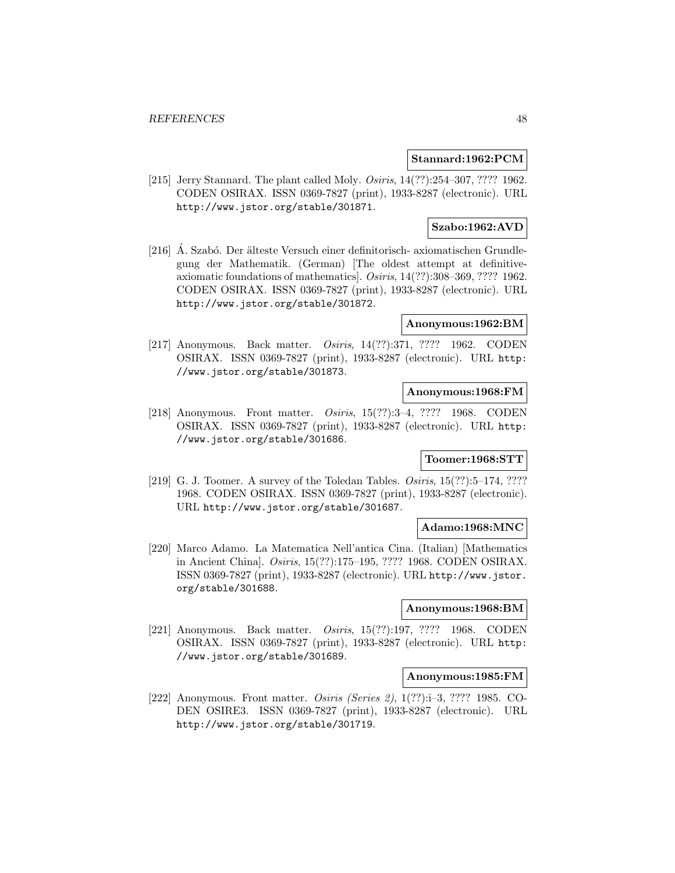### **Stannard:1962:PCM**

[215] Jerry Stannard. The plant called Moly. *Osiris*, 14(??): 254–307, ???? 1962. CODEN OSIRAX. ISSN 0369-7827 (print), 1933-8287 (electronic). URL http://www.jstor.org/stable/301871.

## **Szabo:1962:AVD**

[216] A. Szabó. Der älteste Versuch einer definitorisch- axiomatischen Grundlegung der Mathematik. (German) [The oldest attempt at definitiveaxiomatic foundations of mathematics]. Osiris, 14(??):308–369, ???? 1962. CODEN OSIRAX. ISSN 0369-7827 (print), 1933-8287 (electronic). URL http://www.jstor.org/stable/301872.

### **Anonymous:1962:BM**

[217] Anonymous. Back matter. Osiris, 14(??):371, ???? 1962. CODEN OSIRAX. ISSN 0369-7827 (print), 1933-8287 (electronic). URL http: //www.jstor.org/stable/301873.

### **Anonymous:1968:FM**

[218] Anonymous. Front matter. Osiris, 15(??):3–4, ???? 1968. CODEN OSIRAX. ISSN 0369-7827 (print), 1933-8287 (electronic). URL http: //www.jstor.org/stable/301686.

# **Toomer:1968:STT**

[219] G. J. Toomer. A survey of the Toledan Tables. Osiris, 15(??):5-174, ???? 1968. CODEN OSIRAX. ISSN 0369-7827 (print), 1933-8287 (electronic). URL http://www.jstor.org/stable/301687.

## **Adamo:1968:MNC**

[220] Marco Adamo. La Matematica Nell'antica Cina. (Italian) [Mathematics in Ancient China]. Osiris, 15(??):175–195, ???? 1968. CODEN OSIRAX. ISSN 0369-7827 (print), 1933-8287 (electronic). URL http://www.jstor. org/stable/301688.

### **Anonymous:1968:BM**

[221] Anonymous. Back matter. Osiris, 15(??):197, ???? 1968. CODEN OSIRAX. ISSN 0369-7827 (print), 1933-8287 (electronic). URL http: //www.jstor.org/stable/301689.

#### **Anonymous:1985:FM**

[222] Anonymous. Front matter. Osiris (Series 2), 1(??):i–3, ???? 1985. CO-DEN OSIRE3. ISSN 0369-7827 (print), 1933-8287 (electronic). URL http://www.jstor.org/stable/301719.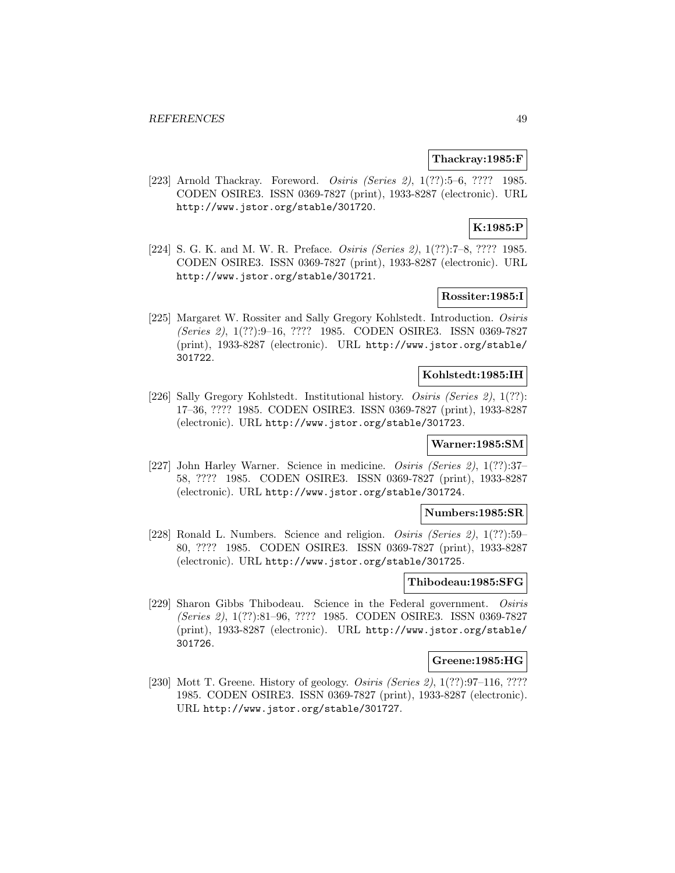### **Thackray:1985:F**

[223] Arnold Thackray. Foreword. Osiris (Series 2), 1(??):5–6, ???? 1985. CODEN OSIRE3. ISSN 0369-7827 (print), 1933-8287 (electronic). URL http://www.jstor.org/stable/301720.

# **K:1985:P**

[224] S. G. K. and M. W. R. Preface. Osiris (Series 2), 1(??):7–8, ???? 1985. CODEN OSIRE3. ISSN 0369-7827 (print), 1933-8287 (electronic). URL http://www.jstor.org/stable/301721.

# **Rossiter:1985:I**

[225] Margaret W. Rossiter and Sally Gregory Kohlstedt. Introduction. Osiris (Series 2), 1(??):9–16, ???? 1985. CODEN OSIRE3. ISSN 0369-7827 (print), 1933-8287 (electronic). URL http://www.jstor.org/stable/ 301722.

#### **Kohlstedt:1985:IH**

[226] Sally Gregory Kohlstedt. Institutional history. Osiris (Series 2), 1(??): 17–36, ???? 1985. CODEN OSIRE3. ISSN 0369-7827 (print), 1933-8287 (electronic). URL http://www.jstor.org/stable/301723.

## **Warner:1985:SM**

[227] John Harley Warner. Science in medicine. Osiris (Series 2), 1(??):37– 58, ???? 1985. CODEN OSIRE3. ISSN 0369-7827 (print), 1933-8287 (electronic). URL http://www.jstor.org/stable/301724.

#### **Numbers:1985:SR**

[228] Ronald L. Numbers. Science and religion. Osiris (Series 2), 1(??):59– 80, ???? 1985. CODEN OSIRE3. ISSN 0369-7827 (print), 1933-8287 (electronic). URL http://www.jstor.org/stable/301725.

## **Thibodeau:1985:SFG**

[229] Sharon Gibbs Thibodeau. Science in the Federal government. Osiris (Series 2), 1(??):81–96, ???? 1985. CODEN OSIRE3. ISSN 0369-7827 (print), 1933-8287 (electronic). URL http://www.jstor.org/stable/ 301726.

### **Greene:1985:HG**

[230] Mott T. Greene. History of geology. *Osiris (Series 2)*, 1(??):97–116, ???? 1985. CODEN OSIRE3. ISSN 0369-7827 (print), 1933-8287 (electronic). URL http://www.jstor.org/stable/301727.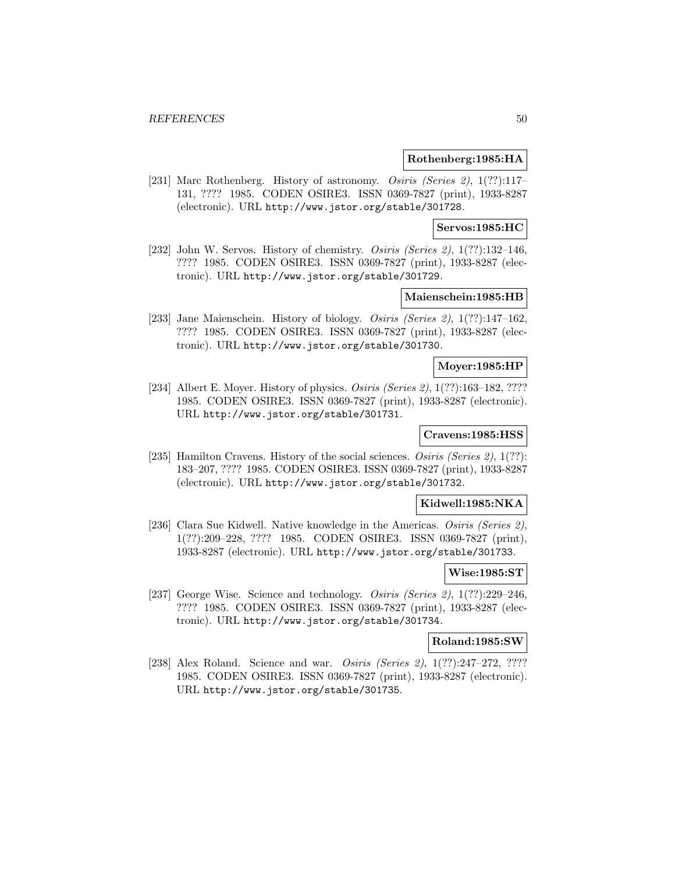#### **Rothenberg:1985:HA**

[231] Marc Rothenberg. History of astronomy. Osiris (Series 2), 1(??):117-131, ???? 1985. CODEN OSIRE3. ISSN 0369-7827 (print), 1933-8287 (electronic). URL http://www.jstor.org/stable/301728.

## **Servos:1985:HC**

[232] John W. Servos. History of chemistry. *Osiris (Series 2)*, 1(??):132-146, ???? 1985. CODEN OSIRE3. ISSN 0369-7827 (print), 1933-8287 (electronic). URL http://www.jstor.org/stable/301729.

## **Maienschein:1985:HB**

[233] Jane Maienschein. History of biology. Osiris (Series 2), 1(??):147–162, ???? 1985. CODEN OSIRE3. ISSN 0369-7827 (print), 1933-8287 (electronic). URL http://www.jstor.org/stable/301730.

### **Moyer:1985:HP**

[234] Albert E. Moyer. History of physics. *Osiris (Series 2)*, 1(??):163–182, ???? 1985. CODEN OSIRE3. ISSN 0369-7827 (print), 1933-8287 (electronic). URL http://www.jstor.org/stable/301731.

# **Cravens:1985:HSS**

[235] Hamilton Cravens. History of the social sciences. *Osiris (Series 2)*,  $1(??)$ : 183–207, ???? 1985. CODEN OSIRE3. ISSN 0369-7827 (print), 1933-8287 (electronic). URL http://www.jstor.org/stable/301732.

#### **Kidwell:1985:NKA**

[236] Clara Sue Kidwell. Native knowledge in the Americas. Osiris (Series 2), 1(??):209–228, ???? 1985. CODEN OSIRE3. ISSN 0369-7827 (print), 1933-8287 (electronic). URL http://www.jstor.org/stable/301733.

#### **Wise:1985:ST**

[237] George Wise. Science and technology. *Osiris (Series 2)*, 1(??):229–246, ???? 1985. CODEN OSIRE3. ISSN 0369-7827 (print), 1933-8287 (electronic). URL http://www.jstor.org/stable/301734.

# **Roland:1985:SW**

[238] Alex Roland. Science and war. *Osiris (Series 2)*, 1(??):247–272, ???? 1985. CODEN OSIRE3. ISSN 0369-7827 (print), 1933-8287 (electronic). URL http://www.jstor.org/stable/301735.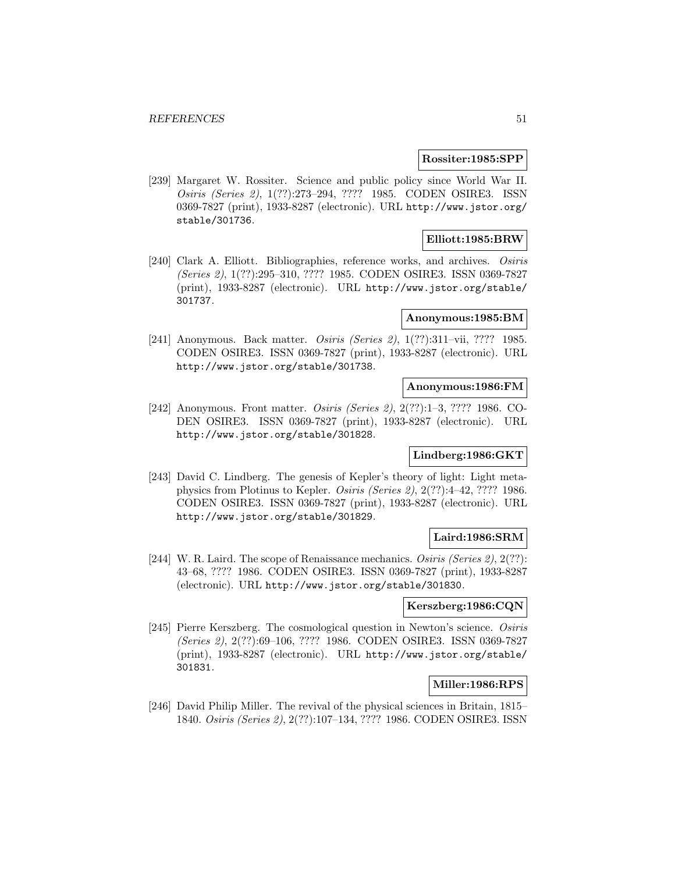#### **Rossiter:1985:SPP**

[239] Margaret W. Rossiter. Science and public policy since World War II. Osiris (Series 2), 1(??):273–294, ???? 1985. CODEN OSIRE3. ISSN 0369-7827 (print), 1933-8287 (electronic). URL http://www.jstor.org/ stable/301736.

## **Elliott:1985:BRW**

[240] Clark A. Elliott. Bibliographies, reference works, and archives. Osiris (Series 2), 1(??):295–310, ???? 1985. CODEN OSIRE3. ISSN 0369-7827 (print), 1933-8287 (electronic). URL http://www.jstor.org/stable/ 301737.

## **Anonymous:1985:BM**

[241] Anonymous. Back matter. Osiris (Series 2), 1(??):311–vii, ???? 1985. CODEN OSIRE3. ISSN 0369-7827 (print), 1933-8287 (electronic). URL http://www.jstor.org/stable/301738.

## **Anonymous:1986:FM**

[242] Anonymous. Front matter. Osiris (Series 2), 2(??):1–3, ???? 1986. CO-DEN OSIRE3. ISSN 0369-7827 (print), 1933-8287 (electronic). URL http://www.jstor.org/stable/301828.

# **Lindberg:1986:GKT**

[243] David C. Lindberg. The genesis of Kepler's theory of light: Light metaphysics from Plotinus to Kepler. Osiris (Series 2), 2(??):4–42, ???? 1986. CODEN OSIRE3. ISSN 0369-7827 (print), 1933-8287 (electronic). URL http://www.jstor.org/stable/301829.

# **Laird:1986:SRM**

[244] W. R. Laird. The scope of Renaissance mechanics. Osiris (Series 2), 2(??): 43–68, ???? 1986. CODEN OSIRE3. ISSN 0369-7827 (print), 1933-8287 (electronic). URL http://www.jstor.org/stable/301830.

# **Kerszberg:1986:CQN**

[245] Pierre Kerszberg. The cosmological question in Newton's science. Osiris (Series 2), 2(??):69–106, ???? 1986. CODEN OSIRE3. ISSN 0369-7827 (print), 1933-8287 (electronic). URL http://www.jstor.org/stable/ 301831.

## **Miller:1986:RPS**

[246] David Philip Miller. The revival of the physical sciences in Britain, 1815– 1840. Osiris (Series 2), 2(??):107–134, ???? 1986. CODEN OSIRE3. ISSN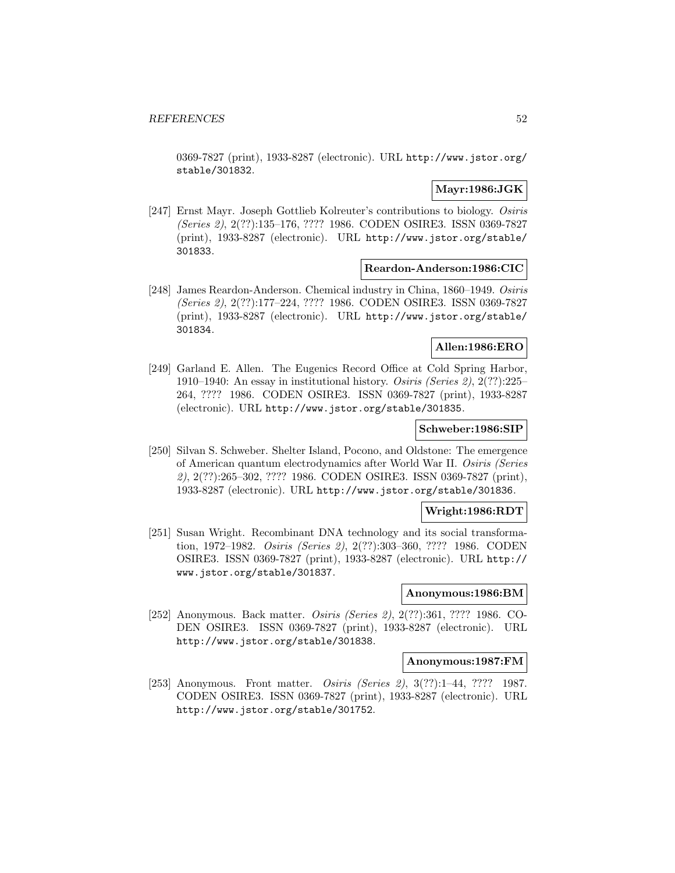0369-7827 (print), 1933-8287 (electronic). URL http://www.jstor.org/ stable/301832.

## **Mayr:1986:JGK**

[247] Ernst Mayr. Joseph Gottlieb Kolreuter's contributions to biology. Osiris (Series 2), 2(??):135–176, ???? 1986. CODEN OSIRE3. ISSN 0369-7827 (print), 1933-8287 (electronic). URL http://www.jstor.org/stable/ 301833.

#### **Reardon-Anderson:1986:CIC**

[248] James Reardon-Anderson. Chemical industry in China, 1860–1949. Osiris (Series 2), 2(??):177–224, ???? 1986. CODEN OSIRE3. ISSN 0369-7827 (print), 1933-8287 (electronic). URL http://www.jstor.org/stable/ 301834.

# **Allen:1986:ERO**

[249] Garland E. Allen. The Eugenics Record Office at Cold Spring Harbor, 1910–1940: An essay in institutional history. Osiris (Series 2), 2(??):225– 264, ???? 1986. CODEN OSIRE3. ISSN 0369-7827 (print), 1933-8287 (electronic). URL http://www.jstor.org/stable/301835.

### **Schweber:1986:SIP**

[250] Silvan S. Schweber. Shelter Island, Pocono, and Oldstone: The emergence of American quantum electrodynamics after World War II. Osiris (Series 2), 2(??):265–302, ???? 1986. CODEN OSIRE3. ISSN 0369-7827 (print), 1933-8287 (electronic). URL http://www.jstor.org/stable/301836.

#### **Wright:1986:RDT**

[251] Susan Wright. Recombinant DNA technology and its social transformation, 1972–1982. Osiris (Series 2), 2(??):303–360, ???? 1986. CODEN OSIRE3. ISSN 0369-7827 (print), 1933-8287 (electronic). URL http:// www.jstor.org/stable/301837.

#### **Anonymous:1986:BM**

[252] Anonymous. Back matter. Osiris (Series 2), 2(??):361, ???? 1986. CO-DEN OSIRE3. ISSN 0369-7827 (print), 1933-8287 (electronic). URL http://www.jstor.org/stable/301838.

#### **Anonymous:1987:FM**

[253] Anonymous. Front matter. Osiris (Series 2), 3(??):1–44, ???? 1987. CODEN OSIRE3. ISSN 0369-7827 (print), 1933-8287 (electronic). URL http://www.jstor.org/stable/301752.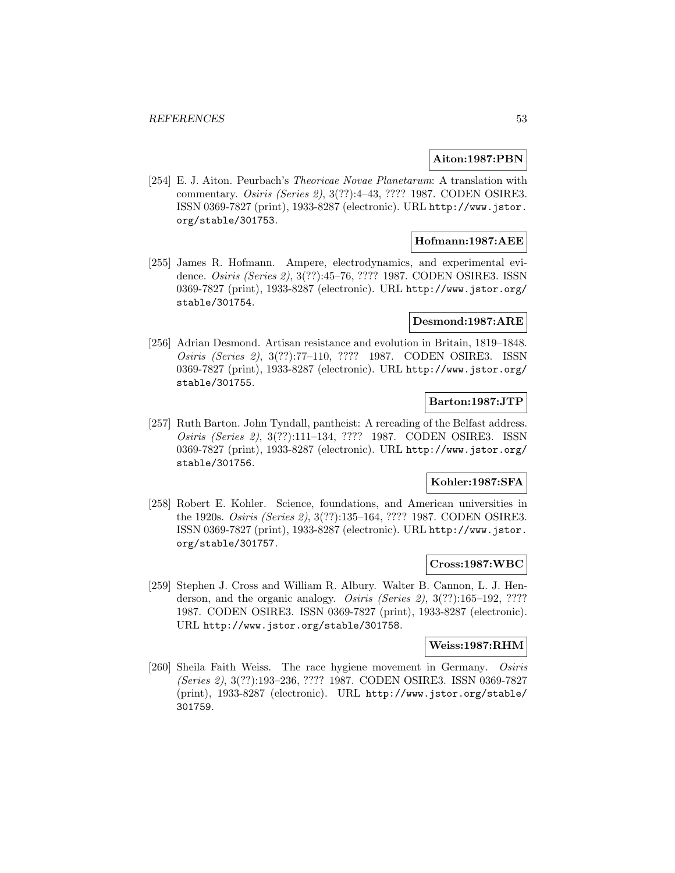### **Aiton:1987:PBN**

[254] E. J. Aiton. Peurbach's Theoricae Novae Planetarum: A translation with commentary. Osiris (Series 2), 3(??):4–43, ???? 1987. CODEN OSIRE3. ISSN 0369-7827 (print), 1933-8287 (electronic). URL http://www.jstor. org/stable/301753.

## **Hofmann:1987:AEE**

[255] James R. Hofmann. Ampere, electrodynamics, and experimental evidence. Osiris (Series 2), 3(??):45–76, ???? 1987. CODEN OSIRE3. ISSN 0369-7827 (print), 1933-8287 (electronic). URL http://www.jstor.org/ stable/301754.

### **Desmond:1987:ARE**

[256] Adrian Desmond. Artisan resistance and evolution in Britain, 1819–1848. Osiris (Series 2), 3(??):77–110, ???? 1987. CODEN OSIRE3. ISSN 0369-7827 (print), 1933-8287 (electronic). URL http://www.jstor.org/ stable/301755.

# **Barton:1987:JTP**

[257] Ruth Barton. John Tyndall, pantheist: A rereading of the Belfast address. Osiris (Series 2), 3(??):111–134, ???? 1987. CODEN OSIRE3. ISSN 0369-7827 (print), 1933-8287 (electronic). URL http://www.jstor.org/ stable/301756.

## **Kohler:1987:SFA**

[258] Robert E. Kohler. Science, foundations, and American universities in the 1920s. Osiris (Series 2), 3(??):135–164, ???? 1987. CODEN OSIRE3. ISSN 0369-7827 (print), 1933-8287 (electronic). URL http://www.jstor. org/stable/301757.

## **Cross:1987:WBC**

[259] Stephen J. Cross and William R. Albury. Walter B. Cannon, L. J. Henderson, and the organic analogy. *Osiris (Series 2)*, 3(??):165–192, ???? 1987. CODEN OSIRE3. ISSN 0369-7827 (print), 1933-8287 (electronic). URL http://www.jstor.org/stable/301758.

#### **Weiss:1987:RHM**

[260] Sheila Faith Weiss. The race hygiene movement in Germany. Osiris (Series 2), 3(??):193–236, ???? 1987. CODEN OSIRE3. ISSN 0369-7827 (print), 1933-8287 (electronic). URL http://www.jstor.org/stable/ 301759.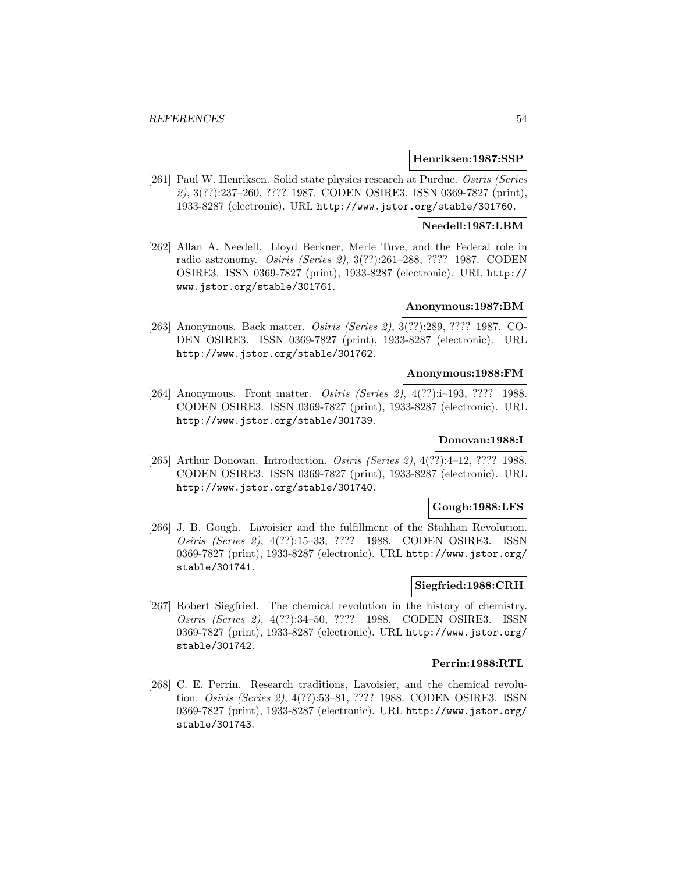#### **Henriksen:1987:SSP**

[261] Paul W. Henriksen. Solid state physics research at Purdue. Osiris (Series 2), 3(??):237–260, ???? 1987. CODEN OSIRE3. ISSN 0369-7827 (print), 1933-8287 (electronic). URL http://www.jstor.org/stable/301760.

#### **Needell:1987:LBM**

[262] Allan A. Needell. Lloyd Berkner, Merle Tuve, and the Federal role in radio astronomy. Osiris (Series 2), 3(??):261–288, ???? 1987. CODEN OSIRE3. ISSN 0369-7827 (print), 1933-8287 (electronic). URL http:// www.jstor.org/stable/301761.

### **Anonymous:1987:BM**

[263] Anonymous. Back matter. Osiris (Series 2), 3(??):289, ???? 1987. CO-DEN OSIRE3. ISSN 0369-7827 (print), 1933-8287 (electronic). URL http://www.jstor.org/stable/301762.

#### **Anonymous:1988:FM**

[264] Anonymous. Front matter. *Osiris (Series 2)*, 4(??):i-193, ???? 1988. CODEN OSIRE3. ISSN 0369-7827 (print), 1933-8287 (electronic). URL http://www.jstor.org/stable/301739.

#### **Donovan:1988:I**

[265] Arthur Donovan. Introduction. *Osiris (Series 2)*, 4(??):4-12, ???? 1988. CODEN OSIRE3. ISSN 0369-7827 (print), 1933-8287 (electronic). URL http://www.jstor.org/stable/301740.

## **Gough:1988:LFS**

[266] J. B. Gough. Lavoisier and the fulfillment of the Stahlian Revolution. Osiris (Series 2), 4(??):15–33, ???? 1988. CODEN OSIRE3. ISSN 0369-7827 (print), 1933-8287 (electronic). URL http://www.jstor.org/ stable/301741.

# **Siegfried:1988:CRH**

[267] Robert Siegfried. The chemical revolution in the history of chemistry. Osiris (Series 2), 4(??):34–50, ???? 1988. CODEN OSIRE3. ISSN 0369-7827 (print), 1933-8287 (electronic). URL http://www.jstor.org/ stable/301742.

## **Perrin:1988:RTL**

[268] C. E. Perrin. Research traditions, Lavoisier, and the chemical revolution. Osiris (Series 2), 4(??):53–81, ???? 1988. CODEN OSIRE3. ISSN 0369-7827 (print), 1933-8287 (electronic). URL http://www.jstor.org/ stable/301743.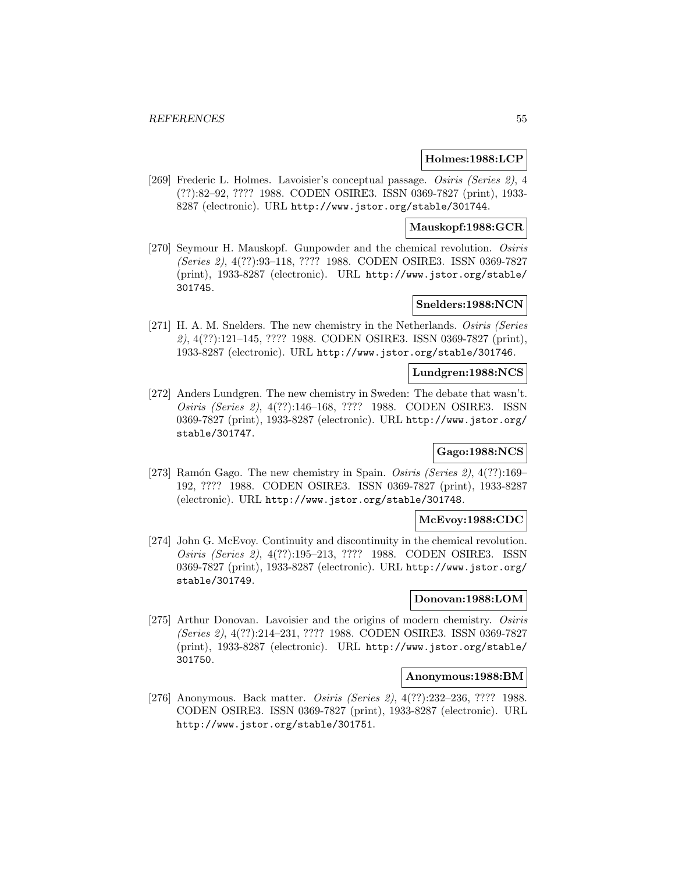### **Holmes:1988:LCP**

[269] Frederic L. Holmes. Lavoisier's conceptual passage. Osiris (Series 2), 4 (??):82–92, ???? 1988. CODEN OSIRE3. ISSN 0369-7827 (print), 1933- 8287 (electronic). URL http://www.jstor.org/stable/301744.

## **Mauskopf:1988:GCR**

[270] Seymour H. Mauskopf. Gunpowder and the chemical revolution. Osiris (Series 2), 4(??):93–118, ???? 1988. CODEN OSIRE3. ISSN 0369-7827 (print), 1933-8287 (electronic). URL http://www.jstor.org/stable/ 301745.

#### **Snelders:1988:NCN**

[271] H. A. M. Snelders. The new chemistry in the Netherlands. Osiris (Series 2), 4(??):121–145, ???? 1988. CODEN OSIRE3. ISSN 0369-7827 (print), 1933-8287 (electronic). URL http://www.jstor.org/stable/301746.

#### **Lundgren:1988:NCS**

[272] Anders Lundgren. The new chemistry in Sweden: The debate that wasn't. Osiris (Series 2), 4(??):146–168, ???? 1988. CODEN OSIRE3. ISSN 0369-7827 (print), 1933-8287 (electronic). URL http://www.jstor.org/ stable/301747.

# **Gago:1988:NCS**

[273] Ramón Gago. The new chemistry in Spain. Osiris (Series 2),  $4(??)$ :169– 192, ???? 1988. CODEN OSIRE3. ISSN 0369-7827 (print), 1933-8287 (electronic). URL http://www.jstor.org/stable/301748.

#### **McEvoy:1988:CDC**

[274] John G. McEvoy. Continuity and discontinuity in the chemical revolution. Osiris (Series 2), 4(??):195–213, ???? 1988. CODEN OSIRE3. ISSN 0369-7827 (print), 1933-8287 (electronic). URL http://www.jstor.org/ stable/301749.

# **Donovan:1988:LOM**

[275] Arthur Donovan. Lavoisier and the origins of modern chemistry. Osiris (Series 2), 4(??):214–231, ???? 1988. CODEN OSIRE3. ISSN 0369-7827 (print), 1933-8287 (electronic). URL http://www.jstor.org/stable/ 301750.

#### **Anonymous:1988:BM**

[276] Anonymous. Back matter. Osiris (Series 2), 4(??):232–236, ???? 1988. CODEN OSIRE3. ISSN 0369-7827 (print), 1933-8287 (electronic). URL http://www.jstor.org/stable/301751.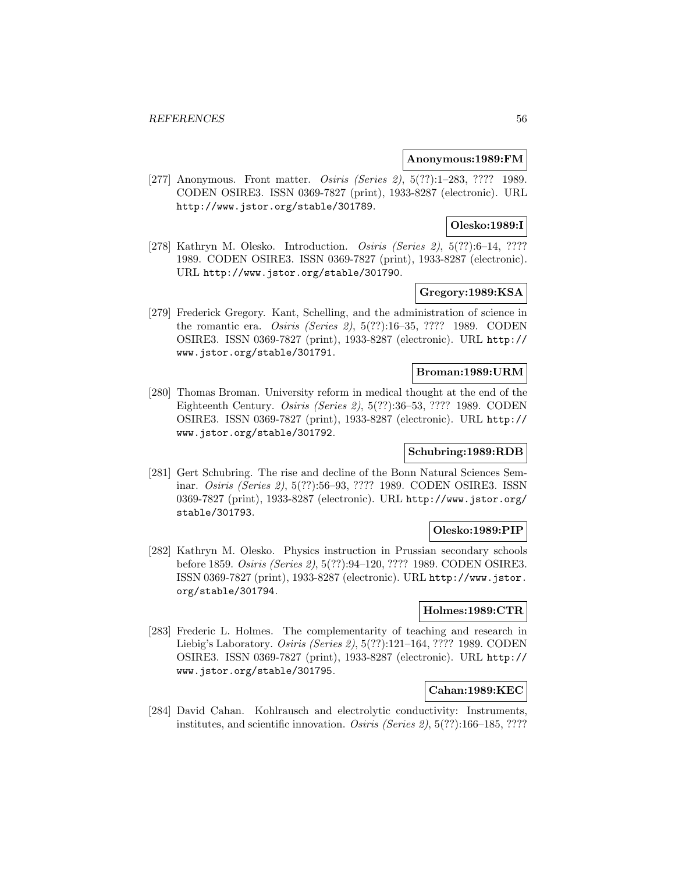### **Anonymous:1989:FM**

[277] Anonymous. Front matter. Osiris (Series 2), 5(??):1-283, ???? 1989. CODEN OSIRE3. ISSN 0369-7827 (print), 1933-8287 (electronic). URL http://www.jstor.org/stable/301789.

# **Olesko:1989:I**

[278] Kathryn M. Olesko. Introduction. *Osiris (Series 2)*, 5(??):6–14, ???? 1989. CODEN OSIRE3. ISSN 0369-7827 (print), 1933-8287 (electronic). URL http://www.jstor.org/stable/301790.

# **Gregory:1989:KSA**

[279] Frederick Gregory. Kant, Schelling, and the administration of science in the romantic era. Osiris (Series 2), 5(??):16–35, ???? 1989. CODEN OSIRE3. ISSN 0369-7827 (print), 1933-8287 (electronic). URL http:// www.jstor.org/stable/301791.

#### **Broman:1989:URM**

[280] Thomas Broman. University reform in medical thought at the end of the Eighteenth Century. Osiris (Series 2), 5(??):36–53, ???? 1989. CODEN OSIRE3. ISSN 0369-7827 (print), 1933-8287 (electronic). URL http:// www.jstor.org/stable/301792.

## **Schubring:1989:RDB**

[281] Gert Schubring. The rise and decline of the Bonn Natural Sciences Seminar. Osiris (Series 2), 5(??):56–93, ???? 1989. CODEN OSIRE3. ISSN 0369-7827 (print), 1933-8287 (electronic). URL http://www.jstor.org/ stable/301793.

## **Olesko:1989:PIP**

[282] Kathryn M. Olesko. Physics instruction in Prussian secondary schools before 1859. Osiris (Series 2), 5(??):94–120, ???? 1989. CODEN OSIRE3. ISSN 0369-7827 (print), 1933-8287 (electronic). URL http://www.jstor. org/stable/301794.

## **Holmes:1989:CTR**

[283] Frederic L. Holmes. The complementarity of teaching and research in Liebig's Laboratory. Osiris (Series 2), 5(??):121–164, ???? 1989. CODEN OSIRE3. ISSN 0369-7827 (print), 1933-8287 (electronic). URL http:// www.jstor.org/stable/301795.

# **Cahan:1989:KEC**

[284] David Cahan. Kohlrausch and electrolytic conductivity: Instruments, institutes, and scientific innovation. Osiris (Series 2), 5(??):166–185, ????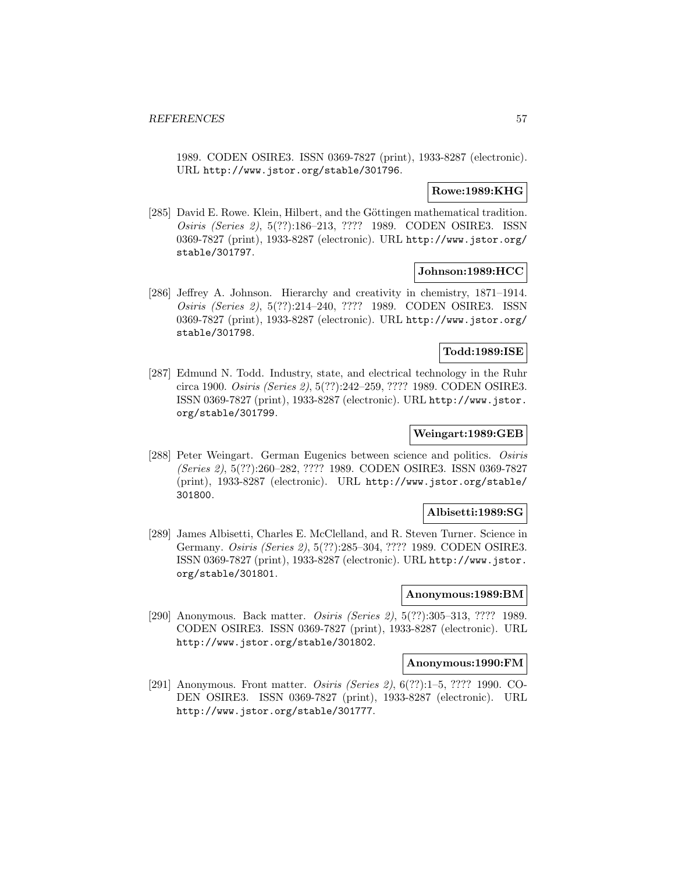1989. CODEN OSIRE3. ISSN 0369-7827 (print), 1933-8287 (electronic). URL http://www.jstor.org/stable/301796.

### **Rowe:1989:KHG**

[285] David E. Rowe. Klein, Hilbert, and the Göttingen mathematical tradition. Osiris (Series 2), 5(??):186–213, ???? 1989. CODEN OSIRE3. ISSN 0369-7827 (print), 1933-8287 (electronic). URL http://www.jstor.org/ stable/301797.

# **Johnson:1989:HCC**

[286] Jeffrey A. Johnson. Hierarchy and creativity in chemistry, 1871–1914. Osiris (Series 2), 5(??):214–240, ???? 1989. CODEN OSIRE3. ISSN 0369-7827 (print), 1933-8287 (electronic). URL http://www.jstor.org/ stable/301798.

## **Todd:1989:ISE**

[287] Edmund N. Todd. Industry, state, and electrical technology in the Ruhr circa 1900. Osiris (Series 2), 5(??):242–259, ???? 1989. CODEN OSIRE3. ISSN 0369-7827 (print), 1933-8287 (electronic). URL http://www.jstor. org/stable/301799.

## **Weingart:1989:GEB**

[288] Peter Weingart. German Eugenics between science and politics. Osiris (Series 2), 5(??):260–282, ???? 1989. CODEN OSIRE3. ISSN 0369-7827 (print), 1933-8287 (electronic). URL http://www.jstor.org/stable/ 301800.

## **Albisetti:1989:SG**

[289] James Albisetti, Charles E. McClelland, and R. Steven Turner. Science in Germany. Osiris (Series 2), 5(??):285–304, ???? 1989. CODEN OSIRE3. ISSN 0369-7827 (print), 1933-8287 (electronic). URL http://www.jstor. org/stable/301801.

### **Anonymous:1989:BM**

[290] Anonymous. Back matter. Osiris (Series 2), 5(??):305–313, ???? 1989. CODEN OSIRE3. ISSN 0369-7827 (print), 1933-8287 (electronic). URL http://www.jstor.org/stable/301802.

#### **Anonymous:1990:FM**

[291] Anonymous. Front matter. Osiris (Series 2), 6(??):1–5, ???? 1990. CO-DEN OSIRE3. ISSN 0369-7827 (print), 1933-8287 (electronic). URL http://www.jstor.org/stable/301777.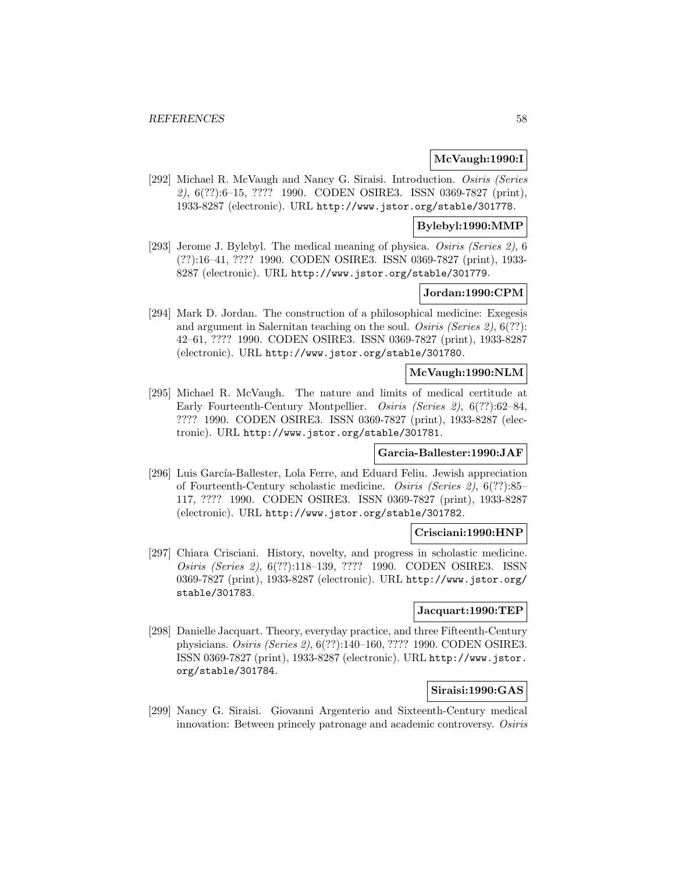## **McVaugh:1990:I**

[292] Michael R. McVaugh and Nancy G. Siraisi. Introduction. Osiris (Series 2), 6(??):6–15, ???? 1990. CODEN OSIRE3. ISSN 0369-7827 (print), 1933-8287 (electronic). URL http://www.jstor.org/stable/301778.

### **Bylebyl:1990:MMP**

[293] Jerome J. Bylebyl. The medical meaning of physica. Osiris (Series 2), 6 (??):16–41, ???? 1990. CODEN OSIRE3. ISSN 0369-7827 (print), 1933- 8287 (electronic). URL http://www.jstor.org/stable/301779.

### **Jordan:1990:CPM**

[294] Mark D. Jordan. The construction of a philosophical medicine: Exegesis and argument in Salernitan teaching on the soul. Osiris (Series 2), 6(??): 42–61, ???? 1990. CODEN OSIRE3. ISSN 0369-7827 (print), 1933-8287 (electronic). URL http://www.jstor.org/stable/301780.

# **McVaugh:1990:NLM**

[295] Michael R. McVaugh. The nature and limits of medical certitude at Early Fourteenth-Century Montpellier. Osiris (Series 2), 6(??):62–84, ???? 1990. CODEN OSIRE3. ISSN 0369-7827 (print), 1933-8287 (electronic). URL http://www.jstor.org/stable/301781.

## **Garcia-Ballester:1990:JAF**

[296] Luis García-Ballester, Lola Ferre, and Eduard Feliu. Jewish appreciation of Fourteenth-Century scholastic medicine. Osiris (Series 2), 6(??):85– 117, ???? 1990. CODEN OSIRE3. ISSN 0369-7827 (print), 1933-8287 (electronic). URL http://www.jstor.org/stable/301782.

#### **Crisciani:1990:HNP**

[297] Chiara Crisciani. History, novelty, and progress in scholastic medicine. Osiris (Series 2), 6(??):118–139, ???? 1990. CODEN OSIRE3. ISSN 0369-7827 (print), 1933-8287 (electronic). URL http://www.jstor.org/ stable/301783.

### **Jacquart:1990:TEP**

[298] Danielle Jacquart. Theory, everyday practice, and three Fifteenth-Century physicians. Osiris (Series 2), 6(??):140–160, ???? 1990. CODEN OSIRE3. ISSN 0369-7827 (print), 1933-8287 (electronic). URL http://www.jstor. org/stable/301784.

# **Siraisi:1990:GAS**

[299] Nancy G. Siraisi. Giovanni Argenterio and Sixteenth-Century medical innovation: Between princely patronage and academic controversy. Osiris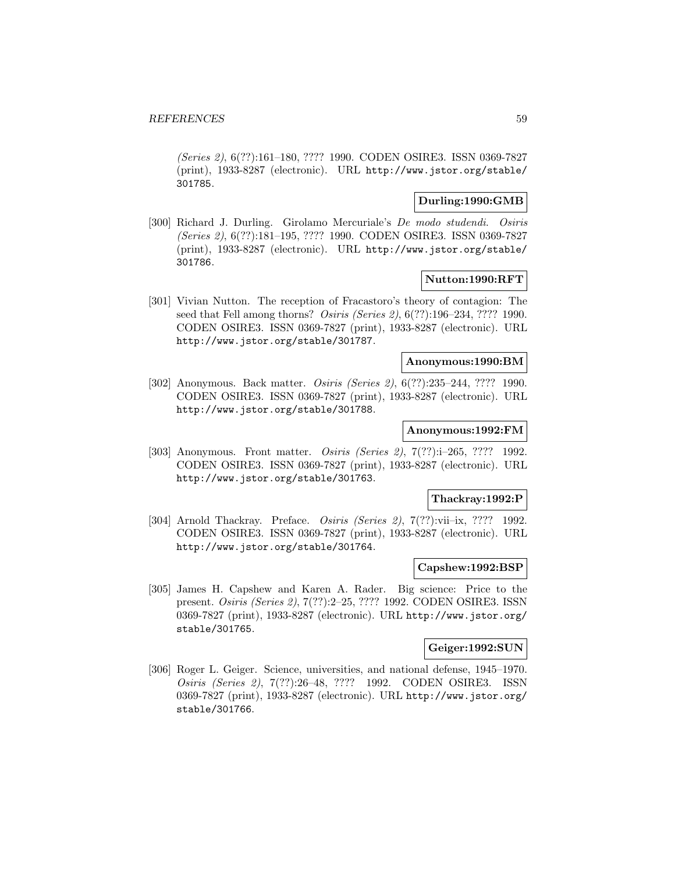(Series 2), 6(??):161–180, ???? 1990. CODEN OSIRE3. ISSN 0369-7827 (print), 1933-8287 (electronic). URL http://www.jstor.org/stable/ 301785.

# **Durling:1990:GMB**

[300] Richard J. Durling. Girolamo Mercuriale's De modo studendi. Osiris (Series 2), 6(??):181–195, ???? 1990. CODEN OSIRE3. ISSN 0369-7827 (print), 1933-8287 (electronic). URL http://www.jstor.org/stable/ 301786.

## **Nutton:1990:RFT**

[301] Vivian Nutton. The reception of Fracastoro's theory of contagion: The seed that Fell among thorns? Osiris (Series 2), 6(??):196–234, ???? 1990. CODEN OSIRE3. ISSN 0369-7827 (print), 1933-8287 (electronic). URL http://www.jstor.org/stable/301787.

# **Anonymous:1990:BM**

[302] Anonymous. Back matter. Osiris (Series 2), 6(??):235–244, ???? 1990. CODEN OSIRE3. ISSN 0369-7827 (print), 1933-8287 (electronic). URL http://www.jstor.org/stable/301788.

#### **Anonymous:1992:FM**

[303] Anonymous. Front matter. Osiris (Series 2), 7(??):i–265, ???? 1992. CODEN OSIRE3. ISSN 0369-7827 (print), 1933-8287 (electronic). URL http://www.jstor.org/stable/301763.

#### **Thackray:1992:P**

[304] Arnold Thackray. Preface. Osiris (Series 2), 7(??):vii–ix, ???? 1992. CODEN OSIRE3. ISSN 0369-7827 (print), 1933-8287 (electronic). URL http://www.jstor.org/stable/301764.

### **Capshew:1992:BSP**

[305] James H. Capshew and Karen A. Rader. Big science: Price to the present. Osiris (Series 2), 7(??):2–25, ???? 1992. CODEN OSIRE3. ISSN 0369-7827 (print), 1933-8287 (electronic). URL http://www.jstor.org/ stable/301765.

#### **Geiger:1992:SUN**

[306] Roger L. Geiger. Science, universities, and national defense, 1945–1970. Osiris (Series 2), 7(??):26–48, ???? 1992. CODEN OSIRE3. ISSN 0369-7827 (print), 1933-8287 (electronic). URL http://www.jstor.org/ stable/301766.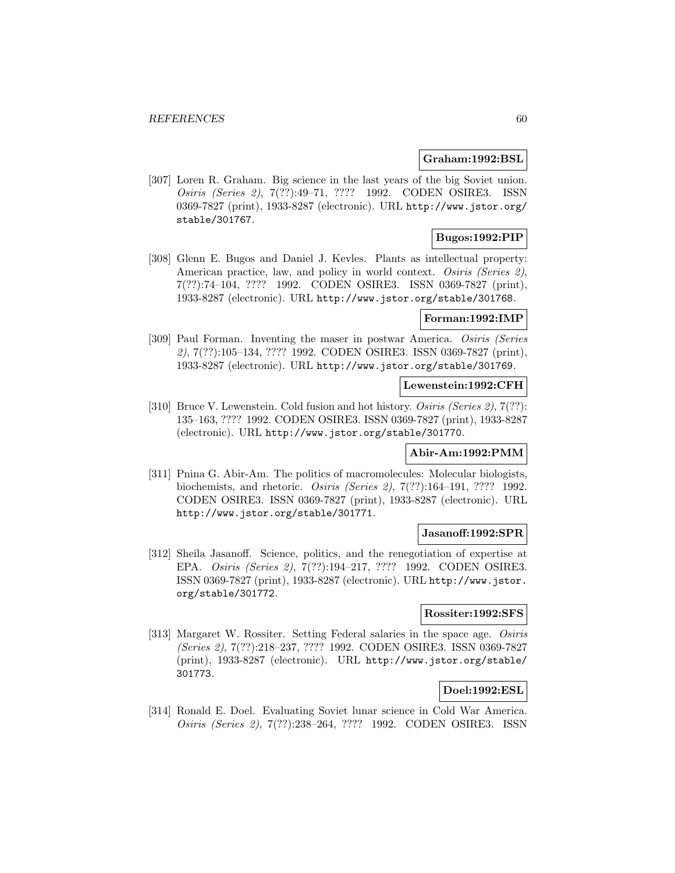#### **Graham:1992:BSL**

[307] Loren R. Graham. Big science in the last years of the big Soviet union. Osiris (Series 2), 7(??):49–71, ???? 1992. CODEN OSIRE3. ISSN 0369-7827 (print), 1933-8287 (electronic). URL http://www.jstor.org/ stable/301767.

# **Bugos:1992:PIP**

[308] Glenn E. Bugos and Daniel J. Kevles. Plants as intellectual property: American practice, law, and policy in world context. Osiris (Series 2), 7(??):74–104, ???? 1992. CODEN OSIRE3. ISSN 0369-7827 (print), 1933-8287 (electronic). URL http://www.jstor.org/stable/301768.

### **Forman:1992:IMP**

[309] Paul Forman. Inventing the maser in postwar America. Osiris (Series 2), 7(??):105–134, ???? 1992. CODEN OSIRE3. ISSN 0369-7827 (print), 1933-8287 (electronic). URL http://www.jstor.org/stable/301769.

### **Lewenstein:1992:CFH**

[310] Bruce V. Lewenstein. Cold fusion and hot history. Osiris (Series 2), 7(??): 135–163, ???? 1992. CODEN OSIRE3. ISSN 0369-7827 (print), 1933-8287 (electronic). URL http://www.jstor.org/stable/301770.

## **Abir-Am:1992:PMM**

[311] Pnina G. Abir-Am. The politics of macromolecules: Molecular biologists, biochemists, and rhetoric. Osiris (Series 2), 7(??):164–191, ???? 1992. CODEN OSIRE3. ISSN 0369-7827 (print), 1933-8287 (electronic). URL http://www.jstor.org/stable/301771.

### **Jasanoff:1992:SPR**

[312] Sheila Jasanoff. Science, politics, and the renegotiation of expertise at EPA. Osiris (Series 2), 7(??):194–217, ???? 1992. CODEN OSIRE3. ISSN 0369-7827 (print), 1933-8287 (electronic). URL http://www.jstor. org/stable/301772.

#### **Rossiter:1992:SFS**

[313] Margaret W. Rossiter. Setting Federal salaries in the space age. Osiris (Series 2), 7(??):218–237, ???? 1992. CODEN OSIRE3. ISSN 0369-7827 (print), 1933-8287 (electronic). URL http://www.jstor.org/stable/ 301773.

# **Doel:1992:ESL**

[314] Ronald E. Doel. Evaluating Soviet lunar science in Cold War America. Osiris (Series 2), 7(??):238–264, ???? 1992. CODEN OSIRE3. ISSN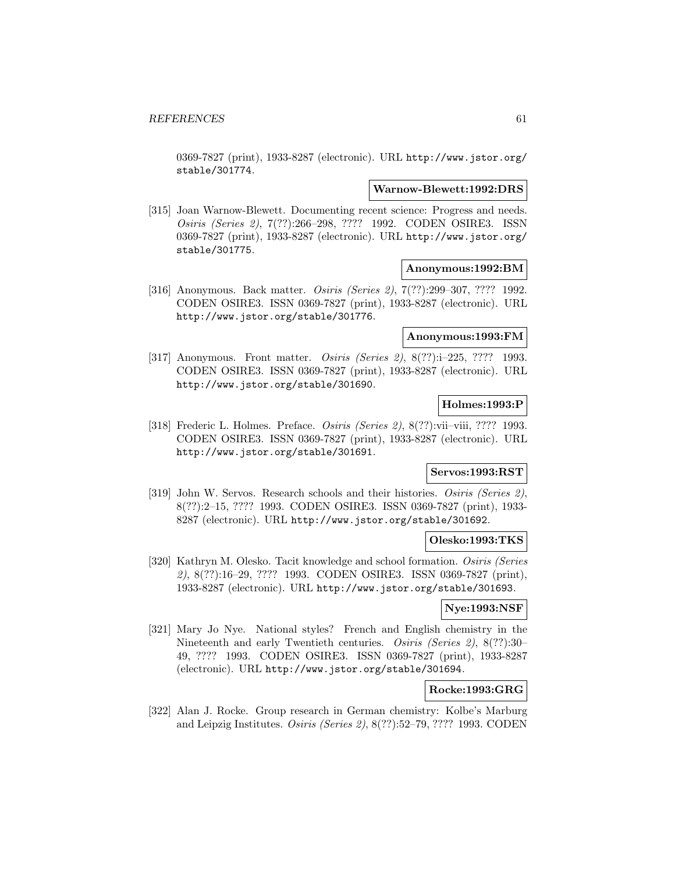0369-7827 (print), 1933-8287 (electronic). URL http://www.jstor.org/ stable/301774.

#### **Warnow-Blewett:1992:DRS**

[315] Joan Warnow-Blewett. Documenting recent science: Progress and needs. Osiris (Series 2), 7(??):266–298, ???? 1992. CODEN OSIRE3. ISSN 0369-7827 (print), 1933-8287 (electronic). URL http://www.jstor.org/ stable/301775.

### **Anonymous:1992:BM**

[316] Anonymous. Back matter. Osiris (Series 2), 7(??):299–307, ???? 1992. CODEN OSIRE3. ISSN 0369-7827 (print), 1933-8287 (electronic). URL http://www.jstor.org/stable/301776.

#### **Anonymous:1993:FM**

[317] Anonymous. Front matter. *Osiris (Series 2)*, 8(??):i-225, ???? 1993. CODEN OSIRE3. ISSN 0369-7827 (print), 1933-8287 (electronic). URL http://www.jstor.org/stable/301690.

# **Holmes:1993:P**

[318] Frederic L. Holmes. Preface. Osiris (Series 2), 8(??):vii–viii, ???? 1993. CODEN OSIRE3. ISSN 0369-7827 (print), 1933-8287 (electronic). URL http://www.jstor.org/stable/301691.

# **Servos:1993:RST**

[319] John W. Servos. Research schools and their histories. Osiris (Series 2), 8(??):2–15, ???? 1993. CODEN OSIRE3. ISSN 0369-7827 (print), 1933- 8287 (electronic). URL http://www.jstor.org/stable/301692.

### **Olesko:1993:TKS**

[320] Kathryn M. Olesko. Tacit knowledge and school formation. Osiris (Series 2), 8(??):16–29, ???? 1993. CODEN OSIRE3. ISSN 0369-7827 (print), 1933-8287 (electronic). URL http://www.jstor.org/stable/301693.

#### **Nye:1993:NSF**

[321] Mary Jo Nye. National styles? French and English chemistry in the Nineteenth and early Twentieth centuries. Osiris (Series 2), 8(??):30– 49, ???? 1993. CODEN OSIRE3. ISSN 0369-7827 (print), 1933-8287 (electronic). URL http://www.jstor.org/stable/301694.

# **Rocke:1993:GRG**

[322] Alan J. Rocke. Group research in German chemistry: Kolbe's Marburg and Leipzig Institutes. Osiris (Series 2), 8(??):52–79, ???? 1993. CODEN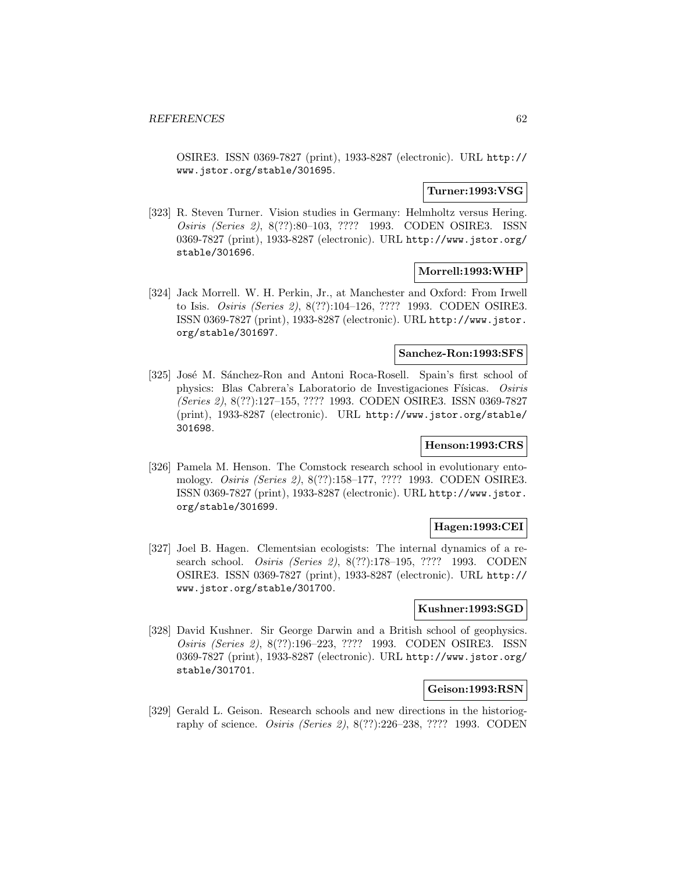OSIRE3. ISSN 0369-7827 (print), 1933-8287 (electronic). URL http:// www.jstor.org/stable/301695.

### **Turner:1993:VSG**

[323] R. Steven Turner. Vision studies in Germany: Helmholtz versus Hering. Osiris (Series 2), 8(??):80–103, ???? 1993. CODEN OSIRE3. ISSN 0369-7827 (print), 1933-8287 (electronic). URL http://www.jstor.org/ stable/301696.

## **Morrell:1993:WHP**

[324] Jack Morrell. W. H. Perkin, Jr., at Manchester and Oxford: From Irwell to Isis. Osiris (Series 2), 8(??):104–126, ???? 1993. CODEN OSIRE3. ISSN 0369-7827 (print), 1933-8287 (electronic). URL http://www.jstor. org/stable/301697.

### **Sanchez-Ron:1993:SFS**

[325] José M. Sánchez-Ron and Antoni Roca-Rosell. Spain's first school of physics: Blas Cabrera's Laboratorio de Investigaciones Físicas. Osiris (Series 2), 8(??):127–155, ???? 1993. CODEN OSIRE3. ISSN 0369-7827 (print), 1933-8287 (electronic). URL http://www.jstor.org/stable/ 301698.

# **Henson:1993:CRS**

[326] Pamela M. Henson. The Comstock research school in evolutionary entomology. Osiris (Series 2), 8(??):158–177, ???? 1993. CODEN OSIRE3. ISSN 0369-7827 (print), 1933-8287 (electronic). URL http://www.jstor. org/stable/301699.

# **Hagen:1993:CEI**

[327] Joel B. Hagen. Clementsian ecologists: The internal dynamics of a research school. Osiris (Series 2), 8(??):178–195, ???? 1993. CODEN OSIRE3. ISSN 0369-7827 (print), 1933-8287 (electronic). URL http:// www.jstor.org/stable/301700.

# **Kushner:1993:SGD**

[328] David Kushner. Sir George Darwin and a British school of geophysics. Osiris (Series 2), 8(??):196–223, ???? 1993. CODEN OSIRE3. ISSN 0369-7827 (print), 1933-8287 (electronic). URL http://www.jstor.org/ stable/301701.

### **Geison:1993:RSN**

[329] Gerald L. Geison. Research schools and new directions in the historiography of science. Osiris (Series 2), 8(??):226–238, ???? 1993. CODEN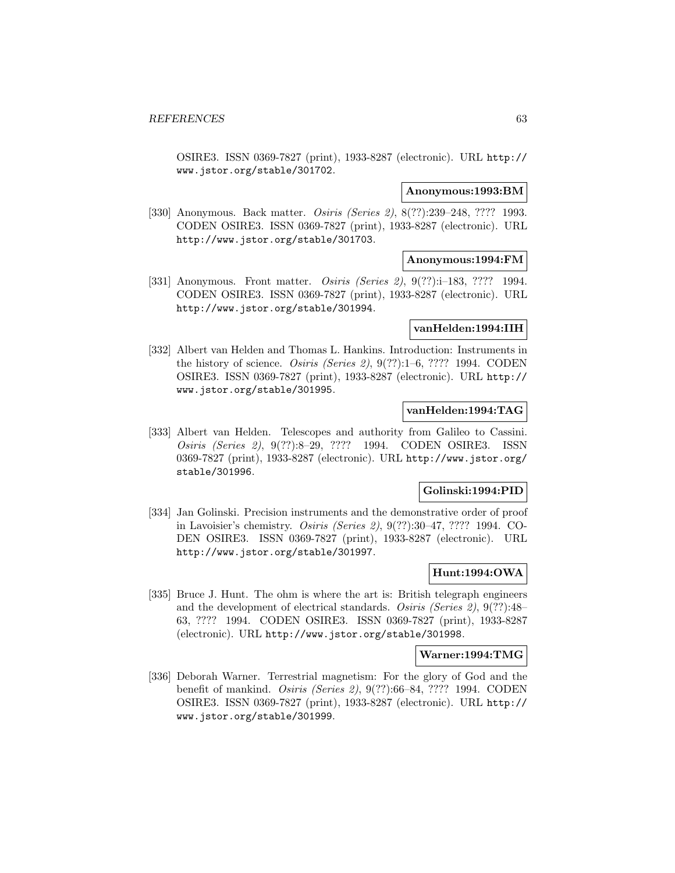OSIRE3. ISSN 0369-7827 (print), 1933-8287 (electronic). URL http:// www.jstor.org/stable/301702.

#### **Anonymous:1993:BM**

[330] Anonymous. Back matter. *Osiris (Series 2)*, 8(??):239–248, ???? 1993. CODEN OSIRE3. ISSN 0369-7827 (print), 1933-8287 (electronic). URL http://www.jstor.org/stable/301703.

## **Anonymous:1994:FM**

[331] Anonymous. Front matter. *Osiris (Series 2)*, 9(??):i-183, ???? 1994. CODEN OSIRE3. ISSN 0369-7827 (print), 1933-8287 (electronic). URL http://www.jstor.org/stable/301994.

# **vanHelden:1994:IIH**

[332] Albert van Helden and Thomas L. Hankins. Introduction: Instruments in the history of science. Osiris (Series 2), 9(??):1–6, ???? 1994. CODEN OSIRE3. ISSN 0369-7827 (print), 1933-8287 (electronic). URL http:// www.jstor.org/stable/301995.

### **vanHelden:1994:TAG**

[333] Albert van Helden. Telescopes and authority from Galileo to Cassini. Osiris (Series 2), 9(??):8–29, ???? 1994. CODEN OSIRE3. ISSN 0369-7827 (print), 1933-8287 (electronic). URL http://www.jstor.org/ stable/301996.

# **Golinski:1994:PID**

[334] Jan Golinski. Precision instruments and the demonstrative order of proof in Lavoisier's chemistry. Osiris (Series 2), 9(??):30–47, ???? 1994. CO-DEN OSIRE3. ISSN 0369-7827 (print), 1933-8287 (electronic). URL http://www.jstor.org/stable/301997.

# **Hunt:1994:OWA**

[335] Bruce J. Hunt. The ohm is where the art is: British telegraph engineers and the development of electrical standards. Osiris (Series 2), 9(??):48– 63, ???? 1994. CODEN OSIRE3. ISSN 0369-7827 (print), 1933-8287 (electronic). URL http://www.jstor.org/stable/301998.

## **Warner:1994:TMG**

[336] Deborah Warner. Terrestrial magnetism: For the glory of God and the benefit of mankind. Osiris (Series 2), 9(??):66–84, ???? 1994. CODEN OSIRE3. ISSN 0369-7827 (print), 1933-8287 (electronic). URL http:// www.jstor.org/stable/301999.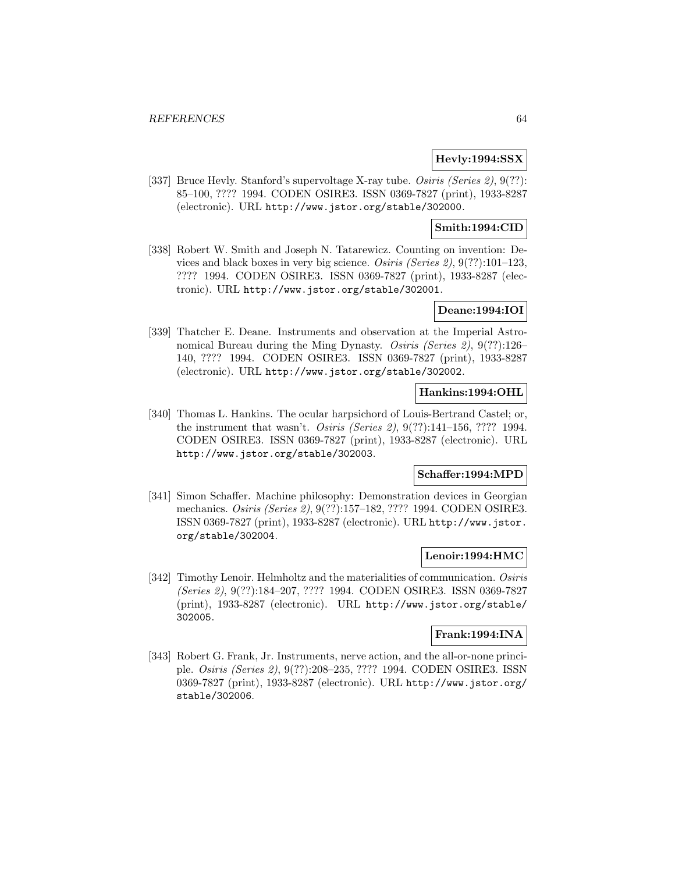# **Hevly:1994:SSX**

[337] Bruce Hevly. Stanford's supervoltage X-ray tube. *Osiris (Series 2)*, 9(??): 85–100, ???? 1994. CODEN OSIRE3. ISSN 0369-7827 (print), 1933-8287 (electronic). URL http://www.jstor.org/stable/302000.

# **Smith:1994:CID**

[338] Robert W. Smith and Joseph N. Tatarewicz. Counting on invention: Devices and black boxes in very big science. Osiris (Series 2), 9(??):101–123, ???? 1994. CODEN OSIRE3. ISSN 0369-7827 (print), 1933-8287 (electronic). URL http://www.jstor.org/stable/302001.

## **Deane:1994:IOI**

[339] Thatcher E. Deane. Instruments and observation at the Imperial Astronomical Bureau during the Ming Dynasty. Osiris (Series 2), 9(??):126-140, ???? 1994. CODEN OSIRE3. ISSN 0369-7827 (print), 1933-8287 (electronic). URL http://www.jstor.org/stable/302002.

## **Hankins:1994:OHL**

[340] Thomas L. Hankins. The ocular harpsichord of Louis-Bertrand Castel; or, the instrument that wasn't. *Osiris (Series 2)*,  $9(??)$ :141–156, ???? 1994. CODEN OSIRE3. ISSN 0369-7827 (print), 1933-8287 (electronic). URL http://www.jstor.org/stable/302003.

# **Schaffer:1994:MPD**

[341] Simon Schaffer. Machine philosophy: Demonstration devices in Georgian mechanics. Osiris (Series 2), 9(??):157–182, ???? 1994. CODEN OSIRE3. ISSN 0369-7827 (print), 1933-8287 (electronic). URL http://www.jstor. org/stable/302004.

## **Lenoir:1994:HMC**

[342] Timothy Lenoir. Helmholtz and the materialities of communication. Osiris (Series 2), 9(??):184–207, ???? 1994. CODEN OSIRE3. ISSN 0369-7827 (print), 1933-8287 (electronic). URL http://www.jstor.org/stable/ 302005.

# **Frank:1994:INA**

[343] Robert G. Frank, Jr. Instruments, nerve action, and the all-or-none principle. Osiris (Series 2), 9(??):208–235, ???? 1994. CODEN OSIRE3. ISSN 0369-7827 (print), 1933-8287 (electronic). URL http://www.jstor.org/ stable/302006.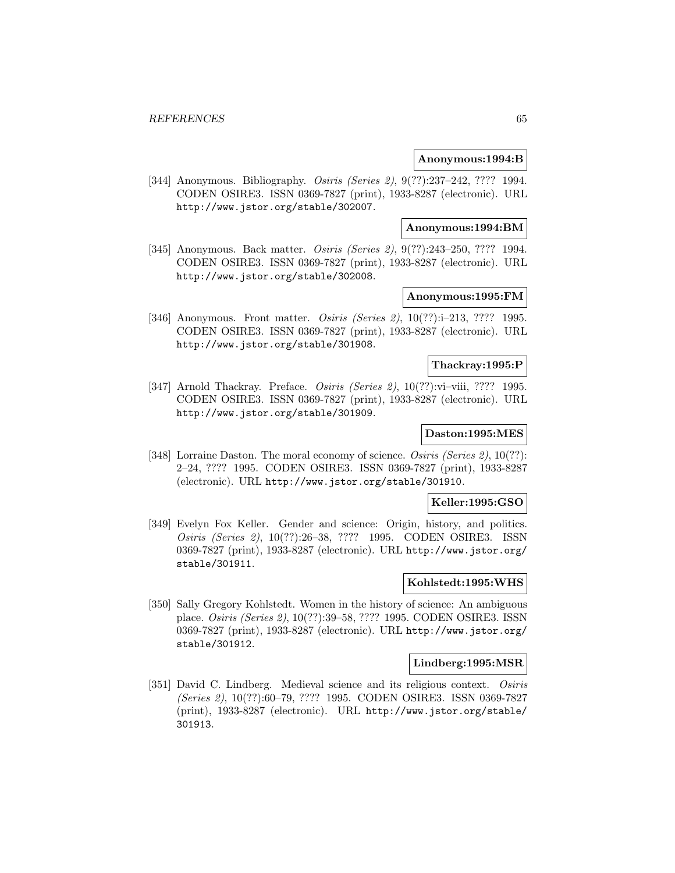### **Anonymous:1994:B**

[344] Anonymous. Bibliography. Osiris (Series 2), 9(??):237-242, ???? 1994. CODEN OSIRE3. ISSN 0369-7827 (print), 1933-8287 (electronic). URL http://www.jstor.org/stable/302007.

### **Anonymous:1994:BM**

[345] Anonymous. Back matter. *Osiris (Series 2)*, 9(??):243-250, ???? 1994. CODEN OSIRE3. ISSN 0369-7827 (print), 1933-8287 (electronic). URL http://www.jstor.org/stable/302008.

## **Anonymous:1995:FM**

[346] Anonymous. Front matter. *Osiris (Series 2)*, 10(??):i-213, ???? 1995. CODEN OSIRE3. ISSN 0369-7827 (print), 1933-8287 (electronic). URL http://www.jstor.org/stable/301908.

# **Thackray:1995:P**

[347] Arnold Thackray. Preface. Osiris (Series 2), 10(??):vi–viii, ???? 1995. CODEN OSIRE3. ISSN 0369-7827 (print), 1933-8287 (electronic). URL http://www.jstor.org/stable/301909.

### **Daston:1995:MES**

[348] Lorraine Daston. The moral economy of science. Osiris (Series 2), 10(??): 2–24, ???? 1995. CODEN OSIRE3. ISSN 0369-7827 (print), 1933-8287 (electronic). URL http://www.jstor.org/stable/301910.

## **Keller:1995:GSO**

[349] Evelyn Fox Keller. Gender and science: Origin, history, and politics. Osiris (Series 2), 10(??):26–38, ???? 1995. CODEN OSIRE3. ISSN 0369-7827 (print), 1933-8287 (electronic). URL http://www.jstor.org/ stable/301911.

## **Kohlstedt:1995:WHS**

[350] Sally Gregory Kohlstedt. Women in the history of science: An ambiguous place. Osiris (Series 2), 10(??):39–58, ???? 1995. CODEN OSIRE3. ISSN 0369-7827 (print), 1933-8287 (electronic). URL http://www.jstor.org/ stable/301912.

#### **Lindberg:1995:MSR**

[351] David C. Lindberg. Medieval science and its religious context. Osiris (Series 2), 10(??):60–79, ???? 1995. CODEN OSIRE3. ISSN 0369-7827 (print), 1933-8287 (electronic). URL http://www.jstor.org/stable/ 301913.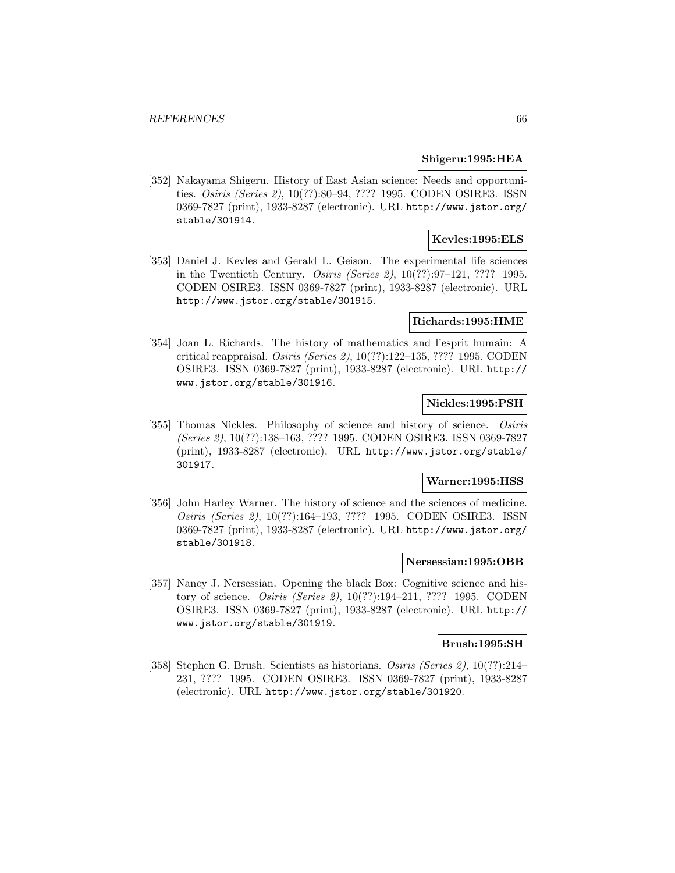#### **Shigeru:1995:HEA**

[352] Nakayama Shigeru. History of East Asian science: Needs and opportunities. Osiris (Series 2), 10(??):80–94, ???? 1995. CODEN OSIRE3. ISSN 0369-7827 (print), 1933-8287 (electronic). URL http://www.jstor.org/ stable/301914.

# **Kevles:1995:ELS**

[353] Daniel J. Kevles and Gerald L. Geison. The experimental life sciences in the Twentieth Century. Osiris (Series 2), 10(??):97–121, ???? 1995. CODEN OSIRE3. ISSN 0369-7827 (print), 1933-8287 (electronic). URL http://www.jstor.org/stable/301915.

## **Richards:1995:HME**

[354] Joan L. Richards. The history of mathematics and l'esprit humain: A critical reappraisal. Osiris (Series 2), 10(??):122–135, ???? 1995. CODEN OSIRE3. ISSN 0369-7827 (print), 1933-8287 (electronic). URL http:// www.jstor.org/stable/301916.

# **Nickles:1995:PSH**

[355] Thomas Nickles. Philosophy of science and history of science. Osiris (Series 2), 10(??):138–163, ???? 1995. CODEN OSIRE3. ISSN 0369-7827 (print), 1933-8287 (electronic). URL http://www.jstor.org/stable/ 301917.

#### **Warner:1995:HSS**

[356] John Harley Warner. The history of science and the sciences of medicine. Osiris (Series 2), 10(??):164–193, ???? 1995. CODEN OSIRE3. ISSN 0369-7827 (print), 1933-8287 (electronic). URL http://www.jstor.org/ stable/301918.

## **Nersessian:1995:OBB**

[357] Nancy J. Nersessian. Opening the black Box: Cognitive science and history of science. Osiris (Series 2), 10(??):194–211, ???? 1995. CODEN OSIRE3. ISSN 0369-7827 (print), 1933-8287 (electronic). URL http:// www.jstor.org/stable/301919.

## **Brush:1995:SH**

[358] Stephen G. Brush. Scientists as historians. Osiris (Series 2), 10(??):214– 231, ???? 1995. CODEN OSIRE3. ISSN 0369-7827 (print), 1933-8287 (electronic). URL http://www.jstor.org/stable/301920.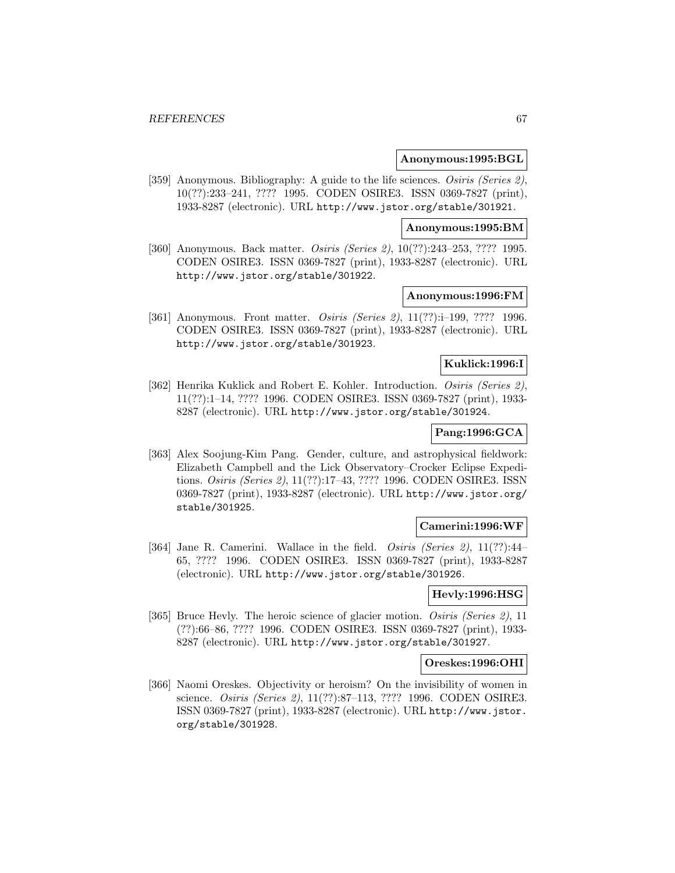#### **Anonymous:1995:BGL**

[359] Anonymous. Bibliography: A guide to the life sciences. Osiris (Series 2), 10(??):233–241, ???? 1995. CODEN OSIRE3. ISSN 0369-7827 (print), 1933-8287 (electronic). URL http://www.jstor.org/stable/301921.

### **Anonymous:1995:BM**

[360] Anonymous. Back matter. *Osiris (Series 2)*, 10(??):243–253, ???? 1995. CODEN OSIRE3. ISSN 0369-7827 (print), 1933-8287 (electronic). URL http://www.jstor.org/stable/301922.

## **Anonymous:1996:FM**

[361] Anonymous. Front matter. *Osiris (Series 2)*, 11(??):i-199, ???? 1996. CODEN OSIRE3. ISSN 0369-7827 (print), 1933-8287 (electronic). URL http://www.jstor.org/stable/301923.

# **Kuklick:1996:I**

[362] Henrika Kuklick and Robert E. Kohler. Introduction. Osiris (Series 2), 11(??):1–14, ???? 1996. CODEN OSIRE3. ISSN 0369-7827 (print), 1933- 8287 (electronic). URL http://www.jstor.org/stable/301924.

## **Pang:1996:GCA**

[363] Alex Soojung-Kim Pang. Gender, culture, and astrophysical fieldwork: Elizabeth Campbell and the Lick Observatory–Crocker Eclipse Expeditions. Osiris (Series 2), 11(??):17–43, ???? 1996. CODEN OSIRE3. ISSN 0369-7827 (print), 1933-8287 (electronic). URL http://www.jstor.org/ stable/301925.

## **Camerini:1996:WF**

[364] Jane R. Camerini. Wallace in the field. *Osiris (Series 2)*, 11(??):44– 65, ???? 1996. CODEN OSIRE3. ISSN 0369-7827 (print), 1933-8287 (electronic). URL http://www.jstor.org/stable/301926.

## **Hevly:1996:HSG**

[365] Bruce Hevly. The heroic science of glacier motion. Osiris (Series 2), 11 (??):66–86, ???? 1996. CODEN OSIRE3. ISSN 0369-7827 (print), 1933- 8287 (electronic). URL http://www.jstor.org/stable/301927.

#### **Oreskes:1996:OHI**

[366] Naomi Oreskes. Objectivity or heroism? On the invisibility of women in science. Osiris (Series 2), 11(??):87–113, ???? 1996. CODEN OSIRE3. ISSN 0369-7827 (print), 1933-8287 (electronic). URL http://www.jstor. org/stable/301928.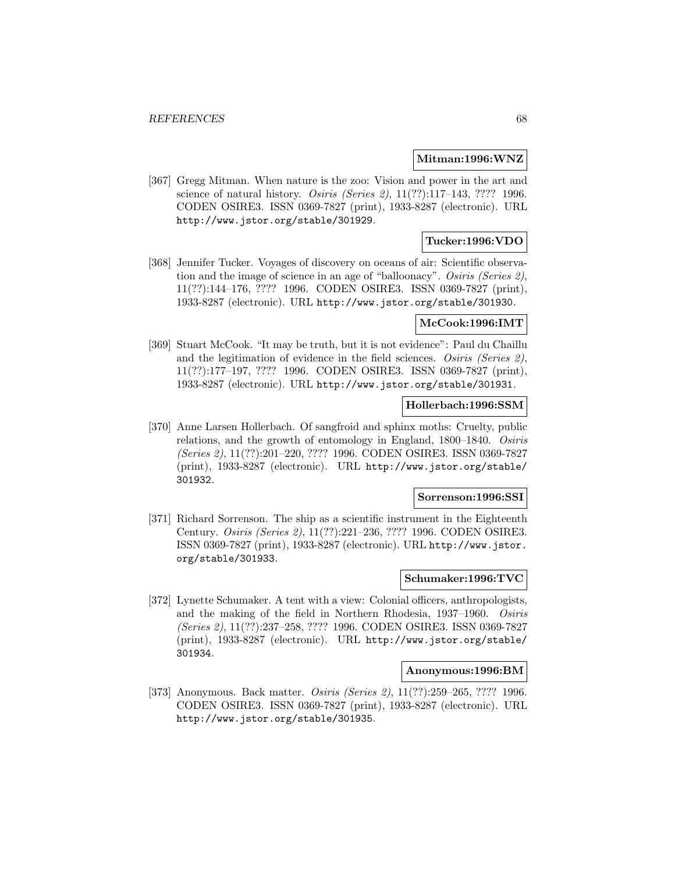### **Mitman:1996:WNZ**

[367] Gregg Mitman. When nature is the zoo: Vision and power in the art and science of natural history. Osiris (Series 2), 11(??):117–143, ???? 1996. CODEN OSIRE3. ISSN 0369-7827 (print), 1933-8287 (electronic). URL http://www.jstor.org/stable/301929.

## **Tucker:1996:VDO**

[368] Jennifer Tucker. Voyages of discovery on oceans of air: Scientific observation and the image of science in an age of "balloonacy". Osiris (Series 2), 11(??):144–176, ???? 1996. CODEN OSIRE3. ISSN 0369-7827 (print), 1933-8287 (electronic). URL http://www.jstor.org/stable/301930.

# **McCook:1996:IMT**

[369] Stuart McCook. "It may be truth, but it is not evidence": Paul du Chaillu and the legitimation of evidence in the field sciences. Osiris (Series 2), 11(??):177–197, ???? 1996. CODEN OSIRE3. ISSN 0369-7827 (print), 1933-8287 (electronic). URL http://www.jstor.org/stable/301931.

## **Hollerbach:1996:SSM**

[370] Anne Larsen Hollerbach. Of sangfroid and sphinx moths: Cruelty, public relations, and the growth of entomology in England, 1800–1840. Osiris (Series 2), 11(??):201–220, ???? 1996. CODEN OSIRE3. ISSN 0369-7827 (print), 1933-8287 (electronic). URL http://www.jstor.org/stable/ 301932.

### **Sorrenson:1996:SSI**

[371] Richard Sorrenson. The ship as a scientific instrument in the Eighteenth Century. Osiris (Series 2), 11(??):221–236, ???? 1996. CODEN OSIRE3. ISSN 0369-7827 (print), 1933-8287 (electronic). URL http://www.jstor. org/stable/301933.

## **Schumaker:1996:TVC**

[372] Lynette Schumaker. A tent with a view: Colonial officers, anthropologists, and the making of the field in Northern Rhodesia, 1937–1960. Osiris (Series 2), 11(??):237–258, ???? 1996. CODEN OSIRE3. ISSN 0369-7827 (print), 1933-8287 (electronic). URL http://www.jstor.org/stable/ 301934.

#### **Anonymous:1996:BM**

[373] Anonymous. Back matter. *Osiris (Series 2)*, 11(??):259–265, ???? 1996. CODEN OSIRE3. ISSN 0369-7827 (print), 1933-8287 (electronic). URL http://www.jstor.org/stable/301935.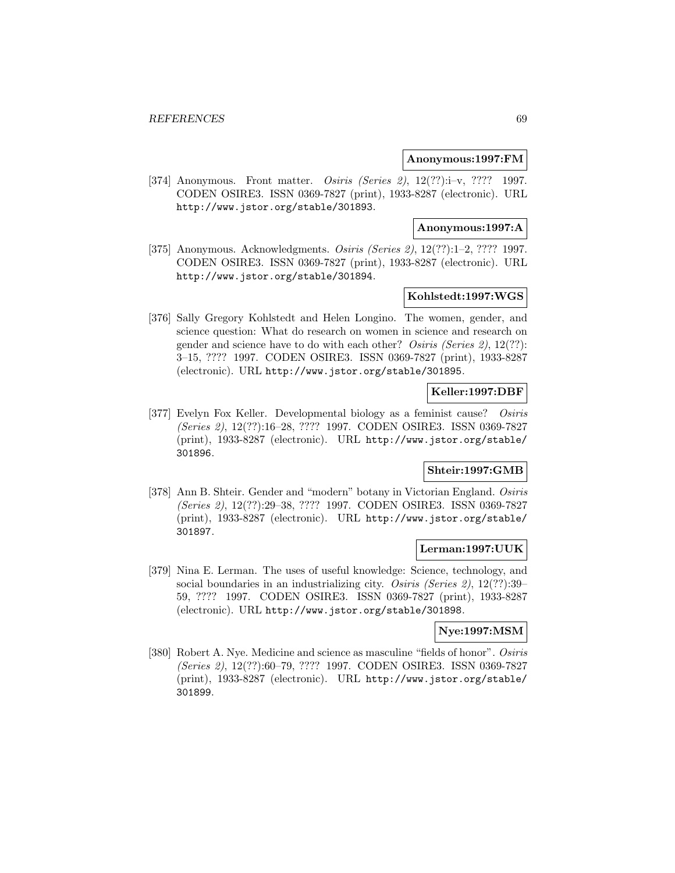### **Anonymous:1997:FM**

[374] Anonymous. Front matter. Osiris (Series 2), 12(??):i–v, ???? 1997. CODEN OSIRE3. ISSN 0369-7827 (print), 1933-8287 (electronic). URL http://www.jstor.org/stable/301893.

## **Anonymous:1997:A**

[375] Anonymous. Acknowledgments. Osiris (Series 2), 12(??):1–2, ???? 1997. CODEN OSIRE3. ISSN 0369-7827 (print), 1933-8287 (electronic). URL http://www.jstor.org/stable/301894.

# **Kohlstedt:1997:WGS**

[376] Sally Gregory Kohlstedt and Helen Longino. The women, gender, and science question: What do research on women in science and research on gender and science have to do with each other? Osiris (Series 2), 12(??): 3–15, ???? 1997. CODEN OSIRE3. ISSN 0369-7827 (print), 1933-8287 (electronic). URL http://www.jstor.org/stable/301895.

# **Keller:1997:DBF**

[377] Evelyn Fox Keller. Developmental biology as a feminist cause? Osiris (Series 2), 12(??):16–28, ???? 1997. CODEN OSIRE3. ISSN 0369-7827 (print), 1933-8287 (electronic). URL http://www.jstor.org/stable/ 301896.

## **Shteir:1997:GMB**

[378] Ann B. Shteir. Gender and "modern" botany in Victorian England. Osiris (Series 2), 12(??):29–38, ???? 1997. CODEN OSIRE3. ISSN 0369-7827 (print), 1933-8287 (electronic). URL http://www.jstor.org/stable/ 301897.

# **Lerman:1997:UUK**

[379] Nina E. Lerman. The uses of useful knowledge: Science, technology, and social boundaries in an industrializing city. *Osiris (Series 2)*, 12(??):39– 59, ???? 1997. CODEN OSIRE3. ISSN 0369-7827 (print), 1933-8287 (electronic). URL http://www.jstor.org/stable/301898.

#### **Nye:1997:MSM**

[380] Robert A. Nye. Medicine and science as masculine "fields of honor". Osiris (Series 2), 12(??):60–79, ???? 1997. CODEN OSIRE3. ISSN 0369-7827 (print), 1933-8287 (electronic). URL http://www.jstor.org/stable/ 301899.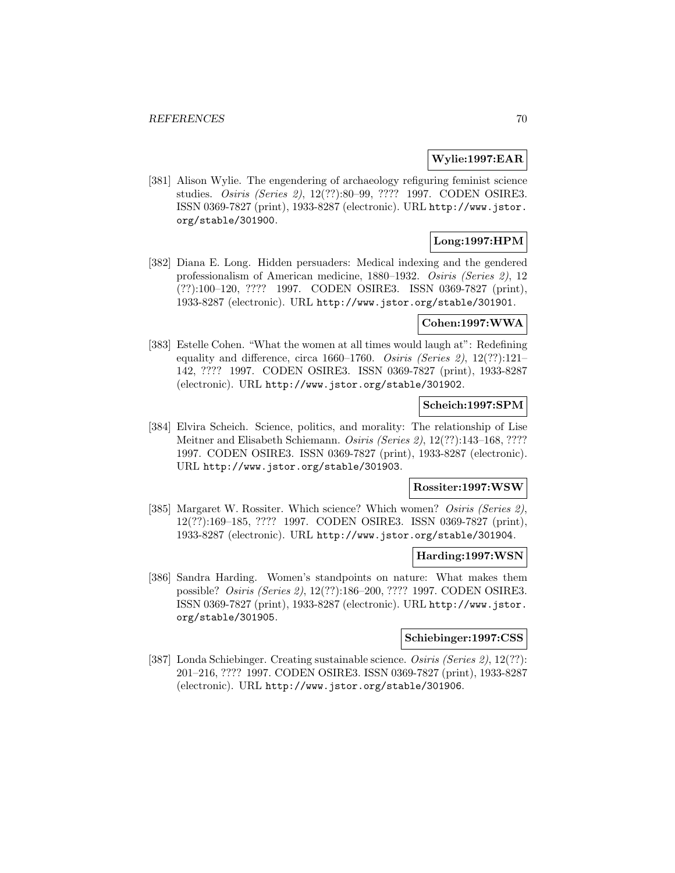### **Wylie:1997:EAR**

[381] Alison Wylie. The engendering of archaeology refiguring feminist science studies. Osiris (Series 2), 12(??):80–99, ???? 1997. CODEN OSIRE3. ISSN 0369-7827 (print), 1933-8287 (electronic). URL http://www.jstor. org/stable/301900.

# **Long:1997:HPM**

[382] Diana E. Long. Hidden persuaders: Medical indexing and the gendered professionalism of American medicine, 1880–1932. Osiris (Series 2), 12 (??):100–120, ???? 1997. CODEN OSIRE3. ISSN 0369-7827 (print), 1933-8287 (electronic). URL http://www.jstor.org/stable/301901.

## **Cohen:1997:WWA**

[383] Estelle Cohen. "What the women at all times would laugh at": Redefining equality and difference, circa 1660–1760. Osiris (Series 2), 12(??):121– 142, ???? 1997. CODEN OSIRE3. ISSN 0369-7827 (print), 1933-8287 (electronic). URL http://www.jstor.org/stable/301902.

## **Scheich:1997:SPM**

[384] Elvira Scheich. Science, politics, and morality: The relationship of Lise Meitner and Elisabeth Schiemann. Osiris (Series 2), 12(??):143–168, ???? 1997. CODEN OSIRE3. ISSN 0369-7827 (print), 1933-8287 (electronic). URL http://www.jstor.org/stable/301903.

#### **Rossiter:1997:WSW**

[385] Margaret W. Rossiter. Which science? Which women? Osiris (Series 2), 12(??):169–185, ???? 1997. CODEN OSIRE3. ISSN 0369-7827 (print), 1933-8287 (electronic). URL http://www.jstor.org/stable/301904.

#### **Harding:1997:WSN**

[386] Sandra Harding. Women's standpoints on nature: What makes them possible? Osiris (Series 2), 12(??):186–200, ???? 1997. CODEN OSIRE3. ISSN 0369-7827 (print), 1933-8287 (electronic). URL http://www.jstor. org/stable/301905.

# **Schiebinger:1997:CSS**

[387] Londa Schiebinger. Creating sustainable science. Osiris (Series 2), 12(??): 201–216, ???? 1997. CODEN OSIRE3. ISSN 0369-7827 (print), 1933-8287 (electronic). URL http://www.jstor.org/stable/301906.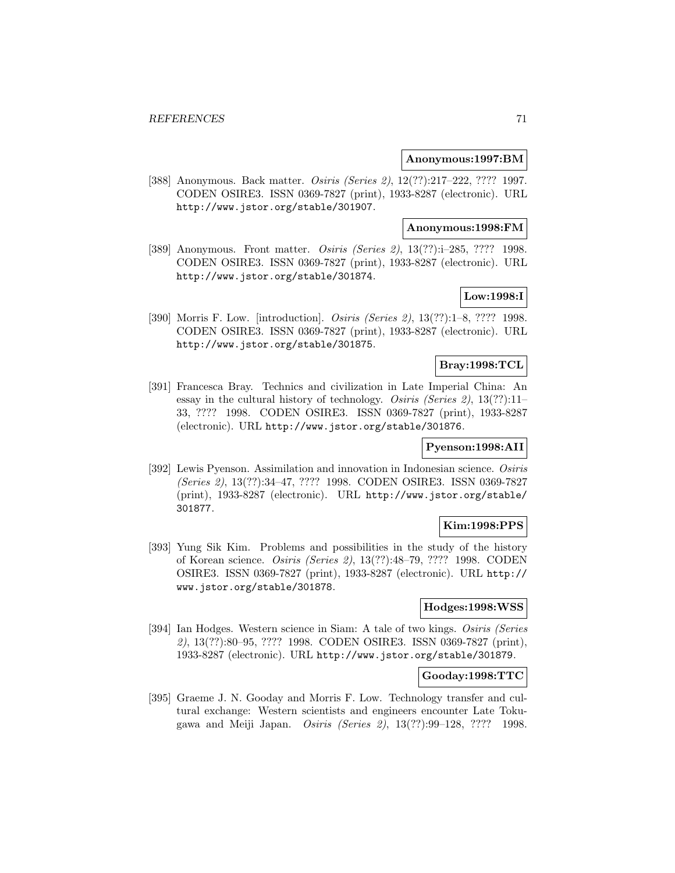### **Anonymous:1997:BM**

[388] Anonymous. Back matter. Osiris (Series 2), 12(??):217-222, ???? 1997. CODEN OSIRE3. ISSN 0369-7827 (print), 1933-8287 (electronic). URL http://www.jstor.org/stable/301907.

### **Anonymous:1998:FM**

[389] Anonymous. Front matter. *Osiris (Series 2)*, 13(??):i-285, ???? 1998. CODEN OSIRE3. ISSN 0369-7827 (print), 1933-8287 (electronic). URL http://www.jstor.org/stable/301874.

# **Low:1998:I**

[390] Morris F. Low. [introduction]. Osiris (Series 2), 13(??):1–8, ???? 1998. CODEN OSIRE3. ISSN 0369-7827 (print), 1933-8287 (electronic). URL http://www.jstor.org/stable/301875.

# **Bray:1998:TCL**

[391] Francesca Bray. Technics and civilization in Late Imperial China: An essay in the cultural history of technology. Osiris (Series 2), 13(??):11-33, ???? 1998. CODEN OSIRE3. ISSN 0369-7827 (print), 1933-8287 (electronic). URL http://www.jstor.org/stable/301876.

## **Pyenson:1998:AII**

[392] Lewis Pyenson. Assimilation and innovation in Indonesian science. Osiris (Series 2), 13(??):34–47, ???? 1998. CODEN OSIRE3. ISSN 0369-7827 (print), 1933-8287 (electronic). URL http://www.jstor.org/stable/ 301877.

## **Kim:1998:PPS**

[393] Yung Sik Kim. Problems and possibilities in the study of the history of Korean science. Osiris (Series 2), 13(??):48–79, ???? 1998. CODEN OSIRE3. ISSN 0369-7827 (print), 1933-8287 (electronic). URL http:// www.jstor.org/stable/301878.

# **Hodges:1998:WSS**

[394] Ian Hodges. Western science in Siam: A tale of two kings. Osiris (Series 2), 13(??):80–95, ???? 1998. CODEN OSIRE3. ISSN 0369-7827 (print), 1933-8287 (electronic). URL http://www.jstor.org/stable/301879.

### **Gooday:1998:TTC**

[395] Graeme J. N. Gooday and Morris F. Low. Technology transfer and cultural exchange: Western scientists and engineers encounter Late Tokugawa and Meiji Japan. Osiris (Series 2), 13(??):99–128, ???? 1998.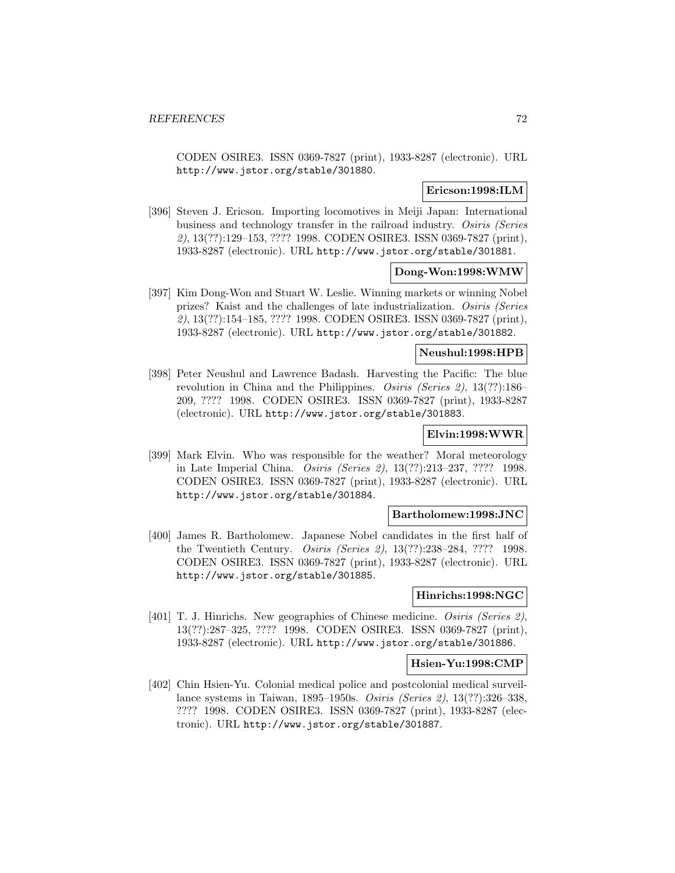CODEN OSIRE3. ISSN 0369-7827 (print), 1933-8287 (electronic). URL http://www.jstor.org/stable/301880.

## **Ericson:1998:ILM**

[396] Steven J. Ericson. Importing locomotives in Meiji Japan: International business and technology transfer in the railroad industry. Osiris (Series 2), 13(??):129–153, ???? 1998. CODEN OSIRE3. ISSN 0369-7827 (print), 1933-8287 (electronic). URL http://www.jstor.org/stable/301881.

# **Dong-Won:1998:WMW**

[397] Kim Dong-Won and Stuart W. Leslie. Winning markets or winning Nobel prizes? Kaist and the challenges of late industrialization. Osiris (Series 2), 13(??):154–185, ???? 1998. CODEN OSIRE3. ISSN 0369-7827 (print), 1933-8287 (electronic). URL http://www.jstor.org/stable/301882.

# **Neushul:1998:HPB**

[398] Peter Neushul and Lawrence Badash. Harvesting the Pacific: The blue revolution in China and the Philippines. Osiris (Series 2), 13(??):186– 209, ???? 1998. CODEN OSIRE3. ISSN 0369-7827 (print), 1933-8287 (electronic). URL http://www.jstor.org/stable/301883.

# **Elvin:1998:WWR**

[399] Mark Elvin. Who was responsible for the weather? Moral meteorology in Late Imperial China. Osiris (Series 2), 13(??):213–237, ???? 1998. CODEN OSIRE3. ISSN 0369-7827 (print), 1933-8287 (electronic). URL http://www.jstor.org/stable/301884.

## **Bartholomew:1998:JNC**

[400] James R. Bartholomew. Japanese Nobel candidates in the first half of the Twentieth Century. Osiris (Series 2), 13(??):238–284, ???? 1998. CODEN OSIRE3. ISSN 0369-7827 (print), 1933-8287 (electronic). URL http://www.jstor.org/stable/301885.

#### **Hinrichs:1998:NGC**

[401] T. J. Hinrichs. New geographies of Chinese medicine. Osiris (Series 2), 13(??):287–325, ???? 1998. CODEN OSIRE3. ISSN 0369-7827 (print), 1933-8287 (electronic). URL http://www.jstor.org/stable/301886.

#### **Hsien-Yu:1998:CMP**

[402] Chin Hsien-Yu. Colonial medical police and postcolonial medical surveillance systems in Taiwan, 1895–1950s. Osiris (Series 2), 13(??):326–338, ???? 1998. CODEN OSIRE3. ISSN 0369-7827 (print), 1933-8287 (electronic). URL http://www.jstor.org/stable/301887.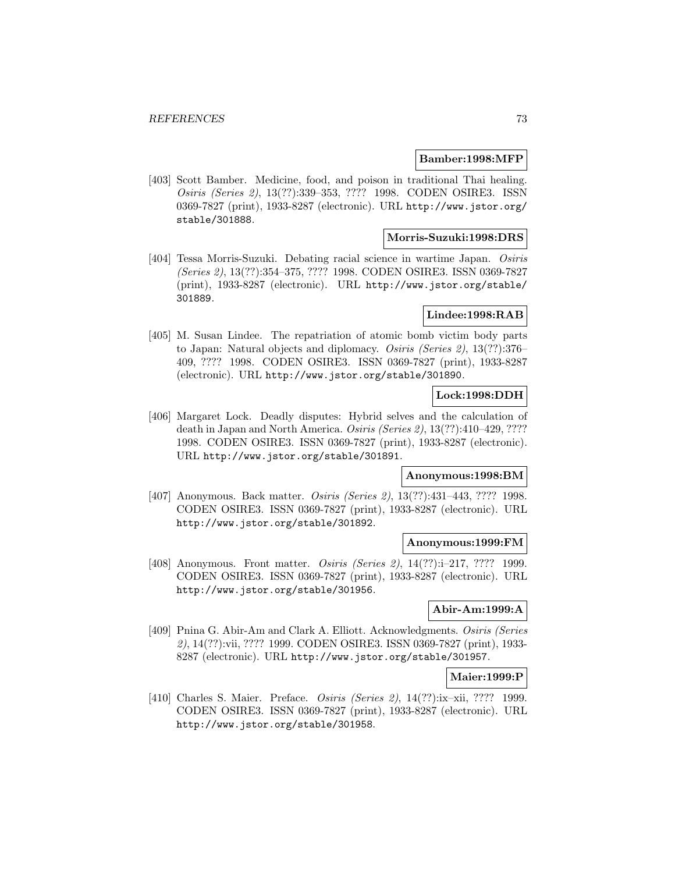### **Bamber:1998:MFP**

[403] Scott Bamber. Medicine, food, and poison in traditional Thai healing. Osiris (Series 2), 13(??):339–353, ???? 1998. CODEN OSIRE3. ISSN 0369-7827 (print), 1933-8287 (electronic). URL http://www.jstor.org/ stable/301888.

# **Morris-Suzuki:1998:DRS**

[404] Tessa Morris-Suzuki. Debating racial science in wartime Japan. Osiris (Series 2), 13(??):354–375, ???? 1998. CODEN OSIRE3. ISSN 0369-7827 (print), 1933-8287 (electronic). URL http://www.jstor.org/stable/ 301889.

# **Lindee:1998:RAB**

[405] M. Susan Lindee. The repatriation of atomic bomb victim body parts to Japan: Natural objects and diplomacy. Osiris (Series 2), 13(??):376– 409, ???? 1998. CODEN OSIRE3. ISSN 0369-7827 (print), 1933-8287 (electronic). URL http://www.jstor.org/stable/301890.

## **Lock:1998:DDH**

[406] Margaret Lock. Deadly disputes: Hybrid selves and the calculation of death in Japan and North America. Osiris (Series 2), 13(??):410–429, ???? 1998. CODEN OSIRE3. ISSN 0369-7827 (print), 1933-8287 (electronic). URL http://www.jstor.org/stable/301891.

#### **Anonymous:1998:BM**

[407] Anonymous. Back matter. *Osiris (Series 2)*, 13(??):431-443, ???? 1998. CODEN OSIRE3. ISSN 0369-7827 (print), 1933-8287 (electronic). URL http://www.jstor.org/stable/301892.

#### **Anonymous:1999:FM**

[408] Anonymous. Front matter. *Osiris (Series 2)*, 14(??):i-217, ???? 1999. CODEN OSIRE3. ISSN 0369-7827 (print), 1933-8287 (electronic). URL http://www.jstor.org/stable/301956.

## **Abir-Am:1999:A**

[409] Pnina G. Abir-Am and Clark A. Elliott. Acknowledgments. Osiris (Series 2), 14(??):vii, ???? 1999. CODEN OSIRE3. ISSN 0369-7827 (print), 1933- 8287 (electronic). URL http://www.jstor.org/stable/301957.

# **Maier:1999:P**

[410] Charles S. Maier. Preface. Osiris (Series 2), 14(??):ix–xii, ???? 1999. CODEN OSIRE3. ISSN 0369-7827 (print), 1933-8287 (electronic). URL http://www.jstor.org/stable/301958.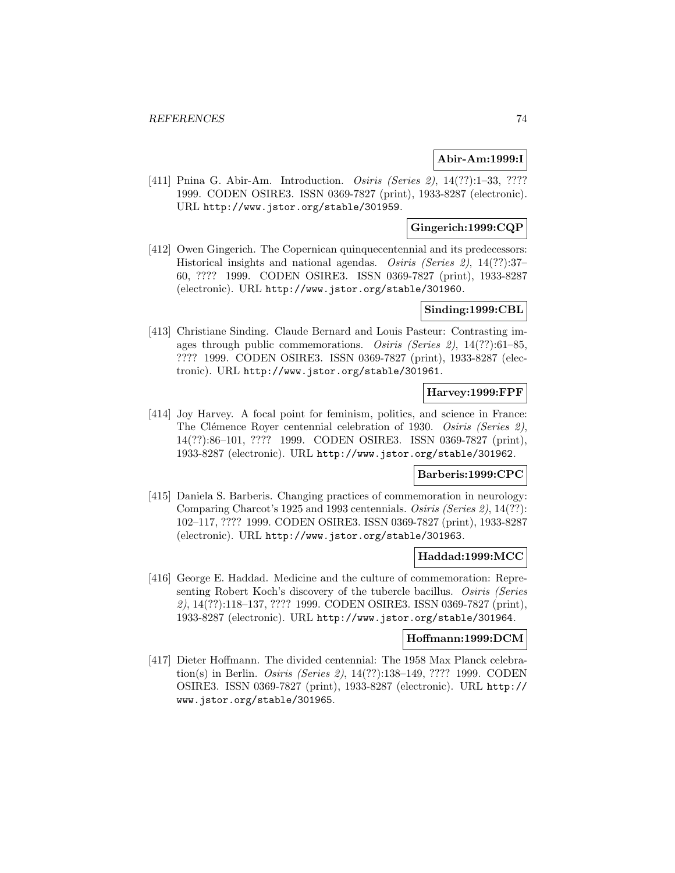## **Abir-Am:1999:I**

[411] Pnina G. Abir-Am. Introduction. *Osiris (Series 2)*, 14(??):1–33, ???? 1999. CODEN OSIRE3. ISSN 0369-7827 (print), 1933-8287 (electronic). URL http://www.jstor.org/stable/301959.

# **Gingerich:1999:CQP**

[412] Owen Gingerich. The Copernican quinque centennial and its predecessors: Historical insights and national agendas. Osiris (Series 2), 14(??):37-60, ???? 1999. CODEN OSIRE3. ISSN 0369-7827 (print), 1933-8287 (electronic). URL http://www.jstor.org/stable/301960.

# **Sinding:1999:CBL**

[413] Christiane Sinding. Claude Bernard and Louis Pasteur: Contrasting images through public commemorations. Osiris (Series 2), 14(??):61–85, ???? 1999. CODEN OSIRE3. ISSN 0369-7827 (print), 1933-8287 (electronic). URL http://www.jstor.org/stable/301961.

# **Harvey:1999:FPF**

[414] Joy Harvey. A focal point for feminism, politics, and science in France: The Clémence Royer centennial celebration of 1930. Osiris (Series 2), 14(??):86–101, ???? 1999. CODEN OSIRE3. ISSN 0369-7827 (print), 1933-8287 (electronic). URL http://www.jstor.org/stable/301962.

## **Barberis:1999:CPC**

[415] Daniela S. Barberis. Changing practices of commemoration in neurology: Comparing Charcot's 1925 and 1993 centennials. Osiris (Series 2), 14(??): 102–117, ???? 1999. CODEN OSIRE3. ISSN 0369-7827 (print), 1933-8287 (electronic). URL http://www.jstor.org/stable/301963.

## **Haddad:1999:MCC**

[416] George E. Haddad. Medicine and the culture of commemoration: Representing Robert Koch's discovery of the tubercle bacillus. Osiris (Series 2), 14(??):118–137, ???? 1999. CODEN OSIRE3. ISSN 0369-7827 (print), 1933-8287 (electronic). URL http://www.jstor.org/stable/301964.

#### **Hoffmann:1999:DCM**

[417] Dieter Hoffmann. The divided centennial: The 1958 Max Planck celebration(s) in Berlin. Osiris (Series 2), 14(??):138–149, ???? 1999. CODEN OSIRE3. ISSN 0369-7827 (print), 1933-8287 (electronic). URL http:// www.jstor.org/stable/301965.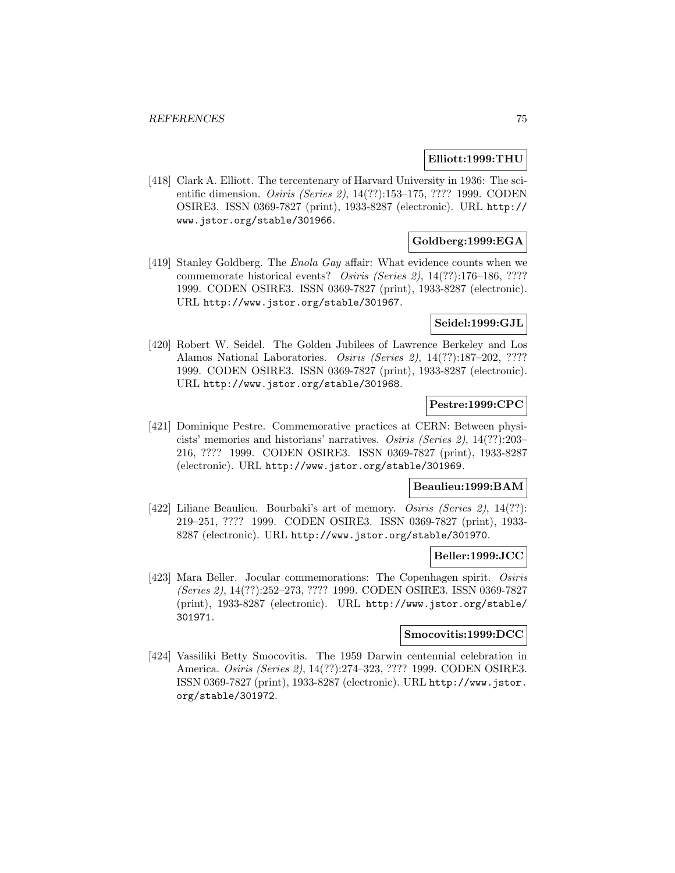### **Elliott:1999:THU**

[418] Clark A. Elliott. The tercentenary of Harvard University in 1936: The scientific dimension. *Osiris (Series 2)*, 14(??):153–175, ???? 1999. CODEN OSIRE3. ISSN 0369-7827 (print), 1933-8287 (electronic). URL http:// www.jstor.org/stable/301966.

# **Goldberg:1999:EGA**

[419] Stanley Goldberg. The *Enola Gay* affair: What evidence counts when we commemorate historical events? Osiris (Series 2), 14(??):176–186, ???? 1999. CODEN OSIRE3. ISSN 0369-7827 (print), 1933-8287 (electronic). URL http://www.jstor.org/stable/301967.

### **Seidel:1999:GJL**

[420] Robert W. Seidel. The Golden Jubilees of Lawrence Berkeley and Los Alamos National Laboratories. Osiris (Series 2), 14(??):187–202, ???? 1999. CODEN OSIRE3. ISSN 0369-7827 (print), 1933-8287 (electronic). URL http://www.jstor.org/stable/301968.

# **Pestre:1999:CPC**

[421] Dominique Pestre. Commemorative practices at CERN: Between physicists' memories and historians' narratives. Osiris (Series 2), 14(??):203– 216, ???? 1999. CODEN OSIRE3. ISSN 0369-7827 (print), 1933-8287 (electronic). URL http://www.jstor.org/stable/301969.

## **Beaulieu:1999:BAM**

[422] Liliane Beaulieu. Bourbaki's art of memory. *Osiris (Series 2)*, 14(??): 219–251, ???? 1999. CODEN OSIRE3. ISSN 0369-7827 (print), 1933- 8287 (electronic). URL http://www.jstor.org/stable/301970.

## **Beller:1999:JCC**

[423] Mara Beller. Jocular commemorations: The Copenhagen spirit. Osiris (Series 2), 14(??):252–273, ???? 1999. CODEN OSIRE3. ISSN 0369-7827 (print), 1933-8287 (electronic). URL http://www.jstor.org/stable/ 301971.

## **Smocovitis:1999:DCC**

[424] Vassiliki Betty Smocovitis. The 1959 Darwin centennial celebration in America. Osiris (Series 2), 14(??):274–323, ???? 1999. CODEN OSIRE3. ISSN 0369-7827 (print), 1933-8287 (electronic). URL http://www.jstor. org/stable/301972.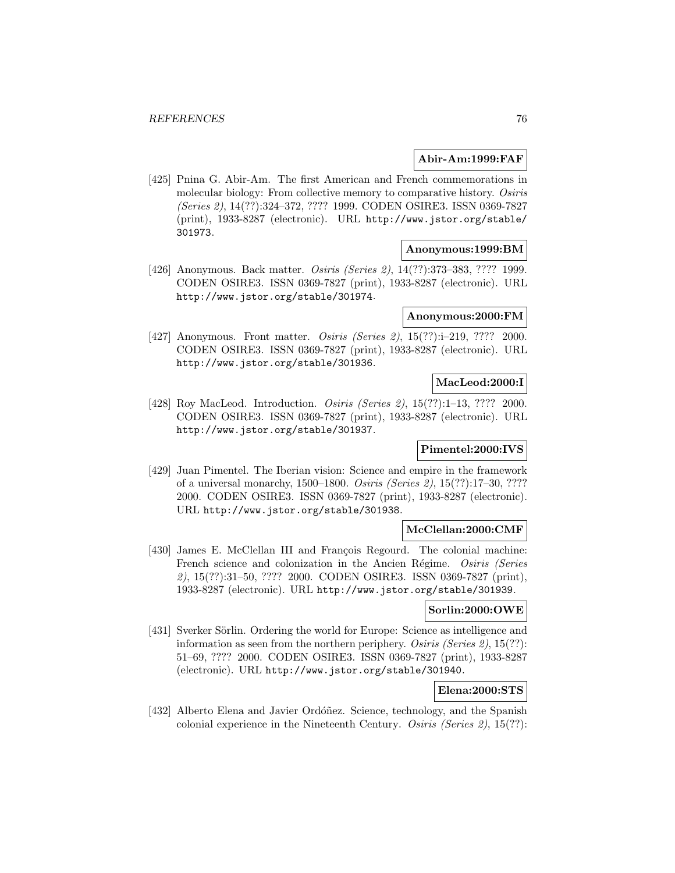# **Abir-Am:1999:FAF**

[425] Pnina G. Abir-Am. The first American and French commemorations in molecular biology: From collective memory to comparative history. Osiris (Series 2), 14(??):324–372, ???? 1999. CODEN OSIRE3. ISSN 0369-7827 (print), 1933-8287 (electronic). URL http://www.jstor.org/stable/ 301973.

### **Anonymous:1999:BM**

[426] Anonymous. Back matter. Osiris (Series 2), 14(??):373–383, ???? 1999. CODEN OSIRE3. ISSN 0369-7827 (print), 1933-8287 (electronic). URL http://www.jstor.org/stable/301974.

### **Anonymous:2000:FM**

[427] Anonymous. Front matter. *Osiris (Series 2)*, 15(??):i-219, ???? 2000. CODEN OSIRE3. ISSN 0369-7827 (print), 1933-8287 (electronic). URL http://www.jstor.org/stable/301936.

# **MacLeod:2000:I**

[428] Roy MacLeod. Introduction. *Osiris (Series 2)*, 15(??):1–13, ???? 2000. CODEN OSIRE3. ISSN 0369-7827 (print), 1933-8287 (electronic). URL http://www.jstor.org/stable/301937.

# **Pimentel:2000:IVS**

[429] Juan Pimentel. The Iberian vision: Science and empire in the framework of a universal monarchy, 1500–1800. Osiris (Series 2), 15(??):17–30, ???? 2000. CODEN OSIRE3. ISSN 0369-7827 (print), 1933-8287 (electronic). URL http://www.jstor.org/stable/301938.

## **McClellan:2000:CMF**

[430] James E. McClellan III and François Regourd. The colonial machine: French science and colonization in the Ancien Régime. Osiris (Series 2), 15(??):31–50, ???? 2000. CODEN OSIRE3. ISSN 0369-7827 (print), 1933-8287 (electronic). URL http://www.jstor.org/stable/301939.

## **Sorlin:2000:OWE**

[431] Sverker Sörlin. Ordering the world for Europe: Science as intelligence and information as seen from the northern periphery. Osiris (Series 2), 15(??): 51–69, ???? 2000. CODEN OSIRE3. ISSN 0369-7827 (print), 1933-8287 (electronic). URL http://www.jstor.org/stable/301940.

# **Elena:2000:STS**

[432] Alberto Elena and Javier Ordóñez. Science, technology, and the Spanish colonial experience in the Nineteenth Century. Osiris (Series 2),  $15(??)$ :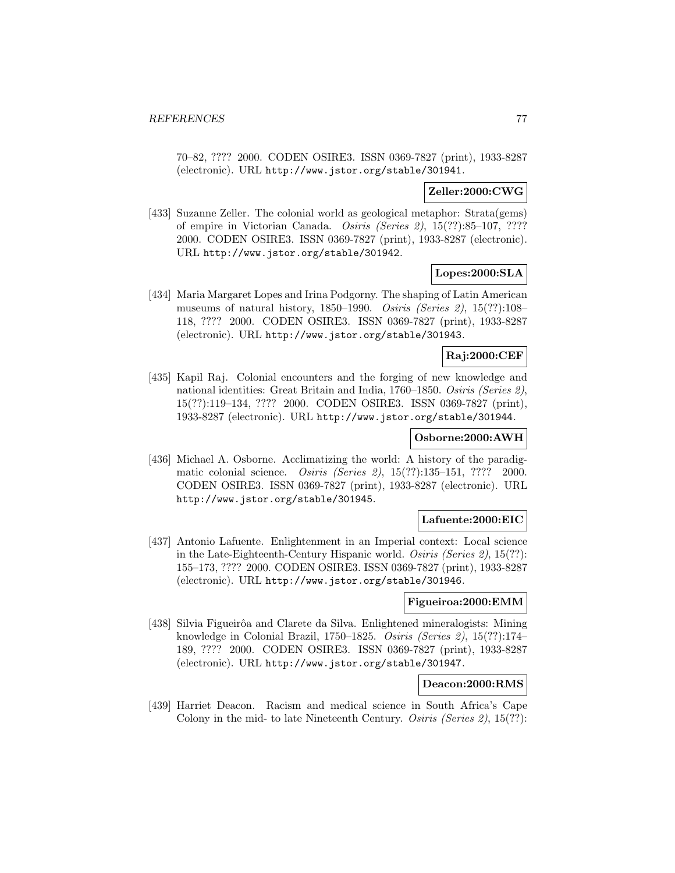70–82, ???? 2000. CODEN OSIRE3. ISSN 0369-7827 (print), 1933-8287 (electronic). URL http://www.jstor.org/stable/301941.

# **Zeller:2000:CWG**

[433] Suzanne Zeller. The colonial world as geological metaphor: Strata(gems) of empire in Victorian Canada. Osiris (Series 2), 15(??):85–107, ???? 2000. CODEN OSIRE3. ISSN 0369-7827 (print), 1933-8287 (electronic). URL http://www.jstor.org/stable/301942.

# **Lopes:2000:SLA**

[434] Maria Margaret Lopes and Irina Podgorny. The shaping of Latin American museums of natural history, 1850–1990. Osiris (Series 2), 15(??):108– 118, ???? 2000. CODEN OSIRE3. ISSN 0369-7827 (print), 1933-8287 (electronic). URL http://www.jstor.org/stable/301943.

# **Raj:2000:CEF**

[435] Kapil Raj. Colonial encounters and the forging of new knowledge and national identities: Great Britain and India, 1760–1850. Osiris (Series 2), 15(??):119–134, ???? 2000. CODEN OSIRE3. ISSN 0369-7827 (print), 1933-8287 (electronic). URL http://www.jstor.org/stable/301944.

# **Osborne:2000:AWH**

[436] Michael A. Osborne. Acclimatizing the world: A history of the paradigmatic colonial science. Osiris (Series 2), 15(??):135–151, ???? 2000. CODEN OSIRE3. ISSN 0369-7827 (print), 1933-8287 (electronic). URL http://www.jstor.org/stable/301945.

# **Lafuente:2000:EIC**

[437] Antonio Lafuente. Enlightenment in an Imperial context: Local science in the Late-Eighteenth-Century Hispanic world. Osiris (Series 2), 15(??): 155–173, ???? 2000. CODEN OSIRE3. ISSN 0369-7827 (print), 1933-8287 (electronic). URL http://www.jstor.org/stable/301946.

## **Figueiroa:2000:EMM**

[438] Silvia Figueirôa and Clarete da Silva. Enlightened mineralogists: Mining knowledge in Colonial Brazil, 1750–1825. Osiris (Series 2), 15(??):174– 189, ???? 2000. CODEN OSIRE3. ISSN 0369-7827 (print), 1933-8287 (electronic). URL http://www.jstor.org/stable/301947.

# **Deacon:2000:RMS**

[439] Harriet Deacon. Racism and medical science in South Africa's Cape Colony in the mid- to late Nineteenth Century. Osiris (Series 2), 15(??):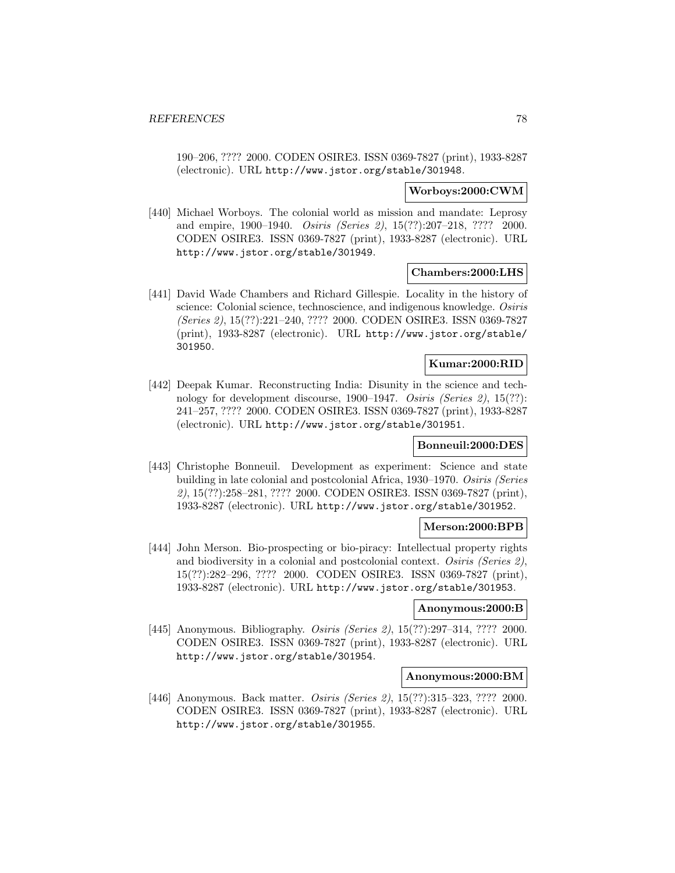190–206, ???? 2000. CODEN OSIRE3. ISSN 0369-7827 (print), 1933-8287 (electronic). URL http://www.jstor.org/stable/301948.

### **Worboys:2000:CWM**

[440] Michael Worboys. The colonial world as mission and mandate: Leprosy and empire, 1900–1940. Osiris (Series 2), 15(??):207–218, ???? 2000. CODEN OSIRE3. ISSN 0369-7827 (print), 1933-8287 (electronic). URL http://www.jstor.org/stable/301949.

### **Chambers:2000:LHS**

[441] David Wade Chambers and Richard Gillespie. Locality in the history of science: Colonial science, technoscience, and indigenous knowledge. Osiris (Series 2), 15(??):221–240, ???? 2000. CODEN OSIRE3. ISSN 0369-7827 (print), 1933-8287 (electronic). URL http://www.jstor.org/stable/ 301950.

# **Kumar:2000:RID**

[442] Deepak Kumar. Reconstructing India: Disunity in the science and technology for development discourse, 1900–1947. Osiris (Series 2), 15(??): 241–257, ???? 2000. CODEN OSIRE3. ISSN 0369-7827 (print), 1933-8287 (electronic). URL http://www.jstor.org/stable/301951.

## **Bonneuil:2000:DES**

[443] Christophe Bonneuil. Development as experiment: Science and state building in late colonial and postcolonial Africa, 1930–1970. Osiris (Series 2), 15(??):258–281, ???? 2000. CODEN OSIRE3. ISSN 0369-7827 (print), 1933-8287 (electronic). URL http://www.jstor.org/stable/301952.

## **Merson:2000:BPB**

[444] John Merson. Bio-prospecting or bio-piracy: Intellectual property rights and biodiversity in a colonial and postcolonial context. Osiris (Series 2), 15(??):282–296, ???? 2000. CODEN OSIRE3. ISSN 0369-7827 (print), 1933-8287 (electronic). URL http://www.jstor.org/stable/301953.

### **Anonymous:2000:B**

[445] Anonymous. Bibliography. Osiris (Series 2), 15(??):297-314, ???? 2000. CODEN OSIRE3. ISSN 0369-7827 (print), 1933-8287 (electronic). URL http://www.jstor.org/stable/301954.

# **Anonymous:2000:BM**

[446] Anonymous. Back matter. *Osiris (Series 2)*, 15(??):315–323, ???? 2000. CODEN OSIRE3. ISSN 0369-7827 (print), 1933-8287 (electronic). URL http://www.jstor.org/stable/301955.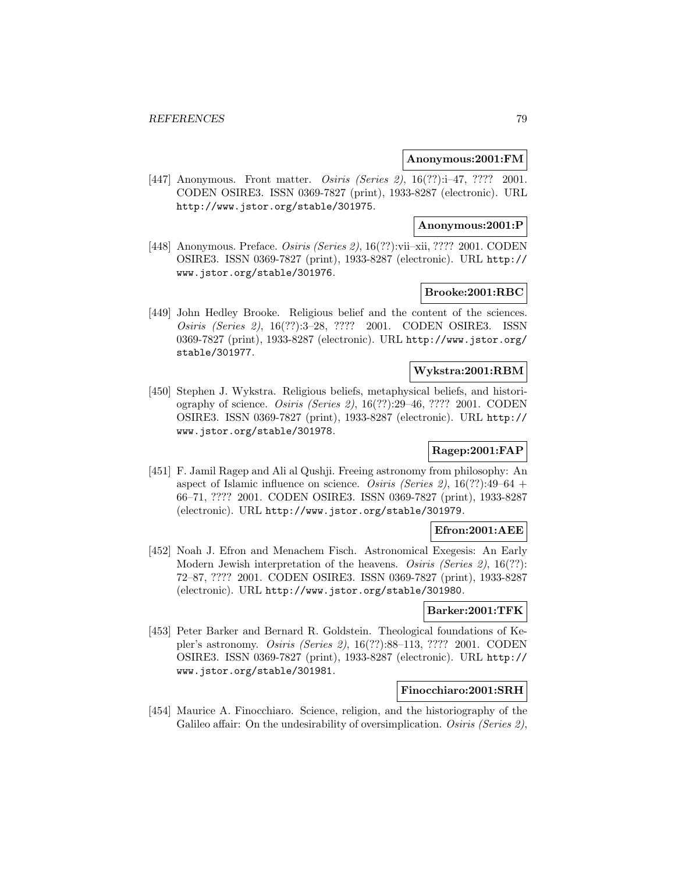### **Anonymous:2001:FM**

[447] Anonymous. Front matter. Osiris (Series 2), 16(??):i-47, ???? 2001. CODEN OSIRE3. ISSN 0369-7827 (print), 1933-8287 (electronic). URL http://www.jstor.org/stable/301975.

### **Anonymous:2001:P**

[448] Anonymous. Preface. Osiris (Series 2), 16(??):vii–xii, ???? 2001. CODEN OSIRE3. ISSN 0369-7827 (print), 1933-8287 (electronic). URL http:// www.jstor.org/stable/301976.

# **Brooke:2001:RBC**

[449] John Hedley Brooke. Religious belief and the content of the sciences. Osiris (Series 2), 16(??):3–28, ???? 2001. CODEN OSIRE3. ISSN 0369-7827 (print), 1933-8287 (electronic). URL http://www.jstor.org/ stable/301977.

# **Wykstra:2001:RBM**

[450] Stephen J. Wykstra. Religious beliefs, metaphysical beliefs, and historiography of science. Osiris (Series 2), 16(??):29–46, ???? 2001. CODEN OSIRE3. ISSN 0369-7827 (print), 1933-8287 (electronic). URL http:// www.jstor.org/stable/301978.

# **Ragep:2001:FAP**

[451] F. Jamil Ragep and Ali al Qushji. Freeing astronomy from philosophy: An aspect of Islamic influence on science. Osiris (Series 2),  $16(??):49-64$  + 66–71, ???? 2001. CODEN OSIRE3. ISSN 0369-7827 (print), 1933-8287 (electronic). URL http://www.jstor.org/stable/301979.

# **Efron:2001:AEE**

[452] Noah J. Efron and Menachem Fisch. Astronomical Exegesis: An Early Modern Jewish interpretation of the heavens. *Osiris (Series 2)*, 16(??): 72–87, ???? 2001. CODEN OSIRE3. ISSN 0369-7827 (print), 1933-8287 (electronic). URL http://www.jstor.org/stable/301980.

### **Barker:2001:TFK**

[453] Peter Barker and Bernard R. Goldstein. Theological foundations of Kepler's astronomy. Osiris (Series 2), 16(??):88–113, ???? 2001. CODEN OSIRE3. ISSN 0369-7827 (print), 1933-8287 (electronic). URL http:// www.jstor.org/stable/301981.

# **Finocchiaro:2001:SRH**

[454] Maurice A. Finocchiaro. Science, religion, and the historiography of the Galileo affair: On the undesirability of oversimplication. Osiris (Series 2),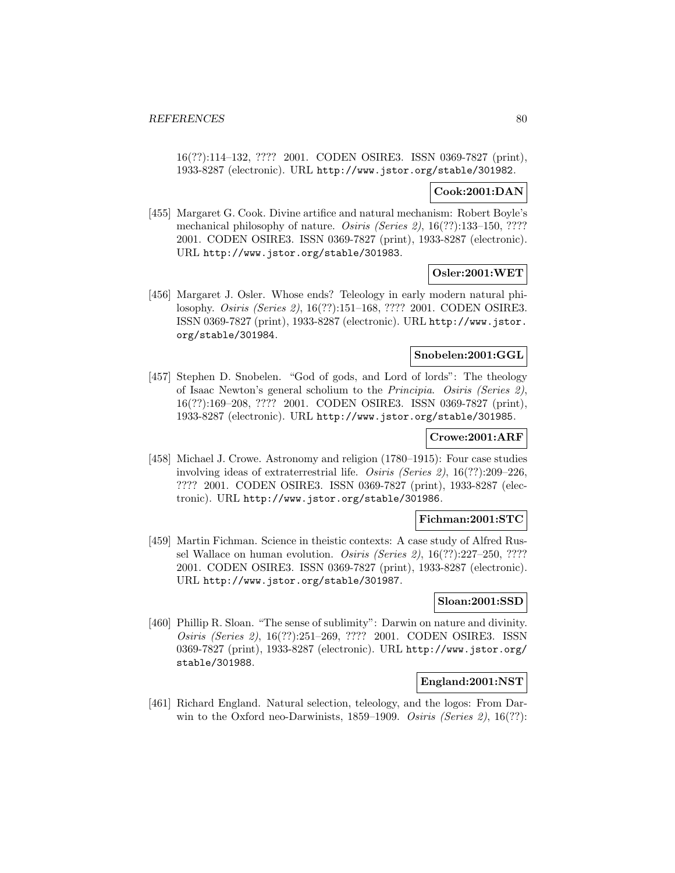16(??):114–132, ???? 2001. CODEN OSIRE3. ISSN 0369-7827 (print), 1933-8287 (electronic). URL http://www.jstor.org/stable/301982.

# **Cook:2001:DAN**

[455] Margaret G. Cook. Divine artifice and natural mechanism: Robert Boyle's mechanical philosophy of nature. Osiris (Series 2), 16(??):133–150, ???? 2001. CODEN OSIRE3. ISSN 0369-7827 (print), 1933-8287 (electronic). URL http://www.jstor.org/stable/301983.

# **Osler:2001:WET**

[456] Margaret J. Osler. Whose ends? Teleology in early modern natural philosophy. Osiris (Series 2), 16(??):151–168, ???? 2001. CODEN OSIRE3. ISSN 0369-7827 (print), 1933-8287 (electronic). URL http://www.jstor. org/stable/301984.

# **Snobelen:2001:GGL**

[457] Stephen D. Snobelen. "God of gods, and Lord of lords": The theology of Isaac Newton's general scholium to the Principia. Osiris (Series 2), 16(??):169–208, ???? 2001. CODEN OSIRE3. ISSN 0369-7827 (print), 1933-8287 (electronic). URL http://www.jstor.org/stable/301985.

# **Crowe:2001:ARF**

[458] Michael J. Crowe. Astronomy and religion (1780–1915): Four case studies involving ideas of extraterrestrial life. Osiris (Series 2), 16(??):209–226, ???? 2001. CODEN OSIRE3. ISSN 0369-7827 (print), 1933-8287 (electronic). URL http://www.jstor.org/stable/301986.

## **Fichman:2001:STC**

[459] Martin Fichman. Science in theistic contexts: A case study of Alfred Russel Wallace on human evolution. Osiris (Series 2), 16(??):227–250, ???? 2001. CODEN OSIRE3. ISSN 0369-7827 (print), 1933-8287 (electronic). URL http://www.jstor.org/stable/301987.

#### **Sloan:2001:SSD**

[460] Phillip R. Sloan. "The sense of sublimity": Darwin on nature and divinity. Osiris (Series 2), 16(??):251–269, ???? 2001. CODEN OSIRE3. ISSN 0369-7827 (print), 1933-8287 (electronic). URL http://www.jstor.org/ stable/301988.

# **England:2001:NST**

[461] Richard England. Natural selection, teleology, and the logos: From Darwin to the Oxford neo-Darwinists, 1859–1909. Osiris (Series 2), 16(??):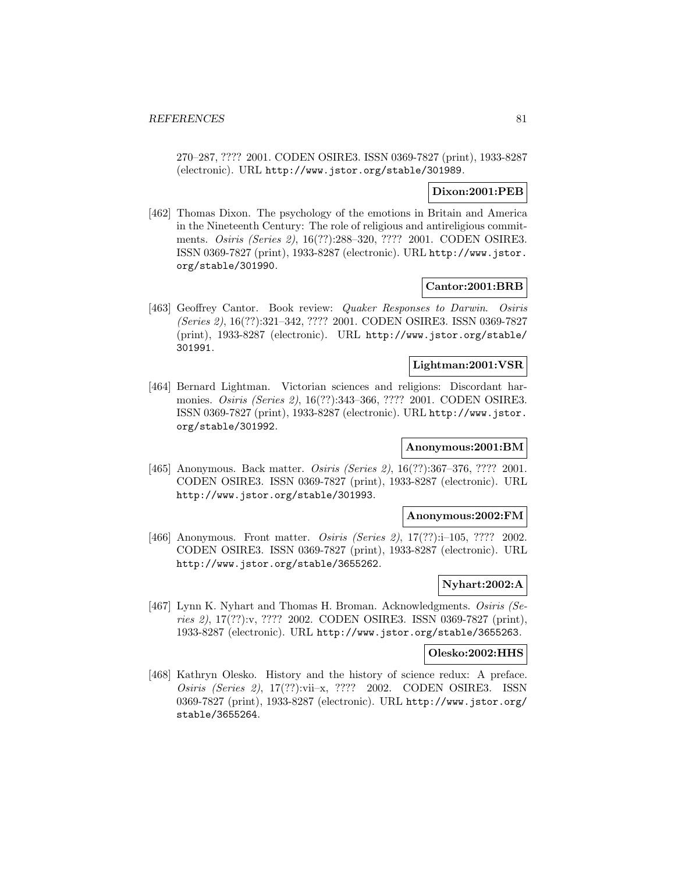270–287, ???? 2001. CODEN OSIRE3. ISSN 0369-7827 (print), 1933-8287 (electronic). URL http://www.jstor.org/stable/301989.

# **Dixon:2001:PEB**

[462] Thomas Dixon. The psychology of the emotions in Britain and America in the Nineteenth Century: The role of religious and antireligious commitments. Osiris (Series 2), 16(??):288–320, ???? 2001. CODEN OSIRE3. ISSN 0369-7827 (print), 1933-8287 (electronic). URL http://www.jstor. org/stable/301990.

# **Cantor:2001:BRB**

[463] Geoffrey Cantor. Book review: Quaker Responses to Darwin. Osiris (Series 2), 16(??):321–342, ???? 2001. CODEN OSIRE3. ISSN 0369-7827 (print), 1933-8287 (electronic). URL http://www.jstor.org/stable/ 301991.

# **Lightman:2001:VSR**

[464] Bernard Lightman. Victorian sciences and religions: Discordant harmonies. Osiris (Series 2), 16(??):343–366, ???? 2001. CODEN OSIRE3. ISSN 0369-7827 (print), 1933-8287 (electronic). URL http://www.jstor. org/stable/301992.

# **Anonymous:2001:BM**

[465] Anonymous. Back matter. *Osiris (Series 2)*, 16(??):367–376, ???? 2001. CODEN OSIRE3. ISSN 0369-7827 (print), 1933-8287 (electronic). URL http://www.jstor.org/stable/301993.

### **Anonymous:2002:FM**

[466] Anonymous. Front matter. *Osiris (Series 2)*, 17(??):i-105, ???? 2002. CODEN OSIRE3. ISSN 0369-7827 (print), 1933-8287 (electronic). URL http://www.jstor.org/stable/3655262.

## **Nyhart:2002:A**

[467] Lynn K. Nyhart and Thomas H. Broman. Acknowledgments. Osiris (Series 2), 17(??):v, ???? 2002. CODEN OSIRE3. ISSN 0369-7827 (print), 1933-8287 (electronic). URL http://www.jstor.org/stable/3655263.

# **Olesko:2002:HHS**

[468] Kathryn Olesko. History and the history of science redux: A preface. Osiris (Series 2), 17(??):vii–x, ???? 2002. CODEN OSIRE3. ISSN 0369-7827 (print), 1933-8287 (electronic). URL http://www.jstor.org/ stable/3655264.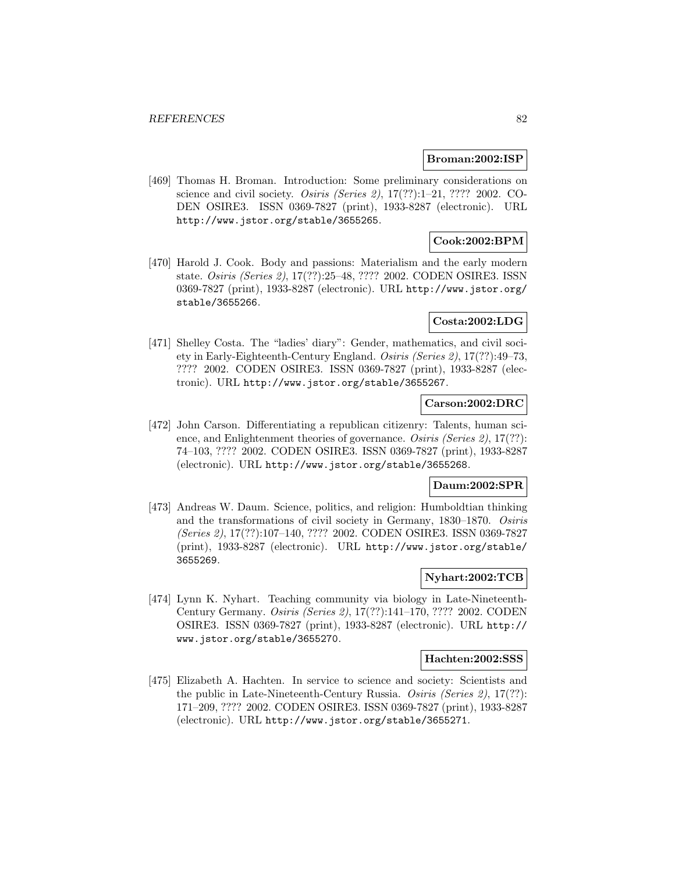### **Broman:2002:ISP**

[469] Thomas H. Broman. Introduction: Some preliminary considerations on science and civil society. Osiris (Series 2), 17(??):1–21, ???? 2002. CO-DEN OSIRE3. ISSN 0369-7827 (print), 1933-8287 (electronic). URL http://www.jstor.org/stable/3655265.

# **Cook:2002:BPM**

[470] Harold J. Cook. Body and passions: Materialism and the early modern state. Osiris (Series 2), 17(??):25–48, ???? 2002. CODEN OSIRE3. ISSN 0369-7827 (print), 1933-8287 (electronic). URL http://www.jstor.org/ stable/3655266.

# **Costa:2002:LDG**

[471] Shelley Costa. The "ladies' diary": Gender, mathematics, and civil society in Early-Eighteenth-Century England. Osiris (Series 2), 17(??):49–73, ???? 2002. CODEN OSIRE3. ISSN 0369-7827 (print), 1933-8287 (electronic). URL http://www.jstor.org/stable/3655267.

# **Carson:2002:DRC**

[472] John Carson. Differentiating a republican citizenry: Talents, human science, and Enlightenment theories of governance. Osiris (Series 2), 17(??): 74–103, ???? 2002. CODEN OSIRE3. ISSN 0369-7827 (print), 1933-8287 (electronic). URL http://www.jstor.org/stable/3655268.

# **Daum:2002:SPR**

[473] Andreas W. Daum. Science, politics, and religion: Humboldtian thinking and the transformations of civil society in Germany, 1830–1870. Osiris (Series 2), 17(??):107–140, ???? 2002. CODEN OSIRE3. ISSN 0369-7827 (print), 1933-8287 (electronic). URL http://www.jstor.org/stable/ 3655269.

#### **Nyhart:2002:TCB**

[474] Lynn K. Nyhart. Teaching community via biology in Late-Nineteenth-Century Germany. Osiris (Series 2), 17(??):141–170, ???? 2002. CODEN OSIRE3. ISSN 0369-7827 (print), 1933-8287 (electronic). URL http:// www.jstor.org/stable/3655270.

#### **Hachten:2002:SSS**

[475] Elizabeth A. Hachten. In service to science and society: Scientists and the public in Late-Nineteenth-Century Russia. Osiris (Series 2), 17(??): 171–209, ???? 2002. CODEN OSIRE3. ISSN 0369-7827 (print), 1933-8287 (electronic). URL http://www.jstor.org/stable/3655271.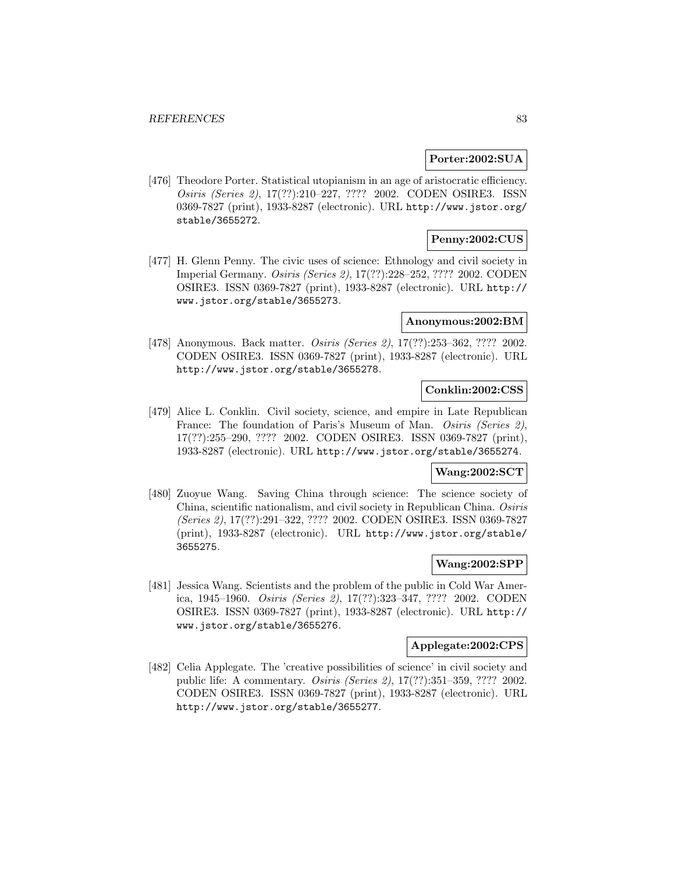### **Porter:2002:SUA**

[476] Theodore Porter. Statistical utopianism in an age of aristocratic efficiency. Osiris (Series 2), 17(??):210–227, ???? 2002. CODEN OSIRE3. ISSN 0369-7827 (print), 1933-8287 (electronic). URL http://www.jstor.org/ stable/3655272.

# **Penny:2002:CUS**

[477] H. Glenn Penny. The civic uses of science: Ethnology and civil society in Imperial Germany. Osiris (Series 2), 17(??):228–252, ???? 2002. CODEN OSIRE3. ISSN 0369-7827 (print), 1933-8287 (electronic). URL http:// www.jstor.org/stable/3655273.

### **Anonymous:2002:BM**

[478] Anonymous. Back matter. Osiris (Series 2), 17(??):253–362, ???? 2002. CODEN OSIRE3. ISSN 0369-7827 (print), 1933-8287 (electronic). URL http://www.jstor.org/stable/3655278.

### **Conklin:2002:CSS**

[479] Alice L. Conklin. Civil society, science, and empire in Late Republican France: The foundation of Paris's Museum of Man. *Osiris (Series 2)*, 17(??):255–290, ???? 2002. CODEN OSIRE3. ISSN 0369-7827 (print), 1933-8287 (electronic). URL http://www.jstor.org/stable/3655274.

# **Wang:2002:SCT**

[480] Zuoyue Wang. Saving China through science: The science society of China, scientific nationalism, and civil society in Republican China. Osiris (Series 2), 17(??):291–322, ???? 2002. CODEN OSIRE3. ISSN 0369-7827 (print), 1933-8287 (electronic). URL http://www.jstor.org/stable/ 3655275.

# **Wang:2002:SPP**

[481] Jessica Wang. Scientists and the problem of the public in Cold War America, 1945–1960. Osiris (Series 2), 17(??):323–347, ???? 2002. CODEN OSIRE3. ISSN 0369-7827 (print), 1933-8287 (electronic). URL http:// www.jstor.org/stable/3655276.

#### **Applegate:2002:CPS**

[482] Celia Applegate. The 'creative possibilities of science' in civil society and public life: A commentary. Osiris (Series 2), 17(??):351–359, ???? 2002. CODEN OSIRE3. ISSN 0369-7827 (print), 1933-8287 (electronic). URL http://www.jstor.org/stable/3655277.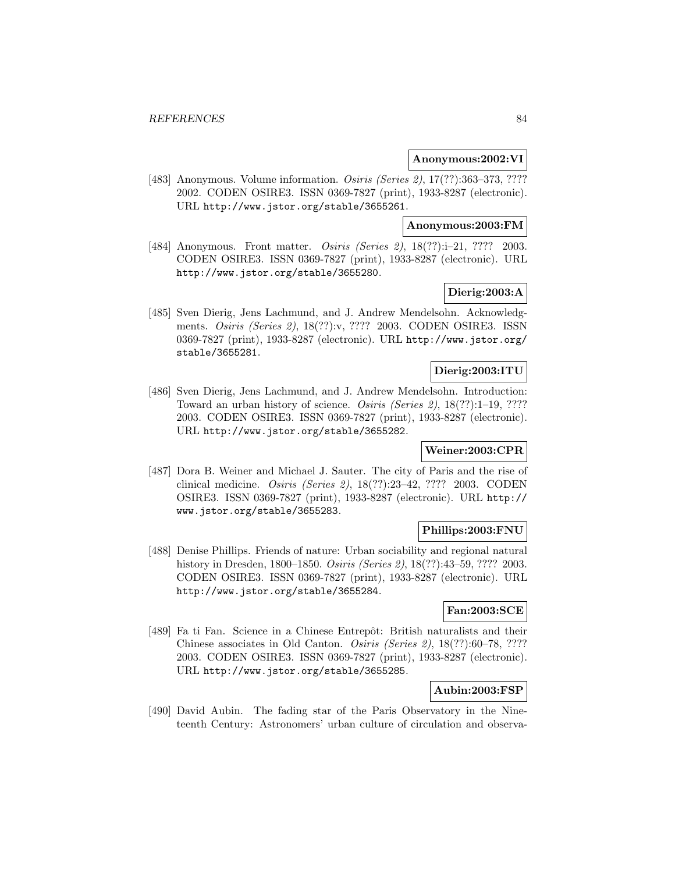### **Anonymous:2002:VI**

[483] Anonymous. Volume information. *Osiris (Series 2)*, 17(??):363-373, ???? 2002. CODEN OSIRE3. ISSN 0369-7827 (print), 1933-8287 (electronic). URL http://www.jstor.org/stable/3655261.

## **Anonymous:2003:FM**

[484] Anonymous. Front matter. Osiris (Series 2), 18(??):i-21, ???? 2003. CODEN OSIRE3. ISSN 0369-7827 (print), 1933-8287 (electronic). URL http://www.jstor.org/stable/3655280.

# **Dierig:2003:A**

[485] Sven Dierig, Jens Lachmund, and J. Andrew Mendelsohn. Acknowledgments. Osiris (Series 2), 18(??):v, ???? 2003. CODEN OSIRE3. ISSN 0369-7827 (print), 1933-8287 (electronic). URL http://www.jstor.org/ stable/3655281.

# **Dierig:2003:ITU**

[486] Sven Dierig, Jens Lachmund, and J. Andrew Mendelsohn. Introduction: Toward an urban history of science. Osiris (Series 2), 18(??):1–19, ???? 2003. CODEN OSIRE3. ISSN 0369-7827 (print), 1933-8287 (electronic). URL http://www.jstor.org/stable/3655282.

### **Weiner:2003:CPR**

[487] Dora B. Weiner and Michael J. Sauter. The city of Paris and the rise of clinical medicine. Osiris (Series 2), 18(??):23–42, ???? 2003. CODEN OSIRE3. ISSN 0369-7827 (print), 1933-8287 (electronic). URL http:// www.jstor.org/stable/3655283.

# **Phillips:2003:FNU**

[488] Denise Phillips. Friends of nature: Urban sociability and regional natural history in Dresden, 1800–1850. Osiris (Series 2), 18(??):43–59, ???? 2003. CODEN OSIRE3. ISSN 0369-7827 (print), 1933-8287 (electronic). URL http://www.jstor.org/stable/3655284.

# **Fan:2003:SCE**

[489] Fa ti Fan. Science in a Chinese Entrepôt: British naturalists and their Chinese associates in Old Canton. Osiris (Series 2), 18(??):60–78, ???? 2003. CODEN OSIRE3. ISSN 0369-7827 (print), 1933-8287 (electronic). URL http://www.jstor.org/stable/3655285.

# **Aubin:2003:FSP**

[490] David Aubin. The fading star of the Paris Observatory in the Nineteenth Century: Astronomers' urban culture of circulation and observa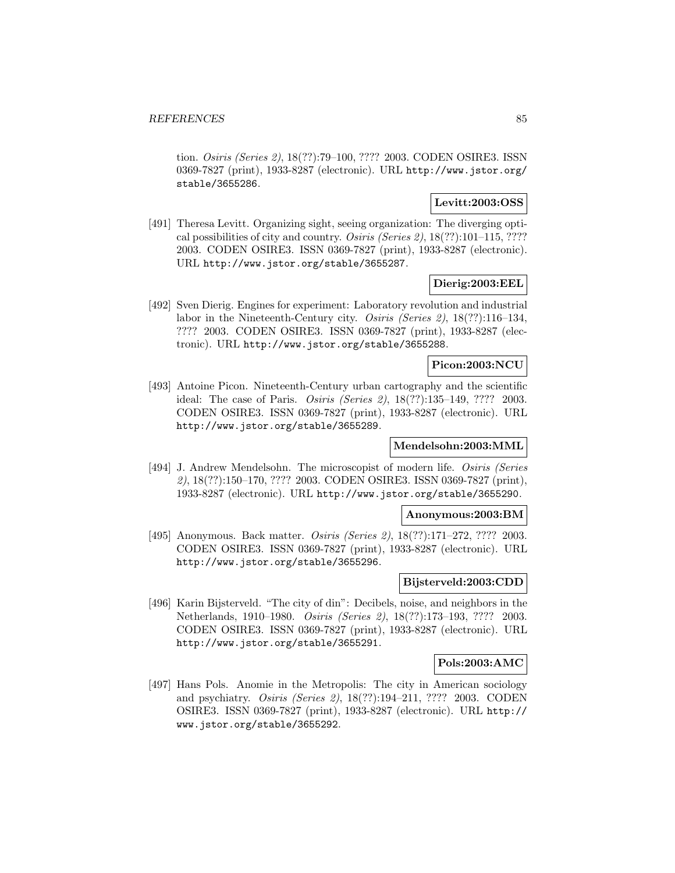tion. Osiris (Series 2), 18(??):79–100, ???? 2003. CODEN OSIRE3. ISSN 0369-7827 (print), 1933-8287 (electronic). URL http://www.jstor.org/ stable/3655286.

### **Levitt:2003:OSS**

[491] Theresa Levitt. Organizing sight, seeing organization: The diverging optical possibilities of city and country. Osiris (Series 2), 18(??):101–115, ???? 2003. CODEN OSIRE3. ISSN 0369-7827 (print), 1933-8287 (electronic). URL http://www.jstor.org/stable/3655287.

# **Dierig:2003:EEL**

[492] Sven Dierig. Engines for experiment: Laboratory revolution and industrial labor in the Nineteenth-Century city. Osiris (Series 2), 18(??):116–134, ???? 2003. CODEN OSIRE3. ISSN 0369-7827 (print), 1933-8287 (electronic). URL http://www.jstor.org/stable/3655288.

# **Picon:2003:NCU**

[493] Antoine Picon. Nineteenth-Century urban cartography and the scientific ideal: The case of Paris. Osiris (Series 2), 18(??):135–149, ???? 2003. CODEN OSIRE3. ISSN 0369-7827 (print), 1933-8287 (electronic). URL http://www.jstor.org/stable/3655289.

## **Mendelsohn:2003:MML**

[494] J. Andrew Mendelsohn. The microscopist of modern life. *Osiris (Series* 2), 18(??):150–170, ???? 2003. CODEN OSIRE3. ISSN 0369-7827 (print), 1933-8287 (electronic). URL http://www.jstor.org/stable/3655290.

### **Anonymous:2003:BM**

[495] Anonymous. Back matter. *Osiris (Series 2)*, 18(??):171–272, ???? 2003. CODEN OSIRE3. ISSN 0369-7827 (print), 1933-8287 (electronic). URL http://www.jstor.org/stable/3655296.

# **Bijsterveld:2003:CDD**

[496] Karin Bijsterveld. "The city of din": Decibels, noise, and neighbors in the Netherlands, 1910–1980. Osiris (Series 2), 18(??):173–193, ???? 2003. CODEN OSIRE3. ISSN 0369-7827 (print), 1933-8287 (electronic). URL http://www.jstor.org/stable/3655291.

## **Pols:2003:AMC**

[497] Hans Pols. Anomie in the Metropolis: The city in American sociology and psychiatry. Osiris (Series 2), 18(??):194–211, ???? 2003. CODEN OSIRE3. ISSN 0369-7827 (print), 1933-8287 (electronic). URL http:// www.jstor.org/stable/3655292.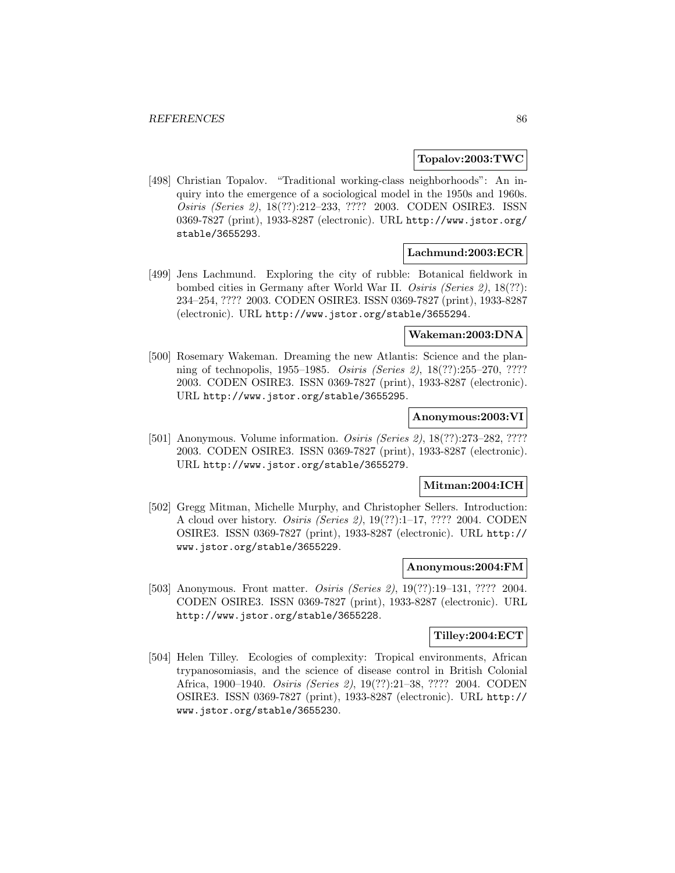### **Topalov:2003:TWC**

[498] Christian Topalov. "Traditional working-class neighborhoods": An inquiry into the emergence of a sociological model in the 1950s and 1960s. Osiris (Series 2), 18(??):212–233, ???? 2003. CODEN OSIRE3. ISSN 0369-7827 (print), 1933-8287 (electronic). URL http://www.jstor.org/ stable/3655293.

### **Lachmund:2003:ECR**

[499] Jens Lachmund. Exploring the city of rubble: Botanical fieldwork in bombed cities in Germany after World War II. Osiris (Series 2), 18(??): 234–254, ???? 2003. CODEN OSIRE3. ISSN 0369-7827 (print), 1933-8287 (electronic). URL http://www.jstor.org/stable/3655294.

## **Wakeman:2003:DNA**

[500] Rosemary Wakeman. Dreaming the new Atlantis: Science and the planning of technopolis, 1955–1985. Osiris (Series 2), 18(??):255–270, ???? 2003. CODEN OSIRE3. ISSN 0369-7827 (print), 1933-8287 (electronic). URL http://www.jstor.org/stable/3655295.

# **Anonymous:2003:VI**

[501] Anonymous. Volume information. Osiris (Series 2), 18(??):273–282, ???? 2003. CODEN OSIRE3. ISSN 0369-7827 (print), 1933-8287 (electronic). URL http://www.jstor.org/stable/3655279.

## **Mitman:2004:ICH**

[502] Gregg Mitman, Michelle Murphy, and Christopher Sellers. Introduction: A cloud over history. Osiris (Series 2), 19(??):1–17, ???? 2004. CODEN OSIRE3. ISSN 0369-7827 (print), 1933-8287 (electronic). URL http:// www.jstor.org/stable/3655229.

#### **Anonymous:2004:FM**

[503] Anonymous. Front matter. *Osiris (Series 2)*, 19(??):19–131, ???? 2004. CODEN OSIRE3. ISSN 0369-7827 (print), 1933-8287 (electronic). URL http://www.jstor.org/stable/3655228.

# **Tilley:2004:ECT**

[504] Helen Tilley. Ecologies of complexity: Tropical environments, African trypanosomiasis, and the science of disease control in British Colonial Africa, 1900–1940. Osiris (Series 2), 19(??):21–38, ???? 2004. CODEN OSIRE3. ISSN 0369-7827 (print), 1933-8287 (electronic). URL http:// www.jstor.org/stable/3655230.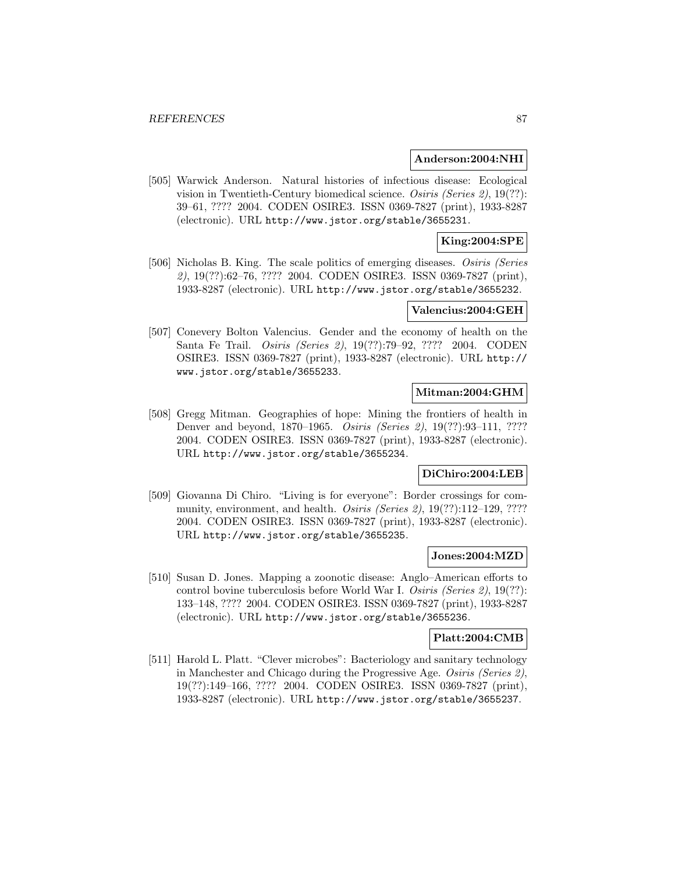#### **Anderson:2004:NHI**

[505] Warwick Anderson. Natural histories of infectious disease: Ecological vision in Twentieth-Century biomedical science. Osiris (Series 2), 19(??): 39–61, ???? 2004. CODEN OSIRE3. ISSN 0369-7827 (print), 1933-8287 (electronic). URL http://www.jstor.org/stable/3655231.

# **King:2004:SPE**

[506] Nicholas B. King. The scale politics of emerging diseases. Osiris (Series 2), 19(??):62–76, ???? 2004. CODEN OSIRE3. ISSN 0369-7827 (print), 1933-8287 (electronic). URL http://www.jstor.org/stable/3655232.

#### **Valencius:2004:GEH**

[507] Conevery Bolton Valencius. Gender and the economy of health on the Santa Fe Trail. Osiris (Series 2), 19(??):79–92, ???? 2004. CODEN OSIRE3. ISSN 0369-7827 (print), 1933-8287 (electronic). URL http:// www.jstor.org/stable/3655233.

# **Mitman:2004:GHM**

[508] Gregg Mitman. Geographies of hope: Mining the frontiers of health in Denver and beyond, 1870–1965. Osiris (Series 2), 19(??):93–111, ???? 2004. CODEN OSIRE3. ISSN 0369-7827 (print), 1933-8287 (electronic). URL http://www.jstor.org/stable/3655234.

## **DiChiro:2004:LEB**

[509] Giovanna Di Chiro. "Living is for everyone": Border crossings for community, environment, and health. *Osiris (Series 2)*, 19(??):112–129, ???? 2004. CODEN OSIRE3. ISSN 0369-7827 (print), 1933-8287 (electronic). URL http://www.jstor.org/stable/3655235.

## **Jones:2004:MZD**

[510] Susan D. Jones. Mapping a zoonotic disease: Anglo–American efforts to control bovine tuberculosis before World War I. Osiris (Series 2), 19(??): 133–148, ???? 2004. CODEN OSIRE3. ISSN 0369-7827 (print), 1933-8287 (electronic). URL http://www.jstor.org/stable/3655236.

### **Platt:2004:CMB**

[511] Harold L. Platt. "Clever microbes": Bacteriology and sanitary technology in Manchester and Chicago during the Progressive Age. Osiris (Series 2), 19(??):149–166, ???? 2004. CODEN OSIRE3. ISSN 0369-7827 (print), 1933-8287 (electronic). URL http://www.jstor.org/stable/3655237.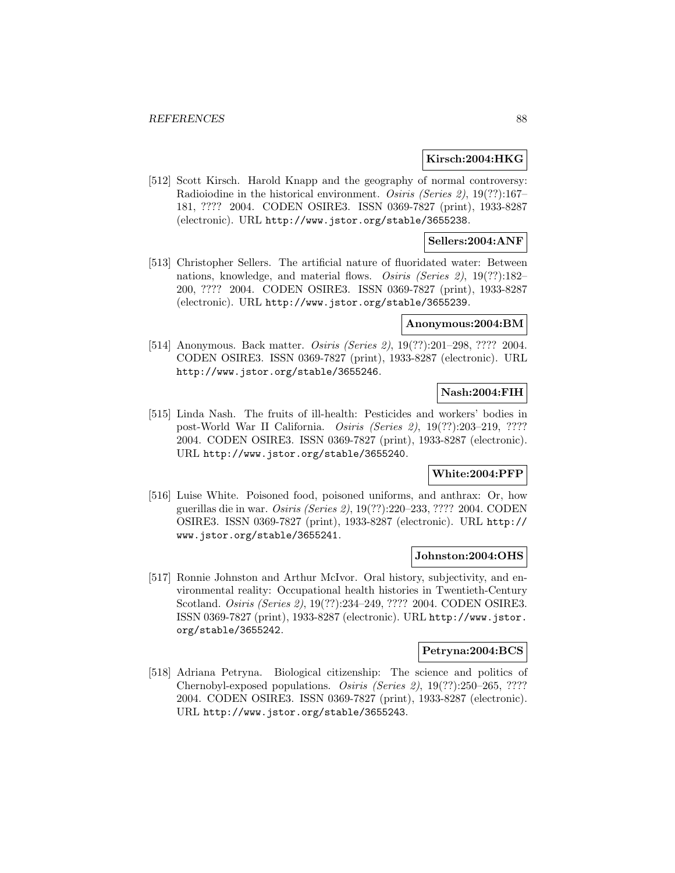### **Kirsch:2004:HKG**

[512] Scott Kirsch. Harold Knapp and the geography of normal controversy: Radioiodine in the historical environment. Osiris (Series 2), 19(??):167– 181, ???? 2004. CODEN OSIRE3. ISSN 0369-7827 (print), 1933-8287 (electronic). URL http://www.jstor.org/stable/3655238.

## **Sellers:2004:ANF**

[513] Christopher Sellers. The artificial nature of fluoridated water: Between nations, knowledge, and material flows. Osiris (Series 2), 19(??):182– 200, ???? 2004. CODEN OSIRE3. ISSN 0369-7827 (print), 1933-8287 (electronic). URL http://www.jstor.org/stable/3655239.

#### **Anonymous:2004:BM**

[514] Anonymous. Back matter. *Osiris (Series 2)*, 19(??):201–298, ???? 2004. CODEN OSIRE3. ISSN 0369-7827 (print), 1933-8287 (electronic). URL http://www.jstor.org/stable/3655246.

# **Nash:2004:FIH**

[515] Linda Nash. The fruits of ill-health: Pesticides and workers' bodies in post-World War II California. Osiris (Series 2), 19(??):203–219, ???? 2004. CODEN OSIRE3. ISSN 0369-7827 (print), 1933-8287 (electronic). URL http://www.jstor.org/stable/3655240.

# **White:2004:PFP**

[516] Luise White. Poisoned food, poisoned uniforms, and anthrax: Or, how guerillas die in war. Osiris (Series 2), 19(??):220–233, ???? 2004. CODEN OSIRE3. ISSN 0369-7827 (print), 1933-8287 (electronic). URL http:// www.jstor.org/stable/3655241.

#### **Johnston:2004:OHS**

[517] Ronnie Johnston and Arthur McIvor. Oral history, subjectivity, and environmental reality: Occupational health histories in Twentieth-Century Scotland. Osiris (Series 2), 19(??):234–249, ???? 2004. CODEN OSIRE3. ISSN 0369-7827 (print), 1933-8287 (electronic). URL http://www.jstor. org/stable/3655242.

#### **Petryna:2004:BCS**

[518] Adriana Petryna. Biological citizenship: The science and politics of Chernobyl-exposed populations. Osiris (Series 2), 19(??):250–265, ???? 2004. CODEN OSIRE3. ISSN 0369-7827 (print), 1933-8287 (electronic). URL http://www.jstor.org/stable/3655243.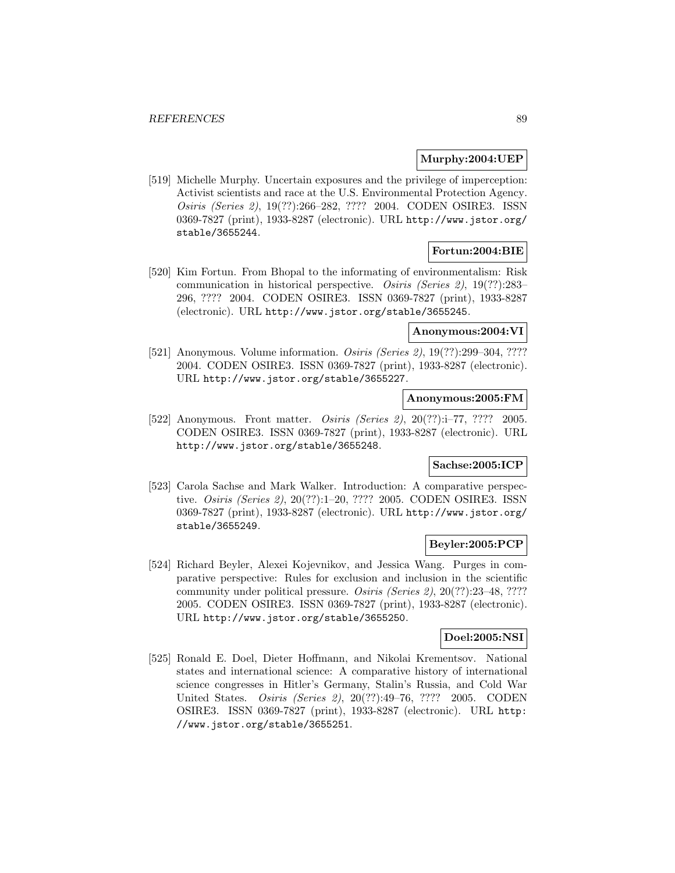# **Murphy:2004:UEP**

[519] Michelle Murphy. Uncertain exposures and the privilege of imperception: Activist scientists and race at the U.S. Environmental Protection Agency. Osiris (Series 2), 19(??):266–282, ???? 2004. CODEN OSIRE3. ISSN 0369-7827 (print), 1933-8287 (electronic). URL http://www.jstor.org/ stable/3655244.

# **Fortun:2004:BIE**

[520] Kim Fortun. From Bhopal to the informating of environmentalism: Risk communication in historical perspective. Osiris (Series 2), 19(??):283– 296, ???? 2004. CODEN OSIRE3. ISSN 0369-7827 (print), 1933-8287 (electronic). URL http://www.jstor.org/stable/3655245.

# **Anonymous:2004:VI**

[521] Anonymous. Volume information. *Osiris (Series 2)*, 19(??):299–304, ???? 2004. CODEN OSIRE3. ISSN 0369-7827 (print), 1933-8287 (electronic). URL http://www.jstor.org/stable/3655227.

# **Anonymous:2005:FM**

[522] Anonymous. Front matter. *Osiris (Series 2)*, 20(??):i–77, ???? 2005. CODEN OSIRE3. ISSN 0369-7827 (print), 1933-8287 (electronic). URL http://www.jstor.org/stable/3655248.

# **Sachse:2005:ICP**

[523] Carola Sachse and Mark Walker. Introduction: A comparative perspective. Osiris (Series 2), 20(??):1–20, ???? 2005. CODEN OSIRE3. ISSN 0369-7827 (print), 1933-8287 (electronic). URL http://www.jstor.org/ stable/3655249.

# **Beyler:2005:PCP**

[524] Richard Beyler, Alexei Kojevnikov, and Jessica Wang. Purges in comparative perspective: Rules for exclusion and inclusion in the scientific community under political pressure. Osiris (Series 2), 20(??):23–48, ???? 2005. CODEN OSIRE3. ISSN 0369-7827 (print), 1933-8287 (electronic). URL http://www.jstor.org/stable/3655250.

## **Doel:2005:NSI**

[525] Ronald E. Doel, Dieter Hoffmann, and Nikolai Krementsov. National states and international science: A comparative history of international science congresses in Hitler's Germany, Stalin's Russia, and Cold War United States. Osiris (Series 2), 20(??):49–76, ???? 2005. CODEN OSIRE3. ISSN 0369-7827 (print), 1933-8287 (electronic). URL http: //www.jstor.org/stable/3655251.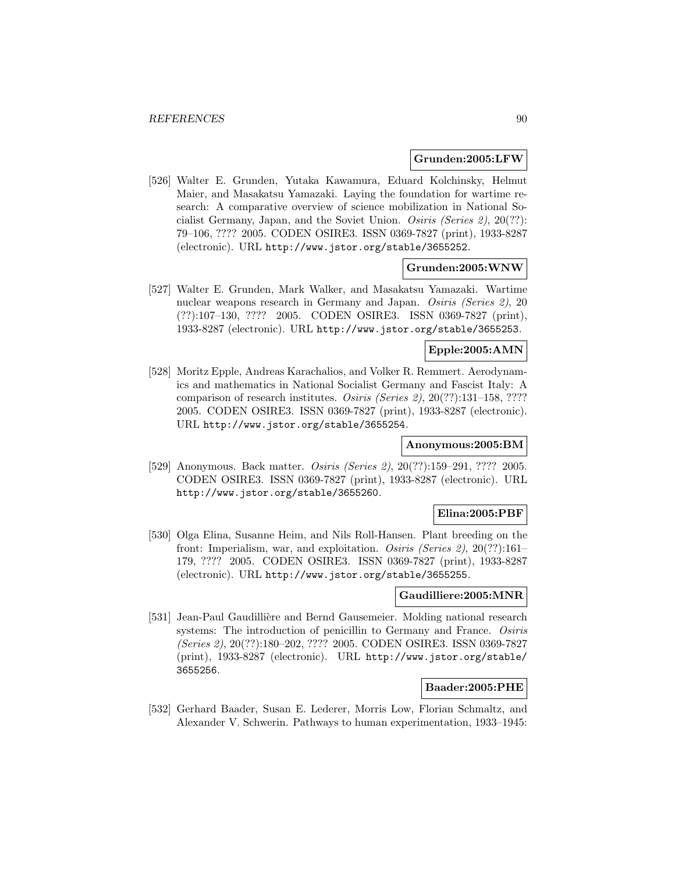#### **Grunden:2005:LFW**

[526] Walter E. Grunden, Yutaka Kawamura, Eduard Kolchinsky, Helmut Maier, and Masakatsu Yamazaki. Laying the foundation for wartime research: A comparative overview of science mobilization in National Socialist Germany, Japan, and the Soviet Union. Osiris (Series 2),  $20(??)$ : 79–106, ???? 2005. CODEN OSIRE3. ISSN 0369-7827 (print), 1933-8287 (electronic). URL http://www.jstor.org/stable/3655252.

#### **Grunden:2005:WNW**

[527] Walter E. Grunden, Mark Walker, and Masakatsu Yamazaki. Wartime nuclear weapons research in Germany and Japan. Osiris (Series 2), 20 (??):107–130, ???? 2005. CODEN OSIRE3. ISSN 0369-7827 (print), 1933-8287 (electronic). URL http://www.jstor.org/stable/3655253.

# **Epple:2005:AMN**

[528] Moritz Epple, Andreas Karachalios, and Volker R. Remmert. Aerodynamics and mathematics in National Socialist Germany and Fascist Italy: A comparison of research institutes. Osiris (Series 2), 20(??):131–158, ???? 2005. CODEN OSIRE3. ISSN 0369-7827 (print), 1933-8287 (electronic). URL http://www.jstor.org/stable/3655254.

## **Anonymous:2005:BM**

[529] Anonymous. Back matter. Osiris (Series 2), 20(??):159-291, ???? 2005. CODEN OSIRE3. ISSN 0369-7827 (print), 1933-8287 (electronic). URL http://www.jstor.org/stable/3655260.

### **Elina:2005:PBF**

[530] Olga Elina, Susanne Heim, and Nils Roll-Hansen. Plant breeding on the front: Imperialism, war, and exploitation. Osiris (Series 2), 20(??):161– 179, ???? 2005. CODEN OSIRE3. ISSN 0369-7827 (print), 1933-8287 (electronic). URL http://www.jstor.org/stable/3655255.

### **Gaudilliere:2005:MNR**

[531] Jean-Paul Gaudillière and Bernd Gausemeier. Molding national research systems: The introduction of penicillin to Germany and France. Osiris (Series 2), 20(??):180–202, ???? 2005. CODEN OSIRE3. ISSN 0369-7827 (print), 1933-8287 (electronic). URL http://www.jstor.org/stable/ 3655256.

## **Baader:2005:PHE**

[532] Gerhard Baader, Susan E. Lederer, Morris Low, Florian Schmaltz, and Alexander V. Schwerin. Pathways to human experimentation, 1933–1945: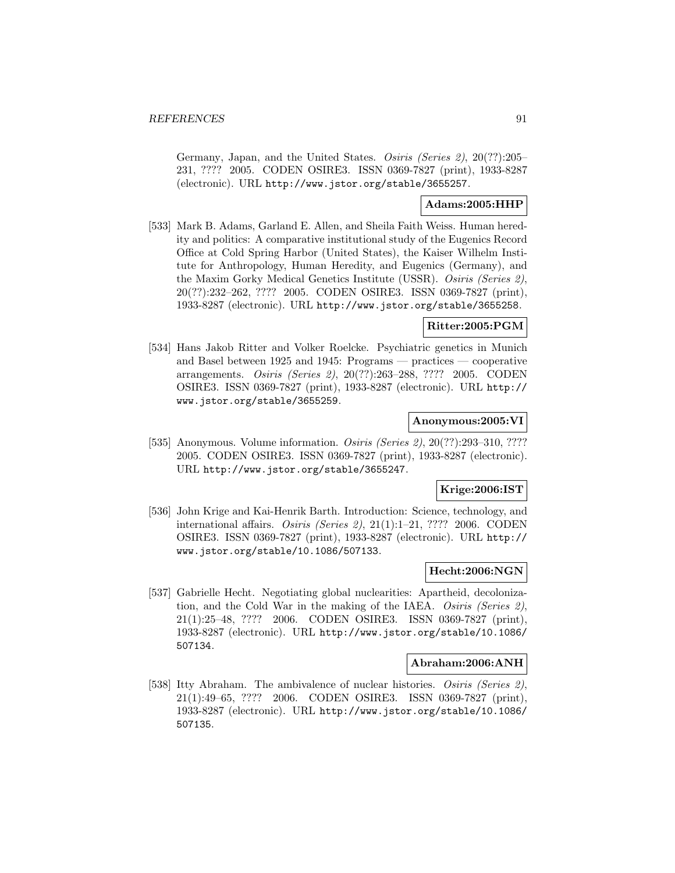Germany, Japan, and the United States. Osiris (Series 2), 20(??):205– 231, ???? 2005. CODEN OSIRE3. ISSN 0369-7827 (print), 1933-8287 (electronic). URL http://www.jstor.org/stable/3655257.

## **Adams:2005:HHP**

[533] Mark B. Adams, Garland E. Allen, and Sheila Faith Weiss. Human heredity and politics: A comparative institutional study of the Eugenics Record Office at Cold Spring Harbor (United States), the Kaiser Wilhelm Institute for Anthropology, Human Heredity, and Eugenics (Germany), and the Maxim Gorky Medical Genetics Institute (USSR). Osiris (Series 2), 20(??):232–262, ???? 2005. CODEN OSIRE3. ISSN 0369-7827 (print), 1933-8287 (electronic). URL http://www.jstor.org/stable/3655258.

# **Ritter:2005:PGM**

[534] Hans Jakob Ritter and Volker Roelcke. Psychiatric genetics in Munich and Basel between 1925 and 1945: Programs — practices — cooperative arrangements. Osiris (Series 2), 20(??):263–288, ???? 2005. CODEN OSIRE3. ISSN 0369-7827 (print), 1933-8287 (electronic). URL http:// www.jstor.org/stable/3655259.

### **Anonymous:2005:VI**

[535] Anonymous. Volume information. *Osiris (Series 2)*, 20(??):293-310, ???? 2005. CODEN OSIRE3. ISSN 0369-7827 (print), 1933-8287 (electronic). URL http://www.jstor.org/stable/3655247.

# **Krige:2006:IST**

[536] John Krige and Kai-Henrik Barth. Introduction: Science, technology, and international affairs. Osiris (Series 2), 21(1):1–21, ???? 2006. CODEN OSIRE3. ISSN 0369-7827 (print), 1933-8287 (electronic). URL http:// www.jstor.org/stable/10.1086/507133.

#### **Hecht:2006:NGN**

[537] Gabrielle Hecht. Negotiating global nuclearities: Apartheid, decolonization, and the Cold War in the making of the IAEA. Osiris (Series 2), 21(1):25–48, ???? 2006. CODEN OSIRE3. ISSN 0369-7827 (print), 1933-8287 (electronic). URL http://www.jstor.org/stable/10.1086/ 507134.

#### **Abraham:2006:ANH**

[538] Itty Abraham. The ambivalence of nuclear histories. Osiris (Series 2), 21(1):49–65, ???? 2006. CODEN OSIRE3. ISSN 0369-7827 (print), 1933-8287 (electronic). URL http://www.jstor.org/stable/10.1086/ 507135.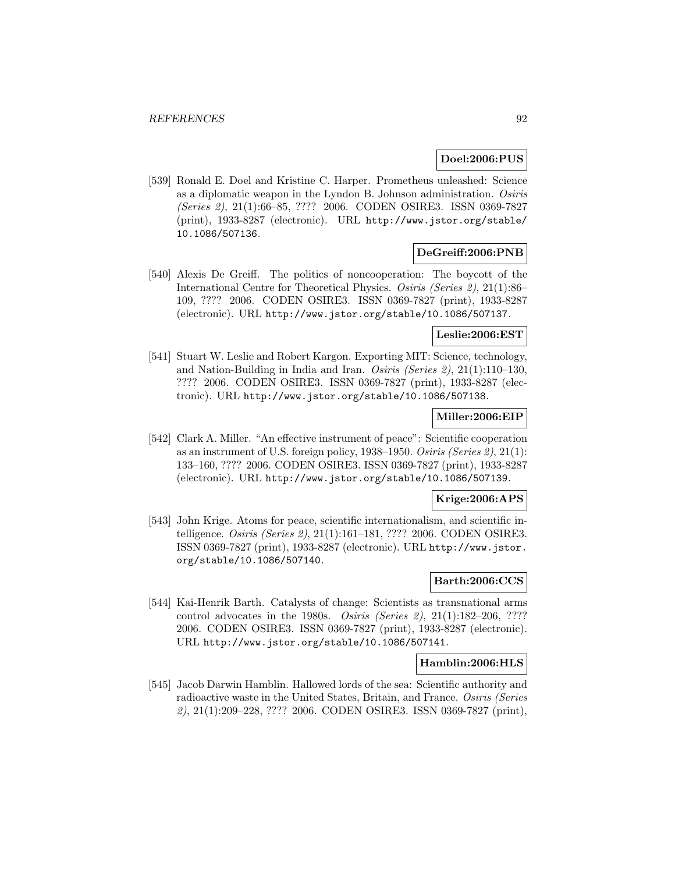# **Doel:2006:PUS**

[539] Ronald E. Doel and Kristine C. Harper. Prometheus unleashed: Science as a diplomatic weapon in the Lyndon B. Johnson administration. Osiris (Series 2), 21(1):66–85, ???? 2006. CODEN OSIRE3. ISSN 0369-7827 (print), 1933-8287 (electronic). URL http://www.jstor.org/stable/ 10.1086/507136.

## **DeGreiff:2006:PNB**

[540] Alexis De Greiff. The politics of noncooperation: The boycott of the International Centre for Theoretical Physics. Osiris (Series 2), 21(1):86– 109, ???? 2006. CODEN OSIRE3. ISSN 0369-7827 (print), 1933-8287 (electronic). URL http://www.jstor.org/stable/10.1086/507137.

### **Leslie:2006:EST**

[541] Stuart W. Leslie and Robert Kargon. Exporting MIT: Science, technology, and Nation-Building in India and Iran. Osiris (Series 2), 21(1):110–130, ???? 2006. CODEN OSIRE3. ISSN 0369-7827 (print), 1933-8287 (electronic). URL http://www.jstor.org/stable/10.1086/507138.

# **Miller:2006:EIP**

[542] Clark A. Miller. "An effective instrument of peace": Scientific cooperation as an instrument of U.S. foreign policy, 1938–1950. Osiris (Series 2), 21(1): 133–160, ???? 2006. CODEN OSIRE3. ISSN 0369-7827 (print), 1933-8287 (electronic). URL http://www.jstor.org/stable/10.1086/507139.

#### **Krige:2006:APS**

[543] John Krige. Atoms for peace, scientific internationalism, and scientific intelligence. Osiris (Series 2), 21(1):161–181, ???? 2006. CODEN OSIRE3. ISSN 0369-7827 (print), 1933-8287 (electronic). URL http://www.jstor. org/stable/10.1086/507140.

# **Barth:2006:CCS**

[544] Kai-Henrik Barth. Catalysts of change: Scientists as transnational arms control advocates in the 1980s. Osiris (Series 2), 21(1):182–206, ???? 2006. CODEN OSIRE3. ISSN 0369-7827 (print), 1933-8287 (electronic). URL http://www.jstor.org/stable/10.1086/507141.

#### **Hamblin:2006:HLS**

[545] Jacob Darwin Hamblin. Hallowed lords of the sea: Scientific authority and radioactive waste in the United States, Britain, and France. Osiris (Series 2), 21(1):209–228, ???? 2006. CODEN OSIRE3. ISSN 0369-7827 (print),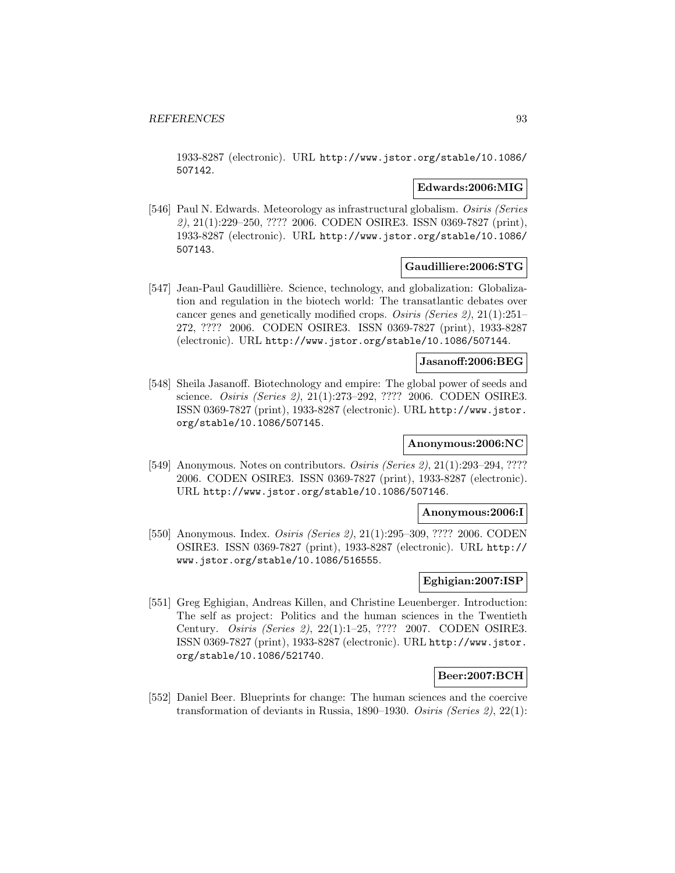1933-8287 (electronic). URL http://www.jstor.org/stable/10.1086/ 507142.

## **Edwards:2006:MIG**

[546] Paul N. Edwards. Meteorology as infrastructural globalism. Osiris (Series 2), 21(1):229–250, ???? 2006. CODEN OSIRE3. ISSN 0369-7827 (print), 1933-8287 (electronic). URL http://www.jstor.org/stable/10.1086/ 507143.

# **Gaudilliere:2006:STG**

[547] Jean-Paul Gaudillière. Science, technology, and globalization: Globalization and regulation in the biotech world: The transatlantic debates over cancer genes and genetically modified crops. Osiris (Series 2), 21(1):251– 272, ???? 2006. CODEN OSIRE3. ISSN 0369-7827 (print), 1933-8287 (electronic). URL http://www.jstor.org/stable/10.1086/507144.

# **Jasanoff:2006:BEG**

[548] Sheila Jasanoff. Biotechnology and empire: The global power of seeds and science. Osiris (Series 2), 21(1):273–292, ???? 2006. CODEN OSIRE3. ISSN 0369-7827 (print), 1933-8287 (electronic). URL http://www.jstor. org/stable/10.1086/507145.

## **Anonymous:2006:NC**

[549] Anonymous. Notes on contributors. *Osiris (Series 2)*, 21(1):293–294, ???? 2006. CODEN OSIRE3. ISSN 0369-7827 (print), 1933-8287 (electronic). URL http://www.jstor.org/stable/10.1086/507146.

#### **Anonymous:2006:I**

[550] Anonymous. Index. *Osiris (Series 2)*, 21(1):295–309, ???? 2006. CODEN OSIRE3. ISSN 0369-7827 (print), 1933-8287 (electronic). URL http:// www.jstor.org/stable/10.1086/516555.

# **Eghigian:2007:ISP**

[551] Greg Eghigian, Andreas Killen, and Christine Leuenberger. Introduction: The self as project: Politics and the human sciences in the Twentieth Century. Osiris (Series 2), 22(1):1–25, ???? 2007. CODEN OSIRE3. ISSN 0369-7827 (print), 1933-8287 (electronic). URL http://www.jstor. org/stable/10.1086/521740.

## **Beer:2007:BCH**

[552] Daniel Beer. Blueprints for change: The human sciences and the coercive transformation of deviants in Russia, 1890–1930. Osiris (Series 2), 22(1):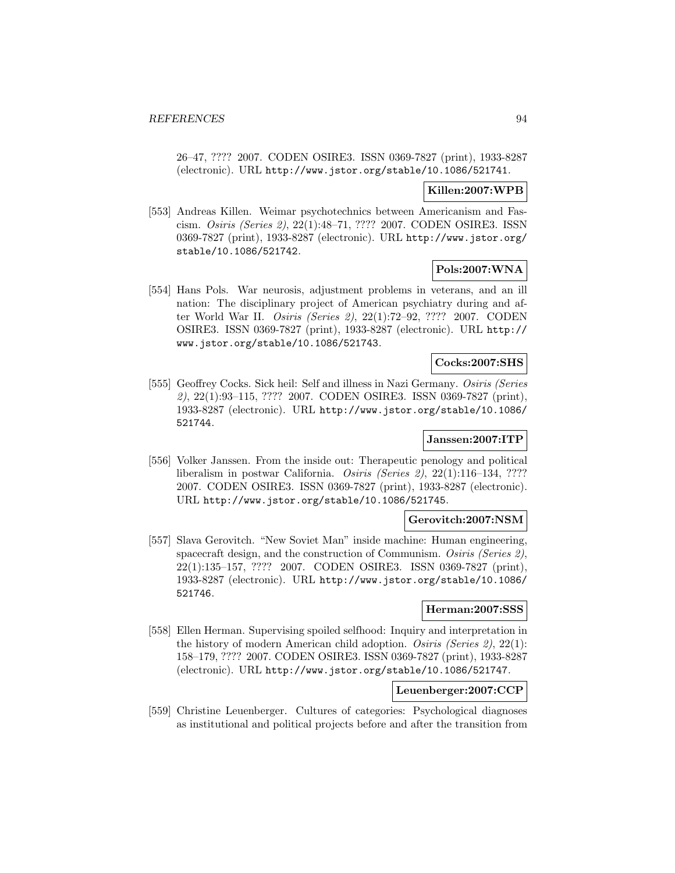26–47, ???? 2007. CODEN OSIRE3. ISSN 0369-7827 (print), 1933-8287 (electronic). URL http://www.jstor.org/stable/10.1086/521741.

# **Killen:2007:WPB**

[553] Andreas Killen. Weimar psychotechnics between Americanism and Fascism. Osiris (Series 2), 22(1):48–71, ???? 2007. CODEN OSIRE3. ISSN 0369-7827 (print), 1933-8287 (electronic). URL http://www.jstor.org/ stable/10.1086/521742.

# **Pols:2007:WNA**

[554] Hans Pols. War neurosis, adjustment problems in veterans, and an ill nation: The disciplinary project of American psychiatry during and after World War II. Osiris (Series 2), 22(1):72–92, ???? 2007. CODEN OSIRE3. ISSN 0369-7827 (print), 1933-8287 (electronic). URL http:// www.jstor.org/stable/10.1086/521743.

# **Cocks:2007:SHS**

[555] Geoffrey Cocks. Sick heil: Self and illness in Nazi Germany. Osiris (Series 2), 22(1):93–115, ???? 2007. CODEN OSIRE3. ISSN 0369-7827 (print), 1933-8287 (electronic). URL http://www.jstor.org/stable/10.1086/ 521744.

# **Janssen:2007:ITP**

[556] Volker Janssen. From the inside out: Therapeutic penology and political liberalism in postwar California. Osiris (Series 2), 22(1):116–134, ???? 2007. CODEN OSIRE3. ISSN 0369-7827 (print), 1933-8287 (electronic). URL http://www.jstor.org/stable/10.1086/521745.

## **Gerovitch:2007:NSM**

[557] Slava Gerovitch. "New Soviet Man" inside machine: Human engineering, spacecraft design, and the construction of Communism. Osiris (Series 2), 22(1):135–157, ???? 2007. CODEN OSIRE3. ISSN 0369-7827 (print), 1933-8287 (electronic). URL http://www.jstor.org/stable/10.1086/ 521746.

#### **Herman:2007:SSS**

[558] Ellen Herman. Supervising spoiled selfhood: Inquiry and interpretation in the history of modern American child adoption. Osiris (Series 2), 22(1): 158–179, ???? 2007. CODEN OSIRE3. ISSN 0369-7827 (print), 1933-8287 (electronic). URL http://www.jstor.org/stable/10.1086/521747.

# **Leuenberger:2007:CCP**

[559] Christine Leuenberger. Cultures of categories: Psychological diagnoses as institutional and political projects before and after the transition from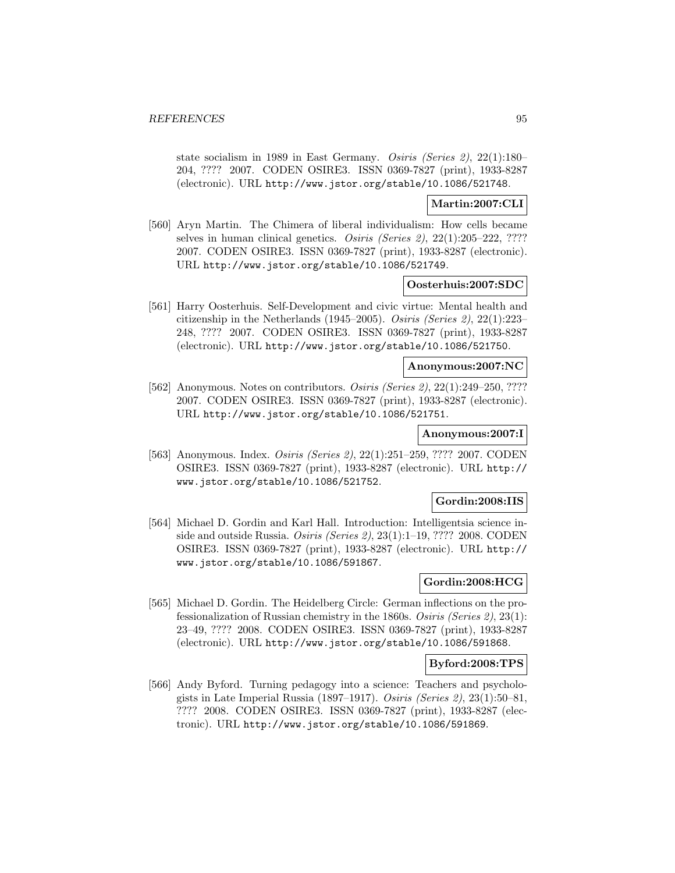state socialism in 1989 in East Germany. Osiris (Series 2), 22(1):180– 204, ???? 2007. CODEN OSIRE3. ISSN 0369-7827 (print), 1933-8287 (electronic). URL http://www.jstor.org/stable/10.1086/521748.

## **Martin:2007:CLI**

[560] Aryn Martin. The Chimera of liberal individualism: How cells became selves in human clinical genetics. Osiris (Series 2), 22(1):205–222, ???? 2007. CODEN OSIRE3. ISSN 0369-7827 (print), 1933-8287 (electronic). URL http://www.jstor.org/stable/10.1086/521749.

### **Oosterhuis:2007:SDC**

[561] Harry Oosterhuis. Self-Development and civic virtue: Mental health and citizenship in the Netherlands (1945–2005). Osiris (Series 2), 22(1):223– 248, ???? 2007. CODEN OSIRE3. ISSN 0369-7827 (print), 1933-8287 (electronic). URL http://www.jstor.org/stable/10.1086/521750.

#### **Anonymous:2007:NC**

[562] Anonymous. Notes on contributors. *Osiris (Series 2)*, 22(1):249–250, ???? 2007. CODEN OSIRE3. ISSN 0369-7827 (print), 1933-8287 (electronic). URL http://www.jstor.org/stable/10.1086/521751.

### **Anonymous:2007:I**

[563] Anonymous. Index. Osiris (Series 2), 22(1):251–259, ???? 2007. CODEN OSIRE3. ISSN 0369-7827 (print), 1933-8287 (electronic). URL http:// www.jstor.org/stable/10.1086/521752.

## **Gordin:2008:IIS**

[564] Michael D. Gordin and Karl Hall. Introduction: Intelligentsia science inside and outside Russia. Osiris (Series 2), 23(1):1–19, ???? 2008. CODEN OSIRE3. ISSN 0369-7827 (print), 1933-8287 (electronic). URL http:// www.jstor.org/stable/10.1086/591867.

# **Gordin:2008:HCG**

[565] Michael D. Gordin. The Heidelberg Circle: German inflections on the professionalization of Russian chemistry in the 1860s. Osiris (Series 2), 23(1): 23–49, ???? 2008. CODEN OSIRE3. ISSN 0369-7827 (print), 1933-8287 (electronic). URL http://www.jstor.org/stable/10.1086/591868.

## **Byford:2008:TPS**

[566] Andy Byford. Turning pedagogy into a science: Teachers and psychologists in Late Imperial Russia (1897–1917). Osiris (Series 2), 23(1):50–81, ???? 2008. CODEN OSIRE3. ISSN 0369-7827 (print), 1933-8287 (electronic). URL http://www.jstor.org/stable/10.1086/591869.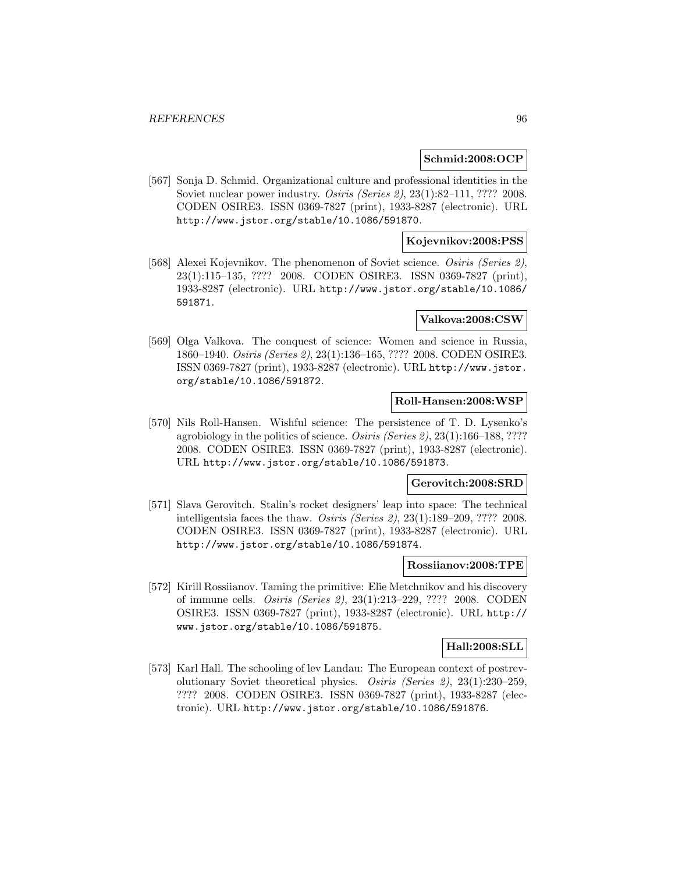## **Schmid:2008:OCP**

[567] Sonja D. Schmid. Organizational culture and professional identities in the Soviet nuclear power industry. Osiris (Series 2), 23(1):82–111, ???? 2008. CODEN OSIRE3. ISSN 0369-7827 (print), 1933-8287 (electronic). URL http://www.jstor.org/stable/10.1086/591870.

## **Kojevnikov:2008:PSS**

[568] Alexei Kojevnikov. The phenomenon of Soviet science. Osiris (Series 2), 23(1):115–135, ???? 2008. CODEN OSIRE3. ISSN 0369-7827 (print), 1933-8287 (electronic). URL http://www.jstor.org/stable/10.1086/ 591871.

### **Valkova:2008:CSW**

[569] Olga Valkova. The conquest of science: Women and science in Russia, 1860–1940. Osiris (Series 2), 23(1):136–165, ???? 2008. CODEN OSIRE3. ISSN 0369-7827 (print), 1933-8287 (electronic). URL http://www.jstor. org/stable/10.1086/591872.

# **Roll-Hansen:2008:WSP**

[570] Nils Roll-Hansen. Wishful science: The persistence of T. D. Lysenko's agrobiology in the politics of science. Osiris (Series 2), 23(1):166–188, ???? 2008. CODEN OSIRE3. ISSN 0369-7827 (print), 1933-8287 (electronic). URL http://www.jstor.org/stable/10.1086/591873.

## **Gerovitch:2008:SRD**

[571] Slava Gerovitch. Stalin's rocket designers' leap into space: The technical intelligentsia faces the thaw. Osiris (Series 2), 23(1):189–209, ???? 2008. CODEN OSIRE3. ISSN 0369-7827 (print), 1933-8287 (electronic). URL http://www.jstor.org/stable/10.1086/591874.

### **Rossiianov:2008:TPE**

[572] Kirill Rossiianov. Taming the primitive: Elie Metchnikov and his discovery of immune cells. Osiris (Series 2), 23(1):213–229, ???? 2008. CODEN OSIRE3. ISSN 0369-7827 (print), 1933-8287 (electronic). URL http:// www.jstor.org/stable/10.1086/591875.

## **Hall:2008:SLL**

[573] Karl Hall. The schooling of lev Landau: The European context of postrevolutionary Soviet theoretical physics. Osiris (Series 2), 23(1):230–259, ???? 2008. CODEN OSIRE3. ISSN 0369-7827 (print), 1933-8287 (electronic). URL http://www.jstor.org/stable/10.1086/591876.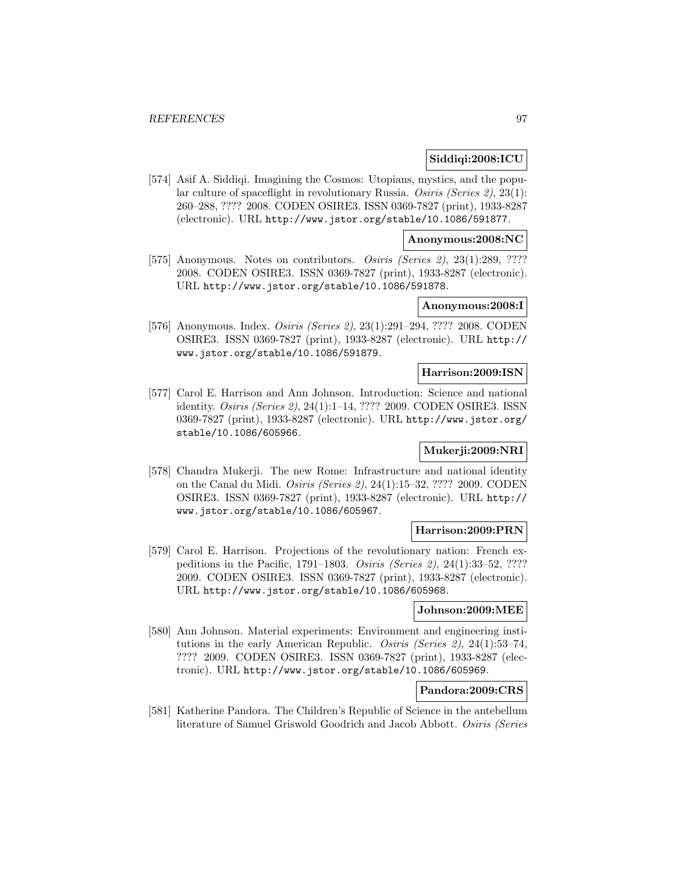# **Siddiqi:2008:ICU**

[574] Asif A. Siddiqi. Imagining the Cosmos: Utopians, mystics, and the popular culture of spaceflight in revolutionary Russia. Osiris (Series 2), 23(1): 260–288, ???? 2008. CODEN OSIRE3. ISSN 0369-7827 (print), 1933-8287 (electronic). URL http://www.jstor.org/stable/10.1086/591877.

### **Anonymous:2008:NC**

[575] Anonymous. Notes on contributors. Osiris (Series 2), 23(1):289, ???? 2008. CODEN OSIRE3. ISSN 0369-7827 (print), 1933-8287 (electronic). URL http://www.jstor.org/stable/10.1086/591878.

# **Anonymous:2008:I**

[576] Anonymous. Index. Osiris (Series 2), 23(1):291–294, ???? 2008. CODEN OSIRE3. ISSN 0369-7827 (print), 1933-8287 (electronic). URL http:// www.jstor.org/stable/10.1086/591879.

#### **Harrison:2009:ISN**

[577] Carol E. Harrison and Ann Johnson. Introduction: Science and national identity. Osiris (Series 2), 24(1):1–14, ???? 2009. CODEN OSIRE3. ISSN 0369-7827 (print), 1933-8287 (electronic). URL http://www.jstor.org/ stable/10.1086/605966.

### **Mukerji:2009:NRI**

[578] Chandra Mukerji. The new Rome: Infrastructure and national identity on the Canal du Midi. Osiris (Series 2), 24(1):15–32, ???? 2009. CODEN OSIRE3. ISSN 0369-7827 (print), 1933-8287 (electronic). URL http:// www.jstor.org/stable/10.1086/605967.

#### **Harrison:2009:PRN**

[579] Carol E. Harrison. Projections of the revolutionary nation: French expeditions in the Pacific, 1791–1803. Osiris (Series 2), 24(1):33–52, ???? 2009. CODEN OSIRE3. ISSN 0369-7827 (print), 1933-8287 (electronic). URL http://www.jstor.org/stable/10.1086/605968.

### **Johnson:2009:MEE**

[580] Ann Johnson. Material experiments: Environment and engineering institutions in the early American Republic. Osiris (Series 2), 24(1):53–74, ???? 2009. CODEN OSIRE3. ISSN 0369-7827 (print), 1933-8287 (electronic). URL http://www.jstor.org/stable/10.1086/605969.

# **Pandora:2009:CRS**

[581] Katherine Pandora. The Children's Republic of Science in the antebellum literature of Samuel Griswold Goodrich and Jacob Abbott. Osiris (Series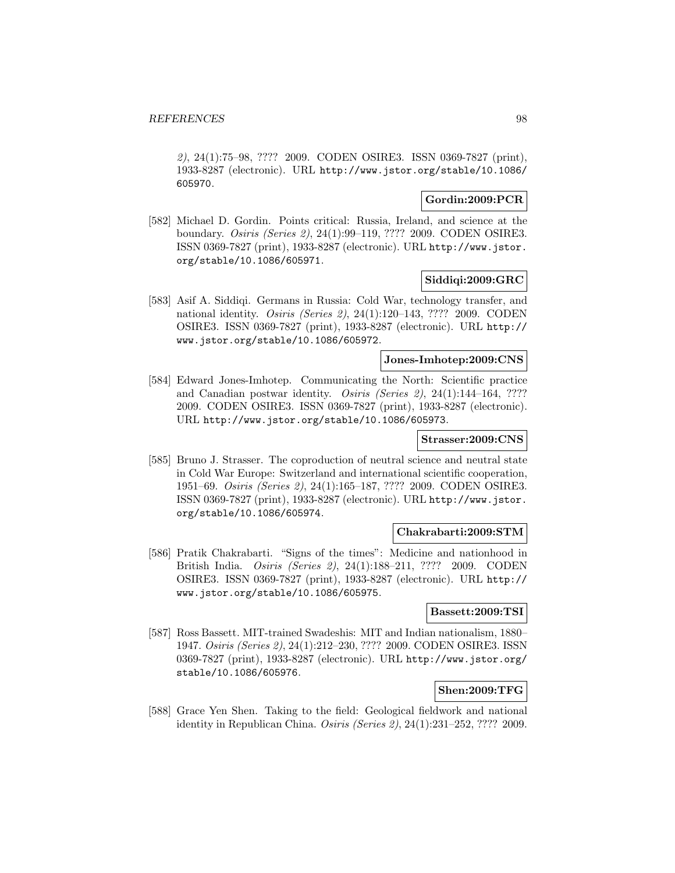2), 24(1):75–98, ???? 2009. CODEN OSIRE3. ISSN 0369-7827 (print), 1933-8287 (electronic). URL http://www.jstor.org/stable/10.1086/ 605970.

# **Gordin:2009:PCR**

[582] Michael D. Gordin. Points critical: Russia, Ireland, and science at the boundary. Osiris (Series 2), 24(1):99–119, ???? 2009. CODEN OSIRE3. ISSN 0369-7827 (print), 1933-8287 (electronic). URL http://www.jstor. org/stable/10.1086/605971.

# **Siddiqi:2009:GRC**

[583] Asif A. Siddiqi. Germans in Russia: Cold War, technology transfer, and national identity. Osiris (Series 2), 24(1):120–143, ???? 2009. CODEN OSIRE3. ISSN 0369-7827 (print), 1933-8287 (electronic). URL http:// www.jstor.org/stable/10.1086/605972.

#### **Jones-Imhotep:2009:CNS**

[584] Edward Jones-Imhotep. Communicating the North: Scientific practice and Canadian postwar identity. *Osiris (Series 2)*, 24(1):144-164, ???? 2009. CODEN OSIRE3. ISSN 0369-7827 (print), 1933-8287 (electronic). URL http://www.jstor.org/stable/10.1086/605973.

#### **Strasser:2009:CNS**

[585] Bruno J. Strasser. The coproduction of neutral science and neutral state in Cold War Europe: Switzerland and international scientific cooperation, 1951–69. Osiris (Series 2), 24(1):165–187, ???? 2009. CODEN OSIRE3. ISSN 0369-7827 (print), 1933-8287 (electronic). URL http://www.jstor. org/stable/10.1086/605974.

### **Chakrabarti:2009:STM**

[586] Pratik Chakrabarti. "Signs of the times": Medicine and nationhood in British India. Osiris (Series 2), 24(1):188–211, ???? 2009. CODEN OSIRE3. ISSN 0369-7827 (print), 1933-8287 (electronic). URL http:// www.jstor.org/stable/10.1086/605975.

### **Bassett:2009:TSI**

[587] Ross Bassett. MIT-trained Swadeshis: MIT and Indian nationalism, 1880– 1947. Osiris (Series 2), 24(1):212–230, ???? 2009. CODEN OSIRE3. ISSN 0369-7827 (print), 1933-8287 (electronic). URL http://www.jstor.org/ stable/10.1086/605976.

### **Shen:2009:TFG**

[588] Grace Yen Shen. Taking to the field: Geological fieldwork and national identity in Republican China. Osiris (Series 2), 24(1):231–252, ???? 2009.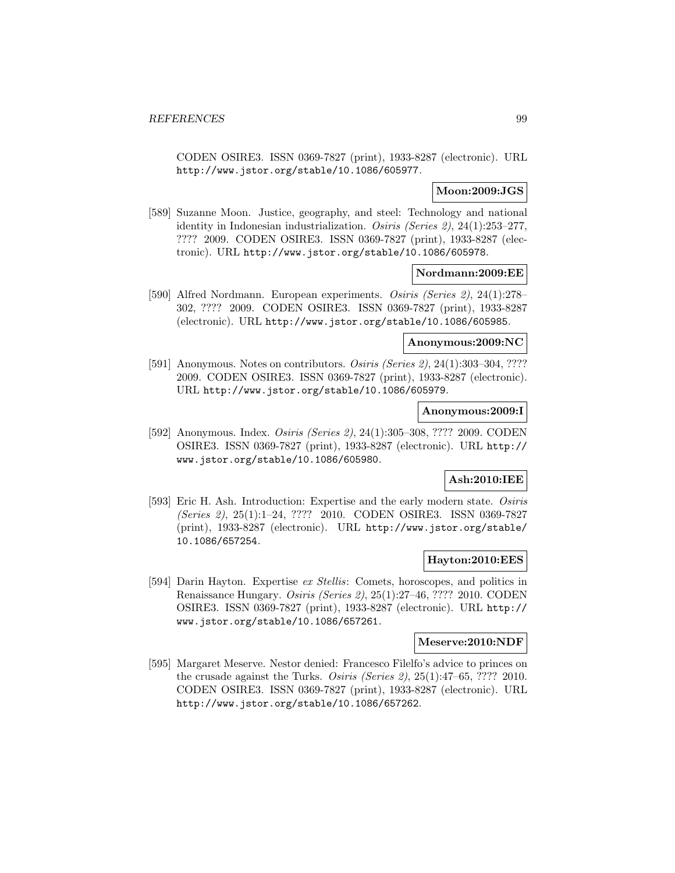CODEN OSIRE3. ISSN 0369-7827 (print), 1933-8287 (electronic). URL http://www.jstor.org/stable/10.1086/605977.

# **Moon:2009:JGS**

[589] Suzanne Moon. Justice, geography, and steel: Technology and national identity in Indonesian industrialization. *Osiris (Series 2)*,  $24(1):253-277$ , ???? 2009. CODEN OSIRE3. ISSN 0369-7827 (print), 1933-8287 (electronic). URL http://www.jstor.org/stable/10.1086/605978.

### **Nordmann:2009:EE**

[590] Alfred Nordmann. European experiments. Osiris (Series 2), 24(1):278– 302, ???? 2009. CODEN OSIRE3. ISSN 0369-7827 (print), 1933-8287 (electronic). URL http://www.jstor.org/stable/10.1086/605985.

### **Anonymous:2009:NC**

[591] Anonymous. Notes on contributors. *Osiris (Series 2)*, 24(1):303-304, ???? 2009. CODEN OSIRE3. ISSN 0369-7827 (print), 1933-8287 (electronic). URL http://www.jstor.org/stable/10.1086/605979.

## **Anonymous:2009:I**

[592] Anonymous. Index. Osiris (Series 2), 24(1):305–308, ???? 2009. CODEN OSIRE3. ISSN 0369-7827 (print), 1933-8287 (electronic). URL http:// www.jstor.org/stable/10.1086/605980.

# **Ash:2010:IEE**

[593] Eric H. Ash. Introduction: Expertise and the early modern state. Osiris (Series 2), 25(1):1–24, ???? 2010. CODEN OSIRE3. ISSN 0369-7827 (print), 1933-8287 (electronic). URL http://www.jstor.org/stable/ 10.1086/657254.

# **Hayton:2010:EES**

[594] Darin Hayton. Expertise ex Stellis: Comets, horoscopes, and politics in Renaissance Hungary. Osiris (Series 2), 25(1):27–46, ???? 2010. CODEN OSIRE3. ISSN 0369-7827 (print), 1933-8287 (electronic). URL http:// www.jstor.org/stable/10.1086/657261.

### **Meserve:2010:NDF**

[595] Margaret Meserve. Nestor denied: Francesco Filelfo's advice to princes on the crusade against the Turks. Osiris (Series 2), 25(1):47–65, ???? 2010. CODEN OSIRE3. ISSN 0369-7827 (print), 1933-8287 (electronic). URL http://www.jstor.org/stable/10.1086/657262.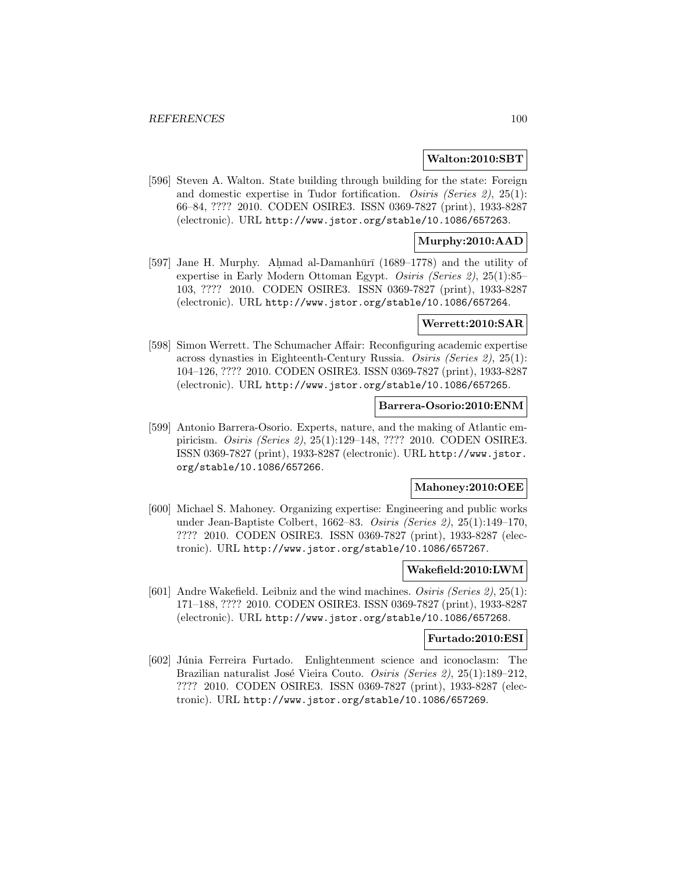#### **Walton:2010:SBT**

[596] Steven A. Walton. State building through building for the state: Foreign and domestic expertise in Tudor fortification. Osiris (Series 2), 25(1): 66–84, ???? 2010. CODEN OSIRE3. ISSN 0369-7827 (print), 1933-8287 (electronic). URL http://www.jstor.org/stable/10.1086/657263.

# **Murphy:2010:AAD**

[597] Jane H. Murphy. Ahmad al-Damanhūrī (1689–1778) and the utility of expertise in Early Modern Ottoman Egypt. Osiris (Series 2), 25(1):85– 103, ???? 2010. CODEN OSIRE3. ISSN 0369-7827 (print), 1933-8287 (electronic). URL http://www.jstor.org/stable/10.1086/657264.

# **Werrett:2010:SAR**

[598] Simon Werrett. The Schumacher Affair: Reconfiguring academic expertise across dynasties in Eighteenth-Century Russia. Osiris (Series 2), 25(1): 104–126, ???? 2010. CODEN OSIRE3. ISSN 0369-7827 (print), 1933-8287 (electronic). URL http://www.jstor.org/stable/10.1086/657265.

### **Barrera-Osorio:2010:ENM**

[599] Antonio Barrera-Osorio. Experts, nature, and the making of Atlantic empiricism. Osiris (Series 2), 25(1):129–148, ???? 2010. CODEN OSIRE3. ISSN 0369-7827 (print), 1933-8287 (electronic). URL http://www.jstor. org/stable/10.1086/657266.

#### **Mahoney:2010:OEE**

[600] Michael S. Mahoney. Organizing expertise: Engineering and public works under Jean-Baptiste Colbert, 1662–83. Osiris (Series 2), 25(1):149–170, ???? 2010. CODEN OSIRE3. ISSN 0369-7827 (print), 1933-8287 (electronic). URL http://www.jstor.org/stable/10.1086/657267.

### **Wakefield:2010:LWM**

[601] Andre Wakefield. Leibniz and the wind machines. Osiris (Series 2), 25(1): 171–188, ???? 2010. CODEN OSIRE3. ISSN 0369-7827 (print), 1933-8287 (electronic). URL http://www.jstor.org/stable/10.1086/657268.

#### **Furtado:2010:ESI**

[602] Júnia Ferreira Furtado. Enlightenment science and iconoclasm: The Brazilian naturalist José Vieira Couto. Osiris (Series 2), 25(1):189-212. ???? 2010. CODEN OSIRE3. ISSN 0369-7827 (print), 1933-8287 (electronic). URL http://www.jstor.org/stable/10.1086/657269.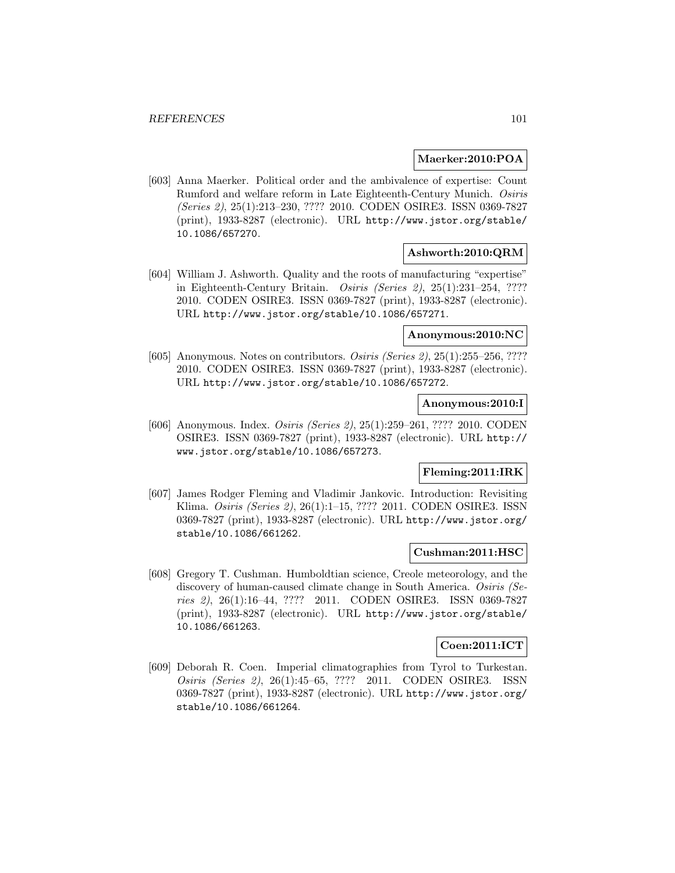### **Maerker:2010:POA**

[603] Anna Maerker. Political order and the ambivalence of expertise: Count Rumford and welfare reform in Late Eighteenth-Century Munich. Osiris (Series 2), 25(1):213–230, ???? 2010. CODEN OSIRE3. ISSN 0369-7827 (print), 1933-8287 (electronic). URL http://www.jstor.org/stable/ 10.1086/657270.

## **Ashworth:2010:QRM**

[604] William J. Ashworth. Quality and the roots of manufacturing "expertise" in Eighteenth-Century Britain. *Osiris (Series 2)*,  $25(1):231-254$ , ???? 2010. CODEN OSIRE3. ISSN 0369-7827 (print), 1933-8287 (electronic). URL http://www.jstor.org/stable/10.1086/657271.

# **Anonymous:2010:NC**

[605] Anonymous. Notes on contributors. *Osiris (Series 2)*, 25(1):255–256, ???? 2010. CODEN OSIRE3. ISSN 0369-7827 (print), 1933-8287 (electronic). URL http://www.jstor.org/stable/10.1086/657272.

### **Anonymous:2010:I**

[606] Anonymous. Index. Osiris (Series 2), 25(1):259–261, ???? 2010. CODEN OSIRE3. ISSN 0369-7827 (print), 1933-8287 (electronic). URL http:// www.jstor.org/stable/10.1086/657273.

# **Fleming:2011:IRK**

[607] James Rodger Fleming and Vladimir Jankovic. Introduction: Revisiting Klima. Osiris (Series 2), 26(1):1–15, ???? 2011. CODEN OSIRE3. ISSN 0369-7827 (print), 1933-8287 (electronic). URL http://www.jstor.org/ stable/10.1086/661262.

## **Cushman:2011:HSC**

[608] Gregory T. Cushman. Humboldtian science, Creole meteorology, and the discovery of human-caused climate change in South America. Osiris (Series 2), 26(1):16–44, ???? 2011. CODEN OSIRE3. ISSN 0369-7827 (print), 1933-8287 (electronic). URL http://www.jstor.org/stable/ 10.1086/661263.

#### **Coen:2011:ICT**

[609] Deborah R. Coen. Imperial climatographies from Tyrol to Turkestan. Osiris (Series 2), 26(1):45–65, ???? 2011. CODEN OSIRE3. ISSN 0369-7827 (print), 1933-8287 (electronic). URL http://www.jstor.org/ stable/10.1086/661264.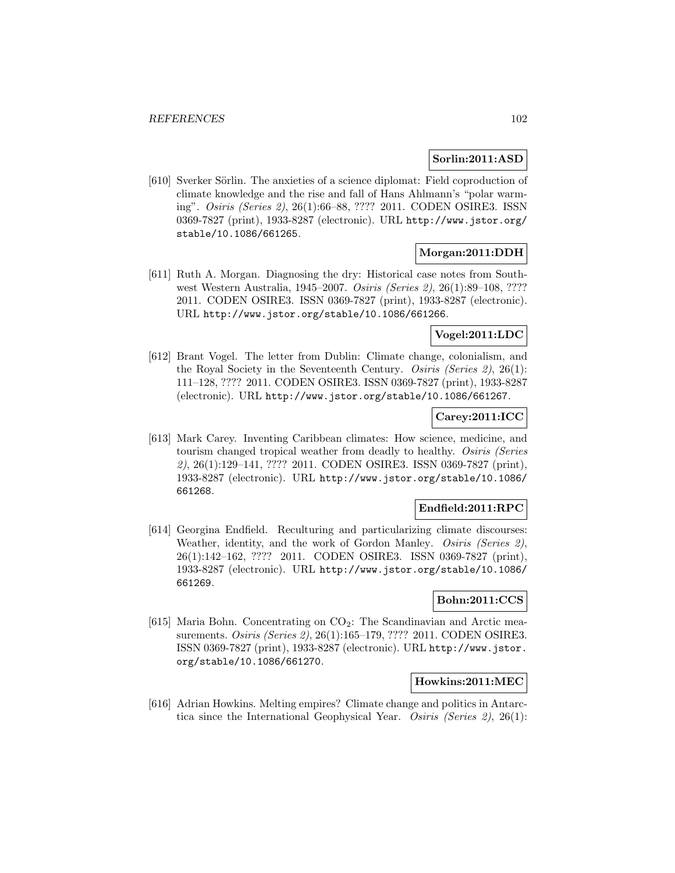## **Sorlin:2011:ASD**

[610] Sverker Sörlin. The anxieties of a science diplomat: Field coproduction of climate knowledge and the rise and fall of Hans Ahlmann's "polar warming". Osiris (Series 2), 26(1):66–88, ???? 2011. CODEN OSIRE3. ISSN 0369-7827 (print), 1933-8287 (electronic). URL http://www.jstor.org/ stable/10.1086/661265.

# **Morgan:2011:DDH**

[611] Ruth A. Morgan. Diagnosing the dry: Historical case notes from Southwest Western Australia, 1945–2007. Osiris (Series 2), 26(1):89–108, ???? 2011. CODEN OSIRE3. ISSN 0369-7827 (print), 1933-8287 (electronic). URL http://www.jstor.org/stable/10.1086/661266.

# **Vogel:2011:LDC**

[612] Brant Vogel. The letter from Dublin: Climate change, colonialism, and the Royal Society in the Seventeenth Century. Osiris (Series 2), 26(1): 111–128, ???? 2011. CODEN OSIRE3. ISSN 0369-7827 (print), 1933-8287 (electronic). URL http://www.jstor.org/stable/10.1086/661267.

# **Carey:2011:ICC**

[613] Mark Carey. Inventing Caribbean climates: How science, medicine, and tourism changed tropical weather from deadly to healthy. Osiris (Series 2), 26(1):129–141, ???? 2011. CODEN OSIRE3. ISSN 0369-7827 (print), 1933-8287 (electronic). URL http://www.jstor.org/stable/10.1086/ 661268.

# **Endfield:2011:RPC**

[614] Georgina Endfield. Reculturing and particularizing climate discourses: Weather, identity, and the work of Gordon Manley. *Osiris (Series 2)*, 26(1):142–162, ???? 2011. CODEN OSIRE3. ISSN 0369-7827 (print), 1933-8287 (electronic). URL http://www.jstor.org/stable/10.1086/ 661269.

# **Bohn:2011:CCS**

[615] Maria Bohn. Concentrating on  $CO<sub>2</sub>$ : The Scandinavian and Arctic measurements. Osiris (Series 2), 26(1):165–179, ???? 2011. CODEN OSIRE3. ISSN 0369-7827 (print), 1933-8287 (electronic). URL http://www.jstor. org/stable/10.1086/661270.

## **Howkins:2011:MEC**

[616] Adrian Howkins. Melting empires? Climate change and politics in Antarctica since the International Geophysical Year. Osiris (Series 2), 26(1):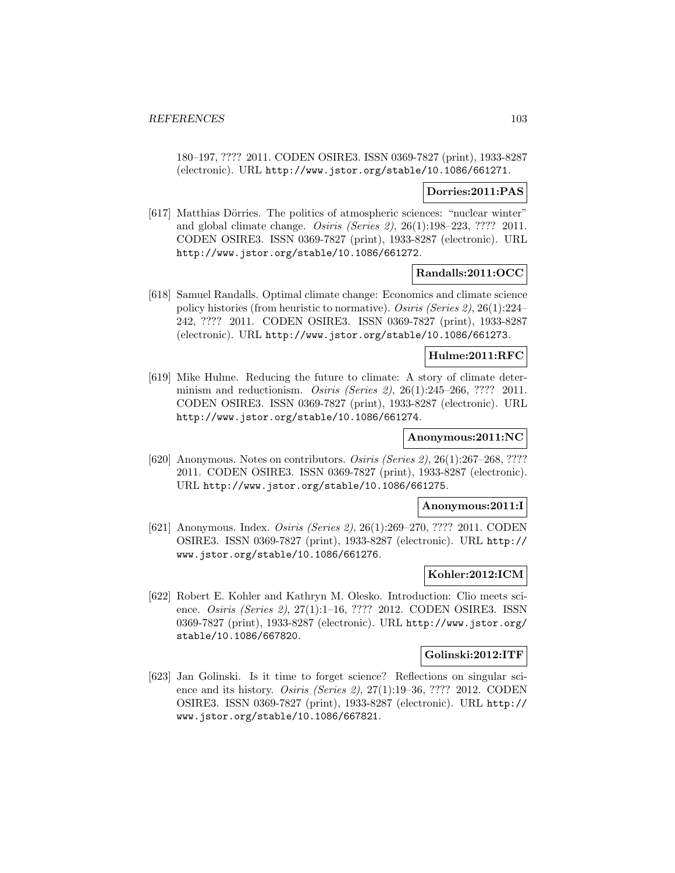180–197, ???? 2011. CODEN OSIRE3. ISSN 0369-7827 (print), 1933-8287 (electronic). URL http://www.jstor.org/stable/10.1086/661271.

### **Dorries:2011:PAS**

[617] Matthias Dörries. The politics of atmospheric sciences: "nuclear winter" and global climate change. Osiris (Series 2), 26(1):198–223, ???? 2011. CODEN OSIRE3. ISSN 0369-7827 (print), 1933-8287 (electronic). URL http://www.jstor.org/stable/10.1086/661272.

## **Randalls:2011:OCC**

[618] Samuel Randalls. Optimal climate change: Economics and climate science policy histories (from heuristic to normative). Osiris (Series 2), 26(1):224– 242, ???? 2011. CODEN OSIRE3. ISSN 0369-7827 (print), 1933-8287 (electronic). URL http://www.jstor.org/stable/10.1086/661273.

## **Hulme:2011:RFC**

[619] Mike Hulme. Reducing the future to climate: A story of climate determinism and reductionism. *Osiris (Series 2)*, 26(1):245-266, ???? 2011. CODEN OSIRE3. ISSN 0369-7827 (print), 1933-8287 (electronic). URL http://www.jstor.org/stable/10.1086/661274.

## **Anonymous:2011:NC**

[620] Anonymous. Notes on contributors. Osiris (Series 2), 26(1):267–268, ???? 2011. CODEN OSIRE3. ISSN 0369-7827 (print), 1933-8287 (electronic). URL http://www.jstor.org/stable/10.1086/661275.

# **Anonymous:2011:I**

[621] Anonymous. Index. Osiris (Series 2), 26(1):269–270, ???? 2011. CODEN OSIRE3. ISSN 0369-7827 (print), 1933-8287 (electronic). URL http:// www.jstor.org/stable/10.1086/661276.

#### **Kohler:2012:ICM**

[622] Robert E. Kohler and Kathryn M. Olesko. Introduction: Clio meets science. Osiris (Series 2), 27(1):1–16, ???? 2012. CODEN OSIRE3. ISSN 0369-7827 (print), 1933-8287 (electronic). URL http://www.jstor.org/ stable/10.1086/667820.

# **Golinski:2012:ITF**

[623] Jan Golinski. Is it time to forget science? Reflections on singular science and its history. Osiris (Series 2), 27(1):19–36, ???? 2012. CODEN OSIRE3. ISSN 0369-7827 (print), 1933-8287 (electronic). URL http:// www.jstor.org/stable/10.1086/667821.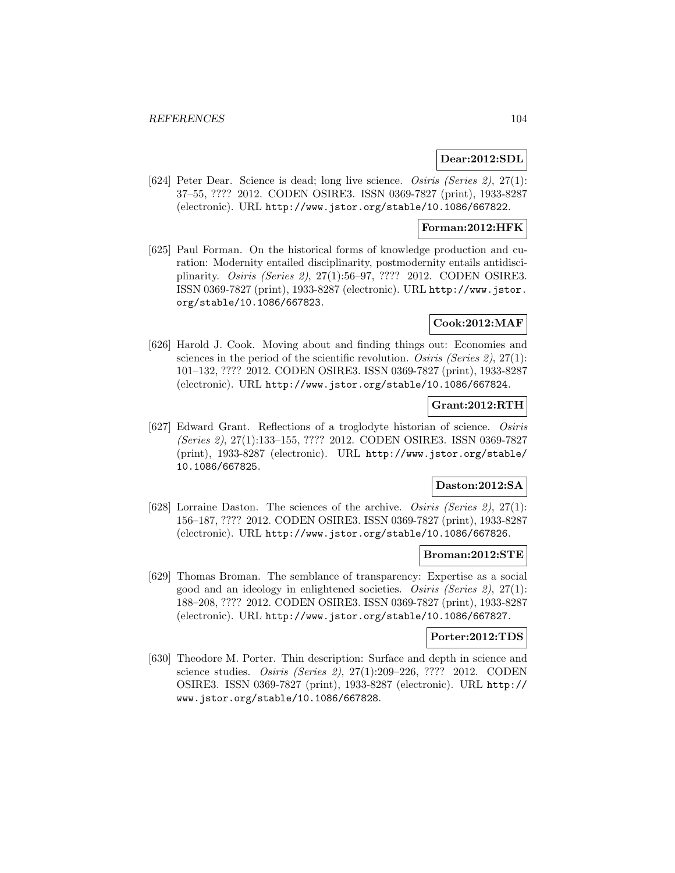# **Dear:2012:SDL**

[624] Peter Dear. Science is dead; long live science. Osiris (Series 2), 27(1): 37–55, ???? 2012. CODEN OSIRE3. ISSN 0369-7827 (print), 1933-8287 (electronic). URL http://www.jstor.org/stable/10.1086/667822.

## **Forman:2012:HFK**

[625] Paul Forman. On the historical forms of knowledge production and curation: Modernity entailed disciplinarity, postmodernity entails antidisciplinarity. Osiris (Series 2), 27(1):56–97, ???? 2012. CODEN OSIRE3. ISSN 0369-7827 (print), 1933-8287 (electronic). URL http://www.jstor. org/stable/10.1086/667823.

# **Cook:2012:MAF**

[626] Harold J. Cook. Moving about and finding things out: Economies and sciences in the period of the scientific revolution. Osiris (Series 2),  $27(1)$ : 101–132, ???? 2012. CODEN OSIRE3. ISSN 0369-7827 (print), 1933-8287 (electronic). URL http://www.jstor.org/stable/10.1086/667824.

# **Grant:2012:RTH**

[627] Edward Grant. Reflections of a troglodyte historian of science. Osiris (Series 2), 27(1):133–155, ???? 2012. CODEN OSIRE3. ISSN 0369-7827 (print), 1933-8287 (electronic). URL http://www.jstor.org/stable/ 10.1086/667825.

# **Daston:2012:SA**

[628] Lorraine Daston. The sciences of the archive. Osiris (Series 2), 27(1): 156–187, ???? 2012. CODEN OSIRE3. ISSN 0369-7827 (print), 1933-8287 (electronic). URL http://www.jstor.org/stable/10.1086/667826.

## **Broman:2012:STE**

[629] Thomas Broman. The semblance of transparency: Expertise as a social good and an ideology in enlightened societies. Osiris (Series 2), 27(1): 188–208, ???? 2012. CODEN OSIRE3. ISSN 0369-7827 (print), 1933-8287 (electronic). URL http://www.jstor.org/stable/10.1086/667827.

## **Porter:2012:TDS**

[630] Theodore M. Porter. Thin description: Surface and depth in science and science studies. Osiris (Series 2), 27(1):209–226, ???? 2012. CODEN OSIRE3. ISSN 0369-7827 (print), 1933-8287 (electronic). URL http:// www.jstor.org/stable/10.1086/667828.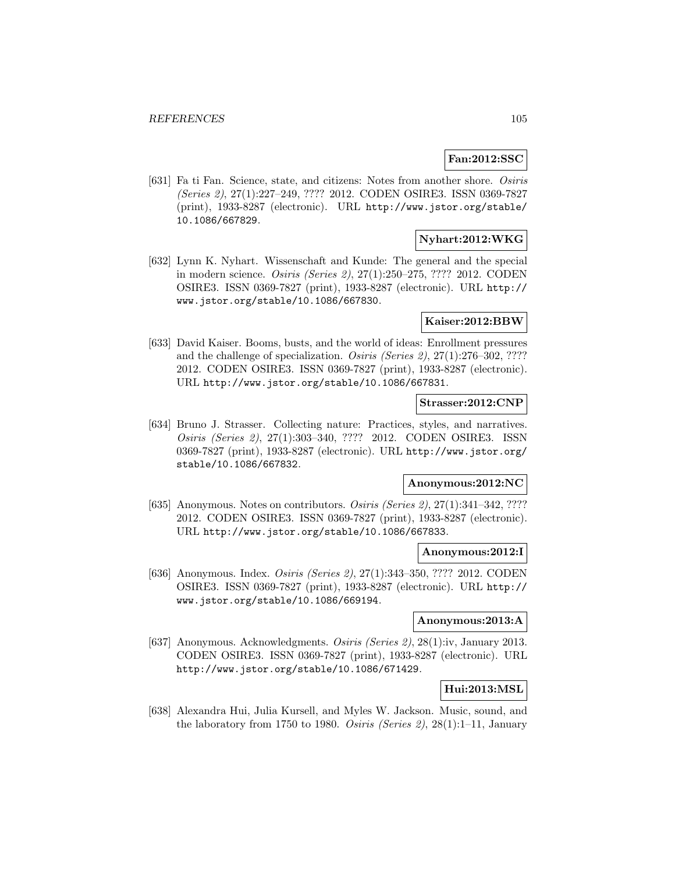# **Fan:2012:SSC**

[631] Fa ti Fan. Science, state, and citizens: Notes from another shore. Osiris (Series 2), 27(1):227–249, ???? 2012. CODEN OSIRE3. ISSN 0369-7827 (print), 1933-8287 (electronic). URL http://www.jstor.org/stable/ 10.1086/667829.

# **Nyhart:2012:WKG**

[632] Lynn K. Nyhart. Wissenschaft and Kunde: The general and the special in modern science. Osiris (Series 2), 27(1):250–275, ???? 2012. CODEN OSIRE3. ISSN 0369-7827 (print), 1933-8287 (electronic). URL http:// www.jstor.org/stable/10.1086/667830.

### **Kaiser:2012:BBW**

[633] David Kaiser. Booms, busts, and the world of ideas: Enrollment pressures and the challenge of specialization. Osiris (Series 2), 27(1):276–302, ???? 2012. CODEN OSIRE3. ISSN 0369-7827 (print), 1933-8287 (electronic). URL http://www.jstor.org/stable/10.1086/667831.

## **Strasser:2012:CNP**

[634] Bruno J. Strasser. Collecting nature: Practices, styles, and narratives. Osiris (Series 2), 27(1):303–340, ???? 2012. CODEN OSIRE3. ISSN 0369-7827 (print), 1933-8287 (electronic). URL http://www.jstor.org/ stable/10.1086/667832.

# **Anonymous:2012:NC**

[635] Anonymous. Notes on contributors. *Osiris (Series 2)*,  $27(1):341-342$ , ???? 2012. CODEN OSIRE3. ISSN 0369-7827 (print), 1933-8287 (electronic). URL http://www.jstor.org/stable/10.1086/667833.

## **Anonymous:2012:I**

[636] Anonymous. Index. *Osiris (Series 2)*, 27(1):343-350, ???? 2012. CODEN OSIRE3. ISSN 0369-7827 (print), 1933-8287 (electronic). URL http:// www.jstor.org/stable/10.1086/669194.

# **Anonymous:2013:A**

[637] Anonymous. Acknowledgments. Osiris (Series 2), 28(1):iv, January 2013. CODEN OSIRE3. ISSN 0369-7827 (print), 1933-8287 (electronic). URL http://www.jstor.org/stable/10.1086/671429.

# **Hui:2013:MSL**

[638] Alexandra Hui, Julia Kursell, and Myles W. Jackson. Music, sound, and the laboratory from 1750 to 1980. Osiris (Series 2),  $28(1):1-11$ , January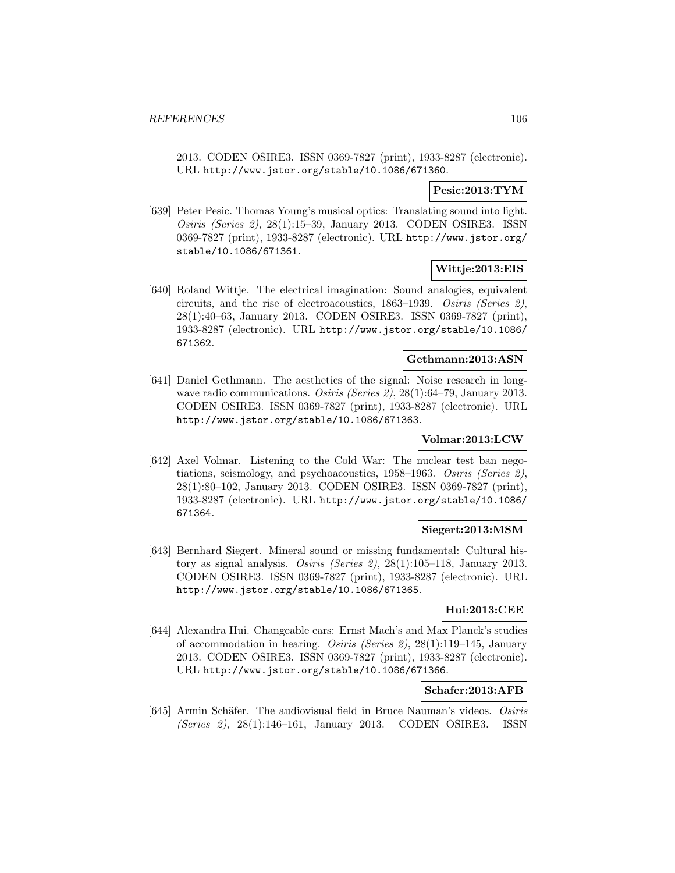2013. CODEN OSIRE3. ISSN 0369-7827 (print), 1933-8287 (electronic). URL http://www.jstor.org/stable/10.1086/671360.

# **Pesic:2013:TYM**

[639] Peter Pesic. Thomas Young's musical optics: Translating sound into light. Osiris (Series 2), 28(1):15–39, January 2013. CODEN OSIRE3. ISSN 0369-7827 (print), 1933-8287 (electronic). URL http://www.jstor.org/ stable/10.1086/671361.

# **Wittje:2013:EIS**

[640] Roland Wittje. The electrical imagination: Sound analogies, equivalent circuits, and the rise of electroacoustics, 1863–1939. Osiris (Series 2), 28(1):40–63, January 2013. CODEN OSIRE3. ISSN 0369-7827 (print), 1933-8287 (electronic). URL http://www.jstor.org/stable/10.1086/ 671362.

# **Gethmann:2013:ASN**

[641] Daniel Gethmann. The aesthetics of the signal: Noise research in longwave radio communications. Osiris (Series 2), 28(1):64–79, January 2013. CODEN OSIRE3. ISSN 0369-7827 (print), 1933-8287 (electronic). URL http://www.jstor.org/stable/10.1086/671363.

# **Volmar:2013:LCW**

[642] Axel Volmar. Listening to the Cold War: The nuclear test ban negotiations, seismology, and psychoacoustics, 1958–1963. Osiris (Series 2), 28(1):80–102, January 2013. CODEN OSIRE3. ISSN 0369-7827 (print), 1933-8287 (electronic). URL http://www.jstor.org/stable/10.1086/ 671364.

# **Siegert:2013:MSM**

[643] Bernhard Siegert. Mineral sound or missing fundamental: Cultural history as signal analysis. Osiris (Series 2), 28(1):105–118, January 2013. CODEN OSIRE3. ISSN 0369-7827 (print), 1933-8287 (electronic). URL http://www.jstor.org/stable/10.1086/671365.

# **Hui:2013:CEE**

[644] Alexandra Hui. Changeable ears: Ernst Mach's and Max Planck's studies of accommodation in hearing. Osiris (Series 2), 28(1):119–145, January 2013. CODEN OSIRE3. ISSN 0369-7827 (print), 1933-8287 (electronic). URL http://www.jstor.org/stable/10.1086/671366.

## **Schafer:2013:AFB**

[645] Armin Schäfer. The audiovisual field in Bruce Nauman's videos. Osiris (Series 2), 28(1):146–161, January 2013. CODEN OSIRE3. ISSN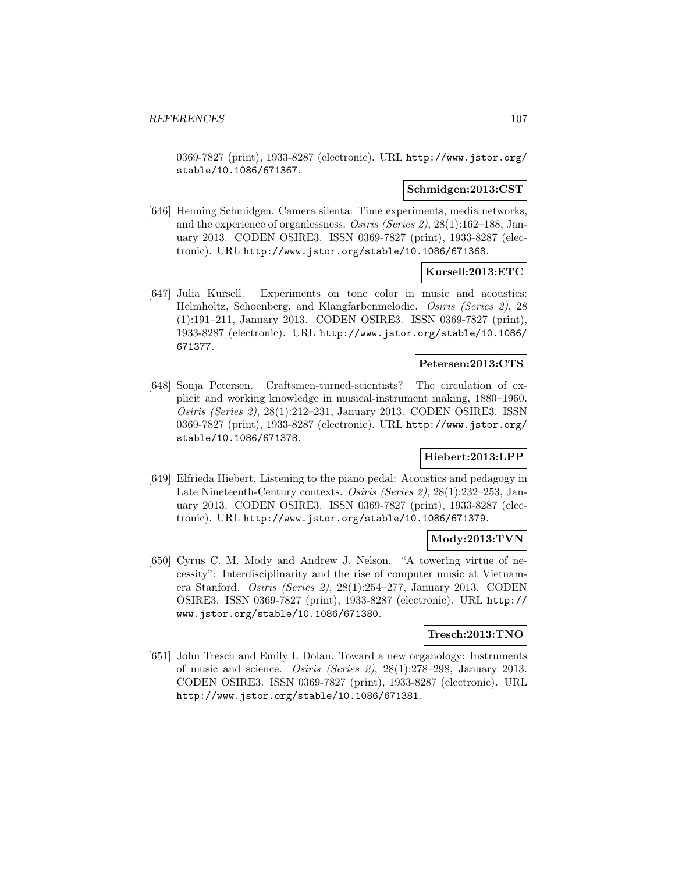0369-7827 (print), 1933-8287 (electronic). URL http://www.jstor.org/ stable/10.1086/671367.

### **Schmidgen:2013:CST**

[646] Henning Schmidgen. Camera silenta: Time experiments, media networks, and the experience of organlessness. Osiris (Series 2), 28(1):162–188, January 2013. CODEN OSIRE3. ISSN 0369-7827 (print), 1933-8287 (electronic). URL http://www.jstor.org/stable/10.1086/671368.

# **Kursell:2013:ETC**

[647] Julia Kursell. Experiments on tone color in music and acoustics: Helmholtz, Schoenberg, and Klangfarbenmelodie. Osiris (Series 2), 28 (1):191–211, January 2013. CODEN OSIRE3. ISSN 0369-7827 (print), 1933-8287 (electronic). URL http://www.jstor.org/stable/10.1086/ 671377.

# **Petersen:2013:CTS**

[648] Sonja Petersen. Craftsmen-turned-scientists? The circulation of explicit and working knowledge in musical-instrument making, 1880–1960. Osiris (Series 2), 28(1):212–231, January 2013. CODEN OSIRE3. ISSN 0369-7827 (print), 1933-8287 (electronic). URL http://www.jstor.org/ stable/10.1086/671378.

# **Hiebert:2013:LPP**

[649] Elfrieda Hiebert. Listening to the piano pedal: Acoustics and pedagogy in Late Nineteenth-Century contexts. Osiris (Series 2), 28(1):232–253, January 2013. CODEN OSIRE3. ISSN 0369-7827 (print), 1933-8287 (electronic). URL http://www.jstor.org/stable/10.1086/671379.

## **Mody:2013:TVN**

[650] Cyrus C. M. Mody and Andrew J. Nelson. "A towering virtue of necessity": Interdisciplinarity and the rise of computer music at Vietnamera Stanford. Osiris (Series 2), 28(1):254–277, January 2013. CODEN OSIRE3. ISSN 0369-7827 (print), 1933-8287 (electronic). URL http:// www.jstor.org/stable/10.1086/671380.

## **Tresch:2013:TNO**

[651] John Tresch and Emily I. Dolan. Toward a new organology: Instruments of music and science. Osiris (Series 2), 28(1):278–298, January 2013. CODEN OSIRE3. ISSN 0369-7827 (print), 1933-8287 (electronic). URL http://www.jstor.org/stable/10.1086/671381.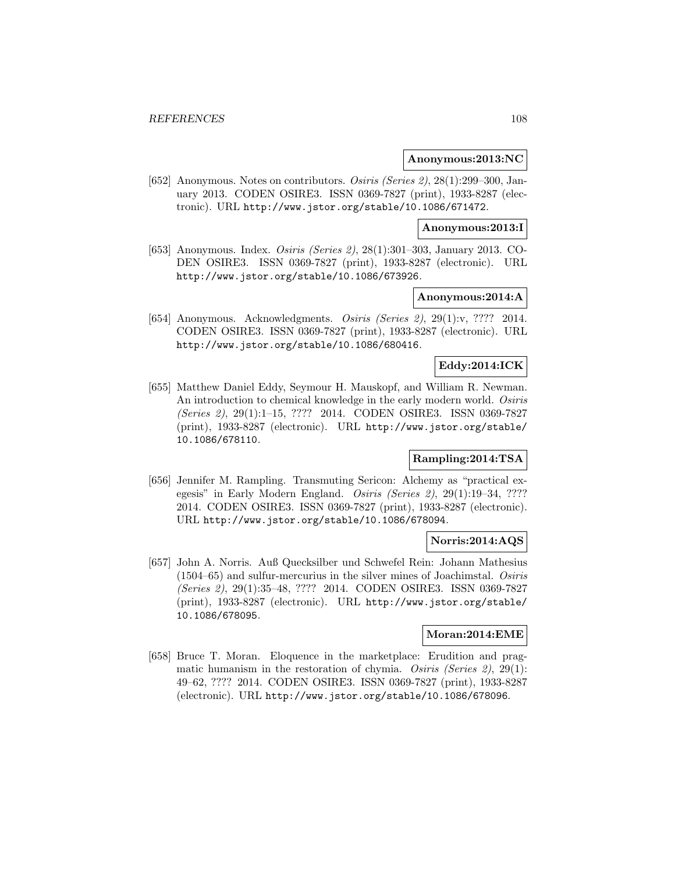#### **Anonymous:2013:NC**

[652] Anonymous. Notes on contributors. Osiris (Series 2), 28(1):299–300, January 2013. CODEN OSIRE3. ISSN 0369-7827 (print), 1933-8287 (electronic). URL http://www.jstor.org/stable/10.1086/671472.

### **Anonymous:2013:I**

[653] Anonymous. Index. *Osiris (Series 2)*, 28(1):301–303, January 2013. CO-DEN OSIRE3. ISSN 0369-7827 (print), 1933-8287 (electronic). URL http://www.jstor.org/stable/10.1086/673926.

# **Anonymous:2014:A**

[654] Anonymous. Acknowledgments. Osiris (Series 2), 29(1):v, ???? 2014. CODEN OSIRE3. ISSN 0369-7827 (print), 1933-8287 (electronic). URL http://www.jstor.org/stable/10.1086/680416.

# **Eddy:2014:ICK**

[655] Matthew Daniel Eddy, Seymour H. Mauskopf, and William R. Newman. An introduction to chemical knowledge in the early modern world. Osiris (Series 2), 29(1):1–15, ???? 2014. CODEN OSIRE3. ISSN 0369-7827 (print), 1933-8287 (electronic). URL http://www.jstor.org/stable/ 10.1086/678110.

# **Rampling:2014:TSA**

[656] Jennifer M. Rampling. Transmuting Sericon: Alchemy as "practical exegesis" in Early Modern England. Osiris (Series 2), 29(1):19–34, ???? 2014. CODEN OSIRE3. ISSN 0369-7827 (print), 1933-8287 (electronic). URL http://www.jstor.org/stable/10.1086/678094.

#### **Norris:2014:AQS**

[657] John A. Norris. Auß Quecksilber und Schwefel Rein: Johann Mathesius (1504–65) and sulfur-mercurius in the silver mines of Joachimstal. Osiris (Series 2), 29(1):35–48, ???? 2014. CODEN OSIRE3. ISSN 0369-7827 (print), 1933-8287 (electronic). URL http://www.jstor.org/stable/ 10.1086/678095.

## **Moran:2014:EME**

[658] Bruce T. Moran. Eloquence in the marketplace: Erudition and pragmatic humanism in the restoration of chymia. Osiris (Series 2), 29(1): 49–62, ???? 2014. CODEN OSIRE3. ISSN 0369-7827 (print), 1933-8287 (electronic). URL http://www.jstor.org/stable/10.1086/678096.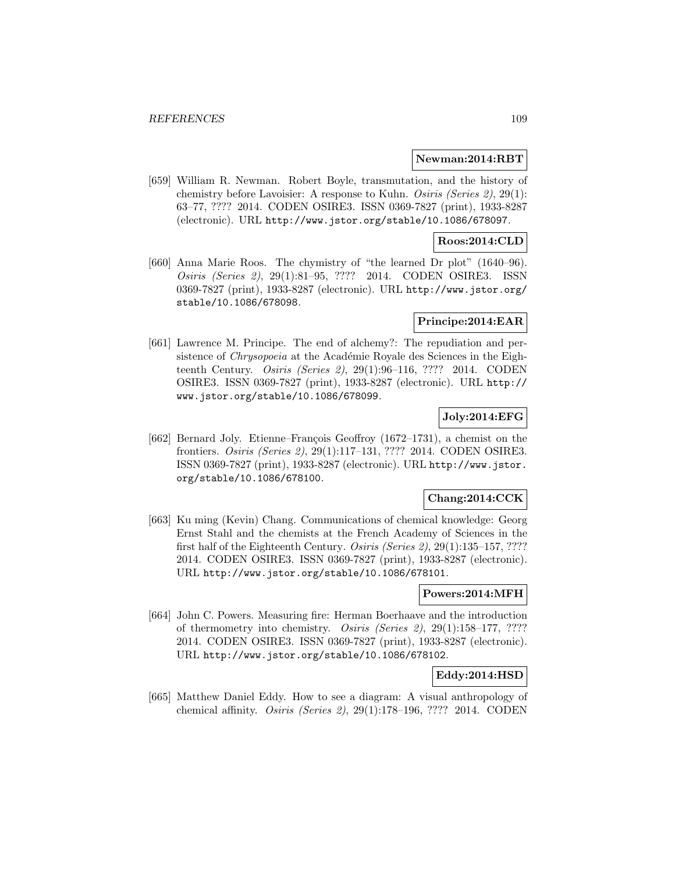#### **Newman:2014:RBT**

[659] William R. Newman. Robert Boyle, transmutation, and the history of chemistry before Lavoisier: A response to Kuhn. Osiris (Series 2), 29(1): 63–77, ???? 2014. CODEN OSIRE3. ISSN 0369-7827 (print), 1933-8287 (electronic). URL http://www.jstor.org/stable/10.1086/678097.

### **Roos:2014:CLD**

[660] Anna Marie Roos. The chymistry of "the learned Dr plot" (1640–96). Osiris (Series 2), 29(1):81–95, ???? 2014. CODEN OSIRE3. ISSN 0369-7827 (print), 1933-8287 (electronic). URL http://www.jstor.org/ stable/10.1086/678098.

### **Principe:2014:EAR**

[661] Lawrence M. Principe. The end of alchemy?: The repudiation and persistence of *Chrysopoeia* at the Académie Royale des Sciences in the Eighteenth Century. Osiris (Series 2), 29(1):96–116, ???? 2014. CODEN OSIRE3. ISSN 0369-7827 (print), 1933-8287 (electronic). URL http:// www.jstor.org/stable/10.1086/678099.

## **Joly:2014:EFG**

[662] Bernard Joly. Etienne–François Geoffroy  $(1672-1731)$ , a chemist on the frontiers. Osiris (Series 2), 29(1):117–131, ???? 2014. CODEN OSIRE3. ISSN 0369-7827 (print), 1933-8287 (electronic). URL http://www.jstor. org/stable/10.1086/678100.

## **Chang:2014:CCK**

[663] Ku ming (Kevin) Chang. Communications of chemical knowledge: Georg Ernst Stahl and the chemists at the French Academy of Sciences in the first half of the Eighteenth Century. Osiris (Series 2), 29(1):135–157, ???? 2014. CODEN OSIRE3. ISSN 0369-7827 (print), 1933-8287 (electronic). URL http://www.jstor.org/stable/10.1086/678101.

#### **Powers:2014:MFH**

[664] John C. Powers. Measuring fire: Herman Boerhaave and the introduction of thermometry into chemistry. Osiris (Series 2), 29(1):158–177, ???? 2014. CODEN OSIRE3. ISSN 0369-7827 (print), 1933-8287 (electronic). URL http://www.jstor.org/stable/10.1086/678102.

#### **Eddy:2014:HSD**

[665] Matthew Daniel Eddy. How to see a diagram: A visual anthropology of chemical affinity. Osiris (Series 2), 29(1):178–196, ???? 2014. CODEN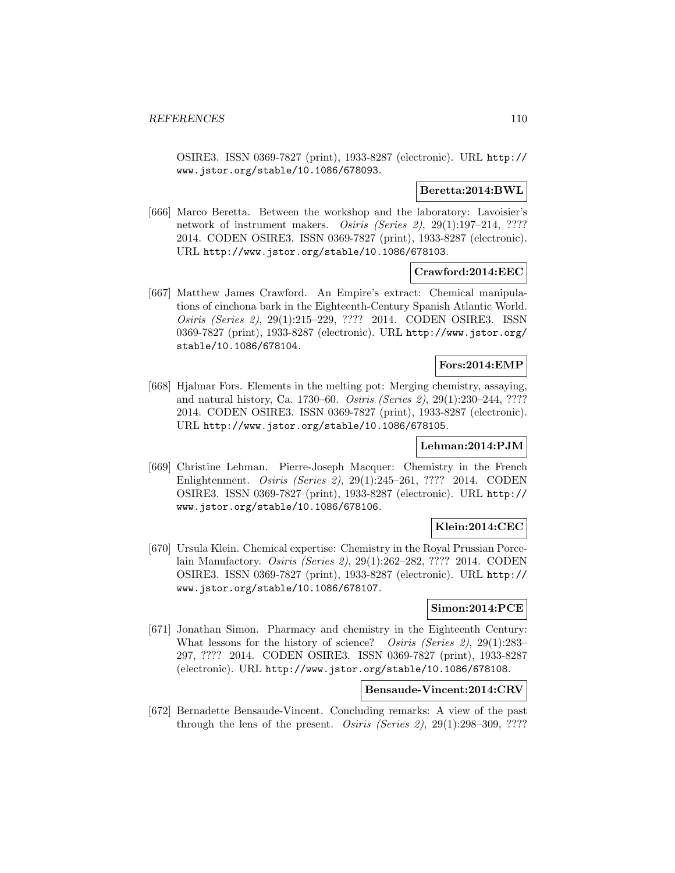OSIRE3. ISSN 0369-7827 (print), 1933-8287 (electronic). URL http:// www.jstor.org/stable/10.1086/678093.

## **Beretta:2014:BWL**

[666] Marco Beretta. Between the workshop and the laboratory: Lavoisier's network of instrument makers. *Osiris (Series 2)*, 29(1):197–214, ???? 2014. CODEN OSIRE3. ISSN 0369-7827 (print), 1933-8287 (electronic). URL http://www.jstor.org/stable/10.1086/678103.

## **Crawford:2014:EEC**

[667] Matthew James Crawford. An Empire's extract: Chemical manipulations of cinchona bark in the Eighteenth-Century Spanish Atlantic World. Osiris (Series 2), 29(1):215–229, ???? 2014. CODEN OSIRE3. ISSN 0369-7827 (print), 1933-8287 (electronic). URL http://www.jstor.org/ stable/10.1086/678104.

# **Fors:2014:EMP**

[668] Hjalmar Fors. Elements in the melting pot: Merging chemistry, assaying, and natural history, Ca. 1730–60. Osiris (Series 2), 29(1):230–244, ???? 2014. CODEN OSIRE3. ISSN 0369-7827 (print), 1933-8287 (electronic). URL http://www.jstor.org/stable/10.1086/678105.

## **Lehman:2014:PJM**

[669] Christine Lehman. Pierre-Joseph Macquer: Chemistry in the French Enlightenment. Osiris (Series 2), 29(1):245–261, ???? 2014. CODEN OSIRE3. ISSN 0369-7827 (print), 1933-8287 (electronic). URL http:// www.jstor.org/stable/10.1086/678106.

# **Klein:2014:CEC**

[670] Ursula Klein. Chemical expertise: Chemistry in the Royal Prussian Porcelain Manufactory. Osiris (Series 2), 29(1):262–282, ???? 2014. CODEN OSIRE3. ISSN 0369-7827 (print), 1933-8287 (electronic). URL http:// www.jstor.org/stable/10.1086/678107.

## **Simon:2014:PCE**

[671] Jonathan Simon. Pharmacy and chemistry in the Eighteenth Century: What lessons for the history of science? *Osiris (Series 2)*, 29(1):283-297, ???? 2014. CODEN OSIRE3. ISSN 0369-7827 (print), 1933-8287 (electronic). URL http://www.jstor.org/stable/10.1086/678108.

# **Bensaude-Vincent:2014:CRV**

[672] Bernadette Bensaude-Vincent. Concluding remarks: A view of the past through the lens of the present. *Osiris (Series 2)*,  $29(1):298-309$ , ????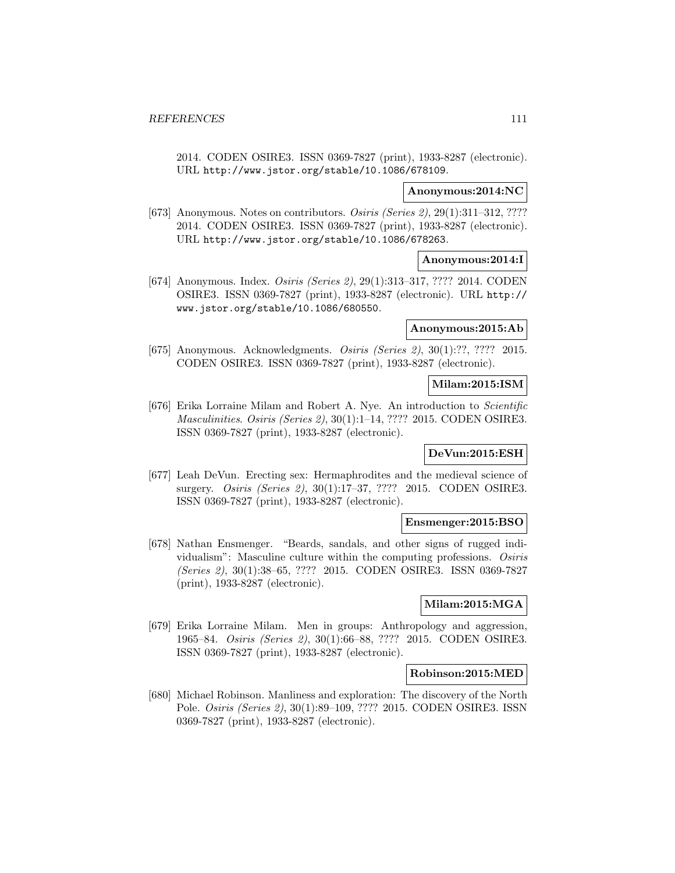2014. CODEN OSIRE3. ISSN 0369-7827 (print), 1933-8287 (electronic). URL http://www.jstor.org/stable/10.1086/678109.

### **Anonymous:2014:NC**

[673] Anonymous. Notes on contributors. *Osiris (Series 2)*, 29(1):311-312, ???? 2014. CODEN OSIRE3. ISSN 0369-7827 (print), 1933-8287 (electronic). URL http://www.jstor.org/stable/10.1086/678263.

## **Anonymous:2014:I**

[674] Anonymous. Index. Osiris (Series 2), 29(1):313–317, ???? 2014. CODEN OSIRE3. ISSN 0369-7827 (print), 1933-8287 (electronic). URL http:// www.jstor.org/stable/10.1086/680550.

# **Anonymous:2015:Ab**

[675] Anonymous. Acknowledgments. Osiris (Series 2), 30(1):??, ???? 2015. CODEN OSIRE3. ISSN 0369-7827 (print), 1933-8287 (electronic).

## **Milam:2015:ISM**

[676] Erika Lorraine Milam and Robert A. Nye. An introduction to Scientific Masculinities. Osiris (Series 2), 30(1):1–14, ???? 2015. CODEN OSIRE3. ISSN 0369-7827 (print), 1933-8287 (electronic).

## **DeVun:2015:ESH**

[677] Leah DeVun. Erecting sex: Hermaphrodites and the medieval science of surgery. Osiris (Series 2), 30(1):17–37, ???? 2015. CODEN OSIRE3. ISSN 0369-7827 (print), 1933-8287 (electronic).

#### **Ensmenger:2015:BSO**

[678] Nathan Ensmenger. "Beards, sandals, and other signs of rugged individualism": Masculine culture within the computing professions. Osiris (Series 2), 30(1):38–65, ???? 2015. CODEN OSIRE3. ISSN 0369-7827 (print), 1933-8287 (electronic).

## **Milam:2015:MGA**

[679] Erika Lorraine Milam. Men in groups: Anthropology and aggression, 1965–84. Osiris (Series 2), 30(1):66–88, ???? 2015. CODEN OSIRE3. ISSN 0369-7827 (print), 1933-8287 (electronic).

#### **Robinson:2015:MED**

[680] Michael Robinson. Manliness and exploration: The discovery of the North Pole. Osiris (Series 2), 30(1):89–109, ???? 2015. CODEN OSIRE3. ISSN 0369-7827 (print), 1933-8287 (electronic).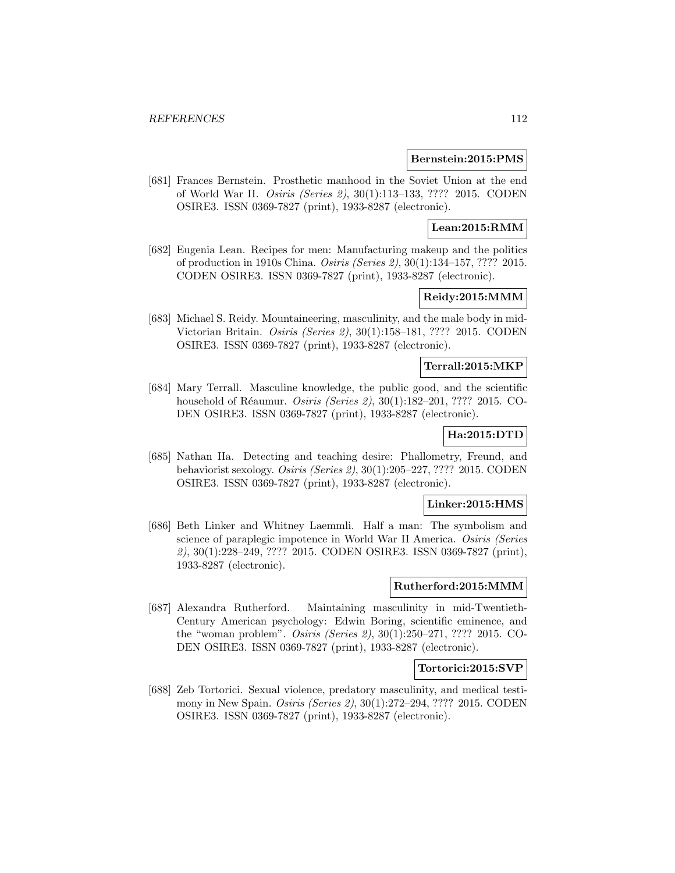#### **Bernstein:2015:PMS**

[681] Frances Bernstein. Prosthetic manhood in the Soviet Union at the end of World War II. Osiris (Series 2), 30(1):113–133, ???? 2015. CODEN OSIRE3. ISSN 0369-7827 (print), 1933-8287 (electronic).

## **Lean:2015:RMM**

[682] Eugenia Lean. Recipes for men: Manufacturing makeup and the politics of production in 1910s China. Osiris (Series 2), 30(1):134–157, ???? 2015. CODEN OSIRE3. ISSN 0369-7827 (print), 1933-8287 (electronic).

## **Reidy:2015:MMM**

[683] Michael S. Reidy. Mountaineering, masculinity, and the male body in mid-Victorian Britain. Osiris (Series 2), 30(1):158–181, ???? 2015. CODEN OSIRE3. ISSN 0369-7827 (print), 1933-8287 (electronic).

## **Terrall:2015:MKP**

[684] Mary Terrall. Masculine knowledge, the public good, and the scientific household of Réaumur. *Osiris (Series 2)*, 30(1):182–201, ???? 2015. CO-DEN OSIRE3. ISSN 0369-7827 (print), 1933-8287 (electronic).

# **Ha:2015:DTD**

[685] Nathan Ha. Detecting and teaching desire: Phallometry, Freund, and behaviorist sexology. Osiris (Series 2), 30(1):205–227, ???? 2015. CODEN OSIRE3. ISSN 0369-7827 (print), 1933-8287 (electronic).

### **Linker:2015:HMS**

[686] Beth Linker and Whitney Laemmli. Half a man: The symbolism and science of paraplegic impotence in World War II America. Osiris (Series 2), 30(1):228–249, ???? 2015. CODEN OSIRE3. ISSN 0369-7827 (print), 1933-8287 (electronic).

## **Rutherford:2015:MMM**

[687] Alexandra Rutherford. Maintaining masculinity in mid-Twentieth-Century American psychology: Edwin Boring, scientific eminence, and the "woman problem". Osiris (Series 2), 30(1):250–271, ???? 2015. CO-DEN OSIRE3. ISSN 0369-7827 (print), 1933-8287 (electronic).

#### **Tortorici:2015:SVP**

[688] Zeb Tortorici. Sexual violence, predatory masculinity, and medical testimony in New Spain. *Osiris (Series 2)*, 30(1):272–294, ???? 2015. CODEN OSIRE3. ISSN 0369-7827 (print), 1933-8287 (electronic).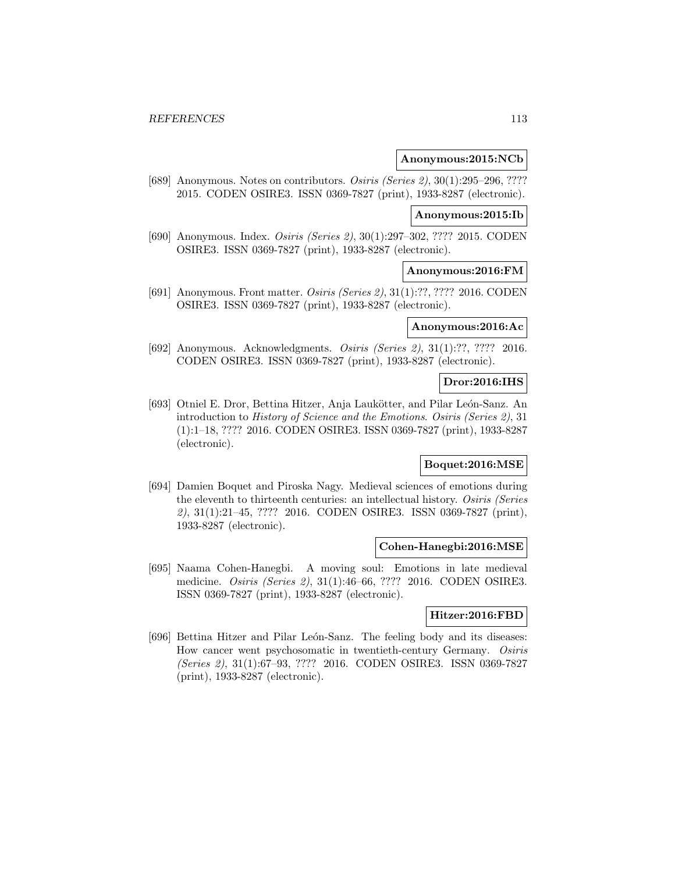### **Anonymous:2015:NCb**

[689] Anonymous. Notes on contributors. *Osiris (Series 2)*, 30(1):295–296, ???? 2015. CODEN OSIRE3. ISSN 0369-7827 (print), 1933-8287 (electronic).

### **Anonymous:2015:Ib**

[690] Anonymous. Index. Osiris (Series 2), 30(1):297–302, ???? 2015. CODEN OSIRE3. ISSN 0369-7827 (print), 1933-8287 (electronic).

## **Anonymous:2016:FM**

[691] Anonymous. Front matter. *Osiris (Series 2)*, 31(1):??, ???? 2016. CODEN OSIRE3. ISSN 0369-7827 (print), 1933-8287 (electronic).

# **Anonymous:2016:Ac**

[692] Anonymous. Acknowledgments. Osiris (Series 2), 31(1):??, ???? 2016. CODEN OSIRE3. ISSN 0369-7827 (print), 1933-8287 (electronic).

# **Dror:2016:IHS**

[693] Otniel E. Dror, Bettina Hitzer, Anja Laukötter, and Pilar León-Sanz. An introduction to History of Science and the Emotions. Osiris (Series 2), 31 (1):1–18, ???? 2016. CODEN OSIRE3. ISSN 0369-7827 (print), 1933-8287 (electronic).

## **Boquet:2016:MSE**

[694] Damien Boquet and Piroska Nagy. Medieval sciences of emotions during the eleventh to thirteenth centuries: an intellectual history. Osiris (Series 2), 31(1):21–45, ???? 2016. CODEN OSIRE3. ISSN 0369-7827 (print), 1933-8287 (electronic).

### **Cohen-Hanegbi:2016:MSE**

[695] Naama Cohen-Hanegbi. A moving soul: Emotions in late medieval medicine. Osiris (Series 2), 31(1):46–66, ???? 2016. CODEN OSIRE3. ISSN 0369-7827 (print), 1933-8287 (electronic).

#### **Hitzer:2016:FBD**

[696] Bettina Hitzer and Pilar León-Sanz. The feeling body and its diseases: How cancer went psychosomatic in twentieth-century Germany. Osiris (Series 2), 31(1):67–93, ???? 2016. CODEN OSIRE3. ISSN 0369-7827 (print), 1933-8287 (electronic).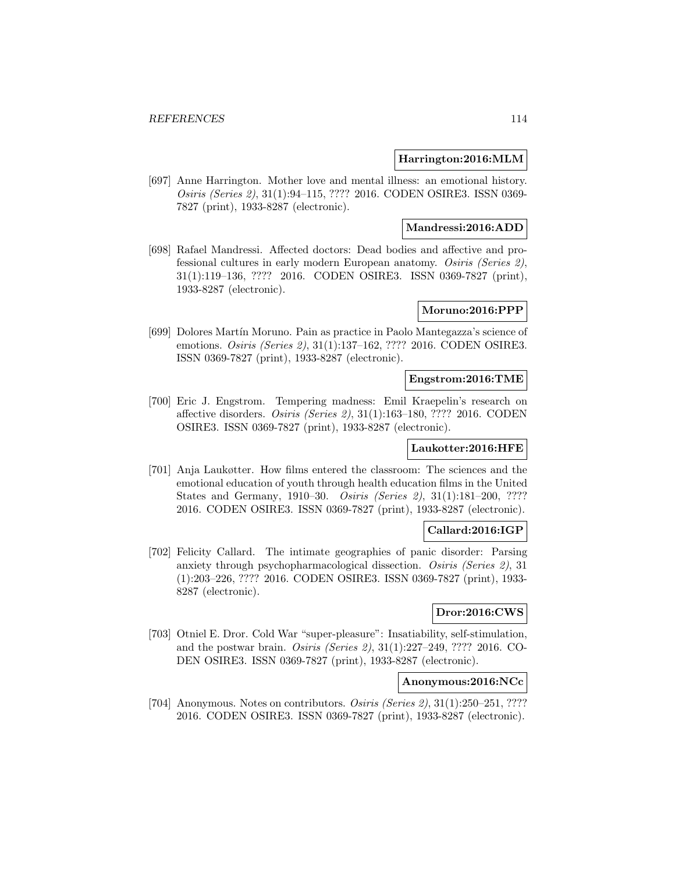## **Harrington:2016:MLM**

[697] Anne Harrington. Mother love and mental illness: an emotional history. Osiris (Series 2), 31(1):94–115, ???? 2016. CODEN OSIRE3. ISSN 0369- 7827 (print), 1933-8287 (electronic).

## **Mandressi:2016:ADD**

[698] Rafael Mandressi. Affected doctors: Dead bodies and affective and professional cultures in early modern European anatomy. Osiris (Series 2), 31(1):119–136, ???? 2016. CODEN OSIRE3. ISSN 0369-7827 (print), 1933-8287 (electronic).

## **Moruno:2016:PPP**

[699] Dolores Martín Moruno. Pain as practice in Paolo Mantegazza's science of emotions. Osiris (Series 2), 31(1):137–162, ???? 2016. CODEN OSIRE3. ISSN 0369-7827 (print), 1933-8287 (electronic).

#### **Engstrom:2016:TME**

[700] Eric J. Engstrom. Tempering madness: Emil Kraepelin's research on affective disorders. Osiris (Series 2), 31(1):163–180, ???? 2016. CODEN OSIRE3. ISSN 0369-7827 (print), 1933-8287 (electronic).

### **Laukotter:2016:HFE**

[701] Anja Laukøtter. How films entered the classroom: The sciences and the emotional education of youth through health education films in the United States and Germany, 1910–30. Osiris (Series 2), 31(1):181–200, ???? 2016. CODEN OSIRE3. ISSN 0369-7827 (print), 1933-8287 (electronic).

## **Callard:2016:IGP**

[702] Felicity Callard. The intimate geographies of panic disorder: Parsing anxiety through psychopharmacological dissection. Osiris (Series 2), 31 (1):203–226, ???? 2016. CODEN OSIRE3. ISSN 0369-7827 (print), 1933- 8287 (electronic).

# **Dror:2016:CWS**

[703] Otniel E. Dror. Cold War "super-pleasure": Insatiability, self-stimulation, and the postwar brain. Osiris (Series 2), 31(1):227–249, ???? 2016. CO-DEN OSIRE3. ISSN 0369-7827 (print), 1933-8287 (electronic).

## **Anonymous:2016:NCc**

[704] Anonymous. Notes on contributors. *Osiris (Series 2)*, 31(1):250–251, ???? 2016. CODEN OSIRE3. ISSN 0369-7827 (print), 1933-8287 (electronic).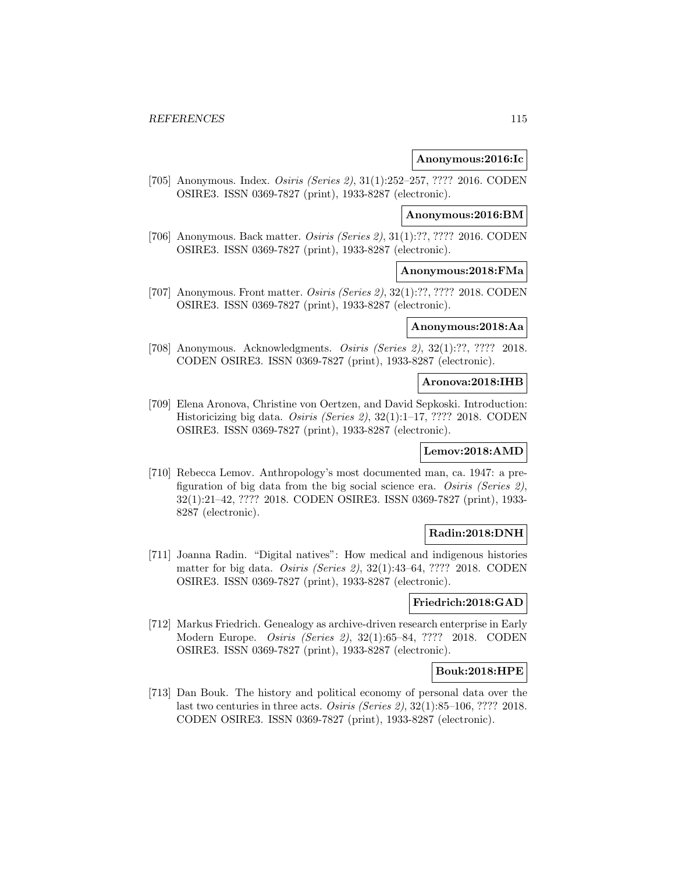## **Anonymous:2016:Ic**

[705] Anonymous. Index. Osiris (Series 2), 31(1):252–257, ???? 2016. CODEN OSIRE3. ISSN 0369-7827 (print), 1933-8287 (electronic).

## **Anonymous:2016:BM**

[706] Anonymous. Back matter. Osiris (Series 2), 31(1):??, ???? 2016. CODEN OSIRE3. ISSN 0369-7827 (print), 1933-8287 (electronic).

## **Anonymous:2018:FMa**

[707] Anonymous. Front matter. *Osiris (Series 2)*, 32(1):??, ???? 2018. CODEN OSIRE3. ISSN 0369-7827 (print), 1933-8287 (electronic).

# **Anonymous:2018:Aa**

[708] Anonymous. Acknowledgments. Osiris (Series 2), 32(1):??, ???? 2018. CODEN OSIRE3. ISSN 0369-7827 (print), 1933-8287 (electronic).

## **Aronova:2018:IHB**

[709] Elena Aronova, Christine von Oertzen, and David Sepkoski. Introduction: Historicizing big data. Osiris (Series 2), 32(1):1–17, ???? 2018. CODEN OSIRE3. ISSN 0369-7827 (print), 1933-8287 (electronic).

### **Lemov:2018:AMD**

[710] Rebecca Lemov. Anthropology's most documented man, ca. 1947: a prefiguration of big data from the big social science era. Osiris (Series 2), 32(1):21–42, ???? 2018. CODEN OSIRE3. ISSN 0369-7827 (print), 1933- 8287 (electronic).

## **Radin:2018:DNH**

[711] Joanna Radin. "Digital natives": How medical and indigenous histories matter for big data. Osiris (Series 2), 32(1):43–64, ???? 2018. CODEN OSIRE3. ISSN 0369-7827 (print), 1933-8287 (electronic).

#### **Friedrich:2018:GAD**

[712] Markus Friedrich. Genealogy as archive-driven research enterprise in Early Modern Europe. Osiris (Series 2), 32(1):65–84, ???? 2018. CODEN OSIRE3. ISSN 0369-7827 (print), 1933-8287 (electronic).

### **Bouk:2018:HPE**

[713] Dan Bouk. The history and political economy of personal data over the last two centuries in three acts. Osiris (Series 2),  $32(1)$ :85–106, ???? 2018. CODEN OSIRE3. ISSN 0369-7827 (print), 1933-8287 (electronic).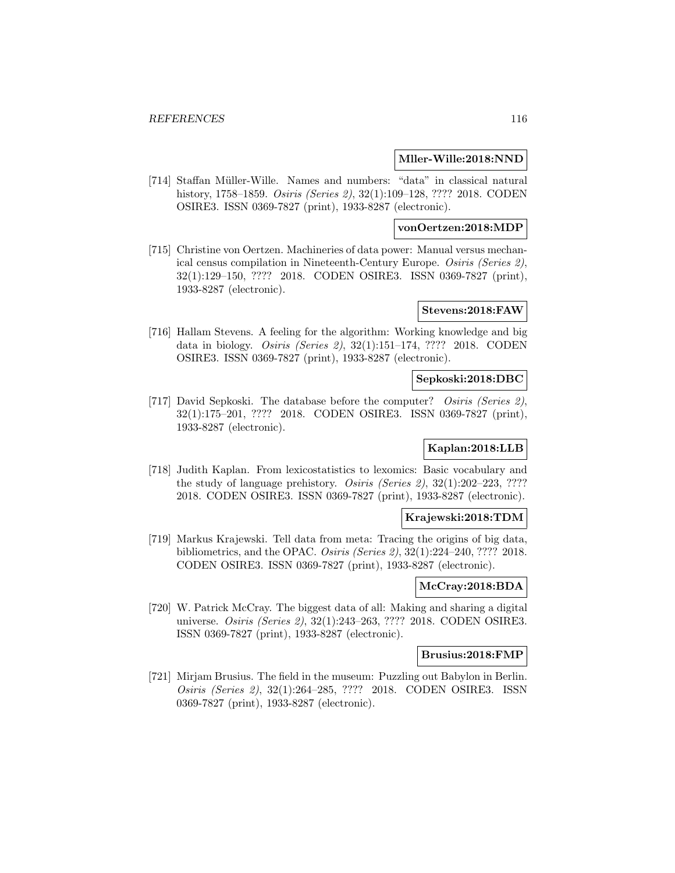### **Mller-Wille:2018:NND**

[714] Staffan M¨uller-Wille. Names and numbers: "data" in classical natural history, 1758–1859. Osiris (Series 2), 32(1):109–128, ???? 2018. CODEN OSIRE3. ISSN 0369-7827 (print), 1933-8287 (electronic).

#### **vonOertzen:2018:MDP**

[715] Christine von Oertzen. Machineries of data power: Manual versus mechanical census compilation in Nineteenth-Century Europe. Osiris (Series 2), 32(1):129–150, ???? 2018. CODEN OSIRE3. ISSN 0369-7827 (print), 1933-8287 (electronic).

#### **Stevens:2018:FAW**

[716] Hallam Stevens. A feeling for the algorithm: Working knowledge and big data in biology. Osiris (Series 2), 32(1):151–174, ???? 2018. CODEN OSIRE3. ISSN 0369-7827 (print), 1933-8287 (electronic).

# **Sepkoski:2018:DBC**

[717] David Sepkoski. The database before the computer? *Osiris (Series 2)*, 32(1):175–201, ???? 2018. CODEN OSIRE3. ISSN 0369-7827 (print), 1933-8287 (electronic).

## **Kaplan:2018:LLB**

[718] Judith Kaplan. From lexicostatistics to lexomics: Basic vocabulary and the study of language prehistory. Osiris (Series 2), 32(1):202–223, ???? 2018. CODEN OSIRE3. ISSN 0369-7827 (print), 1933-8287 (electronic).

### **Krajewski:2018:TDM**

[719] Markus Krajewski. Tell data from meta: Tracing the origins of big data, bibliometrics, and the OPAC. Osiris (Series 2), 32(1):224–240, ???? 2018. CODEN OSIRE3. ISSN 0369-7827 (print), 1933-8287 (electronic).

## **McCray:2018:BDA**

[720] W. Patrick McCray. The biggest data of all: Making and sharing a digital universe. Osiris (Series 2), 32(1):243–263, ???? 2018. CODEN OSIRE3. ISSN 0369-7827 (print), 1933-8287 (electronic).

## **Brusius:2018:FMP**

[721] Mirjam Brusius. The field in the museum: Puzzling out Babylon in Berlin. Osiris (Series 2), 32(1):264–285, ???? 2018. CODEN OSIRE3. ISSN 0369-7827 (print), 1933-8287 (electronic).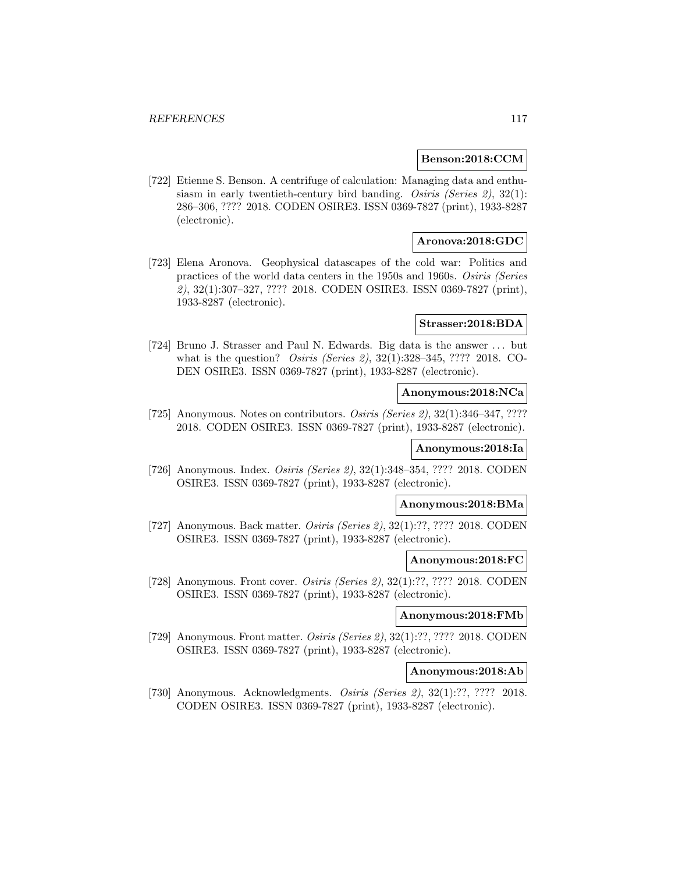#### **Benson:2018:CCM**

[722] Etienne S. Benson. A centrifuge of calculation: Managing data and enthusiasm in early twentieth-century bird banding. Osiris (Series 2),  $32(1)$ : 286–306, ???? 2018. CODEN OSIRE3. ISSN 0369-7827 (print), 1933-8287 (electronic).

## **Aronova:2018:GDC**

[723] Elena Aronova. Geophysical datascapes of the cold war: Politics and practices of the world data centers in the 1950s and 1960s. Osiris (Series 2), 32(1):307–327, ???? 2018. CODEN OSIRE3. ISSN 0369-7827 (print), 1933-8287 (electronic).

#### **Strasser:2018:BDA**

[724] Bruno J. Strasser and Paul N. Edwards. Big data is the answer ... but what is the question? Osiris (Series 2), 32(1):328–345, ???? 2018. CO-DEN OSIRE3. ISSN 0369-7827 (print), 1933-8287 (electronic).

### **Anonymous:2018:NCa**

[725] Anonymous. Notes on contributors. *Osiris (Series 2)*, 32(1):346-347, ???? 2018. CODEN OSIRE3. ISSN 0369-7827 (print), 1933-8287 (electronic).

#### **Anonymous:2018:Ia**

[726] Anonymous. Index. Osiris (Series 2), 32(1):348–354, ???? 2018. CODEN OSIRE3. ISSN 0369-7827 (print), 1933-8287 (electronic).

### **Anonymous:2018:BMa**

[727] Anonymous. Back matter. Osiris (Series 2), 32(1):??, ???? 2018. CODEN OSIRE3. ISSN 0369-7827 (print), 1933-8287 (electronic).

#### **Anonymous:2018:FC**

[728] Anonymous. Front cover. *Osiris (Series 2)*, 32(1):??, ???? 2018. CODEN OSIRE3. ISSN 0369-7827 (print), 1933-8287 (electronic).

# **Anonymous:2018:FMb**

[729] Anonymous. Front matter. Osiris (Series 2), 32(1):??, ???? 2018. CODEN OSIRE3. ISSN 0369-7827 (print), 1933-8287 (electronic).

#### **Anonymous:2018:Ab**

[730] Anonymous. Acknowledgments. Osiris (Series 2), 32(1):??, ???? 2018. CODEN OSIRE3. ISSN 0369-7827 (print), 1933-8287 (electronic).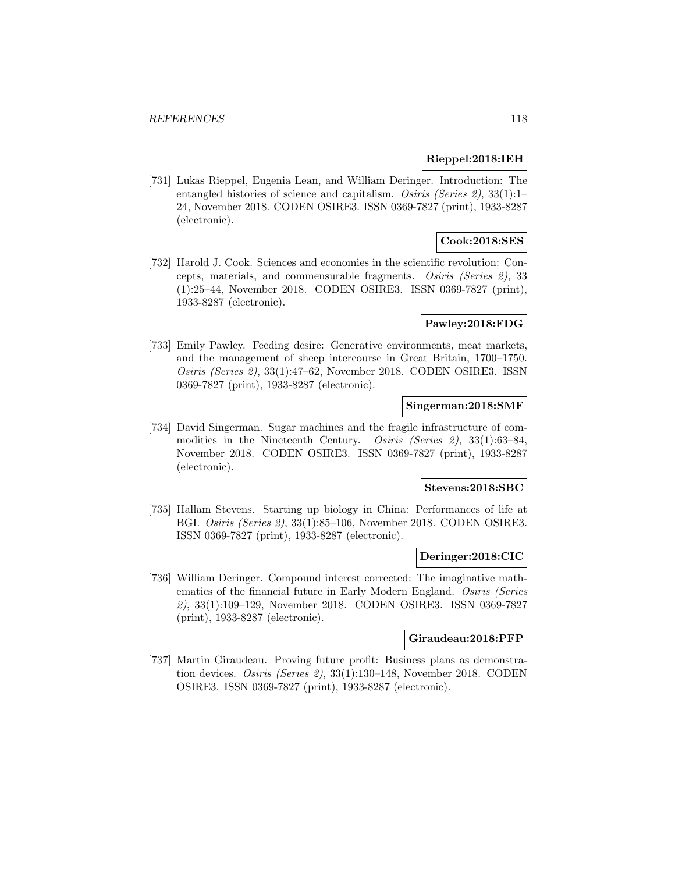## **Rieppel:2018:IEH**

[731] Lukas Rieppel, Eugenia Lean, and William Deringer. Introduction: The entangled histories of science and capitalism. Osiris (Series 2), 33(1):1-24, November 2018. CODEN OSIRE3. ISSN 0369-7827 (print), 1933-8287 (electronic).

## **Cook:2018:SES**

[732] Harold J. Cook. Sciences and economies in the scientific revolution: Concepts, materials, and commensurable fragments. Osiris (Series 2), 33 (1):25–44, November 2018. CODEN OSIRE3. ISSN 0369-7827 (print), 1933-8287 (electronic).

### **Pawley:2018:FDG**

[733] Emily Pawley. Feeding desire: Generative environments, meat markets, and the management of sheep intercourse in Great Britain, 1700–1750. Osiris (Series 2), 33(1):47–62, November 2018. CODEN OSIRE3. ISSN 0369-7827 (print), 1933-8287 (electronic).

## **Singerman:2018:SMF**

[734] David Singerman. Sugar machines and the fragile infrastructure of commodities in the Nineteenth Century. Osiris (Series 2), 33(1):63–84, November 2018. CODEN OSIRE3. ISSN 0369-7827 (print), 1933-8287 (electronic).

#### **Stevens:2018:SBC**

[735] Hallam Stevens. Starting up biology in China: Performances of life at BGI. Osiris (Series 2), 33(1):85–106, November 2018. CODEN OSIRE3. ISSN 0369-7827 (print), 1933-8287 (electronic).

#### **Deringer:2018:CIC**

[736] William Deringer. Compound interest corrected: The imaginative mathematics of the financial future in Early Modern England. Osiris (Series 2), 33(1):109–129, November 2018. CODEN OSIRE3. ISSN 0369-7827 (print), 1933-8287 (electronic).

## **Giraudeau:2018:PFP**

[737] Martin Giraudeau. Proving future profit: Business plans as demonstration devices. Osiris (Series 2), 33(1):130–148, November 2018. CODEN OSIRE3. ISSN 0369-7827 (print), 1933-8287 (electronic).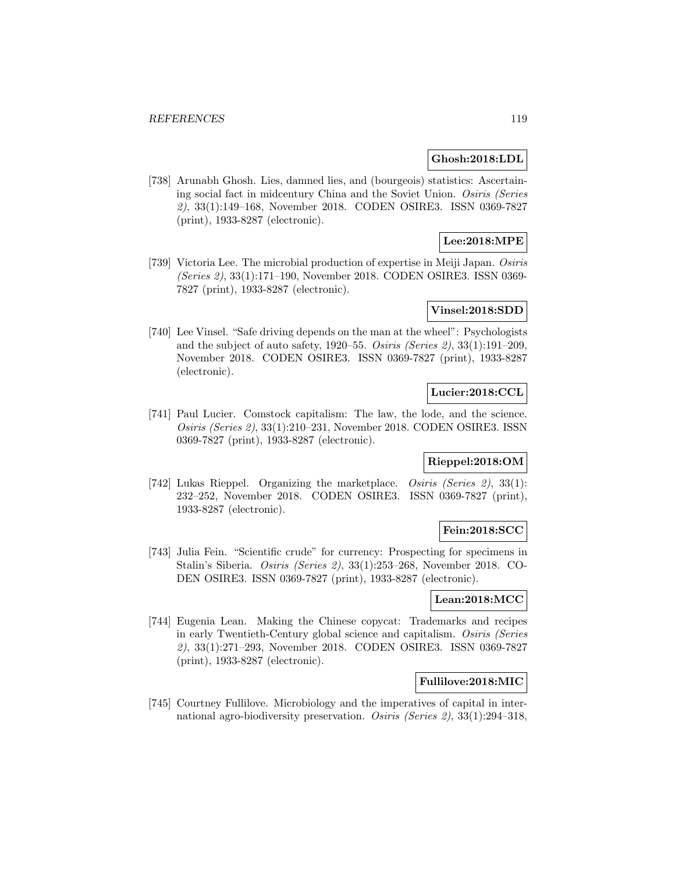#### **Ghosh:2018:LDL**

[738] Arunabh Ghosh. Lies, damned lies, and (bourgeois) statistics: Ascertaining social fact in midcentury China and the Soviet Union. Osiris (Series 2), 33(1):149–168, November 2018. CODEN OSIRE3. ISSN 0369-7827 (print), 1933-8287 (electronic).

# **Lee:2018:MPE**

[739] Victoria Lee. The microbial production of expertise in Meiji Japan. Osiris (Series 2), 33(1):171–190, November 2018. CODEN OSIRE3. ISSN 0369- 7827 (print), 1933-8287 (electronic).

# **Vinsel:2018:SDD**

[740] Lee Vinsel. "Safe driving depends on the man at the wheel": Psychologists and the subject of auto safety, 1920–55. Osiris (Series 2), 33(1):191–209, November 2018. CODEN OSIRE3. ISSN 0369-7827 (print), 1933-8287 (electronic).

## **Lucier:2018:CCL**

[741] Paul Lucier. Comstock capitalism: The law, the lode, and the science. Osiris (Series 2), 33(1):210–231, November 2018. CODEN OSIRE3. ISSN 0369-7827 (print), 1933-8287 (electronic).

## **Rieppel:2018:OM**

[742] Lukas Rieppel. Organizing the marketplace. Osiris (Series 2), 33(1): 232–252, November 2018. CODEN OSIRE3. ISSN 0369-7827 (print), 1933-8287 (electronic).

## **Fein:2018:SCC**

[743] Julia Fein. "Scientific crude" for currency: Prospecting for specimens in Stalin's Siberia. Osiris (Series 2), 33(1):253–268, November 2018. CO-DEN OSIRE3. ISSN 0369-7827 (print), 1933-8287 (electronic).

## **Lean:2018:MCC**

[744] Eugenia Lean. Making the Chinese copycat: Trademarks and recipes in early Twentieth-Century global science and capitalism. Osiris (Series 2), 33(1):271–293, November 2018. CODEN OSIRE3. ISSN 0369-7827 (print), 1933-8287 (electronic).

## **Fullilove:2018:MIC**

[745] Courtney Fullilove. Microbiology and the imperatives of capital in international agro-biodiversity preservation. Osiris (Series 2), 33(1):294–318,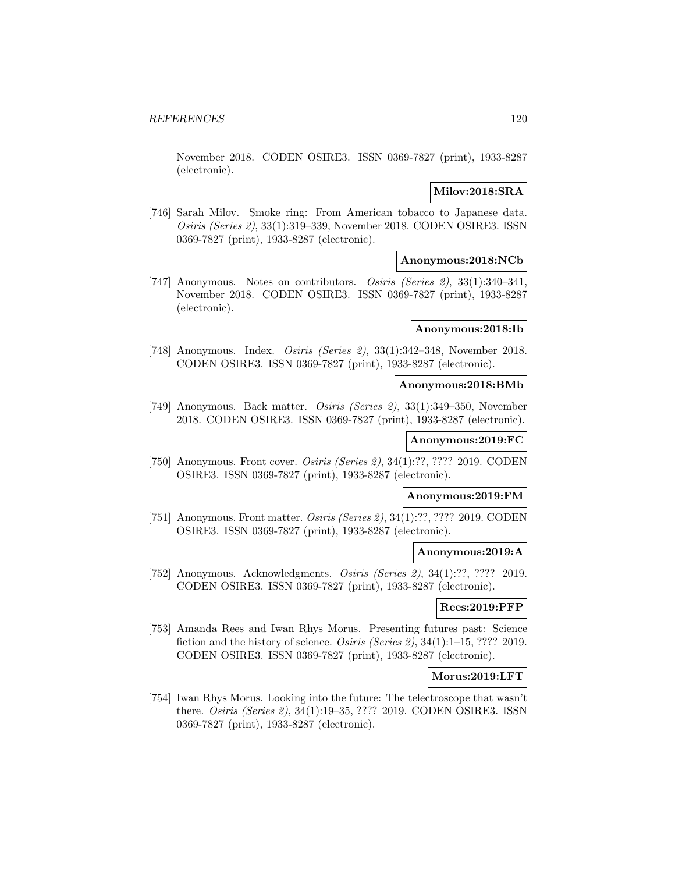November 2018. CODEN OSIRE3. ISSN 0369-7827 (print), 1933-8287 (electronic).

## **Milov:2018:SRA**

[746] Sarah Milov. Smoke ring: From American tobacco to Japanese data. Osiris (Series 2), 33(1):319–339, November 2018. CODEN OSIRE3. ISSN 0369-7827 (print), 1933-8287 (electronic).

## **Anonymous:2018:NCb**

[747] Anonymous. Notes on contributors. Osiris (Series 2), 33(1):340–341, November 2018. CODEN OSIRE3. ISSN 0369-7827 (print), 1933-8287 (electronic).

## **Anonymous:2018:Ib**

[748] Anonymous. Index. Osiris (Series 2), 33(1):342–348, November 2018. CODEN OSIRE3. ISSN 0369-7827 (print), 1933-8287 (electronic).

# **Anonymous:2018:BMb**

[749] Anonymous. Back matter. Osiris (Series 2), 33(1):349–350, November 2018. CODEN OSIRE3. ISSN 0369-7827 (print), 1933-8287 (electronic).

## **Anonymous:2019:FC**

[750] Anonymous. Front cover. *Osiris (Series 2)*, 34(1):??, ???? 2019. CODEN OSIRE3. ISSN 0369-7827 (print), 1933-8287 (electronic).

## **Anonymous:2019:FM**

[751] Anonymous. Front matter. *Osiris (Series 2)*, 34(1):??, ???? 2019. CODEN OSIRE3. ISSN 0369-7827 (print), 1933-8287 (electronic).

## **Anonymous:2019:A**

[752] Anonymous. Acknowledgments. Osiris (Series 2), 34(1):??, ???? 2019. CODEN OSIRE3. ISSN 0369-7827 (print), 1933-8287 (electronic).

#### **Rees:2019:PFP**

[753] Amanda Rees and Iwan Rhys Morus. Presenting futures past: Science fiction and the history of science. Osiris (Series 2), 34(1):1–15, ???? 2019. CODEN OSIRE3. ISSN 0369-7827 (print), 1933-8287 (electronic).

#### **Morus:2019:LFT**

[754] Iwan Rhys Morus. Looking into the future: The telectroscope that wasn't there. Osiris (Series 2), 34(1):19–35, ???? 2019. CODEN OSIRE3. ISSN 0369-7827 (print), 1933-8287 (electronic).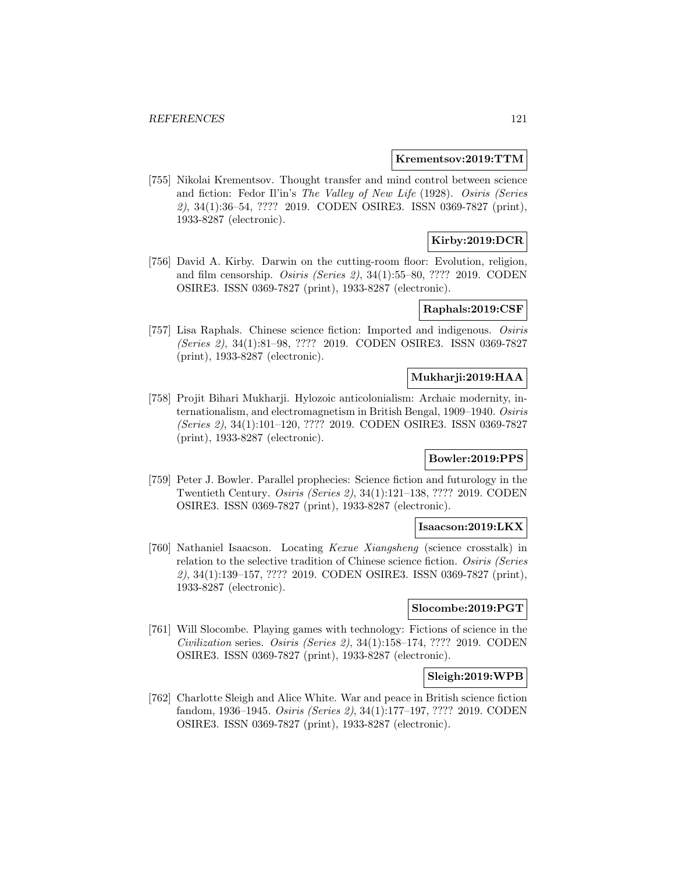### **Krementsov:2019:TTM**

[755] Nikolai Krementsov. Thought transfer and mind control between science and fiction: Fedor Il'in's The Valley of New Life (1928). Osiris (Series 2), 34(1):36–54, ???? 2019. CODEN OSIRE3. ISSN 0369-7827 (print), 1933-8287 (electronic).

## **Kirby:2019:DCR**

[756] David A. Kirby. Darwin on the cutting-room floor: Evolution, religion, and film censorship. Osiris (Series 2),  $34(1):55-80$ , ???? 2019. CODEN OSIRE3. ISSN 0369-7827 (print), 1933-8287 (electronic).

## **Raphals:2019:CSF**

[757] Lisa Raphals. Chinese science fiction: Imported and indigenous. Osiris (Series 2), 34(1):81–98, ???? 2019. CODEN OSIRE3. ISSN 0369-7827 (print), 1933-8287 (electronic).

#### **Mukharji:2019:HAA**

[758] Projit Bihari Mukharji. Hylozoic anticolonialism: Archaic modernity, internationalism, and electromagnetism in British Bengal, 1909–1940. Osiris (Series 2), 34(1):101–120, ???? 2019. CODEN OSIRE3. ISSN 0369-7827 (print), 1933-8287 (electronic).

## **Bowler:2019:PPS**

[759] Peter J. Bowler. Parallel prophecies: Science fiction and futurology in the Twentieth Century. Osiris (Series 2), 34(1):121–138, ???? 2019. CODEN OSIRE3. ISSN 0369-7827 (print), 1933-8287 (electronic).

## **Isaacson:2019:LKX**

[760] Nathaniel Isaacson. Locating Kexue Xiangsheng (science crosstalk) in relation to the selective tradition of Chinese science fiction. Osiris (Series 2), 34(1):139–157, ???? 2019. CODEN OSIRE3. ISSN 0369-7827 (print), 1933-8287 (electronic).

## **Slocombe:2019:PGT**

[761] Will Slocombe. Playing games with technology: Fictions of science in the Civilization series. Osiris (Series 2), 34(1):158–174, ???? 2019. CODEN OSIRE3. ISSN 0369-7827 (print), 1933-8287 (electronic).

## **Sleigh:2019:WPB**

[762] Charlotte Sleigh and Alice White. War and peace in British science fiction fandom, 1936–1945. Osiris (Series 2), 34(1):177–197, ???? 2019. CODEN OSIRE3. ISSN 0369-7827 (print), 1933-8287 (electronic).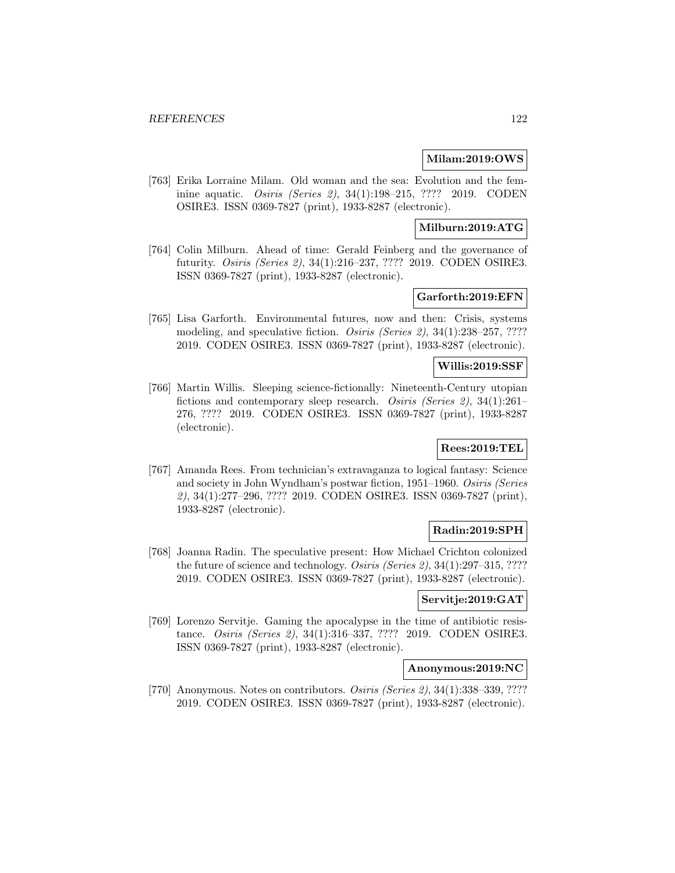### **Milam:2019:OWS**

[763] Erika Lorraine Milam. Old woman and the sea: Evolution and the feminine aquatic. Osiris (Series 2), 34(1):198–215, ???? 2019. CODEN OSIRE3. ISSN 0369-7827 (print), 1933-8287 (electronic).

# **Milburn:2019:ATG**

[764] Colin Milburn. Ahead of time: Gerald Feinberg and the governance of futurity. Osiris (Series 2), 34(1):216–237, ???? 2019. CODEN OSIRE3. ISSN 0369-7827 (print), 1933-8287 (electronic).

## **Garforth:2019:EFN**

[765] Lisa Garforth. Environmental futures, now and then: Crisis, systems modeling, and speculative fiction. *Osiris (Series 2)*, 34(1):238–257, ???? 2019. CODEN OSIRE3. ISSN 0369-7827 (print), 1933-8287 (electronic).

#### **Willis:2019:SSF**

[766] Martin Willis. Sleeping science-fictionally: Nineteenth-Century utopian fictions and contemporary sleep research. Osiris (Series 2), 34(1):261– 276, ???? 2019. CODEN OSIRE3. ISSN 0369-7827 (print), 1933-8287 (electronic).

# **Rees:2019:TEL**

[767] Amanda Rees. From technician's extravaganza to logical fantasy: Science and society in John Wyndham's postwar fiction, 1951–1960. Osiris (Series 2), 34(1):277–296, ???? 2019. CODEN OSIRE3. ISSN 0369-7827 (print), 1933-8287 (electronic).

## **Radin:2019:SPH**

[768] Joanna Radin. The speculative present: How Michael Crichton colonized the future of science and technology. Osiris (Series 2), 34(1):297–315, ???? 2019. CODEN OSIRE3. ISSN 0369-7827 (print), 1933-8287 (electronic).

### **Servitje:2019:GAT**

[769] Lorenzo Servitje. Gaming the apocalypse in the time of antibiotic resistance. Osiris (Series 2), 34(1):316–337, ???? 2019. CODEN OSIRE3. ISSN 0369-7827 (print), 1933-8287 (electronic).

#### **Anonymous:2019:NC**

[770] Anonymous. Notes on contributors. *Osiris (Series 2)*, 34(1):338–339, ???? 2019. CODEN OSIRE3. ISSN 0369-7827 (print), 1933-8287 (electronic).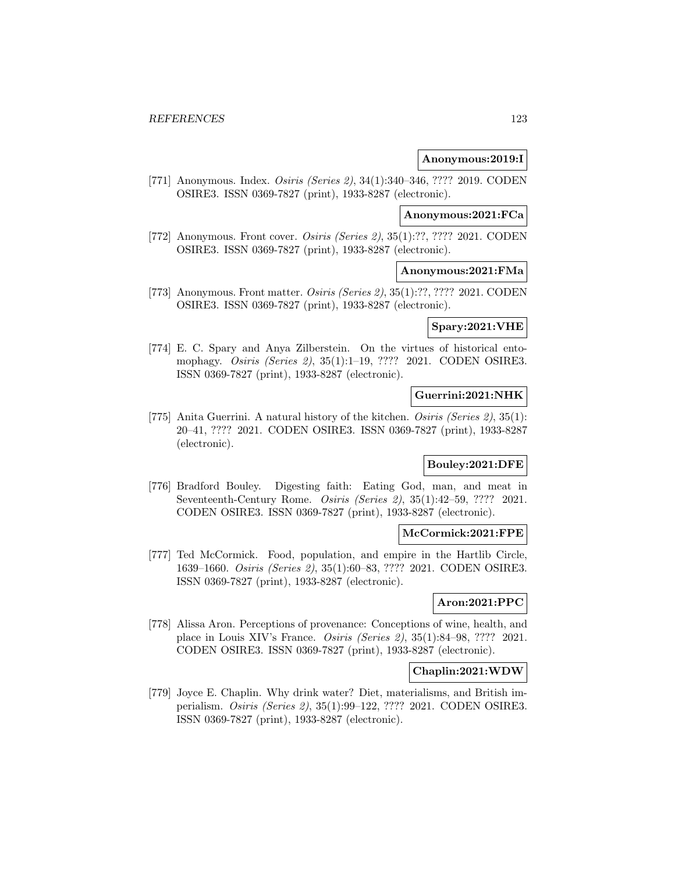## **Anonymous:2019:I**

[771] Anonymous. Index. Osiris (Series 2), 34(1):340–346, ???? 2019. CODEN OSIRE3. ISSN 0369-7827 (print), 1933-8287 (electronic).

## **Anonymous:2021:FCa**

[772] Anonymous. Front cover. *Osiris (Series 2)*, 35(1):??, ???? 2021. CODEN OSIRE3. ISSN 0369-7827 (print), 1933-8287 (electronic).

## **Anonymous:2021:FMa**

[773] Anonymous. Front matter. *Osiris (Series 2)*, 35(1):??, ???? 2021. CODEN OSIRE3. ISSN 0369-7827 (print), 1933-8287 (electronic).

## **Spary:2021:VHE**

[774] E. C. Spary and Anya Zilberstein. On the virtues of historical entomophagy. Osiris (Series 2), 35(1):1–19, ???? 2021. CODEN OSIRE3. ISSN 0369-7827 (print), 1933-8287 (electronic).

#### **Guerrini:2021:NHK**

[775] Anita Guerrini. A natural history of the kitchen. Osiris (Series 2), 35(1): 20–41, ???? 2021. CODEN OSIRE3. ISSN 0369-7827 (print), 1933-8287 (electronic).

## **Bouley:2021:DFE**

[776] Bradford Bouley. Digesting faith: Eating God, man, and meat in Seventeenth-Century Rome. Osiris (Series 2), 35(1):42–59, ???? 2021. CODEN OSIRE3. ISSN 0369-7827 (print), 1933-8287 (electronic).

#### **McCormick:2021:FPE**

[777] Ted McCormick. Food, population, and empire in the Hartlib Circle, 1639–1660. Osiris (Series 2), 35(1):60–83, ???? 2021. CODEN OSIRE3. ISSN 0369-7827 (print), 1933-8287 (electronic).

### **Aron:2021:PPC**

[778] Alissa Aron. Perceptions of provenance: Conceptions of wine, health, and place in Louis XIV's France. Osiris (Series 2), 35(1):84–98, ???? 2021. CODEN OSIRE3. ISSN 0369-7827 (print), 1933-8287 (electronic).

### **Chaplin:2021:WDW**

[779] Joyce E. Chaplin. Why drink water? Diet, materialisms, and British imperialism. Osiris (Series 2), 35(1):99–122, ???? 2021. CODEN OSIRE3. ISSN 0369-7827 (print), 1933-8287 (electronic).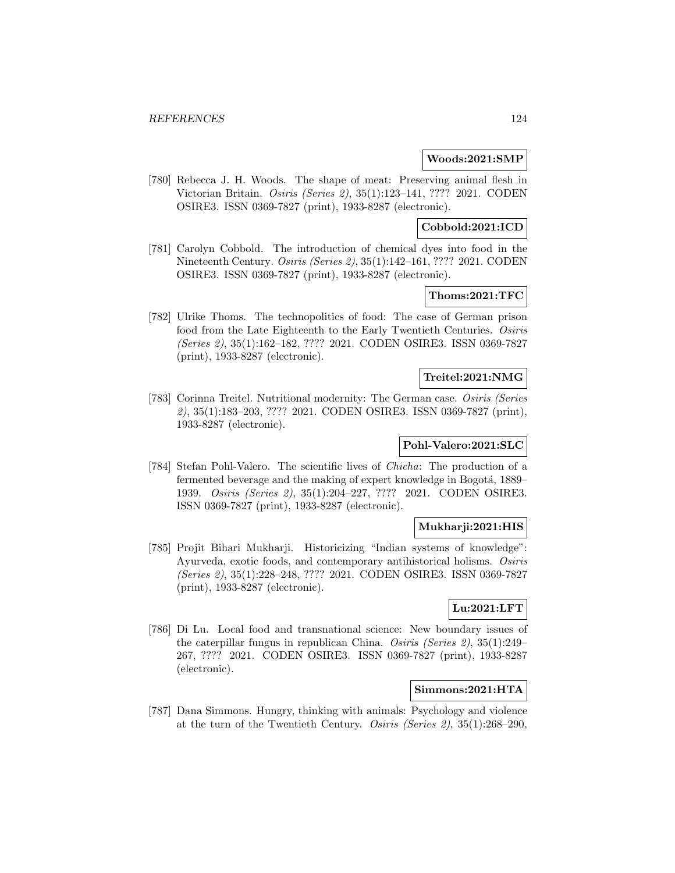#### **Woods:2021:SMP**

[780] Rebecca J. H. Woods. The shape of meat: Preserving animal flesh in Victorian Britain. Osiris (Series 2), 35(1):123–141, ???? 2021. CODEN OSIRE3. ISSN 0369-7827 (print), 1933-8287 (electronic).

## **Cobbold:2021:ICD**

[781] Carolyn Cobbold. The introduction of chemical dyes into food in the Nineteenth Century. Osiris (Series 2), 35(1):142–161, ???? 2021. CODEN OSIRE3. ISSN 0369-7827 (print), 1933-8287 (electronic).

## **Thoms:2021:TFC**

[782] Ulrike Thoms. The technopolitics of food: The case of German prison food from the Late Eighteenth to the Early Twentieth Centuries. Osiris (Series 2), 35(1):162–182, ???? 2021. CODEN OSIRE3. ISSN 0369-7827 (print), 1933-8287 (electronic).

#### **Treitel:2021:NMG**

[783] Corinna Treitel. Nutritional modernity: The German case. Osiris (Series 2), 35(1):183–203, ???? 2021. CODEN OSIRE3. ISSN 0369-7827 (print), 1933-8287 (electronic).

## **Pohl-Valero:2021:SLC**

[784] Stefan Pohl-Valero. The scientific lives of Chicha: The production of a fermented beverage and the making of expert knowledge in Bogotá, 1889– 1939. Osiris (Series 2), 35(1):204–227, ???? 2021. CODEN OSIRE3. ISSN 0369-7827 (print), 1933-8287 (electronic).

## **Mukharji:2021:HIS**

[785] Projit Bihari Mukharji. Historicizing "Indian systems of knowledge": Ayurveda, exotic foods, and contemporary antihistorical holisms. Osiris (Series 2), 35(1):228–248, ???? 2021. CODEN OSIRE3. ISSN 0369-7827 (print), 1933-8287 (electronic).

## **Lu:2021:LFT**

[786] Di Lu. Local food and transnational science: New boundary issues of the caterpillar fungus in republican China. Osiris (Series 2), 35(1):249– 267, ???? 2021. CODEN OSIRE3. ISSN 0369-7827 (print), 1933-8287 (electronic).

# **Simmons:2021:HTA**

[787] Dana Simmons. Hungry, thinking with animals: Psychology and violence at the turn of the Twentieth Century. Osiris (Series 2),  $35(1):268-290$ ,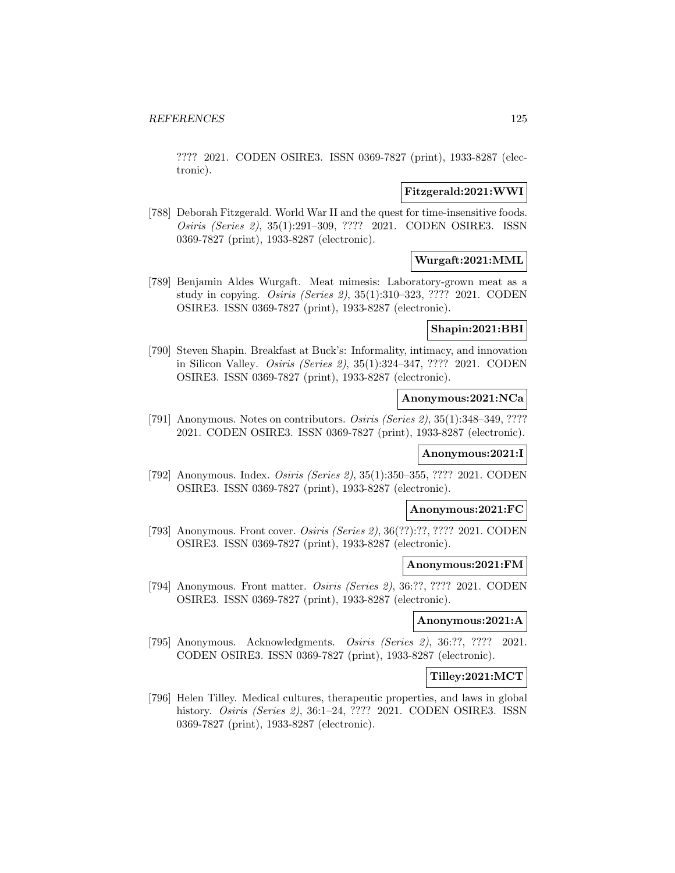???? 2021. CODEN OSIRE3. ISSN 0369-7827 (print), 1933-8287 (electronic).

### **Fitzgerald:2021:WWI**

[788] Deborah Fitzgerald. World War II and the quest for time-insensitive foods. Osiris (Series 2), 35(1):291–309, ???? 2021. CODEN OSIRE3. ISSN 0369-7827 (print), 1933-8287 (electronic).

## **Wurgaft:2021:MML**

[789] Benjamin Aldes Wurgaft. Meat mimesis: Laboratory-grown meat as a study in copying. Osiris (Series 2), 35(1):310–323, ???? 2021. CODEN OSIRE3. ISSN 0369-7827 (print), 1933-8287 (electronic).

# **Shapin:2021:BBI**

[790] Steven Shapin. Breakfast at Buck's: Informality, intimacy, and innovation in Silicon Valley. Osiris (Series 2), 35(1):324–347, ???? 2021. CODEN OSIRE3. ISSN 0369-7827 (print), 1933-8287 (electronic).

## **Anonymous:2021:NCa**

[791] Anonymous. Notes on contributors. Osiris (Series 2), 35(1):348–349, ???? 2021. CODEN OSIRE3. ISSN 0369-7827 (print), 1933-8287 (electronic).

## **Anonymous:2021:I**

[792] Anonymous. Index. Osiris (Series 2), 35(1):350–355, ???? 2021. CODEN OSIRE3. ISSN 0369-7827 (print), 1933-8287 (electronic).

## **Anonymous:2021:FC**

[793] Anonymous. Front cover. Osiris (Series 2), 36(??):??, ???? 2021. CODEN OSIRE3. ISSN 0369-7827 (print), 1933-8287 (electronic).

#### **Anonymous:2021:FM**

[794] Anonymous. Front matter. Osiris (Series 2), 36:??, ???? 2021. CODEN OSIRE3. ISSN 0369-7827 (print), 1933-8287 (electronic).

#### **Anonymous:2021:A**

[795] Anonymous. Acknowledgments. Osiris (Series 2), 36:??, ???? 2021. CODEN OSIRE3. ISSN 0369-7827 (print), 1933-8287 (electronic).

## **Tilley:2021:MCT**

[796] Helen Tilley. Medical cultures, therapeutic properties, and laws in global history. Osiris (Series 2), 36:1–24, ???? 2021. CODEN OSIRE3. ISSN 0369-7827 (print), 1933-8287 (electronic).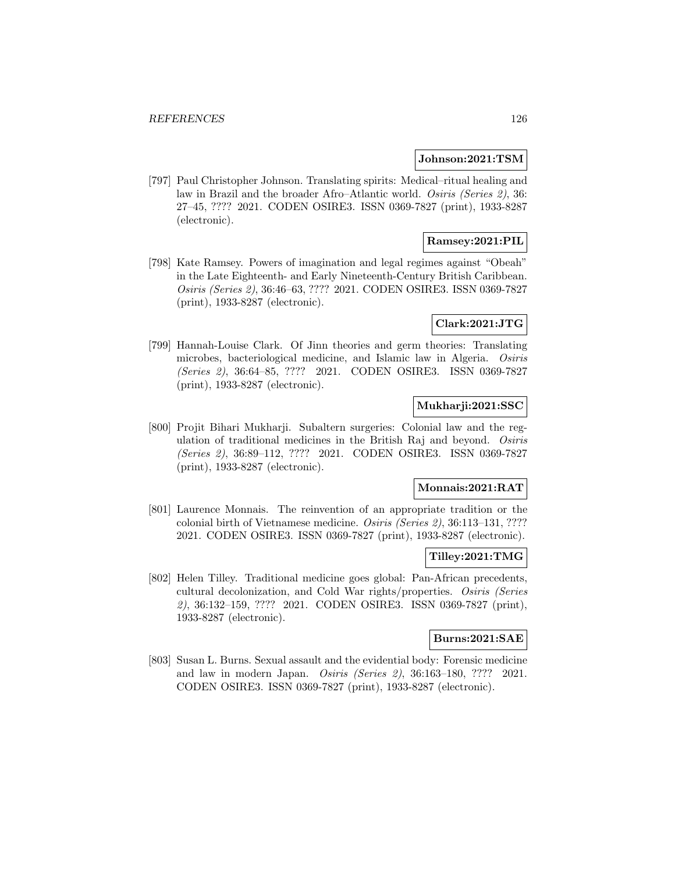## **Johnson:2021:TSM**

[797] Paul Christopher Johnson. Translating spirits: Medical–ritual healing and law in Brazil and the broader Afro–Atlantic world. Osiris (Series 2), 36: 27–45, ???? 2021. CODEN OSIRE3. ISSN 0369-7827 (print), 1933-8287 (electronic).

## **Ramsey:2021:PIL**

[798] Kate Ramsey. Powers of imagination and legal regimes against "Obeah" in the Late Eighteenth- and Early Nineteenth-Century British Caribbean. Osiris (Series 2), 36:46–63, ???? 2021. CODEN OSIRE3. ISSN 0369-7827 (print), 1933-8287 (electronic).

## **Clark:2021:JTG**

[799] Hannah-Louise Clark. Of Jinn theories and germ theories: Translating microbes, bacteriological medicine, and Islamic law in Algeria. Osiris (Series 2), 36:64–85, ???? 2021. CODEN OSIRE3. ISSN 0369-7827 (print), 1933-8287 (electronic).

# **Mukharji:2021:SSC**

[800] Projit Bihari Mukharji. Subaltern surgeries: Colonial law and the regulation of traditional medicines in the British Raj and beyond. Osiris (Series 2), 36:89–112, ???? 2021. CODEN OSIRE3. ISSN 0369-7827 (print), 1933-8287 (electronic).

## **Monnais:2021:RAT**

[801] Laurence Monnais. The reinvention of an appropriate tradition or the colonial birth of Vietnamese medicine. Osiris (Series 2), 36:113–131, ???? 2021. CODEN OSIRE3. ISSN 0369-7827 (print), 1933-8287 (electronic).

## **Tilley:2021:TMG**

[802] Helen Tilley. Traditional medicine goes global: Pan-African precedents, cultural decolonization, and Cold War rights/properties. Osiris (Series 2), 36:132–159, ???? 2021. CODEN OSIRE3. ISSN 0369-7827 (print), 1933-8287 (electronic).

# **Burns:2021:SAE**

[803] Susan L. Burns. Sexual assault and the evidential body: Forensic medicine and law in modern Japan. Osiris (Series 2), 36:163–180, ???? 2021. CODEN OSIRE3. ISSN 0369-7827 (print), 1933-8287 (electronic).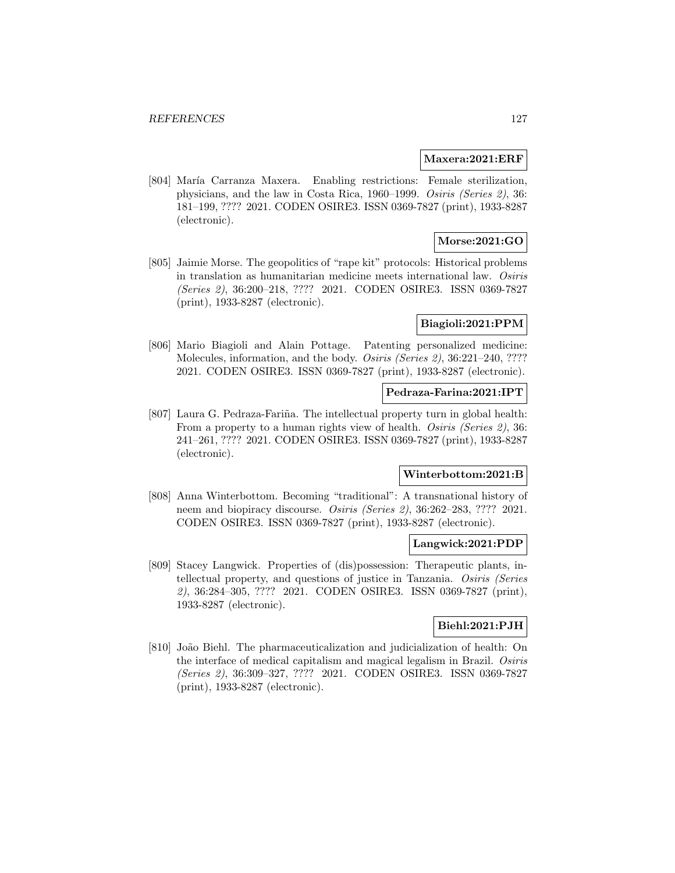#### **Maxera:2021:ERF**

[804] María Carranza Maxera. Enabling restrictions: Female sterilization, physicians, and the law in Costa Rica, 1960–1999. Osiris (Series 2), 36: 181–199, ???? 2021. CODEN OSIRE3. ISSN 0369-7827 (print), 1933-8287 (electronic).

# **Morse:2021:GO**

[805] Jaimie Morse. The geopolitics of "rape kit" protocols: Historical problems in translation as humanitarian medicine meets international law. Osiris (Series 2), 36:200–218, ???? 2021. CODEN OSIRE3. ISSN 0369-7827 (print), 1933-8287 (electronic).

## **Biagioli:2021:PPM**

[806] Mario Biagioli and Alain Pottage. Patenting personalized medicine: Molecules, information, and the body. *Osiris (Series 2)*, 36:221-240, ???? 2021. CODEN OSIRE3. ISSN 0369-7827 (print), 1933-8287 (electronic).

### **Pedraza-Farina:2021:IPT**

[807] Laura G. Pedraza-Fariña. The intellectual property turn in global health: From a property to a human rights view of health. Osiris (Series 2), 36: 241–261, ???? 2021. CODEN OSIRE3. ISSN 0369-7827 (print), 1933-8287 (electronic).

# **Winterbottom:2021:B**

[808] Anna Winterbottom. Becoming "traditional": A transnational history of neem and biopiracy discourse. Osiris (Series 2), 36:262–283, ???? 2021. CODEN OSIRE3. ISSN 0369-7827 (print), 1933-8287 (electronic).

### **Langwick:2021:PDP**

[809] Stacey Langwick. Properties of (dis)possession: Therapeutic plants, intellectual property, and questions of justice in Tanzania. Osiris (Series 2), 36:284–305, ???? 2021. CODEN OSIRE3. ISSN 0369-7827 (print), 1933-8287 (electronic).

## **Biehl:2021:PJH**

[810] João Biehl. The pharmaceuticalization and judicialization of health: On the interface of medical capitalism and magical legalism in Brazil. Osiris (Series 2), 36:309–327, ???? 2021. CODEN OSIRE3. ISSN 0369-7827 (print), 1933-8287 (electronic).